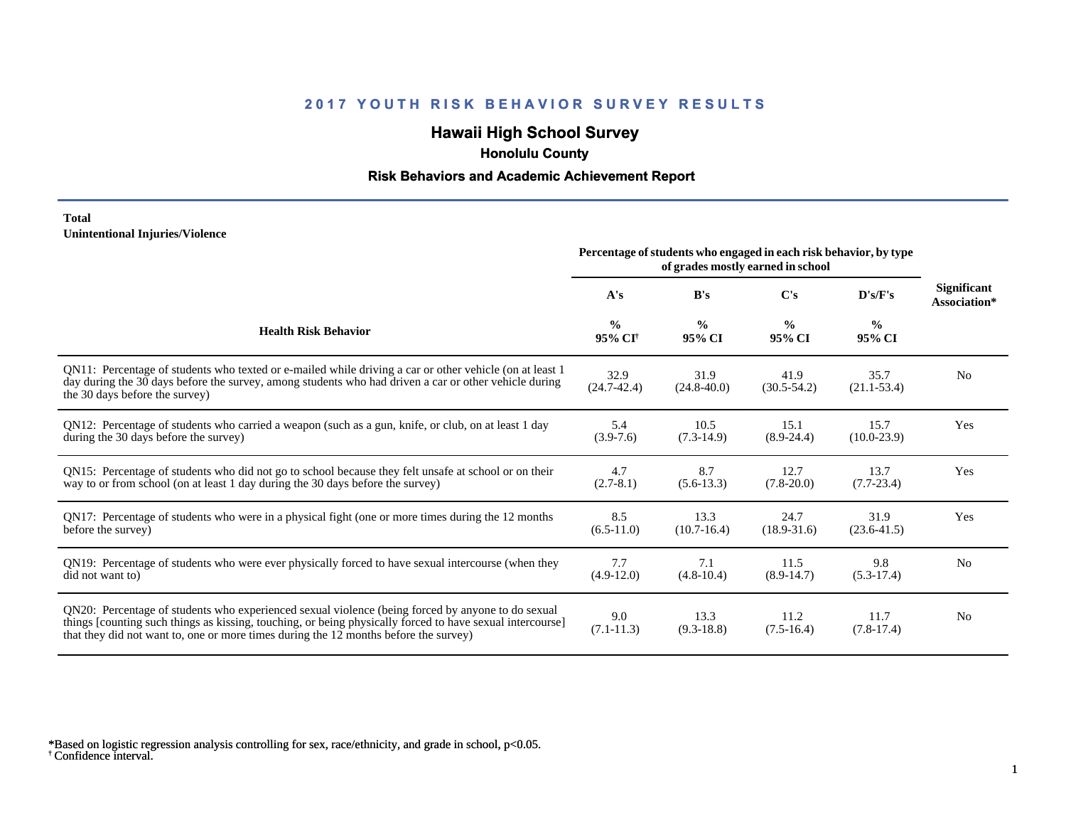# **Hawaii High School Survey**

 **Honolulu County**

#### **Risk Behaviors and Academic Achievement Report**

#### **Total Unintentional Injuries/Violence**

|                                                                                                                                                                                                                                                                                                        | Percentage of students who engaged in each risk behavior, by type<br>of grades mostly earned in school |                         |                         |                         |                                    |
|--------------------------------------------------------------------------------------------------------------------------------------------------------------------------------------------------------------------------------------------------------------------------------------------------------|--------------------------------------------------------------------------------------------------------|-------------------------|-------------------------|-------------------------|------------------------------------|
|                                                                                                                                                                                                                                                                                                        | A's                                                                                                    | B's                     | C's                     | D's/F's                 | <b>Significant</b><br>Association* |
| <b>Health Risk Behavior</b>                                                                                                                                                                                                                                                                            | $\frac{0}{0}$<br>95% CI <sup>+</sup>                                                                   | $\frac{0}{0}$<br>95% CI | $\frac{0}{0}$<br>95% CI | $\frac{0}{0}$<br>95% CI |                                    |
| QN11: Percentage of students who texted or e-mailed while driving a car or other vehicle (on at least 1<br>day during the 30 days before the survey, among students who had driven a car or other vehicle during<br>the 30 days before the survey)                                                     | 32.9<br>$(24.7 - 42.4)$                                                                                | 31.9<br>$(24.8 - 40.0)$ | 41.9<br>$(30.5 - 54.2)$ | 35.7<br>$(21.1 - 53.4)$ | N <sub>0</sub>                     |
| QN12: Percentage of students who carried a weapon (such as a gun, knife, or club, on at least 1 day<br>during the 30 days before the survey)                                                                                                                                                           | 5.4<br>$(3.9-7.6)$                                                                                     | 10.5<br>$(7.3-14.9)$    | 15.1<br>$(8.9-24.4)$    | 15.7<br>$(10.0 - 23.9)$ | Yes                                |
| QN15: Percentage of students who did not go to school because they felt unsafe at school or on their<br>way to or from school (on at least 1 day during the 30 days before the survey)                                                                                                                 | 4.7<br>$(2.7-8.1)$                                                                                     | 8.7<br>$(5.6-13.3)$     | 12.7<br>$(7.8 - 20.0)$  | 13.7<br>$(7.7-23.4)$    | Yes                                |
| QN17: Percentage of students who were in a physical fight (one or more times during the 12 months<br>before the survey)                                                                                                                                                                                | 8.5<br>$(6.5-11.0)$                                                                                    | 13.3<br>$(10.7-16.4)$   | 24.7<br>$(18.9 - 31.6)$ | 31.9<br>$(23.6 - 41.5)$ | Yes                                |
| QN19: Percentage of students who were ever physically forced to have sexual intercourse (when they<br>did not want to)                                                                                                                                                                                 | 7.7<br>$(4.9-12.0)$                                                                                    | 7.1<br>$(4.8-10.4)$     | 11.5<br>$(8.9-14.7)$    | 9.8<br>$(5.3-17.4)$     | N <sub>0</sub>                     |
| QN20: Percentage of students who experienced sexual violence (being forced by anyone to do sexual<br>things [counting such things as kissing, touching, or being physically forced to have sexual intercourse]<br>that they did not want to, one or more times during the 12 months before the survey) | 9.0<br>$(7.1 - 11.3)$                                                                                  | 13.3<br>$(9.3-18.8)$    | 11.2<br>$(7.5-16.4)$    | 11.7<br>$(7.8-17.4)$    | N <sub>0</sub>                     |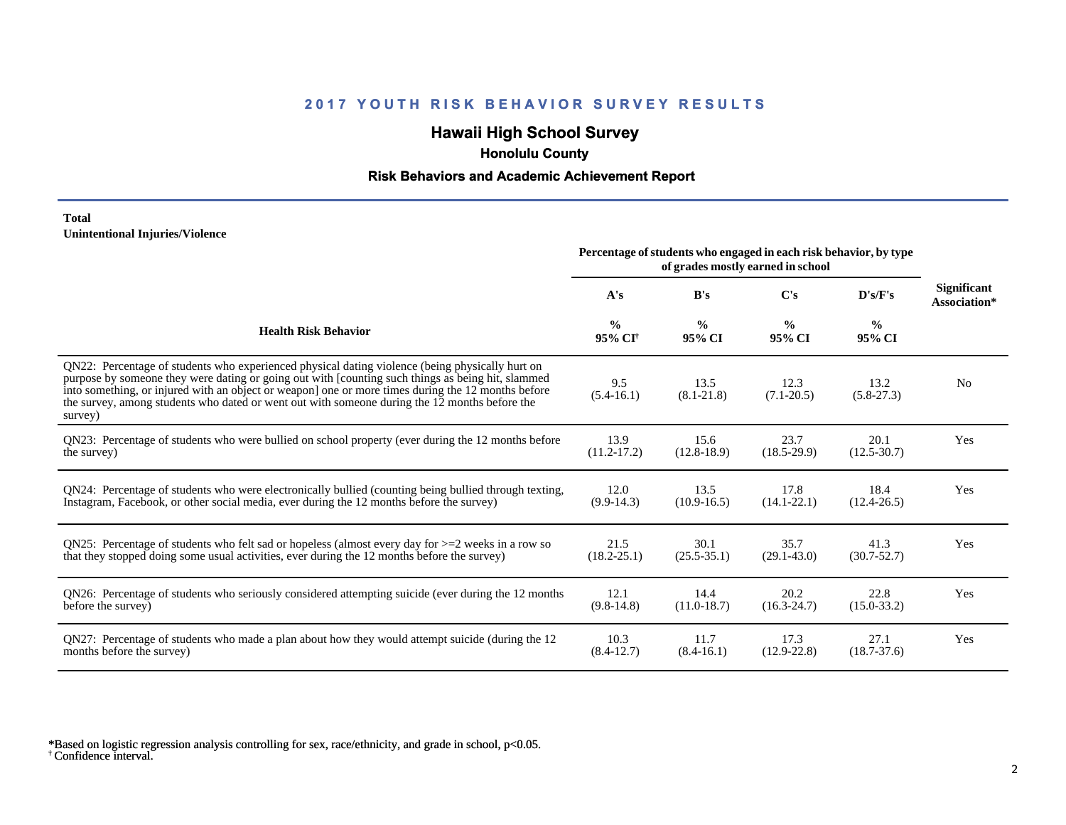# **Hawaii High School Survey**

 **Honolulu County**

#### **Risk Behaviors and Academic Achievement Report**

#### **Total Unintentional Injuries/Violence**

|                                                                                                                                                                                                                                                                                                                                                                                                                        | Percentage of students who engaged in each risk behavior, by type<br>of grades mostly earned in school |                         |                         |                         |                             |
|------------------------------------------------------------------------------------------------------------------------------------------------------------------------------------------------------------------------------------------------------------------------------------------------------------------------------------------------------------------------------------------------------------------------|--------------------------------------------------------------------------------------------------------|-------------------------|-------------------------|-------------------------|-----------------------------|
|                                                                                                                                                                                                                                                                                                                                                                                                                        | A's                                                                                                    | B's                     | C's                     | D's/F's                 | Significant<br>Association* |
| <b>Health Risk Behavior</b>                                                                                                                                                                                                                                                                                                                                                                                            | $\frac{0}{0}$<br>95% CI <sup>+</sup>                                                                   | $\frac{0}{0}$<br>95% CI | $\frac{0}{0}$<br>95% CI | $\frac{6}{6}$<br>95% CI |                             |
| QN22: Percentage of students who experienced physical dating violence (being physically hurt on<br>purpose by someone they were dating or going out with [counting such things as being hit, slammed<br>into something, or injured with an object or weapon] one or more times during the 12 months before<br>the survey, among students who dated or went out with someone during the 12 months before the<br>survey) | 9.5<br>$(5.4-16.1)$                                                                                    | 13.5<br>$(8.1 - 21.8)$  | 12.3<br>$(7.1 - 20.5)$  | 13.2<br>$(5.8-27.3)$    | N <sub>0</sub>              |
| QN23: Percentage of students who were bullied on school property (ever during the 12 months before                                                                                                                                                                                                                                                                                                                     | 13.9                                                                                                   | 15.6                    | 23.7                    | 20.1                    | Yes                         |
| the survey)                                                                                                                                                                                                                                                                                                                                                                                                            | $(11.2 - 17.2)$                                                                                        | $(12.8-18.9)$           | $(18.5 - 29.9)$         | $(12.5 - 30.7)$         |                             |
| QN24: Percentage of students who were electronically bullied (counting being bullied through texting,                                                                                                                                                                                                                                                                                                                  | 12.0                                                                                                   | 13.5                    | 17.8                    | 18.4                    | Yes                         |
| Instagram, Facebook, or other social media, ever during the 12 months before the survey)                                                                                                                                                                                                                                                                                                                               | $(9.9-14.3)$                                                                                           | $(10.9 - 16.5)$         | $(14.1 - 22.1)$         | $(12.4 - 26.5)$         |                             |
| QN25: Percentage of students who felt sad or hopeless (almost every day for $>=$ 2 weeks in a row so                                                                                                                                                                                                                                                                                                                   | 21.5                                                                                                   | 30.1                    | 35.7                    | 41.3                    | Yes                         |
| that they stopped doing some usual activities, ever during the 12 months before the survey)                                                                                                                                                                                                                                                                                                                            | $(18.2 - 25.1)$                                                                                        | $(25.5 - 35.1)$         | $(29.1 - 43.0)$         | $(30.7 - 52.7)$         |                             |
| QN26: Percentage of students who seriously considered attempting suicide (ever during the 12 months                                                                                                                                                                                                                                                                                                                    | 12.1                                                                                                   | 14.4                    | 20.2                    | 22.8                    | Yes                         |
| before the survey)                                                                                                                                                                                                                                                                                                                                                                                                     | $(9.8-14.8)$                                                                                           | $(11.0-18.7)$           | $(16.3 - 24.7)$         | $(15.0 - 33.2)$         |                             |
| QN27: Percentage of students who made a plan about how they would attempt suicide (during the 12                                                                                                                                                                                                                                                                                                                       | 10.3                                                                                                   | 11.7                    | 17.3                    | 27.1                    | Yes                         |
| months before the survey)                                                                                                                                                                                                                                                                                                                                                                                              | $(8.4-12.7)$                                                                                           | $(8.4-16.1)$            | $(12.9 - 22.8)$         | $(18.7 - 37.6)$         |                             |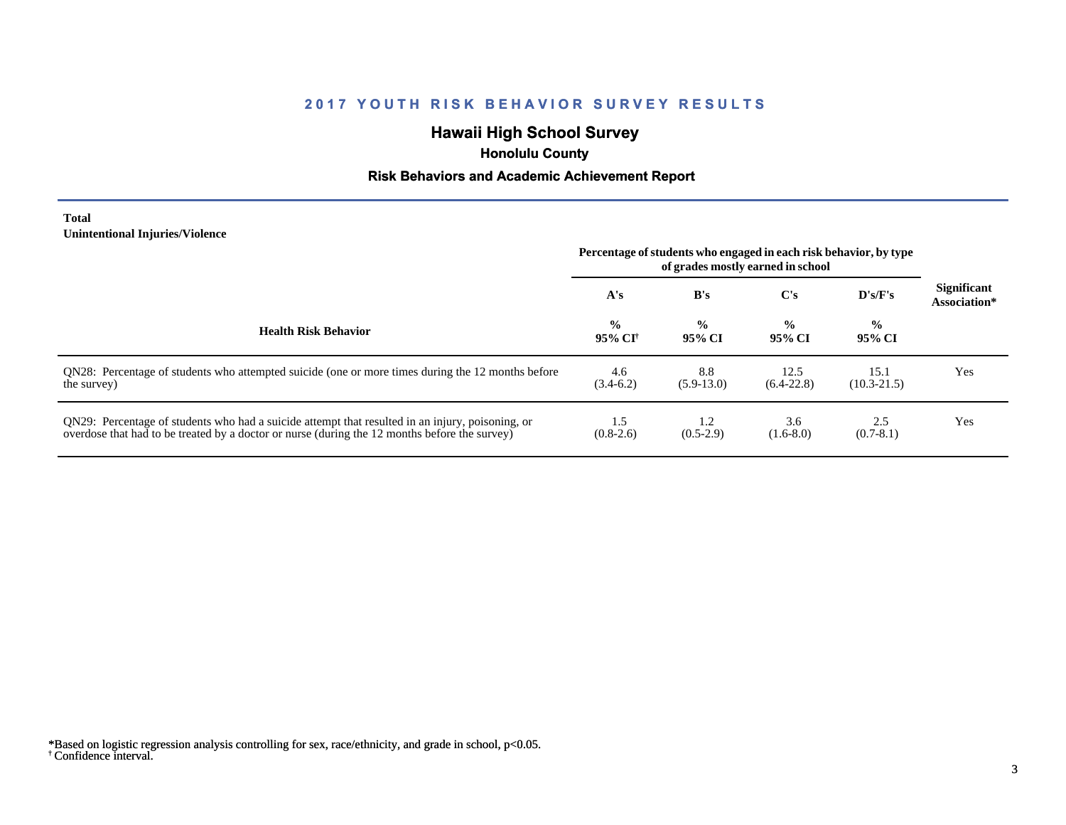# **Hawaii High School Survey**

 **Honolulu County**

# **Risk Behaviors and Academic Achievement Report**

**Total Unintentional Injuries/Violence**

 $\overline{\phantom{0}}$ 

|                                                                                                                                                                                                   | Percentage of students who engaged in each risk behavior, by type<br>of grades mostly earned in school |                               |                         |                         |                                    |
|---------------------------------------------------------------------------------------------------------------------------------------------------------------------------------------------------|--------------------------------------------------------------------------------------------------------|-------------------------------|-------------------------|-------------------------|------------------------------------|
|                                                                                                                                                                                                   | A's                                                                                                    | B's                           | C's                     | D's/F's                 | <b>Significant</b><br>Association* |
| <b>Health Risk Behavior</b>                                                                                                                                                                       | $\frac{0}{0}$<br>95% CI†                                                                               | $\frac{6}{6}$<br>95% CI       | $\frac{0}{0}$<br>95% CI | $\frac{0}{0}$<br>95% CI |                                    |
| QN28: Percentage of students who attempted suicide (one or more times during the 12 months before<br>the survey)                                                                                  | 4.6<br>$(3.4-6.2)$                                                                                     | 8.8<br>$(5.9-13.0)$           | 12.5<br>$(6.4-22.8)$    | 15.1<br>$(10.3 - 21.5)$ | Yes                                |
| QN29: Percentage of students who had a suicide attempt that resulted in an injury, poisoning, or<br>overdose that had to be treated by a doctor or nurse (during the 12 months before the survey) | 1.5<br>$(0.8-2.6)$                                                                                     | $\mathbf{1.2}$<br>$(0.5-2.9)$ | 3.6<br>$(1.6-8.0)$      | 2.5<br>$(0.7-8.1)$      | Yes                                |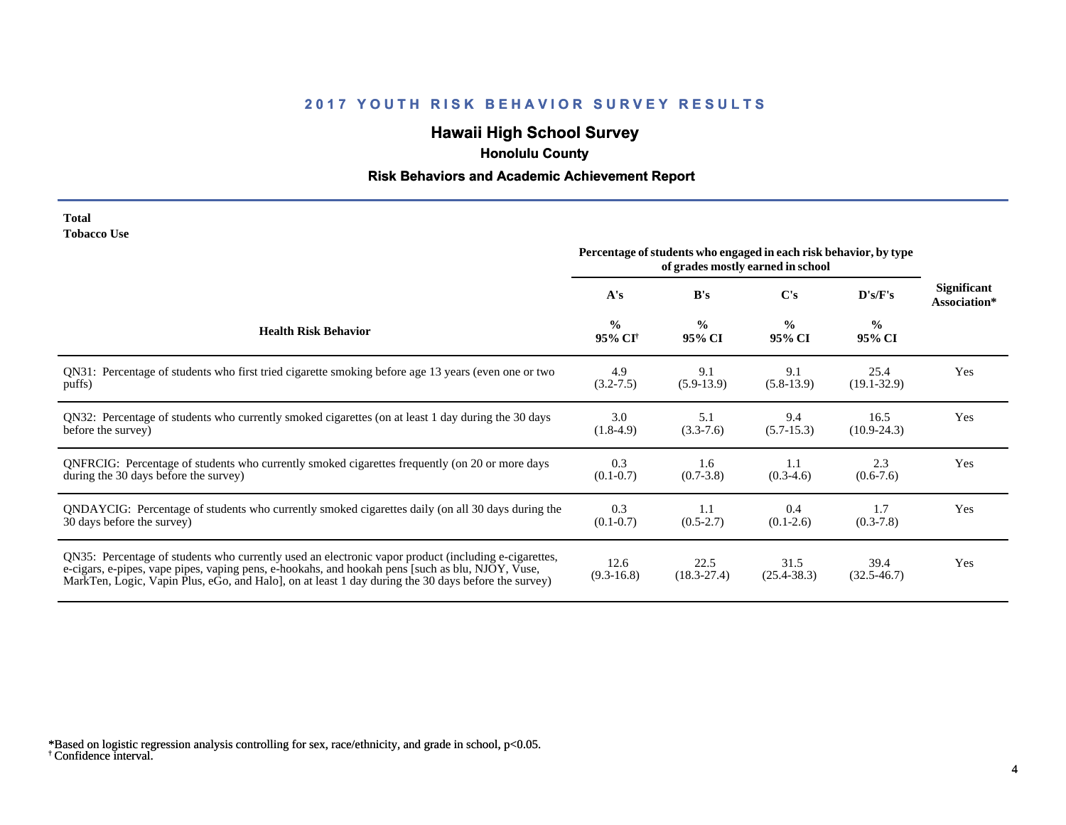# **Hawaii High School Survey**

 **Honolulu County**

# **Risk Behaviors and Academic Achievement Report**

| Total              |  |
|--------------------|--|
| <b>Tobacco Use</b> |  |

|                                                                                                                                                                                                                                                                                                                | Percentage of students who engaged in each risk behavior, by type<br>of grades mostly earned in school |                         |                         |                         |                                    |
|----------------------------------------------------------------------------------------------------------------------------------------------------------------------------------------------------------------------------------------------------------------------------------------------------------------|--------------------------------------------------------------------------------------------------------|-------------------------|-------------------------|-------------------------|------------------------------------|
|                                                                                                                                                                                                                                                                                                                | A's                                                                                                    | B's                     | C's                     | D's/F's                 | <b>Significant</b><br>Association* |
| <b>Health Risk Behavior</b>                                                                                                                                                                                                                                                                                    | $\frac{0}{0}$<br>95% CI <sup>+</sup>                                                                   | $\frac{0}{0}$<br>95% CI | $\frac{0}{0}$<br>95% CI | $\frac{0}{0}$<br>95% CI |                                    |
| QN31: Percentage of students who first tried cigarette smoking before age 13 years (even one or two                                                                                                                                                                                                            | 4.9                                                                                                    | 9.1                     | 9.1                     | 25.4                    | Yes                                |
| puffs)                                                                                                                                                                                                                                                                                                         | $(3.2 - 7.5)$                                                                                          | $(5.9-13.9)$            | $(5.8-13.9)$            | $(19.1 - 32.9)$         |                                    |
| QN32: Percentage of students who currently smoked cigarettes (on at least 1 day during the 30 days                                                                                                                                                                                                             | 3.0                                                                                                    | 5.1                     | 9.4                     | 16.5                    | Yes                                |
| before the survey)                                                                                                                                                                                                                                                                                             | $(1.8-4.9)$                                                                                            | $(3.3-7.6)$             | $(5.7-15.3)$            | $(10.9 - 24.3)$         |                                    |
| ONFRCIG: Percentage of students who currently smoked cigarettes frequently (on 20 or more days                                                                                                                                                                                                                 | 0.3                                                                                                    | 1.6                     | 1.1                     | 2.3                     | Yes                                |
| during the 30 days before the survey)                                                                                                                                                                                                                                                                          | $(0.1 - 0.7)$                                                                                          | $(0.7 - 3.8)$           | $(0.3-4.6)$             | $(0.6-7.6)$             |                                    |
| QNDAYCIG: Percentage of students who currently smoked cigarettes daily (on all 30 days during the                                                                                                                                                                                                              | 0.3                                                                                                    | 1.1                     | 0.4                     | 1.7                     | Yes                                |
| 30 days before the survey)                                                                                                                                                                                                                                                                                     | $(0.1 - 0.7)$                                                                                          | $(0.5-2.7)$             | $(0.1-2.6)$             | $(0.3 - 7.8)$           |                                    |
| QN35: Percentage of students who currently used an electronic vapor product (including e-cigarettes,<br>e-cigars, e-pipes, vape pipes, vaping pens, e-hookahs, and hookah pens [such as blu, NJOY, Vuse,<br>MarkTen, Logic, Vapin Plus, eGo, and Halo, on at least 1 day during the 30 days before the survey) | 12.6<br>$(9.3-16.8)$                                                                                   | 22.5<br>$(18.3 - 27.4)$ | 31.5<br>$(25.4 - 38.3)$ | 39.4<br>$(32.5 - 46.7)$ | Yes                                |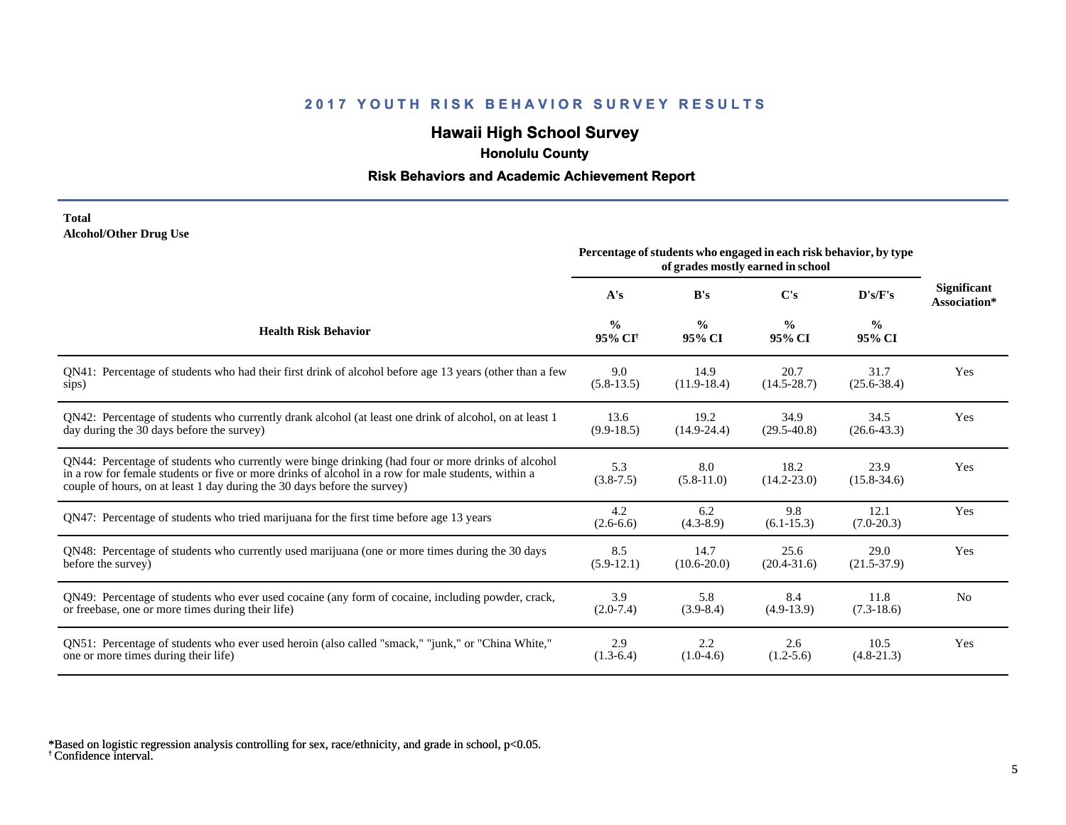# **Hawaii High School Survey**

 **Honolulu County**

#### **Risk Behaviors and Academic Achievement Report**

#### **Total Alcohol/Other Drug Use**

|                                                                                                                                                                                                                                                                                       | Percentage of students who engaged in each risk behavior, by type<br>of grades mostly earned in school |                         |                         |                         |                                    |  |  |  |  |
|---------------------------------------------------------------------------------------------------------------------------------------------------------------------------------------------------------------------------------------------------------------------------------------|--------------------------------------------------------------------------------------------------------|-------------------------|-------------------------|-------------------------|------------------------------------|--|--|--|--|
|                                                                                                                                                                                                                                                                                       | A's                                                                                                    | B's                     | C's                     | D's/F's                 | <b>Significant</b><br>Association* |  |  |  |  |
| <b>Health Risk Behavior</b>                                                                                                                                                                                                                                                           | $\frac{0}{0}$<br>95% CI <sup>+</sup>                                                                   | $\frac{6}{9}$<br>95% CI | $\frac{0}{0}$<br>95% CI | $\frac{6}{6}$<br>95% CI |                                    |  |  |  |  |
| QN41: Percentage of students who had their first drink of alcohol before age 13 years (other than a few                                                                                                                                                                               | 9.0                                                                                                    | 14.9                    | 20.7                    | 31.7                    | Yes                                |  |  |  |  |
| sips)                                                                                                                                                                                                                                                                                 | $(5.8-13.5)$                                                                                           | $(11.9-18.4)$           | $(14.5 - 28.7)$         | $(25.6 - 38.4)$         |                                    |  |  |  |  |
| QN42: Percentage of students who currently drank alcohol (at least one drink of alcohol, on at least 1                                                                                                                                                                                | 13.6                                                                                                   | 19.2                    | 34.9                    | 34.5                    | Yes                                |  |  |  |  |
| day during the 30 days before the survey)                                                                                                                                                                                                                                             | $(9.9-18.5)$                                                                                           | $(14.9 - 24.4)$         | $(29.5 - 40.8)$         | $(26.6 - 43.3)$         |                                    |  |  |  |  |
| QN44: Percentage of students who currently were binge drinking (had four or more drinks of alcohol<br>in a row for female students or five or more drinks of alcohol in a row for male students, within a<br>couple of hours, on at least 1 day during the 30 days before the survey) | 5.3<br>$(3.8 - 7.5)$                                                                                   | 8.0<br>$(5.8-11.0)$     | 18.2<br>$(14.2 - 23.0)$ | 23.9<br>$(15.8 - 34.6)$ | Yes                                |  |  |  |  |
| QN47: Percentage of students who tried marijuana for the first time before age 13 years                                                                                                                                                                                               | 4.2<br>$(2.6-6.6)$                                                                                     | 6.2<br>$(4.3-8.9)$      | 9.8<br>$(6.1 - 15.3)$   | 12.1<br>$(7.0-20.3)$    | Yes                                |  |  |  |  |
| QN48: Percentage of students who currently used marijuana (one or more times during the 30 days                                                                                                                                                                                       | 8.5                                                                                                    | 14.7                    | 25.6                    | 29.0                    | Yes                                |  |  |  |  |
| before the survey)                                                                                                                                                                                                                                                                    | $(5.9-12.1)$                                                                                           | $(10.6 - 20.0)$         | $(20.4 - 31.6)$         | $(21.5-37.9)$           |                                    |  |  |  |  |
| QN49: Percentage of students who ever used cocaine (any form of cocaine, including powder, crack,                                                                                                                                                                                     | 3.9                                                                                                    | 5.8                     | 8.4                     | 11.8                    | N <sub>0</sub>                     |  |  |  |  |
| or freebase, one or more times during their life)                                                                                                                                                                                                                                     | $(2.0-7.4)$                                                                                            | $(3.9-8.4)$             | $(4.9-13.9)$            | $(7.3-18.6)$            |                                    |  |  |  |  |
| ON51: Percentage of students who ever used heroin (also called "smack," "junk," or "China White,"                                                                                                                                                                                     | 2.9                                                                                                    | 2.2                     | 2.6                     | 10.5                    | Yes                                |  |  |  |  |
| one or more times during their life)                                                                                                                                                                                                                                                  | $(1.3-6.4)$                                                                                            | $(1.0-4.6)$             | $(1.2 - 5.6)$           | $(4.8-21.3)$            |                                    |  |  |  |  |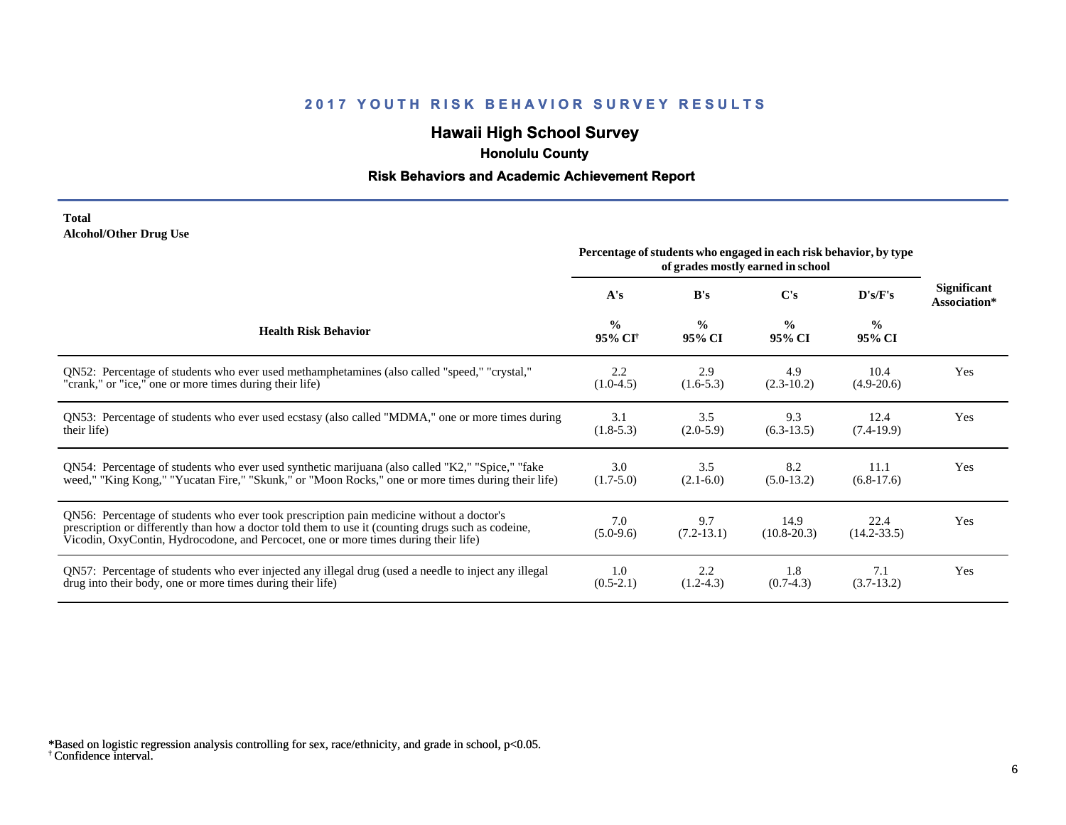# **Hawaii High School Survey**

 **Honolulu County**

# **Risk Behaviors and Academic Achievement Report**

#### **Total Alcohol/Other Drug Use**

|                                                                                                                                                                                                                                                                                       | Percentage of students who engaged in each risk behavior, by type<br>of grades mostly earned in school |                         |                         |                         |                                    |
|---------------------------------------------------------------------------------------------------------------------------------------------------------------------------------------------------------------------------------------------------------------------------------------|--------------------------------------------------------------------------------------------------------|-------------------------|-------------------------|-------------------------|------------------------------------|
|                                                                                                                                                                                                                                                                                       | A's                                                                                                    | B's                     | C's                     | D's/F's                 | <b>Significant</b><br>Association* |
| <b>Health Risk Behavior</b>                                                                                                                                                                                                                                                           | $\frac{0}{0}$<br>95% CI <sup>+</sup>                                                                   | $\frac{0}{0}$<br>95% CI | $\frac{0}{0}$<br>95% CI | $\frac{0}{0}$<br>95% CI |                                    |
| ON52: Percentage of students who ever used methamphetamines (also called "speed," "crystal,"                                                                                                                                                                                          | 2.2                                                                                                    | 2.9                     | 4.9                     | 10.4                    | Yes                                |
| "crank," or "ice," one or more times during their life)                                                                                                                                                                                                                               | $(1.0-4.5)$                                                                                            | $(1.6-5.3)$             | $(2.3-10.2)$            | $(4.9-20.6)$            |                                    |
| QN53: Percentage of students who ever used ecstasy (also called "MDMA," one or more times during                                                                                                                                                                                      | 3.1                                                                                                    | 3.5                     | 9.3                     | 12.4                    | Yes                                |
| their life)                                                                                                                                                                                                                                                                           | $(1.8-5.3)$                                                                                            | $(2.0-5.9)$             | $(6.3-13.5)$            | $(7.4-19.9)$            |                                    |
| QN54: Percentage of students who ever used synthetic marijuana (also called "K2," "Spice," "fake                                                                                                                                                                                      | 3.0                                                                                                    | 3.5                     | 8.2                     | 11.1                    | Yes                                |
| weed," "King Kong," "Yucatan Fire," "Skunk," or "Moon Rocks," one or more times during their life)                                                                                                                                                                                    | $(1.7-5.0)$                                                                                            | $(2.1-6.0)$             | $(5.0-13.2)$            | $(6.8-17.6)$            |                                    |
| QN56: Percentage of students who ever took prescription pain medicine without a doctor's<br>prescription or differently than how a doctor told them to use it (counting drugs such as codeine,<br>Vicodin, OxyContin, Hydrocodone, and Percocet, one or more times during their life) | 7.0<br>$(5.0-9.6)$                                                                                     | 9.7<br>$(7.2-13.1)$     | 14.9<br>$(10.8 - 20.3)$ | 22.4<br>$(14.2 - 33.5)$ | Yes                                |
| QN57: Percentage of students who ever injected any illegal drug (used a needle to inject any illegal                                                                                                                                                                                  | 1.0                                                                                                    | 2.2                     | 1.8                     | 7.1                     | Yes                                |
| drug into their body, one or more times during their life)                                                                                                                                                                                                                            | $(0.5-2.1)$                                                                                            | $(1.2-4.3)$             | $(0.7-4.3)$             | $(3.7-13.2)$            |                                    |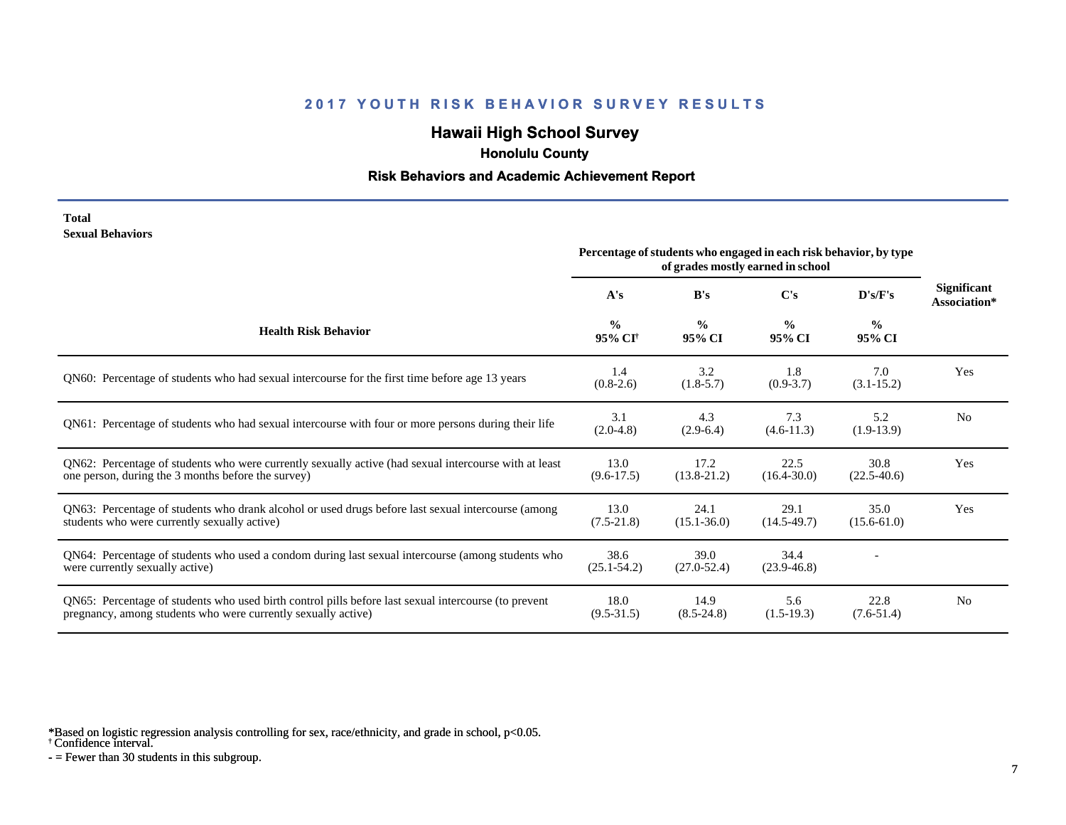# **Hawaii High School Survey**

 **Honolulu County**

#### **Risk Behaviors and Academic Achievement Report**

**Total Sexual Behaviors**

|                                                                                                                                                                       | Percentage of students who engaged in each risk behavior, by type<br>of grades mostly earned in school |                         |                         |                         |                                    |
|-----------------------------------------------------------------------------------------------------------------------------------------------------------------------|--------------------------------------------------------------------------------------------------------|-------------------------|-------------------------|-------------------------|------------------------------------|
|                                                                                                                                                                       | A's                                                                                                    | B's                     | C's                     | D's/F's                 | <b>Significant</b><br>Association* |
| <b>Health Risk Behavior</b>                                                                                                                                           | $\frac{0}{0}$<br>95% CI <sup>+</sup>                                                                   | $\frac{0}{0}$<br>95% CI | $\frac{0}{0}$<br>95% CI | $\frac{0}{0}$<br>95% CI |                                    |
| QN60: Percentage of students who had sexual intercourse for the first time before age 13 years                                                                        | 1.4<br>$(0.8-2.6)$                                                                                     | 3.2<br>$(1.8-5.7)$      | 1.8<br>$(0.9 - 3.7)$    | 7.0<br>$(3.1 - 15.2)$   | Yes                                |
| QN61: Percentage of students who had sexual intercourse with four or more persons during their life                                                                   | 3.1<br>$(2.0-4.8)$                                                                                     | 4.3<br>$(2.9-6.4)$      | 7.3<br>$(4.6-11.3)$     | 5.2<br>$(1.9-13.9)$     | N <sub>0</sub>                     |
| QN62: Percentage of students who were currently sexually active (had sexual intercourse with at least<br>one person, during the 3 months before the survey)           | 13.0<br>$(9.6-17.5)$                                                                                   | 17.2<br>$(13.8-21.2)$   | 22.5<br>$(16.4 - 30.0)$ | 30.8<br>$(22.5 - 40.6)$ | Yes                                |
| QN63: Percentage of students who drank alcohol or used drugs before last sexual intercourse (among<br>students who were currently sexually active)                    | 13.0<br>$(7.5-21.8)$                                                                                   | 24.1<br>$(15.1 - 36.0)$ | 29.1<br>$(14.5-49.7)$   | 35.0<br>$(15.6 - 61.0)$ | Yes                                |
| QN64: Percentage of students who used a condom during last sexual intercourse (among students who<br>were currently sexually active)                                  | 38.6<br>$(25.1 - 54.2)$                                                                                | 39.0<br>$(27.0 - 52.4)$ | 34.4<br>$(23.9 - 46.8)$ |                         |                                    |
| QN65: Percentage of students who used birth control pills before last sexual intercourse (to prevent<br>pregnancy, among students who were currently sexually active) | 18.0<br>$(9.5 - 31.5)$                                                                                 | 14.9<br>$(8.5 - 24.8)$  | 5.6<br>$(1.5-19.3)$     | 22.8<br>$(7.6-51.4)$    | N <sub>0</sub>                     |

\*Based on logistic regression analysis controlling for sex, race/ethnicity, and grade in school, p<0.05.

† Confidence interval.

 $-$  = Fewer than 30 students in this subgroup.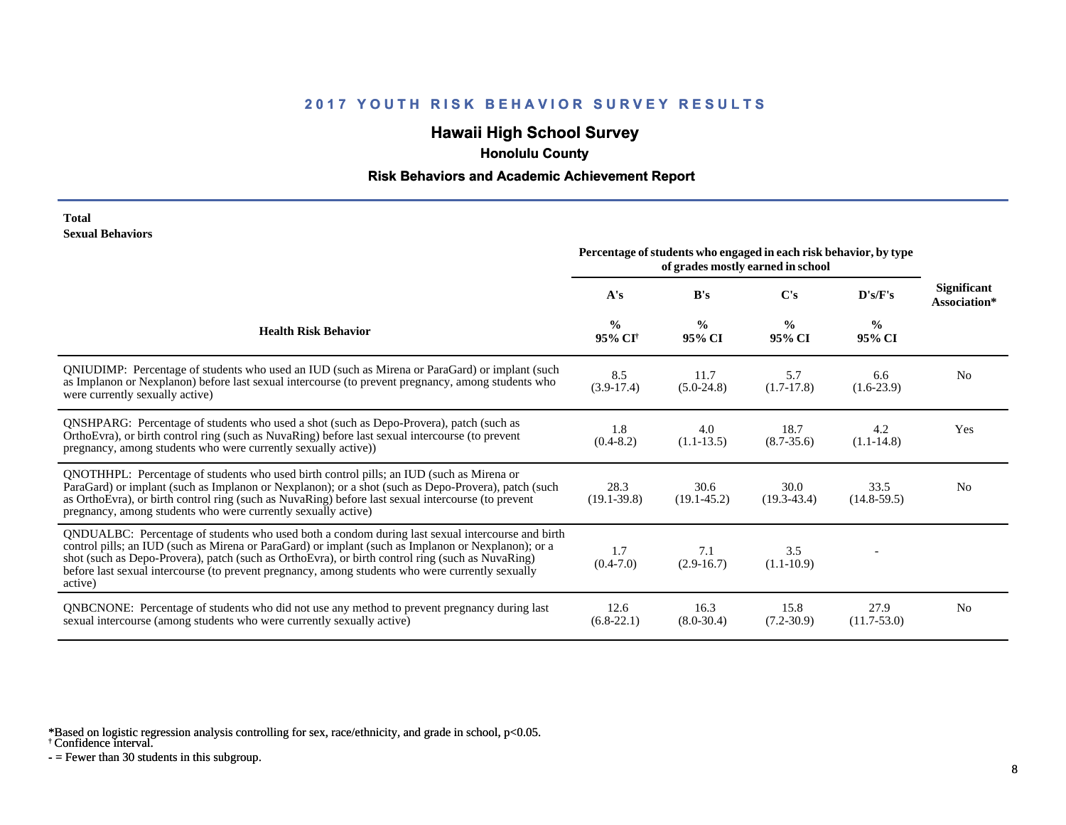# **Hawaii High School Survey**

 **Honolulu County**

#### **Risk Behaviors and Academic Achievement Report**

#### **Total Sexual Behaviors**

|                                                                                                                                                                                                                                                                                                                                                                                                                            | Percentage of students who engaged in each risk behavior, by type<br>of grades mostly earned in school |                         |                         |                         |                                    |
|----------------------------------------------------------------------------------------------------------------------------------------------------------------------------------------------------------------------------------------------------------------------------------------------------------------------------------------------------------------------------------------------------------------------------|--------------------------------------------------------------------------------------------------------|-------------------------|-------------------------|-------------------------|------------------------------------|
|                                                                                                                                                                                                                                                                                                                                                                                                                            | A's                                                                                                    | B's                     | $\bf C's$               | D's/F's                 | <b>Significant</b><br>Association* |
| <b>Health Risk Behavior</b>                                                                                                                                                                                                                                                                                                                                                                                                | $\frac{0}{0}$<br>95% CI <sup>†</sup>                                                                   | $\frac{0}{0}$<br>95% CI | $\frac{6}{9}$<br>95% CI | $\frac{0}{0}$<br>95% CI |                                    |
| QNIUDIMP: Percentage of students who used an IUD (such as Mirena or ParaGard) or implant (such<br>as Implanon or Nexplanon) before last sexual intercourse (to prevent pregnancy, among students who<br>were currently sexually active)                                                                                                                                                                                    | 8.5<br>$(3.9-17.4)$                                                                                    | 11.7<br>$(5.0-24.8)$    | 5.7<br>$(1.7-17.8)$     | 6.6<br>$(1.6-23.9)$     | N <sub>0</sub>                     |
| QNSHPARG: Percentage of students who used a shot (such as Depo-Provera), patch (such as<br>OrthoEvra), or birth control ring (such as NuvaRing) before last sexual intercourse (to prevent<br>pregnancy, among students who were currently sexually active))                                                                                                                                                               | 1.8<br>$(0.4 - 8.2)$                                                                                   | 4.0<br>$(1.1-13.5)$     | 18.7<br>$(8.7 - 35.6)$  | 4.2<br>$(1.1-14.8)$     | Yes                                |
| QNOTHHPL: Percentage of students who used birth control pills; an IUD (such as Mirena or<br>ParaGard) or implant (such as Implanon or Nexplanon); or a shot (such as Depo-Provera), patch (such<br>as OrthoEvra), or birth control ring (such as NuvaRing) before last sexual intercourse (to prevent<br>pregnancy, among students who were currently sexually active)                                                     | 28.3<br>$(19.1 - 39.8)$                                                                                | 30.6<br>$(19.1 - 45.2)$ | 30.0<br>$(19.3 - 43.4)$ | 33.5<br>$(14.8-59.5)$   | N <sub>0</sub>                     |
| QNDUALBC: Percentage of students who used both a condom during last sexual intercourse and birth<br>control pills; an IUD (such as Mirena or ParaGard) or implant (such as Implanon or Nexplanon); or a<br>shot (such as Depo-Provera), patch (such as OrthoEvra), or birth control ring (such as NuvaRing)<br>before last sexual intercourse (to prevent pregnancy, among students who were currently sexually<br>active) | 1.7<br>$(0.4-7.0)$                                                                                     | 7.1<br>$(2.9-16.7)$     | 3.5<br>$(1.1-10.9)$     |                         |                                    |
| <b>QNBCNONE:</b> Percentage of students who did not use any method to prevent pregnancy during last<br>sexual intercourse (among students who were currently sexually active)                                                                                                                                                                                                                                              | 12.6<br>$(6.8-22.1)$                                                                                   | 16.3<br>$(8.0 - 30.4)$  | 15.8<br>$(7.2 - 30.9)$  | 27.9<br>$(11.7 - 53.0)$ | N <sub>0</sub>                     |

\*Based on logistic regression analysis controlling for sex, race/ethnicity, and grade in school, p<0.05.

† Confidence interval.

 $-$  = Fewer than 30 students in this subgroup.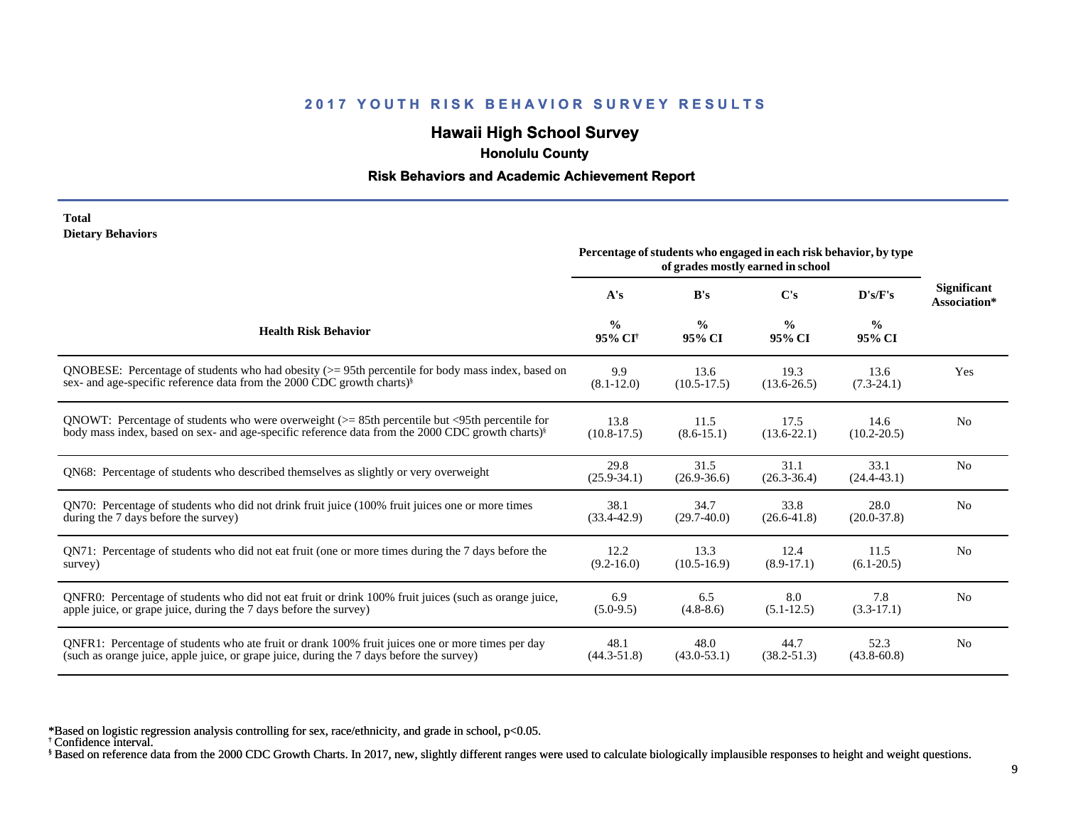# **Hawaii High School Survey**

 **Honolulu County**

#### **Risk Behaviors and Academic Achievement Report**

#### **Total Dietary Behaviors**

|                                                                                                              | Percentage of students who engaged in each risk behavior, by type<br>of grades mostly earned in school |                         |                         |                         |                                    |
|--------------------------------------------------------------------------------------------------------------|--------------------------------------------------------------------------------------------------------|-------------------------|-------------------------|-------------------------|------------------------------------|
|                                                                                                              | A's                                                                                                    | B's                     | C's                     | D's/F's                 | <b>Significant</b><br>Association* |
| <b>Health Risk Behavior</b>                                                                                  | $\frac{0}{0}$<br>95% CI <sup>+</sup>                                                                   | $\frac{6}{9}$<br>95% CI | $\frac{0}{0}$<br>95% CI | $\frac{0}{0}$<br>95% CI |                                    |
| QNOBESE: Percentage of students who had obesity $(>= 95$ th percentile for body mass index, based on         | 9.9                                                                                                    | 13.6                    | 19.3                    | 13.6                    | Yes                                |
| sex- and age-specific reference data from the 2000 CDC growth charts) <sup>§</sup>                           | $(8.1 - 12.0)$                                                                                         | $(10.5-17.5)$           | $(13.6 - 26.5)$         | $(7.3-24.1)$            |                                    |
| QNOWT: Percentage of students who were overweight $(>= 85$ th percentile but $\leq$ 95th percentile for      | 13.8                                                                                                   | 11.5                    | 17.5                    | 14.6                    | N <sub>0</sub>                     |
| body mass index, based on sex- and age-specific reference data from the 2000 CDC growth charts) <sup>§</sup> | $(10.8-17.5)$                                                                                          | $(8.6 - 15.1)$          | $(13.6 - 22.1)$         | $(10.2 - 20.5)$         |                                    |
| QN68: Percentage of students who described themselves as slightly or very overweight                         | 29.8<br>$(25.9 - 34.1)$                                                                                | 31.5<br>$(26.9 - 36.6)$ | 31.1<br>$(26.3 - 36.4)$ | 33.1<br>$(24.4 - 43.1)$ | N <sub>0</sub>                     |
| QN70: Percentage of students who did not drink fruit juice (100% fruit juices one or more times              | 38.1                                                                                                   | 34.7                    | 33.8                    | 28.0                    | N <sub>0</sub>                     |
| during the 7 days before the survey)                                                                         | $(33.4 - 42.9)$                                                                                        | $(29.7-40.0)$           | $(26.6 - 41.8)$         | $(20.0 - 37.8)$         |                                    |
| QN71: Percentage of students who did not eat fruit (one or more times during the 7 days before the           | 12.2                                                                                                   | 13.3                    | 12.4                    | 11.5                    | N <sub>0</sub>                     |
| survey)                                                                                                      | $(9.2 - 16.0)$                                                                                         | $(10.5 - 16.9)$         | $(8.9-17.1)$            | $(6.1 - 20.5)$          |                                    |
| QNFR0: Percentage of students who did not eat fruit or drink 100% fruit juices (such as orange juice,        | 6.9                                                                                                    | 6.5                     | 8.0                     | 7.8                     | N <sub>0</sub>                     |
| apple juice, or grape juice, during the 7 days before the survey)                                            | $(5.0-9.5)$                                                                                            | $(4.8-8.6)$             | $(5.1 - 12.5)$          | $(3.3-17.1)$            |                                    |
| QNFR1: Percentage of students who ate fruit or drank 100% fruit juices one or more times per day             | 48.1                                                                                                   | 48.0                    | 44.7                    | 52.3                    | N <sub>0</sub>                     |
| (such as orange juice, apple juice, or grape juice, during the 7 days before the survey)                     | $(44.3 - 51.8)$                                                                                        | $(43.0 - 53.1)$         | $(38.2 - 51.3)$         | $(43.8 - 60.8)$         |                                    |

\*Based on logistic regression analysis controlling for sex, race/ethnicity, and grade in school, p<0.05.

† Confidence interval.

§ Based on reference data from the 2000 CDC Growth Charts. In 2017, new, slightly different ranges were used to calculate biologically implausible responses to height and weight questions.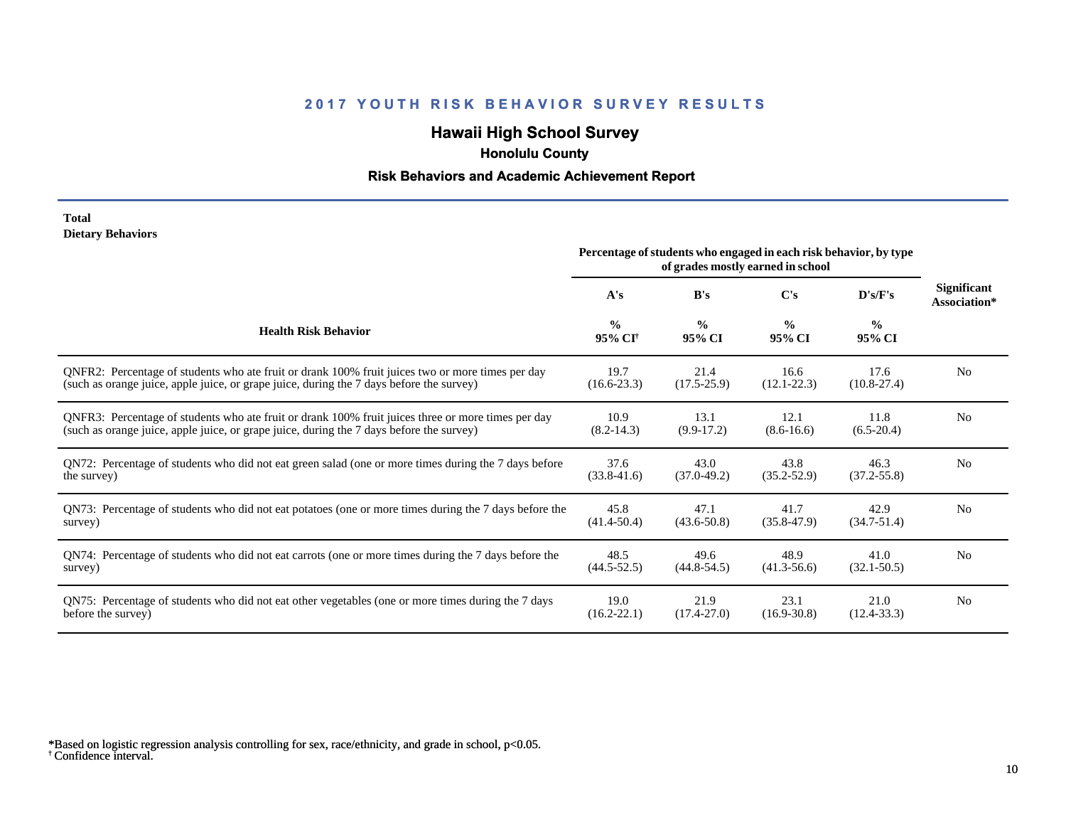# **Hawaii High School Survey**

 **Honolulu County**

#### **Risk Behaviors and Academic Achievement Report**

#### **Total Dietary Behaviors**

|                                                                                                       | Percentage of students who engaged in each risk behavior, by type<br>of grades mostly earned in school |                         |                         |                         |                             |
|-------------------------------------------------------------------------------------------------------|--------------------------------------------------------------------------------------------------------|-------------------------|-------------------------|-------------------------|-----------------------------|
|                                                                                                       | A's                                                                                                    | B's                     | C's                     | D's/F's                 | Significant<br>Association* |
| <b>Health Risk Behavior</b>                                                                           | $\frac{0}{0}$<br>95% CI <sup>+</sup>                                                                   | $\frac{0}{0}$<br>95% CI | $\frac{0}{0}$<br>95% CI | $\frac{0}{0}$<br>95% CI |                             |
| ONFR2: Percentage of students who ate fruit or drank 100% fruit juices two or more times per day      | 19.7                                                                                                   | 21.4                    | 16.6                    | 17.6                    | N <sub>0</sub>              |
| (such as orange juice, apple juice, or grape juice, during the 7 days before the survey)              | $(16.6 - 23.3)$                                                                                        | $(17.5 - 25.9)$         | $(12.1 - 22.3)$         | $(10.8-27.4)$           |                             |
| QNFR3: Percentage of students who ate fruit or drank 100% fruit juices three or more times per day    | 10.9                                                                                                   | 13.1                    | 12.1                    | 11.8                    | N <sub>0</sub>              |
| (such as orange juice, apple juice, or grape juice, during the 7 days before the survey)              | $(8.2 - 14.3)$                                                                                         | $(9.9-17.2)$            | $(8.6 - 16.6)$          | $(6.5-20.4)$            |                             |
| QN72: Percentage of students who did not eat green salad (one or more times during the 7 days before  | 37.6                                                                                                   | 43.0                    | 43.8                    | 46.3                    | N <sub>0</sub>              |
| the survey)                                                                                           | $(33.8 - 41.6)$                                                                                        | $(37.0 - 49.2)$         | $(35.2 - 52.9)$         | $(37.2 - 55.8)$         |                             |
| QN73: Percentage of students who did not eat potatoes (one or more times during the 7 days before the | 45.8                                                                                                   | 47.1                    | 41.7                    | 42.9                    | N <sub>0</sub>              |
| survey)                                                                                               | $(41.4 - 50.4)$                                                                                        | $(43.6 - 50.8)$         | $(35.8 - 47.9)$         | $(34.7 - 51.4)$         |                             |
| QN74: Percentage of students who did not eat carrots (one or more times during the 7 days before the  | 48.5                                                                                                   | 49.6                    | 48.9                    | 41.0                    | N <sub>0</sub>              |
| survey)                                                                                               | $(44.5 - 52.5)$                                                                                        | $(44.8 - 54.5)$         | $(41.3 - 56.6)$         | $(32.1 - 50.5)$         |                             |
| QN75: Percentage of students who did not eat other vegetables (one or more times during the 7 days    | 19.0                                                                                                   | 21.9                    | 23.1                    | 21.0                    | N <sub>0</sub>              |
| before the survey)                                                                                    | $(16.2 - 22.1)$                                                                                        | $(17.4 - 27.0)$         | $(16.9 - 30.8)$         | $(12.4 - 33.3)$         |                             |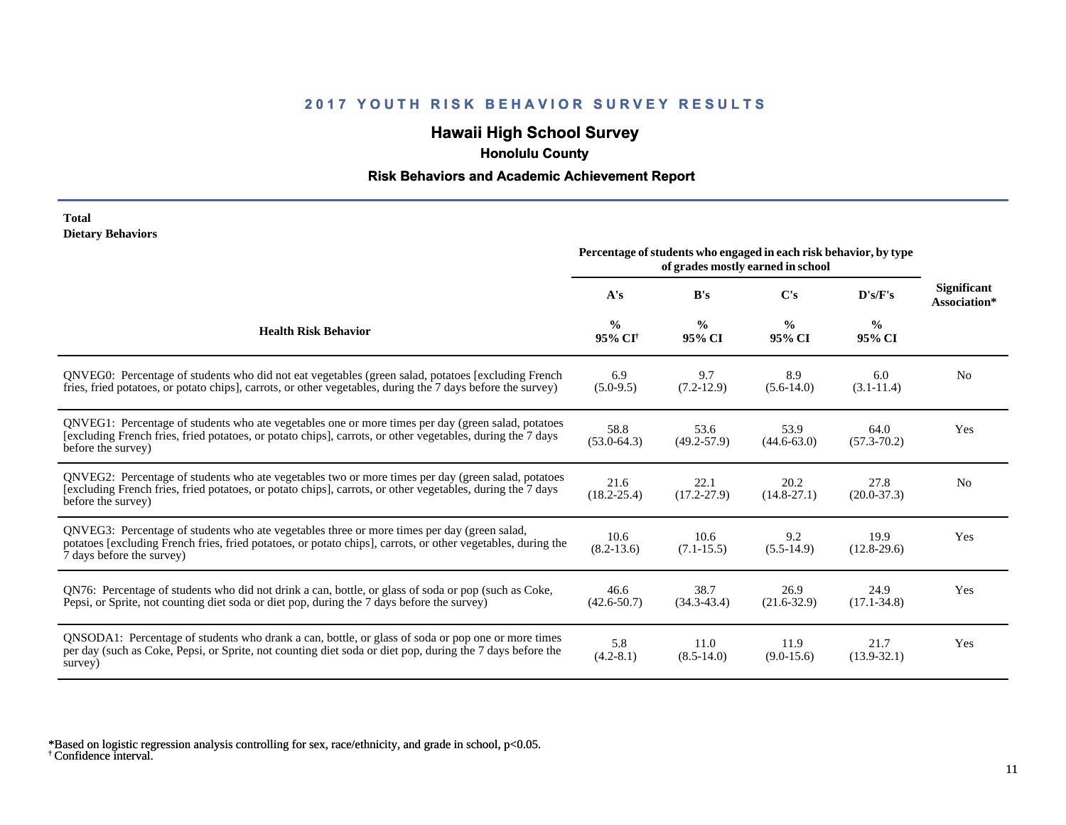# **Hawaii High School Survey**

 **Honolulu County**

#### **Risk Behaviors and Academic Achievement Report**

#### **Total Dietary Behaviors**

|                                                                                                                                                                                                                                          | Percentage of students who engaged in each risk behavior, by type<br>of grades mostly earned in school |                         |                         |                         |                                    |
|------------------------------------------------------------------------------------------------------------------------------------------------------------------------------------------------------------------------------------------|--------------------------------------------------------------------------------------------------------|-------------------------|-------------------------|-------------------------|------------------------------------|
|                                                                                                                                                                                                                                          | A's                                                                                                    | B's                     | C's                     | D's/F's                 | <b>Significant</b><br>Association* |
| <b>Health Risk Behavior</b>                                                                                                                                                                                                              | $\frac{0}{0}$<br>95% CI <sup>+</sup>                                                                   | $\frac{0}{0}$<br>95% CI | $\frac{0}{0}$<br>95% CI | $\frac{0}{0}$<br>95% CI |                                    |
| QNVEG0: Percentage of students who did not eat vegetables (green salad, potatoes [excluding French<br>fries, fried potatoes, or potato chips], carrots, or other vegetables, during the 7 days before the survey)                        | 6.9<br>$(5.0-9.5)$                                                                                     | 9.7<br>$(7.2-12.9)$     | 8.9<br>$(5.6-14.0)$     | 6.0<br>$(3.1 - 11.4)$   | N <sub>0</sub>                     |
| QNVEG1: Percentage of students who ate vegetables one or more times per day (green salad, potatoes<br>[excluding French fries, fried potatoes, or potato chips], carrots, or other vegetables, during the 7 days<br>before the survey)   | 58.8<br>$(53.0 - 64.3)$                                                                                | 53.6<br>$(49.2 - 57.9)$ | 53.9<br>$(44.6 - 63.0)$ | 64.0<br>$(57.3 - 70.2)$ | Yes                                |
| QNVEG2: Percentage of students who ate vegetables two or more times per day (green salad, potatoes<br>[excluding French fries, fried potatoes, or potato chips], carrots, or other vegetables, during the 7 days<br>before the survey)   | 21.6<br>$(18.2 - 25.4)$                                                                                | 22.1<br>$(17.2 - 27.9)$ | 20.2<br>$(14.8 - 27.1)$ | 27.8<br>$(20.0-37.3)$   | N <sub>0</sub>                     |
| QNVEG3: Percentage of students who ate vegetables three or more times per day (green salad,<br>potatoes [excluding French fries, fried potatoes, or potato chips], carrots, or other vegetables, during the<br>7 days before the survey) | 10.6<br>$(8.2 - 13.6)$                                                                                 | 10.6<br>$(7.1 - 15.5)$  | 9.2<br>$(5.5-14.9)$     | 19.9<br>$(12.8-29.6)$   | Yes                                |
| QN76: Percentage of students who did not drink a can, bottle, or glass of soda or pop (such as Coke,<br>Pepsi, or Sprite, not counting diet soda or diet pop, during the 7 days before the survey)                                       | 46.6<br>$(42.6 - 50.7)$                                                                                | 38.7<br>$(34.3 - 43.4)$ | 26.9<br>$(21.6 - 32.9)$ | 24.9<br>$(17.1 - 34.8)$ | Yes                                |
| QNSODA1: Percentage of students who drank a can, bottle, or glass of soda or pop one or more times<br>per day (such as Coke, Pepsi, or Sprite, not counting diet soda or diet pop, during the 7 days before the<br>survey)               | 5.8<br>$(4.2 - 8.1)$                                                                                   | 11.0<br>$(8.5 - 14.0)$  | 11.9<br>$(9.0-15.6)$    | 21.7<br>$(13.9 - 32.1)$ | Yes                                |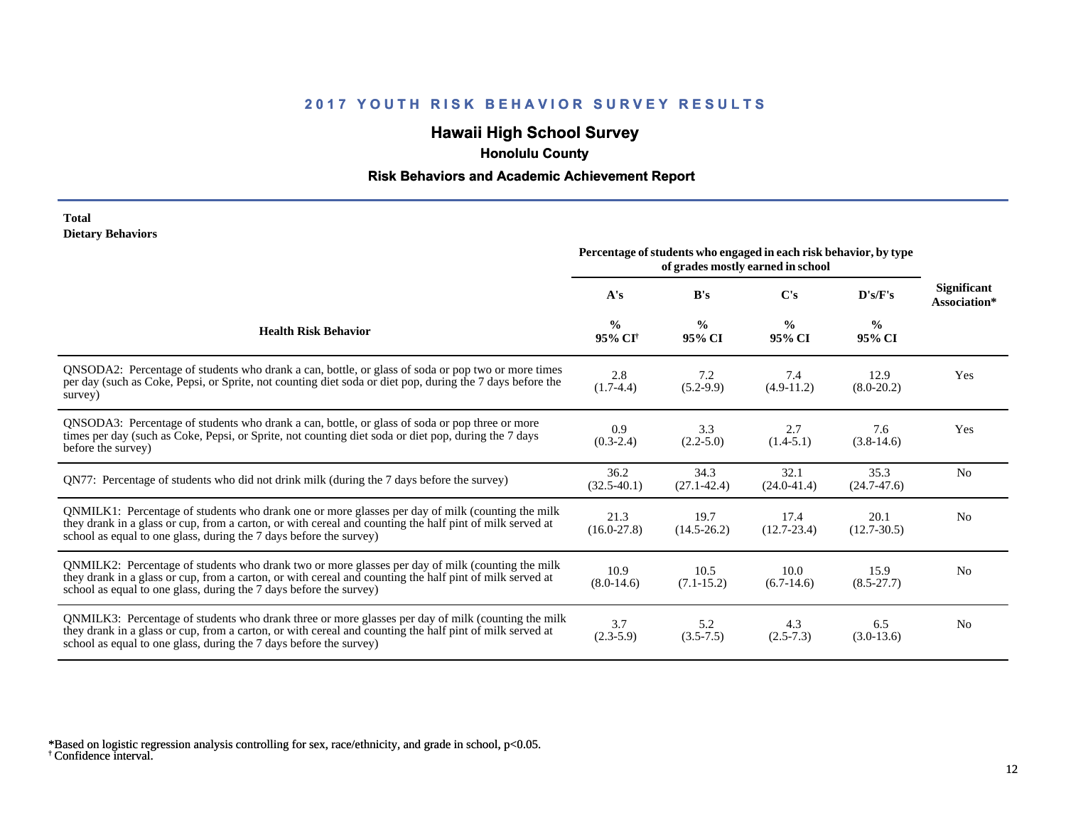# **Hawaii High School Survey**

 **Honolulu County**

#### **Risk Behaviors and Academic Achievement Report**

#### **Total Dietary Behaviors**

|                                                                                                                                                                                                                                                                                      | Percentage of students who engaged in each risk behavior, by type<br>of grades mostly earned in school |                         |                         |                         |                                    |  |
|--------------------------------------------------------------------------------------------------------------------------------------------------------------------------------------------------------------------------------------------------------------------------------------|--------------------------------------------------------------------------------------------------------|-------------------------|-------------------------|-------------------------|------------------------------------|--|
|                                                                                                                                                                                                                                                                                      | A's                                                                                                    | B's                     | $\bf C's$               | D's/F's                 | <b>Significant</b><br>Association* |  |
| <b>Health Risk Behavior</b>                                                                                                                                                                                                                                                          | $\frac{0}{0}$<br>95% CI <sup>+</sup>                                                                   | $\frac{0}{0}$<br>95% CI | $\frac{0}{0}$<br>95% CI | $\frac{0}{0}$<br>95% CI |                                    |  |
| QNSODA2: Percentage of students who drank a can, bottle, or glass of soda or pop two or more times<br>per day (such as Coke, Pepsi, or Sprite, not counting diet soda or diet pop, during the 7 days before the<br>survey)                                                           | 2.8<br>$(1.7-4.4)$                                                                                     | 7.2<br>$(5.2-9.9)$      | 7.4<br>$(4.9-11.2)$     | 12.9<br>$(8.0-20.2)$    | Yes                                |  |
| ONSODA3: Percentage of students who drank a can, bottle, or glass of soda or pop three or more<br>times per day (such as Coke, Pepsi, or Sprite, not counting diet soda or diet pop, during the 7 days<br>before the survey)                                                         | 0.9<br>$(0.3-2.4)$                                                                                     | 3.3<br>$(2.2 - 5.0)$    | 2.7<br>$(1.4-5.1)$      | 7.6<br>$(3.8-14.6)$     | Yes                                |  |
| QN77: Percentage of students who did not drink milk (during the 7 days before the survey)                                                                                                                                                                                            | 36.2<br>$(32.5-40.1)$                                                                                  | 34.3<br>$(27.1 - 42.4)$ | 32.1<br>$(24.0 - 41.4)$ | 35.3<br>$(24.7 - 47.6)$ | N <sub>0</sub>                     |  |
| QNMILK1: Percentage of students who drank one or more glasses per day of milk (counting the milk<br>they drank in a glass or cup, from a carton, or with cereal and counting the half pint of milk served at<br>school as equal to one glass, during the 7 days before the survey)   | 21.3<br>$(16.0-27.8)$                                                                                  | 19.7<br>$(14.5 - 26.2)$ | 17.4<br>$(12.7 - 23.4)$ | 20.1<br>$(12.7 - 30.5)$ | N <sub>0</sub>                     |  |
| QNMILK2: Percentage of students who drank two or more glasses per day of milk (counting the milk<br>they drank in a glass or cup, from a carton, or with cereal and counting the half pint of milk served at<br>school as equal to one glass, during the 7 days before the survey)   | 10.9<br>$(8.0-14.6)$                                                                                   | 10.5<br>$(7.1 - 15.2)$  | 10.0<br>$(6.7-14.6)$    | 15.9<br>$(8.5 - 27.7)$  | N <sub>0</sub>                     |  |
| QNMILK3: Percentage of students who drank three or more glasses per day of milk (counting the milk<br>they drank in a glass or cup, from a carton, or with cereal and counting the half pint of milk served at<br>school as equal to one glass, during the 7 days before the survey) | 3.7<br>$(2.3-5.9)$                                                                                     | 5.2<br>$(3.5 - 7.5)$    | 4.3<br>$(2.5 - 7.3)$    | 6.5<br>$(3.0-13.6)$     | N <sub>0</sub>                     |  |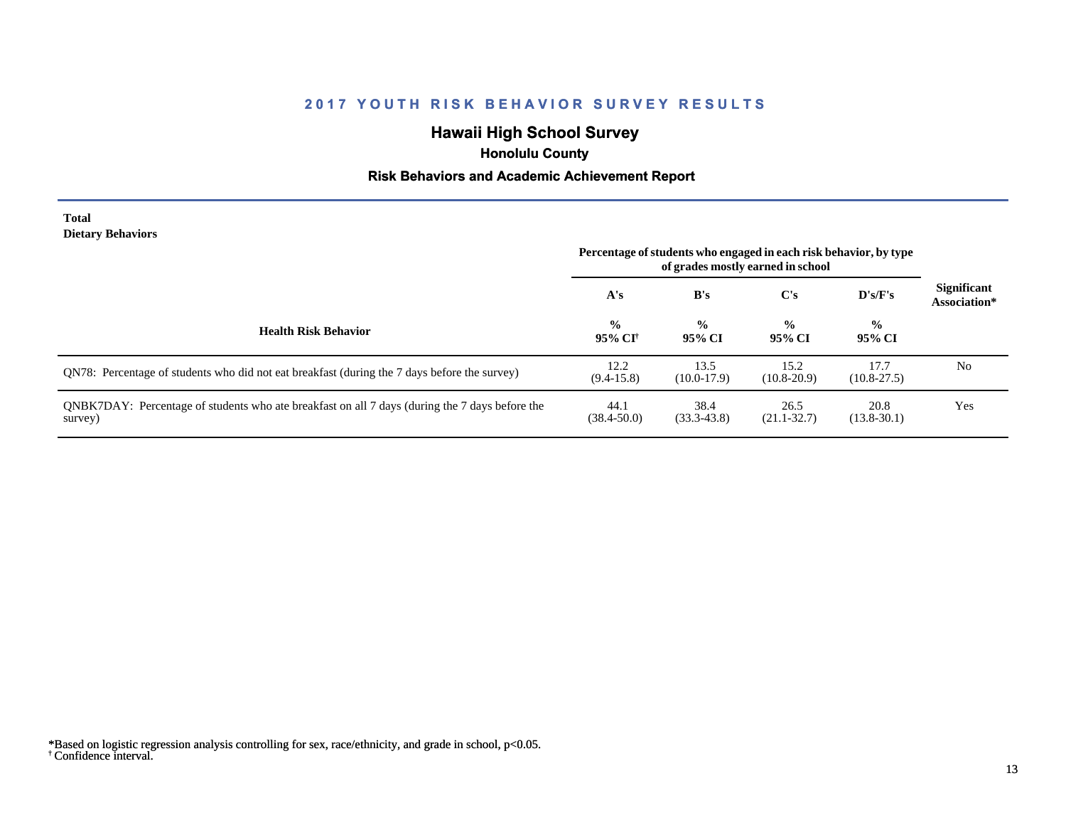# **Hawaii High School Survey**

 **Honolulu County**

#### **Risk Behaviors and Academic Achievement Report**

#### **Total Dietary Behaviors**

|                                                                                                           | Percentage of students who engaged in each risk behavior, by type<br>of grades mostly earned in school |                         |                                                    |                         |                                    |
|-----------------------------------------------------------------------------------------------------------|--------------------------------------------------------------------------------------------------------|-------------------------|----------------------------------------------------|-------------------------|------------------------------------|
|                                                                                                           | A's                                                                                                    | B's                     | C's                                                | $\bf{D's/F's}$          | <b>Significant</b><br>Association* |
| <b>Health Risk Behavior</b>                                                                               | $\frac{0}{0}$<br>95% CI <sup>+</sup>                                                                   | $\frac{0}{0}$<br>95% CI | $\frac{0}{0}$<br>$\frac{6}{9}$<br>95% CI<br>95% CI |                         |                                    |
| QN78: Percentage of students who did not eat breakfast (during the 7 days before the survey)              | 12.2<br>$(9.4-15.8)$                                                                                   | 13.5<br>$(10.0-17.9)$   | 15.2<br>$(10.8 - 20.9)$                            | 17.7<br>$(10.8 - 27.5)$ | N <sub>0</sub>                     |
| QNBK7DAY: Percentage of students who ate breakfast on all 7 days (during the 7 days before the<br>survey) | 44.1<br>$(38.4 - 50.0)$                                                                                | 38.4<br>$(33.3 - 43.8)$ | 26.5<br>$(21.1 - 32.7)$                            | 20.8<br>$(13.8-30.1)$   | Yes                                |

<sup>†</sup> Confidence interval. \*Based on logistic regression analysis controlling for sex, race/ethnicity, and grade in school, p<0.05.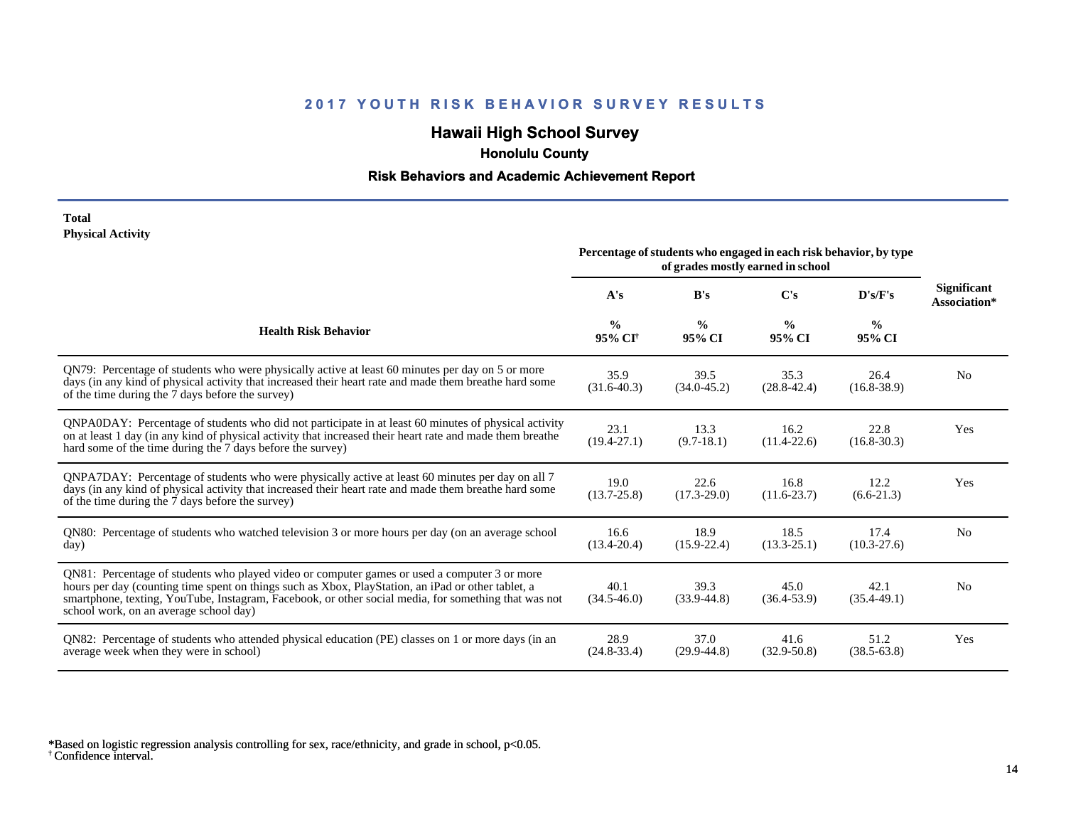# **Hawaii High School Survey**

 **Honolulu County**

#### **Risk Behaviors and Academic Achievement Report**

#### **Total Physical Activity**

|                                                                                                                                                                                                                                                                                                                                                      |                                      | Percentage of students who engaged in each risk behavior, by type | of grades mostly earned in school |                         |                                    |  |  |
|------------------------------------------------------------------------------------------------------------------------------------------------------------------------------------------------------------------------------------------------------------------------------------------------------------------------------------------------------|--------------------------------------|-------------------------------------------------------------------|-----------------------------------|-------------------------|------------------------------------|--|--|
|                                                                                                                                                                                                                                                                                                                                                      | $\bf C's$<br>A's<br>B's              |                                                                   |                                   | D's/F's                 | <b>Significant</b><br>Association* |  |  |
| <b>Health Risk Behavior</b>                                                                                                                                                                                                                                                                                                                          | $\frac{0}{0}$<br>95% CI <sup>+</sup> | $\frac{6}{9}$<br>95% CI                                           | $\frac{6}{9}$<br>95% CI           | $\frac{0}{0}$<br>95% CI |                                    |  |  |
| QN79: Percentage of students who were physically active at least 60 minutes per day on 5 or more<br>days (in any kind of physical activity that increased their heart rate and made them breathe hard some<br>of the time during the 7 days before the survey)                                                                                       | 35.9<br>$(31.6-40.3)$                | 39.5<br>$(34.0 - 45.2)$                                           | 35.3<br>$(28.8 - 42.4)$           | 26.4<br>$(16.8 - 38.9)$ | N <sub>0</sub>                     |  |  |
| QNPA0DAY: Percentage of students who did not participate in at least 60 minutes of physical activity<br>on at least 1 day (in any kind of physical activity that increased their heart rate and made them breathe<br>hard some of the time during the 7 days before the survey)                                                                      | 23.1<br>$(19.4 - 27.1)$              | 13.3<br>$(9.7-18.1)$                                              | 16.2<br>$(11.4 - 22.6)$           | 22.8<br>$(16.8 - 30.3)$ | Yes                                |  |  |
| ONPA7DAY: Percentage of students who were physically active at least 60 minutes per day on all 7<br>days (in any kind of physical activity that increased their heart rate and made them breathe hard some<br>of the time during the 7 days before the survey)                                                                                       | 19.0<br>$(13.7 - 25.8)$              | 22.6<br>$(17.3 - 29.0)$                                           | 16.8<br>$(11.6 - 23.7)$           | 12.2<br>$(6.6-21.3)$    | Yes                                |  |  |
| QN80: Percentage of students who watched television 3 or more hours per day (on an average school<br>day)                                                                                                                                                                                                                                            | 16.6<br>$(13.4 - 20.4)$              | 18.9<br>$(15.9 - 22.4)$                                           | 18.5<br>$(13.3 - 25.1)$           | 17.4<br>$(10.3 - 27.6)$ | N <sub>0</sub>                     |  |  |
| QN81: Percentage of students who played video or computer games or used a computer 3 or more<br>hours per day (counting time spent on things such as Xbox, PlayStation, an iPad or other tablet, a<br>smartphone, texting, YouTube, Instagram, Facebook, or other social media, for something that was not<br>school work, on an average school day) | 40.1<br>$(34.5 - 46.0)$              | 39.3<br>$(33.9 - 44.8)$                                           | 45.0<br>$(36.4 - 53.9)$           | 42.1<br>$(35.4 - 49.1)$ | N <sub>0</sub>                     |  |  |
| QN82: Percentage of students who attended physical education (PE) classes on 1 or more days (in an<br>average week when they were in school)                                                                                                                                                                                                         | 28.9<br>$(24.8-33.4)$                | 37.0<br>$(29.9 - 44.8)$                                           | 41.6<br>$(32.9 - 50.8)$           | 51.2<br>$(38.5 - 63.8)$ | Yes                                |  |  |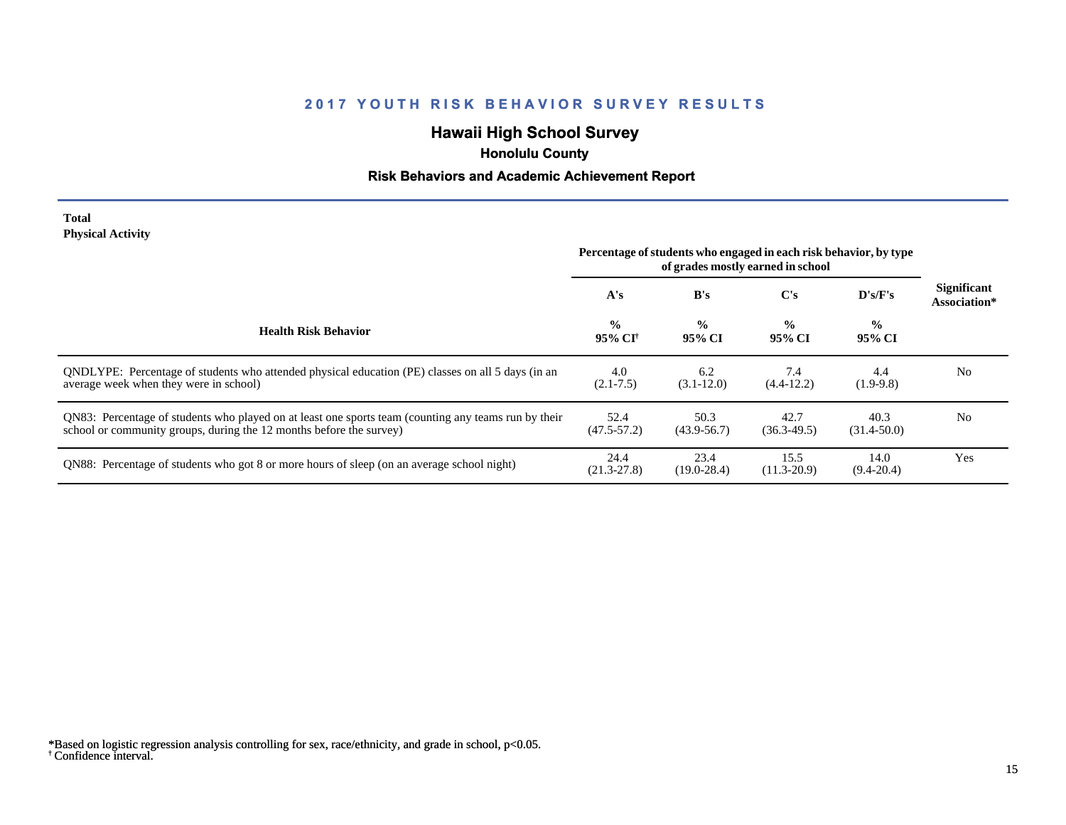# **Hawaii High School Survey**

 **Honolulu County**

#### **Risk Behaviors and Academic Achievement Report**

#### **Total Physical Activity**

|                                                                                                                                                                             | Percentage of students who engaged in each risk behavior, by type<br>of grades mostly earned in school |                         |                         |                         |                                    |
|-----------------------------------------------------------------------------------------------------------------------------------------------------------------------------|--------------------------------------------------------------------------------------------------------|-------------------------|-------------------------|-------------------------|------------------------------------|
|                                                                                                                                                                             | A's                                                                                                    | B's                     | C's                     | $\bf{D's/F's}$          | <b>Significant</b><br>Association* |
| <b>Health Risk Behavior</b>                                                                                                                                                 | $\frac{0}{0}$<br>95% CI†                                                                               | $\frac{0}{0}$<br>95% CI | $\frac{0}{0}$<br>95% CI | $\frac{1}{2}$<br>95% CI |                                    |
| ONDLYPE: Percentage of students who attended physical education (PE) classes on all 5 days (in an<br>average week when they were in school)                                 | 4.0<br>$(2.1 - 7.5)$                                                                                   | 6.2<br>$(3.1 - 12.0)$   | 7.4<br>$(4.4-12.2)$     | 4.4<br>$(1.9-9.8)$      | N <sub>0</sub>                     |
| QN83: Percentage of students who played on at least one sports team (counting any teams run by their<br>school or community groups, during the 12 months before the survey) | 52.4<br>$(47.5 - 57.2)$                                                                                | 50.3<br>$(43.9 - 56.7)$ | 42.7<br>$(36.3-49.5)$   | 40.3<br>$(31.4 - 50.0)$ | N <sub>0</sub>                     |
| QN88: Percentage of students who got 8 or more hours of sleep (on an average school night)                                                                                  | 24.4<br>$(21.3 - 27.8)$                                                                                | 23.4<br>$(19.0 - 28.4)$ | 15.5<br>$(11.3 - 20.9)$ | 14.0<br>$(9.4 - 20.4)$  | Yes                                |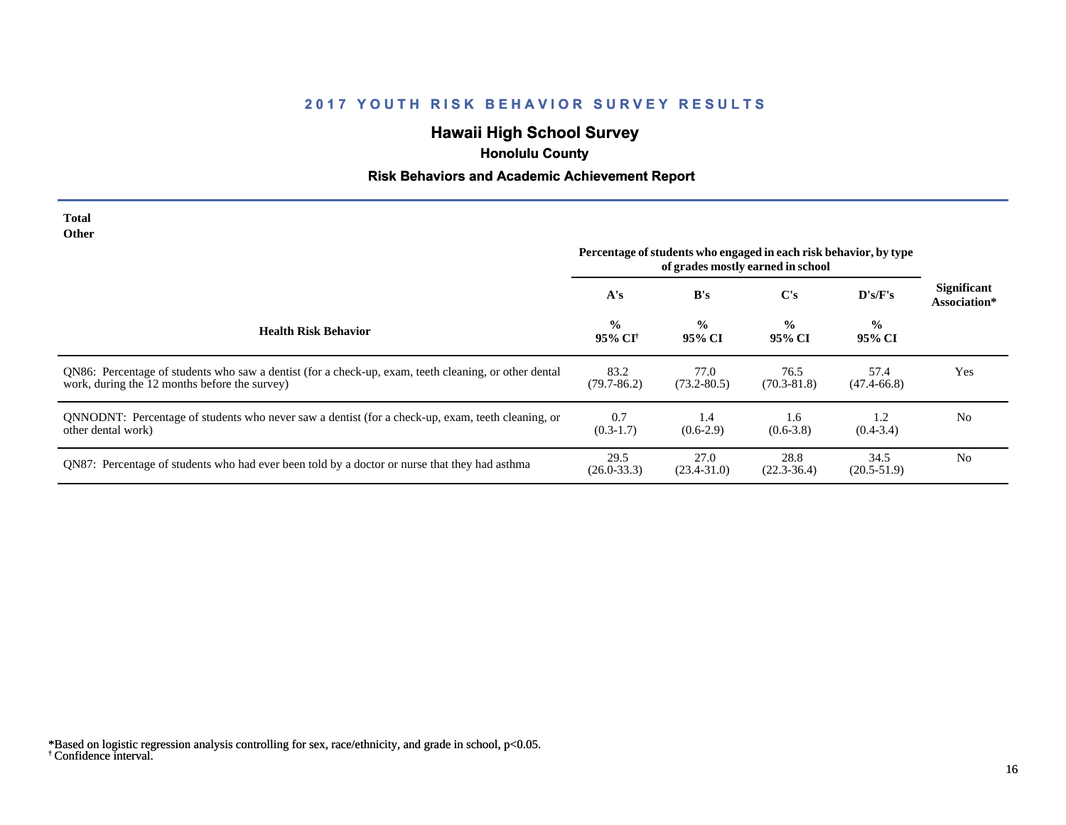# **Hawaii High School Survey**

# **Honolulu County**

# **Risk Behaviors and Academic Achievement Report**

| <b>Total</b><br><b>Other</b>                                                                                                                           | Percentage of students who engaged in each risk behavior, by type<br>of grades mostly earned in school |                         |                         |                         |                                    |
|--------------------------------------------------------------------------------------------------------------------------------------------------------|--------------------------------------------------------------------------------------------------------|-------------------------|-------------------------|-------------------------|------------------------------------|
|                                                                                                                                                        | A's                                                                                                    | B's                     | $\bf C's$               | D's/F's                 | <b>Significant</b><br>Association* |
| <b>Health Risk Behavior</b>                                                                                                                            | $\frac{0}{0}$<br>95% CI†                                                                               | $\frac{0}{0}$<br>95% CI | $\frac{0}{0}$<br>95% CI | $\frac{6}{6}$<br>95% CI |                                    |
| QN86: Percentage of students who saw a dentist (for a check-up, exam, teeth cleaning, or other dental<br>work, during the 12 months before the survey) | 83.2<br>$(79.7 - 86.2)$                                                                                | 77.0<br>$(73.2 - 80.5)$ | 76.5<br>$(70.3 - 81.8)$ | 57.4<br>$(47.4 - 66.8)$ | Yes                                |
| QNNODNT: Percentage of students who never saw a dentist (for a check-up, exam, teeth cleaning, or<br>other dental work)                                | 0.7<br>$(0.3-1.7)$                                                                                     | 1.4<br>$(0.6-2.9)$      | 1.6<br>$(0.6-3.8)$      | 1.2<br>$(0.4 - 3.4)$    | N <sub>0</sub>                     |
| QN87: Percentage of students who had ever been told by a doctor or nurse that they had asthma                                                          | 29.5<br>$(26.0 - 33.3)$                                                                                | 27.0<br>$(23.4 - 31.0)$ | 28.8<br>$(22.3 - 36.4)$ | 34.5<br>$(20.5-51.9)$   | N <sub>0</sub>                     |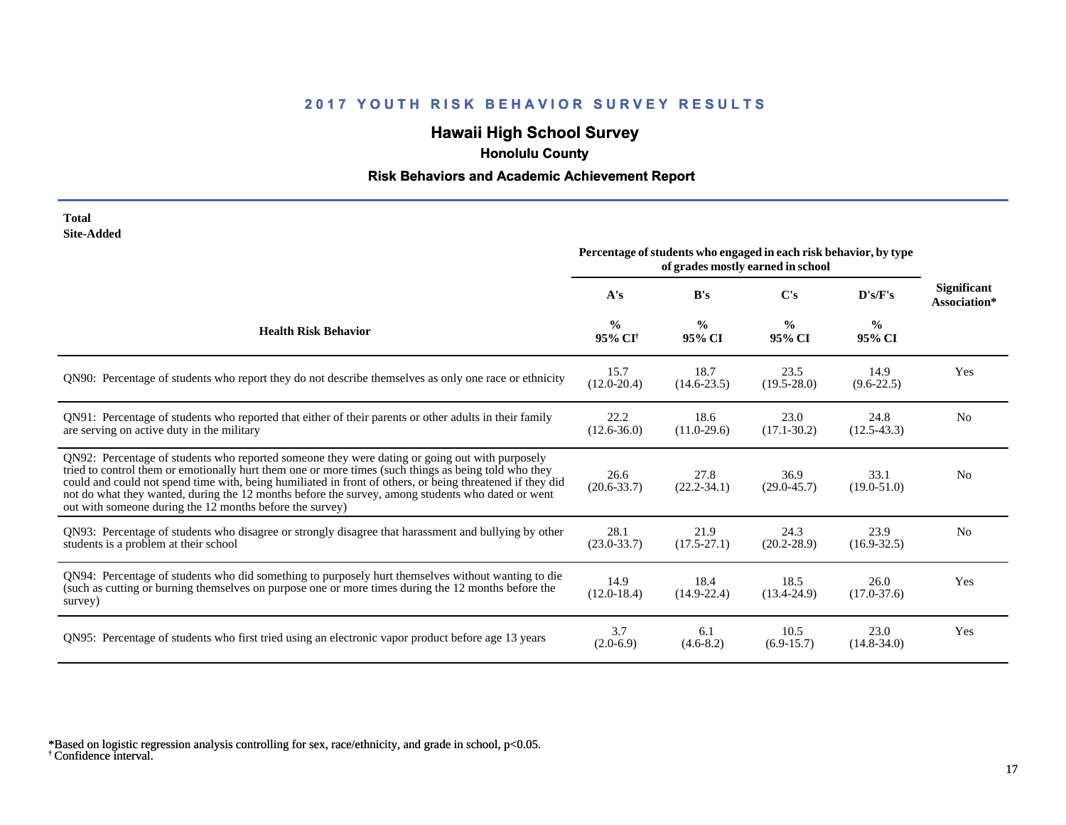# **Hawaii High School Survey**

 **Honolulu County**

# **Risk Behaviors and Academic Achievement Report**

| Total      |  |
|------------|--|
| Site-Added |  |

|                                                                                                                                                                                                                                                                                                                                                                                                                                                                                      |                                      |                         | Percentage of students who engaged in each risk behavior, by type<br>of grades mostly earned in school |                         |                                    |
|--------------------------------------------------------------------------------------------------------------------------------------------------------------------------------------------------------------------------------------------------------------------------------------------------------------------------------------------------------------------------------------------------------------------------------------------------------------------------------------|--------------------------------------|-------------------------|--------------------------------------------------------------------------------------------------------|-------------------------|------------------------------------|
|                                                                                                                                                                                                                                                                                                                                                                                                                                                                                      | A's                                  | B's                     | C's<br>D's/F's                                                                                         |                         | <b>Significant</b><br>Association* |
| <b>Health Risk Behavior</b>                                                                                                                                                                                                                                                                                                                                                                                                                                                          | $\frac{0}{0}$<br>95% CI <sup>+</sup> | $\frac{0}{0}$<br>95% CI | $\frac{0}{0}$<br>95% CI                                                                                | $\frac{0}{0}$<br>95% CI |                                    |
| QN90: Percentage of students who report they do not describe themselves as only one race or ethnicity                                                                                                                                                                                                                                                                                                                                                                                | 15.7<br>$(12.0 - 20.4)$              | 18.7<br>$(14.6 - 23.5)$ | 23.5<br>$(19.5 - 28.0)$                                                                                | 14.9<br>$(9.6-22.5)$    | Yes                                |
| QN91: Percentage of students who reported that either of their parents or other adults in their family<br>are serving on active duty in the military                                                                                                                                                                                                                                                                                                                                 | 22.2<br>$(12.6 - 36.0)$              | 18.6<br>$(11.0-29.6)$   | 23.0<br>$(17.1 - 30.2)$                                                                                | 24.8<br>$(12.5 - 43.3)$ | N <sub>o</sub>                     |
| QN92: Percentage of students who reported someone they were dating or going out with purposely<br>tried to control them or emotionally hurt them one or more times (such things as being told who they<br>could and could not spend time with, being humiliated in front of others, or being threatened if they did<br>not do what they wanted, during the 12 months before the survey, among students who dated or went<br>out with someone during the 12 months before the survey) | 26.6<br>$(20.6 - 33.7)$              | 27.8<br>$(22.2 - 34.1)$ | 36.9<br>$(29.0 - 45.7)$                                                                                | 33.1<br>$(19.0 - 51.0)$ | N <sub>o</sub>                     |
| QN93: Percentage of students who disagree or strongly disagree that harassment and bullying by other<br>students is a problem at their school                                                                                                                                                                                                                                                                                                                                        | 28.1<br>$(23.0 - 33.7)$              | 21.9<br>$(17.5 - 27.1)$ | 24.3<br>$(20.2 - 28.9)$                                                                                | 23.9<br>$(16.9 - 32.5)$ | N <sub>0</sub>                     |
| QN94: Percentage of students who did something to purposely hurt themselves without wanting to die<br>(such as cutting or burning themselves on purpose one or more times during the 12 months before the<br>survey)                                                                                                                                                                                                                                                                 | 14.9<br>$(12.0 - 18.4)$              | 18.4<br>$(14.9 - 22.4)$ | 18.5<br>$(13.4 - 24.9)$                                                                                | 26.0<br>$(17.0 - 37.6)$ | Yes                                |
| QN95: Percentage of students who first tried using an electronic vapor product before age 13 years                                                                                                                                                                                                                                                                                                                                                                                   | 3.7<br>$(2.0-6.9)$                   | 6.1<br>$(4.6-8.2)$      | 10.5<br>$(6.9-15.7)$                                                                                   | 23.0<br>$(14.8 - 34.0)$ | Yes                                |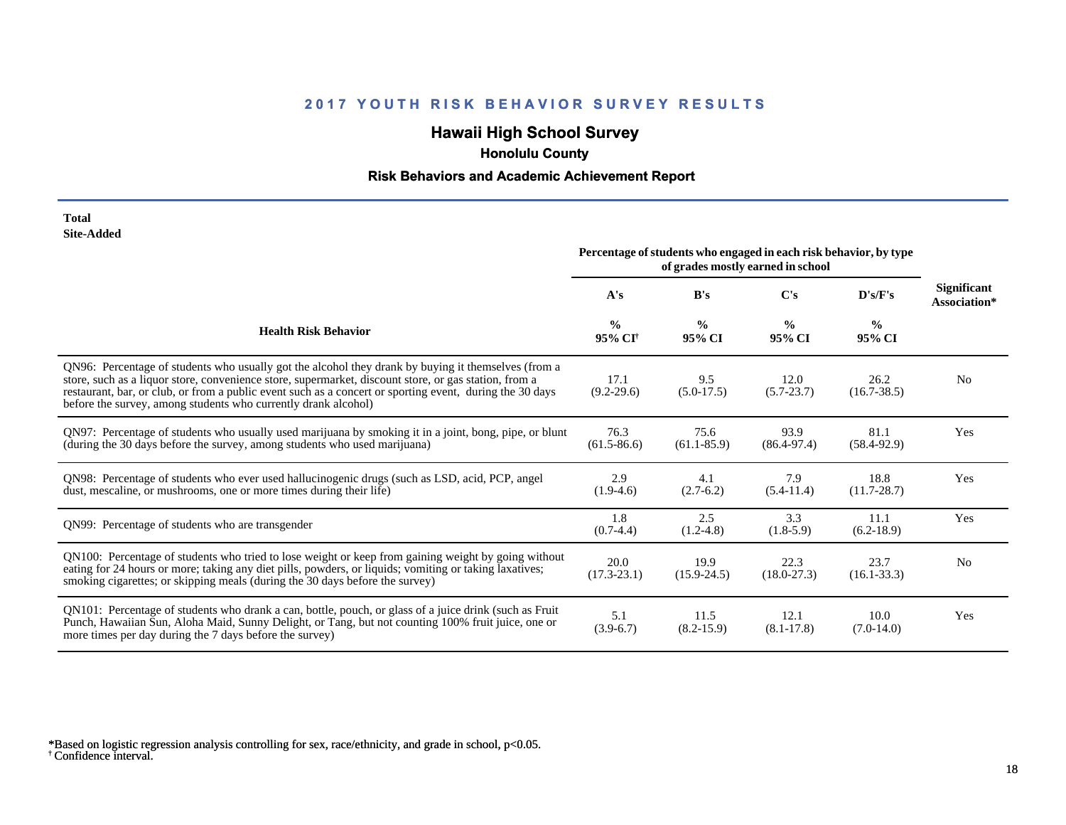# **Hawaii High School Survey**

 **Honolulu County**

# **Risk Behaviors and Academic Achievement Report**

| Total             |
|-------------------|
| <b>Site-Added</b> |

|                                                                                                                                                                                                                                                                                                                                                                                            | Percentage of students who engaged in each risk behavior, by type<br>of grades mostly earned in school |                         |                         |                         |                             |  |
|--------------------------------------------------------------------------------------------------------------------------------------------------------------------------------------------------------------------------------------------------------------------------------------------------------------------------------------------------------------------------------------------|--------------------------------------------------------------------------------------------------------|-------------------------|-------------------------|-------------------------|-----------------------------|--|
|                                                                                                                                                                                                                                                                                                                                                                                            | A's<br>B's<br>$\bf C's$<br>D's/F's                                                                     |                         |                         |                         | Significant<br>Association* |  |
| <b>Health Risk Behavior</b>                                                                                                                                                                                                                                                                                                                                                                | $\frac{0}{0}$<br>95% CI <sup>+</sup>                                                                   | $\frac{0}{0}$<br>95% CI | $\frac{0}{0}$<br>95% CI | $\frac{6}{6}$<br>95% CI |                             |  |
| QN96: Percentage of students who usually got the alcohol they drank by buying it themselves (from a<br>store, such as a liquor store, convenience store, supermarket, discount store, or gas station, from a<br>restaurant, bar, or club, or from a public event such as a concert or sporting event, during the 30 days<br>before the survey, among students who currently drank alcohol) | 17.1<br>$(9.2 - 29.6)$                                                                                 | 9.5<br>$(5.0-17.5)$     | 12.0<br>$(5.7 - 23.7)$  | 26.2<br>$(16.7 - 38.5)$ | N <sub>0</sub>              |  |
| QN97: Percentage of students who usually used marijuana by smoking it in a joint, bong, pipe, or blunt<br>(during the 30 days before the survey, among students who used marijuana)                                                                                                                                                                                                        | 76.3<br>$(61.5 - 86.6)$                                                                                | 75.6<br>$(61.1 - 85.9)$ | 93.9<br>$(86.4 - 97.4)$ | 81.1<br>$(58.4 - 92.9)$ | Yes                         |  |
| QN98: Percentage of students who ever used hallucinogenic drugs (such as LSD, acid, PCP, angel<br>dust, mescaline, or mushrooms, one or more times during their life)                                                                                                                                                                                                                      | 2.9<br>$(1.9-4.6)$                                                                                     | 4.1<br>$(2.7-6.2)$      | 7.9<br>$(5.4-11.4)$     | 18.8<br>$(11.7 - 28.7)$ | Yes                         |  |
| QN99: Percentage of students who are transgender                                                                                                                                                                                                                                                                                                                                           | 1.8<br>$(0.7-4.4)$                                                                                     | 2.5<br>$(1.2-4.8)$      | 3.3<br>$(1.8-5.9)$      | 11.1<br>$(6.2-18.9)$    | Yes                         |  |
| QN100: Percentage of students who tried to lose weight or keep from gaining weight by going without<br>eating for 24 hours or more; taking any diet pills, powders, or liquids; vomiting or taking laxatives;<br>smoking cigarettes; or skipping meals (during the 30 days before the survey)                                                                                              | 20.0<br>$(17.3 - 23.1)$                                                                                | 19.9<br>$(15.9 - 24.5)$ | 22.3<br>$(18.0 - 27.3)$ | 23.7<br>$(16.1 - 33.3)$ | N <sub>0</sub>              |  |
| QN101: Percentage of students who drank a can, bottle, pouch, or glass of a juice drink (such as Fruit<br>Punch, Hawaiian Sun, Aloha Maid, Sunny Delight, or Tang, but not counting 100% fruit juice, one or<br>more times per day during the 7 days before the survey)                                                                                                                    | 5.1<br>$(3.9-6.7)$                                                                                     | 11.5<br>$(8.2 - 15.9)$  | 12.1<br>$(8.1 - 17.8)$  | 10.0<br>$(7.0-14.0)$    | Yes                         |  |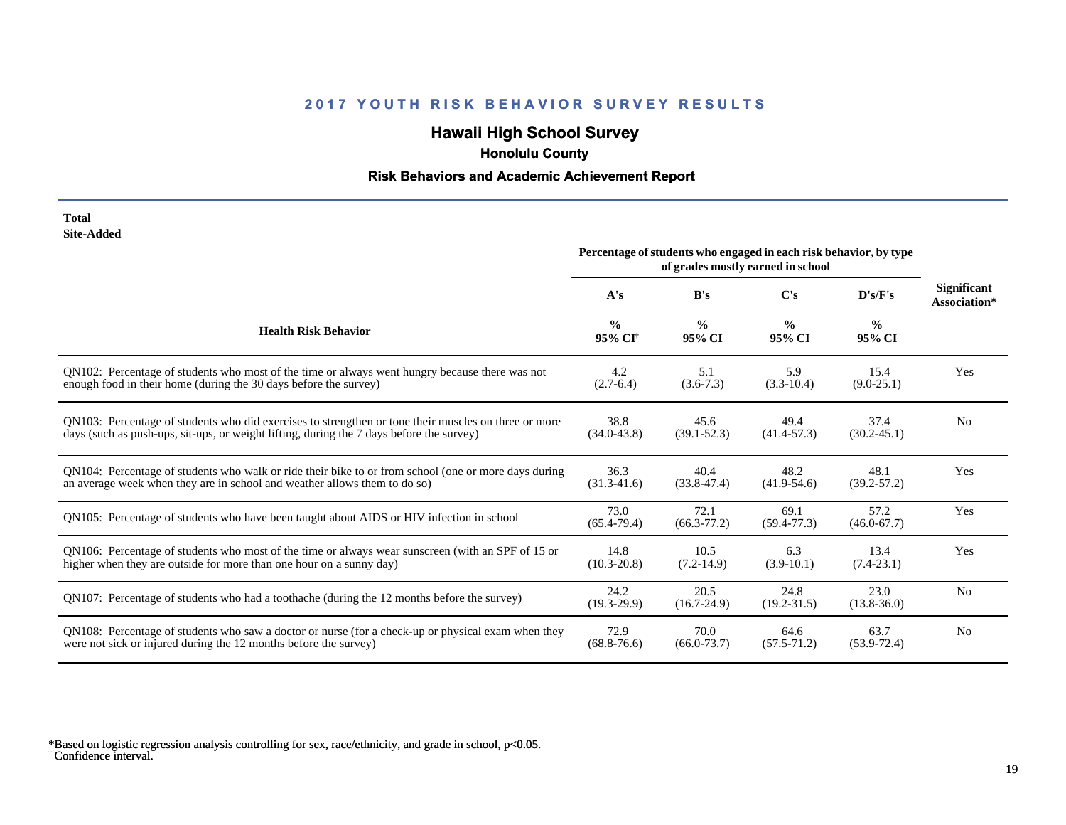# **Hawaii High School Survey**

 **Honolulu County**

# **Risk Behaviors and Academic Achievement Report**

| Total      |
|------------|
| Site-Added |

|                                                                                                      |                                      | Percentage of students who engaged in each risk behavior, by type | of grades mostly earned in school |                         |                             |
|------------------------------------------------------------------------------------------------------|--------------------------------------|-------------------------------------------------------------------|-----------------------------------|-------------------------|-----------------------------|
|                                                                                                      | A's                                  | B's                                                               | $\bf C's$                         | D's/F's                 | Significant<br>Association* |
| <b>Health Risk Behavior</b>                                                                          | $\frac{0}{0}$<br>95% CI <sup>+</sup> | $\frac{0}{0}$<br>95% CI                                           | $\frac{0}{0}$<br>95% CI           | $\frac{0}{0}$<br>95% CI |                             |
| QN102: Percentage of students who most of the time or always went hungry because there was not       | 4.2                                  | 5.1                                                               | 5.9                               | 15.4                    | Yes                         |
| enough food in their home (during the 30 days before the survey)                                     | $(2.7-6.4)$                          | $(3.6-7.3)$                                                       | $(3.3-10.4)$                      | $(9.0-25.1)$            |                             |
| QN103: Percentage of students who did exercises to strengthen or tone their muscles on three or more | 38.8                                 | 45.6                                                              | 49.4                              | 37.4                    | N <sub>0</sub>              |
| days (such as push-ups, sit-ups, or weight lifting, during the 7 days before the survey)             | $(34.0 - 43.8)$                      | $(39.1 - 52.3)$                                                   | $(41.4 - 57.3)$                   | $(30.2 - 45.1)$         |                             |
| QN104: Percentage of students who walk or ride their bike to or from school (one or more days during | 36.3                                 | 40.4                                                              | 48.2                              | 48.1                    | Yes                         |
| an average week when they are in school and weather allows them to do so)                            | $(31.3-41.6)$                        | $(33.8-47.4)$                                                     | $(41.9-54.6)$                     | $(39.2 - 57.2)$         |                             |
| QN105: Percentage of students who have been taught about AIDS or HIV infection in school             | 73.0<br>$(65.4 - 79.4)$              | 72.1<br>$(66.3 - 77.2)$                                           | 69.1<br>$(59.4 - 77.3)$           | 57.2<br>$(46.0 - 67.7)$ | Yes                         |
| QN106: Percentage of students who most of the time or always wear sunscreen (with an SPF of 15 or    | 14.8                                 | 10.5                                                              | 6.3                               | 13.4                    | Yes                         |
| higher when they are outside for more than one hour on a sunny day)                                  | $(10.3 - 20.8)$                      | $(7.2 - 14.9)$                                                    | $(3.9-10.1)$                      | $(7.4-23.1)$            |                             |
| QN107: Percentage of students who had a toothache (during the 12 months before the survey)           | 24.2<br>$(19.3-29.9)$                | 20.5<br>$(16.7 - 24.9)$                                           | 24.8<br>$(19.2 - 31.5)$           | 23.0<br>$(13.8 - 36.0)$ | N <sub>0</sub>              |
| QN108: Percentage of students who saw a doctor or nurse (for a check-up or physical exam when they   | 72.9                                 | 70.0                                                              | 64.6                              | 63.7                    | N <sub>0</sub>              |
| were not sick or injured during the 12 months before the survey)                                     | $(68.8 - 76.6)$                      | $(66.0 - 73.7)$                                                   | $(57.5 - 71.2)$                   | $(53.9 - 72.4)$         |                             |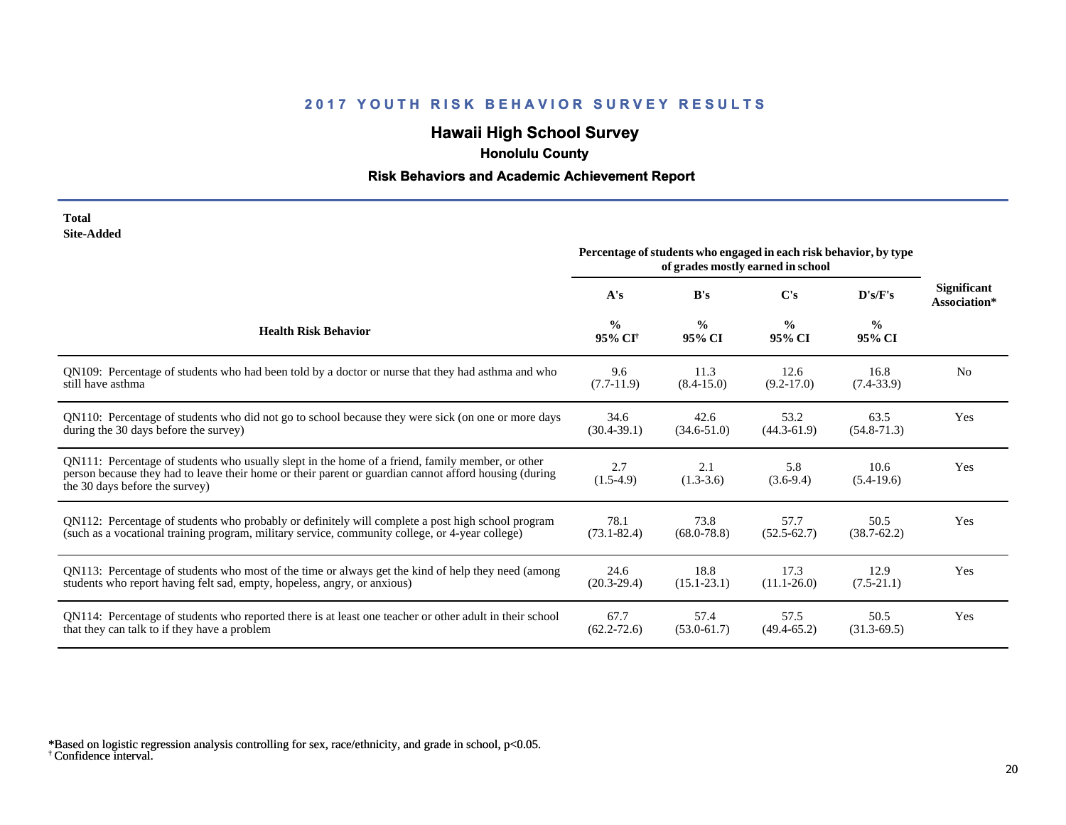# **Hawaii High School Survey**

 **Honolulu County**

# **Risk Behaviors and Academic Achievement Report**

| Total             |
|-------------------|
| <b>Site-Added</b> |

|                                                                                                                                                                                                                                             | Percentage of students who engaged in each risk behavior, by type<br>of grades mostly earned in school |                         |                         |                         |                                    |
|---------------------------------------------------------------------------------------------------------------------------------------------------------------------------------------------------------------------------------------------|--------------------------------------------------------------------------------------------------------|-------------------------|-------------------------|-------------------------|------------------------------------|
|                                                                                                                                                                                                                                             | A's                                                                                                    | B's                     | C's                     | D's/F's                 | <b>Significant</b><br>Association* |
| <b>Health Risk Behavior</b>                                                                                                                                                                                                                 | $\frac{0}{0}$<br>95% CI <sup>+</sup>                                                                   | $\frac{0}{0}$<br>95% CI | $\frac{0}{0}$<br>95% CI | $\frac{0}{0}$<br>95% CI |                                    |
| QN109: Percentage of students who had been told by a doctor or nurse that they had asthma and who                                                                                                                                           | 9.6                                                                                                    | 11.3                    | 12.6                    | 16.8                    | N <sub>0</sub>                     |
| still have asthma                                                                                                                                                                                                                           | $(7.7-11.9)$                                                                                           | $(8.4 - 15.0)$          | $(9.2 - 17.0)$          | $(7.4 - 33.9)$          |                                    |
| QN110: Percentage of students who did not go to school because they were sick (on one or more days                                                                                                                                          | 34.6                                                                                                   | 42.6                    | 53.2                    | 63.5                    | Yes                                |
| during the 30 days before the survey)                                                                                                                                                                                                       | $(30.4 - 39.1)$                                                                                        | $(34.6 - 51.0)$         | $(44.3 - 61.9)$         | $(54.8-71.3)$           |                                    |
| QN111: Percentage of students who usually slept in the home of a friend, family member, or other<br>person because they had to leave their home or their parent or guardian cannot afford housing (during<br>the 30 days before the survey) | 2.7<br>$(1.5-4.9)$                                                                                     | 2.1<br>$(1.3-3.6)$      | 5.8<br>$(3.6-9.4)$      | 10.6<br>$(5.4-19.6)$    | Yes                                |
| QN112: Percentage of students who probably or definitely will complete a post high school program                                                                                                                                           | 78.1                                                                                                   | 73.8                    | 57.7                    | 50.5                    | Yes                                |
| (such as a vocational training program, military service, community college, or 4-year college)                                                                                                                                             | $(73.1 - 82.4)$                                                                                        | $(68.0 - 78.8)$         | $(52.5 - 62.7)$         | $(38.7 - 62.2)$         |                                    |
| QN113: Percentage of students who most of the time or always get the kind of help they need (among                                                                                                                                          | 24.6                                                                                                   | 18.8                    | 17.3                    | 12.9                    | Yes                                |
| students who report having felt sad, empty, hopeless, angry, or anxious)                                                                                                                                                                    | $(20.3-29.4)$                                                                                          | $(15.1 - 23.1)$         | $(11.1 - 26.0)$         | $(7.5-21.1)$            |                                    |
| QN114: Percentage of students who reported there is at least one teacher or other adult in their school                                                                                                                                     | 67.7                                                                                                   | 57.4                    | 57.5                    | 50.5                    | Yes                                |
| that they can talk to if they have a problem                                                                                                                                                                                                | $(62.2 - 72.6)$                                                                                        | $(53.0 - 61.7)$         | $(49.4 - 65.2)$         | $(31.3-69.5)$           |                                    |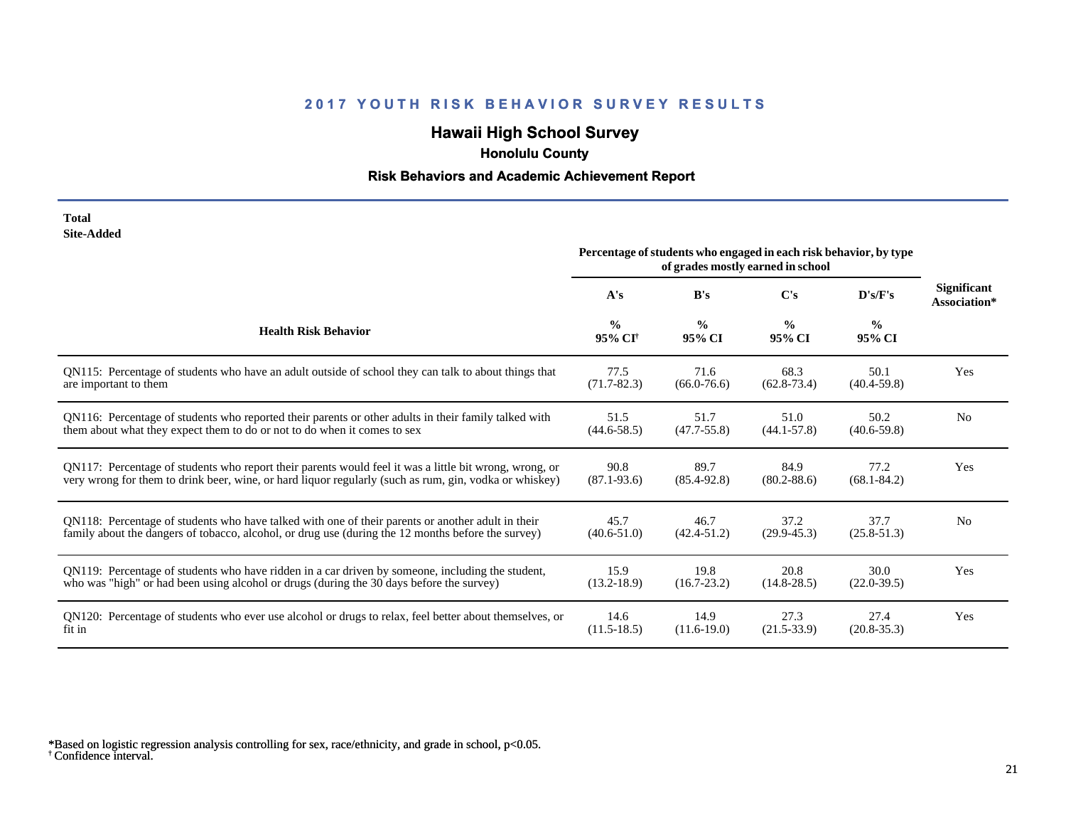# **Hawaii High School Survey**

 **Honolulu County**

# **Risk Behaviors and Academic Achievement Report**

| Total      |
|------------|
| Site-Added |

|                                                                                                        | Percentage of students who engaged in each risk behavior, by type<br>of grades mostly earned in school |                         |                         |                         |                                    |
|--------------------------------------------------------------------------------------------------------|--------------------------------------------------------------------------------------------------------|-------------------------|-------------------------|-------------------------|------------------------------------|
|                                                                                                        | A's                                                                                                    | B's                     | $\bf C's$               | D's/F's                 | <b>Significant</b><br>Association* |
| <b>Health Risk Behavior</b>                                                                            | $\frac{0}{0}$<br>95% CI <sup>+</sup>                                                                   | $\frac{6}{9}$<br>95% CI | $\frac{0}{0}$<br>95% CI | $\frac{6}{6}$<br>95% CI |                                    |
| QN115: Percentage of students who have an adult outside of school they can talk to about things that   | 77.5                                                                                                   | 71.6                    | 68.3                    | 50.1                    | Yes                                |
| are important to them                                                                                  | $(71.7 - 82.3)$                                                                                        | $(66.0 - 76.6)$         | $(62.8 - 73.4)$         | $(40.4 - 59.8)$         |                                    |
| QN116: Percentage of students who reported their parents or other adults in their family talked with   | 51.5                                                                                                   | 51.7                    | 51.0                    | 50.2                    | N <sub>o</sub>                     |
| them about what they expect them to do or not to do when it comes to sex                               | $(44.6 - 58.5)$                                                                                        | $(47.7 - 55.8)$         | $(44.1 - 57.8)$         | $(40.6 - 59.8)$         |                                    |
| QN117: Percentage of students who report their parents would feel it was a little bit wrong, wrong, or | 90.8                                                                                                   | 89.7                    | 84.9                    | 77.2                    | Yes                                |
| very wrong for them to drink beer, wine, or hard liquor regularly (such as rum, gin, vodka or whiskey) | $(87.1 - 93.6)$                                                                                        | $(85.4 - 92.8)$         | $(80.2 - 88.6)$         | $(68.1 - 84.2)$         |                                    |
| QN118: Percentage of students who have talked with one of their parents or another adult in their      | 45.7                                                                                                   | 46.7                    | 37.2                    | 37.7                    | N <sub>0</sub>                     |
| family about the dangers of tobacco, alcohol, or drug use (during the 12 months before the survey)     | $(40.6 - 51.0)$                                                                                        | $(42.4 - 51.2)$         | $(29.9 - 45.3)$         | $(25.8 - 51.3)$         |                                    |
| QN119: Percentage of students who have ridden in a car driven by someone, including the student,       | 15.9                                                                                                   | 19.8                    | 20.8                    | 30.0                    | Yes                                |
| who was "high" or had been using alcohol or drugs (during the 30 days before the survey)               | $(13.2 - 18.9)$                                                                                        | $(16.7 - 23.2)$         | $(14.8 - 28.5)$         | $(22.0 - 39.5)$         |                                    |
| QN120: Percentage of students who ever use alcohol or drugs to relax, feel better about themselves, or | 14.6                                                                                                   | 14.9                    | 27.3                    | 27.4                    | Yes                                |
| fit in                                                                                                 | $(11.5-18.5)$                                                                                          | $(11.6-19.0)$           | $(21.5 - 33.9)$         | $(20.8 - 35.3)$         |                                    |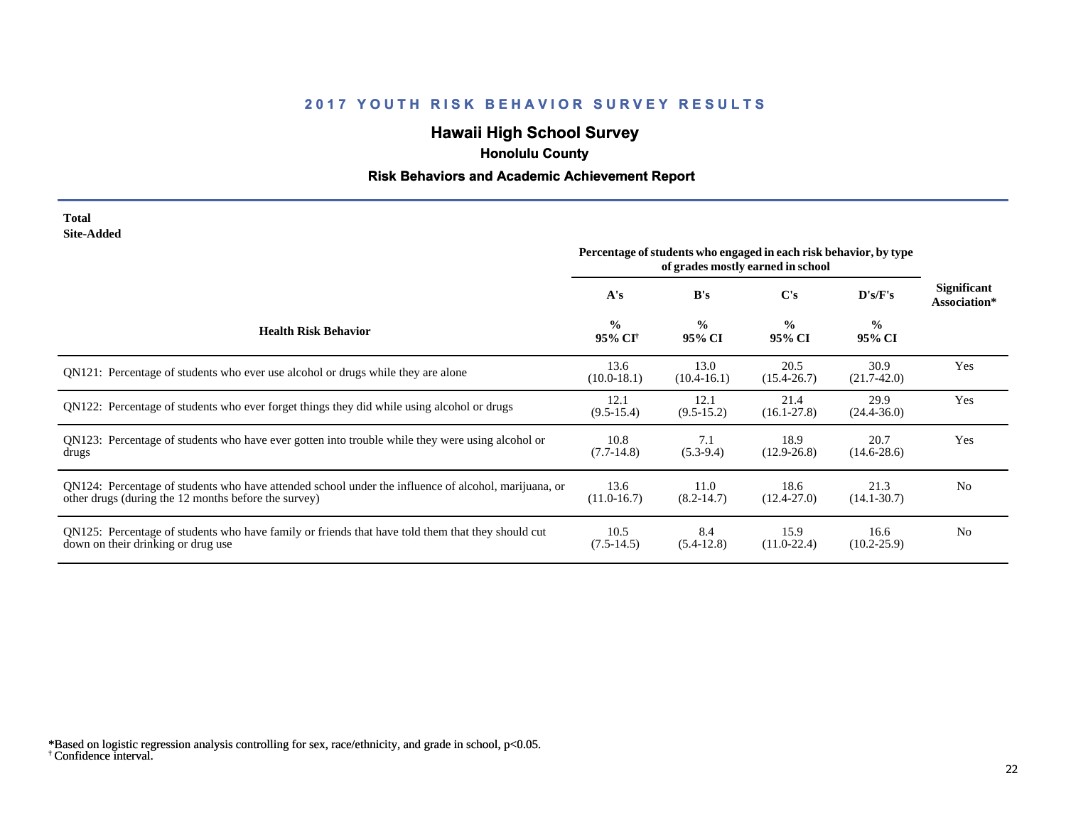# **Hawaii High School Survey**

 **Honolulu County**

# **Risk Behaviors and Academic Achievement Report**

**Total Site-Added**

|                                                                                                                                                              | Percentage of students who engaged in each risk behavior, by type<br>of grades mostly earned in school |                         |                         |                         |                             |
|--------------------------------------------------------------------------------------------------------------------------------------------------------------|--------------------------------------------------------------------------------------------------------|-------------------------|-------------------------|-------------------------|-----------------------------|
|                                                                                                                                                              | A's                                                                                                    | B's                     | C's                     | D's/F's                 | Significant<br>Association* |
| <b>Health Risk Behavior</b>                                                                                                                                  | $\frac{0}{0}$<br>95% CI <sup>†</sup>                                                                   | $\frac{0}{0}$<br>95% CI | $\frac{0}{0}$<br>95% CI | $\frac{0}{0}$<br>95% CI |                             |
| QN121: Percentage of students who ever use alcohol or drugs while they are alone                                                                             | 13.6<br>$(10.0-18.1)$                                                                                  | 13.0<br>$(10.4 - 16.1)$ | 20.5<br>$(15.4 - 26.7)$ | 30.9<br>$(21.7-42.0)$   | Yes                         |
| QN122: Percentage of students who ever forget things they did while using alcohol or drugs                                                                   | 12.1<br>$(9.5 - 15.4)$                                                                                 | 12.1<br>$(9.5-15.2)$    | 21.4<br>$(16.1 - 27.8)$ | 29.9<br>$(24.4 - 36.0)$ | Yes                         |
| QN123: Percentage of students who have ever gotten into trouble while they were using alcohol or<br>drugs                                                    | 10.8<br>$(7.7-14.8)$                                                                                   | 7.1<br>$(5.3-9.4)$      | 18.9<br>$(12.9 - 26.8)$ | 20.7<br>$(14.6-28.6)$   | Yes                         |
| QN124: Percentage of students who have attended school under the influence of alcohol, marijuana, or<br>other drugs (during the 12 months before the survey) | 13.6<br>$(11.0-16.7)$                                                                                  | 11.0<br>$(8.2 - 14.7)$  | 18.6<br>$(12.4 - 27.0)$ | 21.3<br>$(14.1 - 30.7)$ | N <sub>0</sub>              |
| QN125: Percentage of students who have family or friends that have told them that they should cut<br>down on their drinking or drug use                      | 10.5<br>$(7.5-14.5)$                                                                                   | 8.4<br>$(5.4-12.8)$     | 15.9<br>$(11.0 - 22.4)$ | 16.6<br>$(10.2 - 25.9)$ | N <sub>0</sub>              |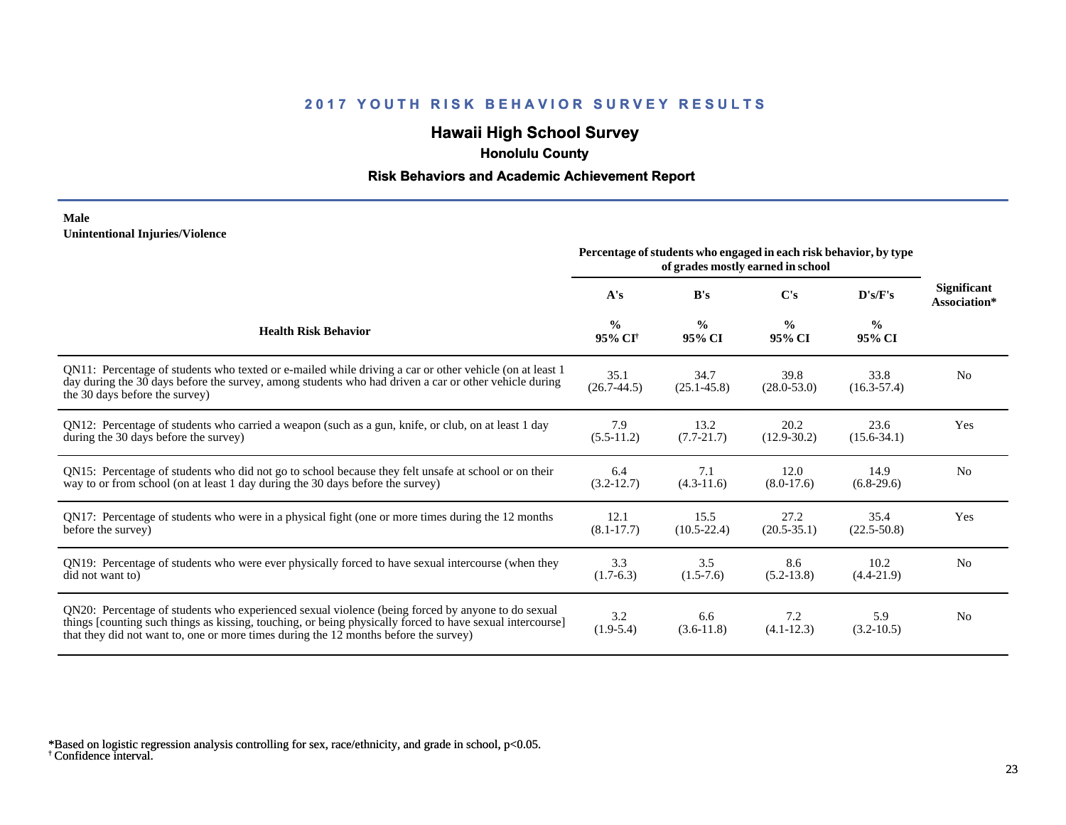# **Hawaii High School Survey**

 **Honolulu County**

#### **Risk Behaviors and Academic Achievement Report**

#### **Male Unintentional Injuries/Violence**

|                                                                                                                                                                                                                                                                                                        | Percentage of students who engaged in each risk behavior, by type |                         |                         |                         |                                    |
|--------------------------------------------------------------------------------------------------------------------------------------------------------------------------------------------------------------------------------------------------------------------------------------------------------|-------------------------------------------------------------------|-------------------------|-------------------------|-------------------------|------------------------------------|
|                                                                                                                                                                                                                                                                                                        | A's                                                               | B's                     | C's                     | D's/F's                 | <b>Significant</b><br>Association* |
| <b>Health Risk Behavior</b>                                                                                                                                                                                                                                                                            | $\frac{0}{0}$<br>95% CI†                                          | $\frac{0}{0}$<br>95% CI | $\frac{0}{0}$<br>95% CI | $\frac{0}{0}$<br>95% CI |                                    |
| QN11: Percentage of students who texted or e-mailed while driving a car or other vehicle (on at least 1)<br>day during the 30 days before the survey, among students who had driven a car or other vehicle during<br>the 30 days before the survey)                                                    | 35.1<br>$(26.7 - 44.5)$                                           | 34.7<br>$(25.1 - 45.8)$ | 39.8<br>$(28.0 - 53.0)$ | 33.8<br>$(16.3 - 57.4)$ | N <sub>0</sub>                     |
| QN12: Percentage of students who carried a weapon (such as a gun, knife, or club, on at least 1 day<br>during the 30 days before the survey)                                                                                                                                                           | 7.9<br>$(5.5-11.2)$                                               | 13.2<br>$(7.7 - 21.7)$  | 20.2<br>$(12.9 - 30.2)$ | 23.6<br>$(15.6 - 34.1)$ | Yes                                |
| QN15: Percentage of students who did not go to school because they felt unsafe at school or on their<br>way to or from school (on at least 1 day during the 30 days before the survey)                                                                                                                 | 6.4<br>$(3.2-12.7)$                                               | 7.1<br>$(4.3-11.6)$     | 12.0<br>$(8.0-17.6)$    | 14.9<br>$(6.8-29.6)$    | N <sub>0</sub>                     |
| QN17: Percentage of students who were in a physical fight (one or more times during the 12 months<br>before the survey)                                                                                                                                                                                | 12.1<br>$(8.1 - 17.7)$                                            | 15.5<br>$(10.5 - 22.4)$ | 27.2<br>$(20.5 - 35.1)$ | 35.4<br>$(22.5 - 50.8)$ | Yes                                |
| QN19: Percentage of students who were ever physically forced to have sexual intercourse (when they<br>did not want to)                                                                                                                                                                                 | 3.3<br>$(1.7-6.3)$                                                | 3.5<br>$(1.5-7.6)$      | 8.6<br>$(5.2 - 13.8)$   | 10.2<br>$(4.4 - 21.9)$  | N <sub>0</sub>                     |
| QN20: Percentage of students who experienced sexual violence (being forced by anyone to do sexual<br>things [counting such things as kissing, touching, or being physically forced to have sexual intercourse]<br>that they did not want to, one or more times during the 12 months before the survey) | 3.2<br>$(1.9-5.4)$                                                | 6.6<br>$(3.6-11.8)$     | 7.2<br>$(4.1 - 12.3)$   | 5.9<br>$(3.2 - 10.5)$   | N <sub>0</sub>                     |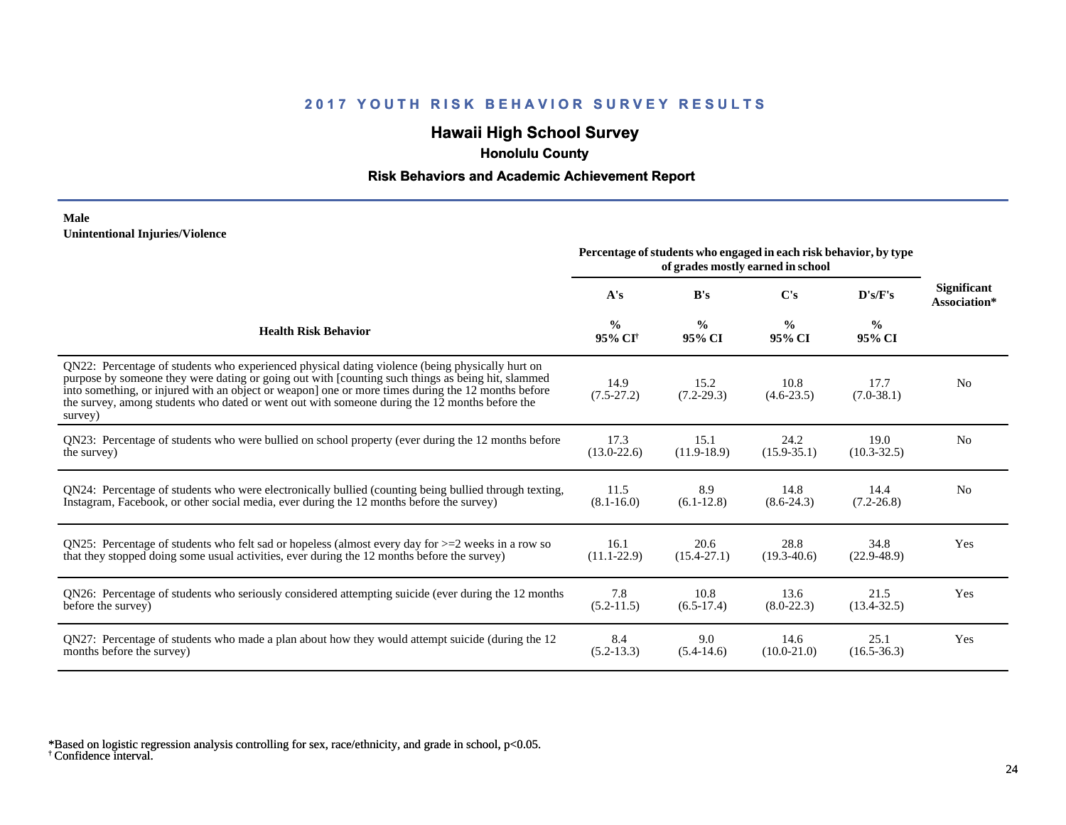# **Hawaii High School Survey**

 **Honolulu County**

#### **Risk Behaviors and Academic Achievement Report**

#### **Male Unintentional Injuries/Violence**

|                                                                                                                                                                                                                                                                                                                                                                                                                        | Percentage of students who engaged in each risk behavior, by type<br>of grades mostly earned in school |                         |                         |                         |                                    |
|------------------------------------------------------------------------------------------------------------------------------------------------------------------------------------------------------------------------------------------------------------------------------------------------------------------------------------------------------------------------------------------------------------------------|--------------------------------------------------------------------------------------------------------|-------------------------|-------------------------|-------------------------|------------------------------------|
|                                                                                                                                                                                                                                                                                                                                                                                                                        | A's                                                                                                    | B's                     | C's                     | D's/F's                 | <b>Significant</b><br>Association* |
| <b>Health Risk Behavior</b>                                                                                                                                                                                                                                                                                                                                                                                            | $\frac{0}{0}$<br>95% CI <sup>†</sup>                                                                   | $\frac{0}{0}$<br>95% CI | $\frac{0}{0}$<br>95% CI | $\frac{0}{0}$<br>95% CI |                                    |
| ON22: Percentage of students who experienced physical dating violence (being physically hurt on<br>purpose by someone they were dating or going out with [counting such things as being hit, slammed<br>into something, or injured with an object or weapon] one or more times during the 12 months before<br>the survey, among students who dated or went out with someone during the 12 months before the<br>survey) | 14.9<br>$(7.5-27.2)$                                                                                   | 15.2<br>$(7.2 - 29.3)$  | 10.8<br>$(4.6-23.5)$    | 17.7<br>$(7.0-38.1)$    | N <sub>0</sub>                     |
| ON23: Percentage of students who were bullied on school property (ever during the 12 months before                                                                                                                                                                                                                                                                                                                     | 17.3                                                                                                   | 15.1                    | 24.2                    | 19.0                    | N <sub>0</sub>                     |
| the survey)                                                                                                                                                                                                                                                                                                                                                                                                            | $(13.0 - 22.6)$                                                                                        | $(11.9-18.9)$           | $(15.9 - 35.1)$         | $(10.3 - 32.5)$         |                                    |
| QN24: Percentage of students who were electronically bullied (counting being bullied through texting,                                                                                                                                                                                                                                                                                                                  | 11.5                                                                                                   | 8.9                     | 14.8                    | 14.4                    | N <sub>0</sub>                     |
| Instagram, Facebook, or other social media, ever during the 12 months before the survey)                                                                                                                                                                                                                                                                                                                               | $(8.1 - 16.0)$                                                                                         | $(6.1-12.8)$            | $(8.6-24.3)$            | $(7.2 - 26.8)$          |                                    |
| ON25: Percentage of students who felt sad or hopeless (almost every day for $>=$ 2 weeks in a row so                                                                                                                                                                                                                                                                                                                   | 16.1                                                                                                   | 20.6                    | 28.8                    | 34.8                    | Yes                                |
| that they stopped doing some usual activities, ever during the 12 months before the survey)                                                                                                                                                                                                                                                                                                                            | $(11.1 - 22.9)$                                                                                        | $(15.4 - 27.1)$         | $(19.3 - 40.6)$         | $(22.9 - 48.9)$         |                                    |
| QN26: Percentage of students who seriously considered attempting suicide (ever during the 12 months                                                                                                                                                                                                                                                                                                                    | 7.8                                                                                                    | 10.8                    | 13.6                    | 21.5                    | Yes                                |
| before the survey)                                                                                                                                                                                                                                                                                                                                                                                                     | $(5.2-11.5)$                                                                                           | $(6.5-17.4)$            | $(8.0-22.3)$            | $(13.4 - 32.5)$         |                                    |
| QN27: Percentage of students who made a plan about how they would attempt suicide (during the 12                                                                                                                                                                                                                                                                                                                       | 8.4                                                                                                    | 9.0                     | 14.6                    | 25.1                    | Yes                                |
| months before the survey)                                                                                                                                                                                                                                                                                                                                                                                              | $(5.2-13.3)$                                                                                           | $(5.4-14.6)$            | $(10.0 - 21.0)$         | $(16.5 - 36.3)$         |                                    |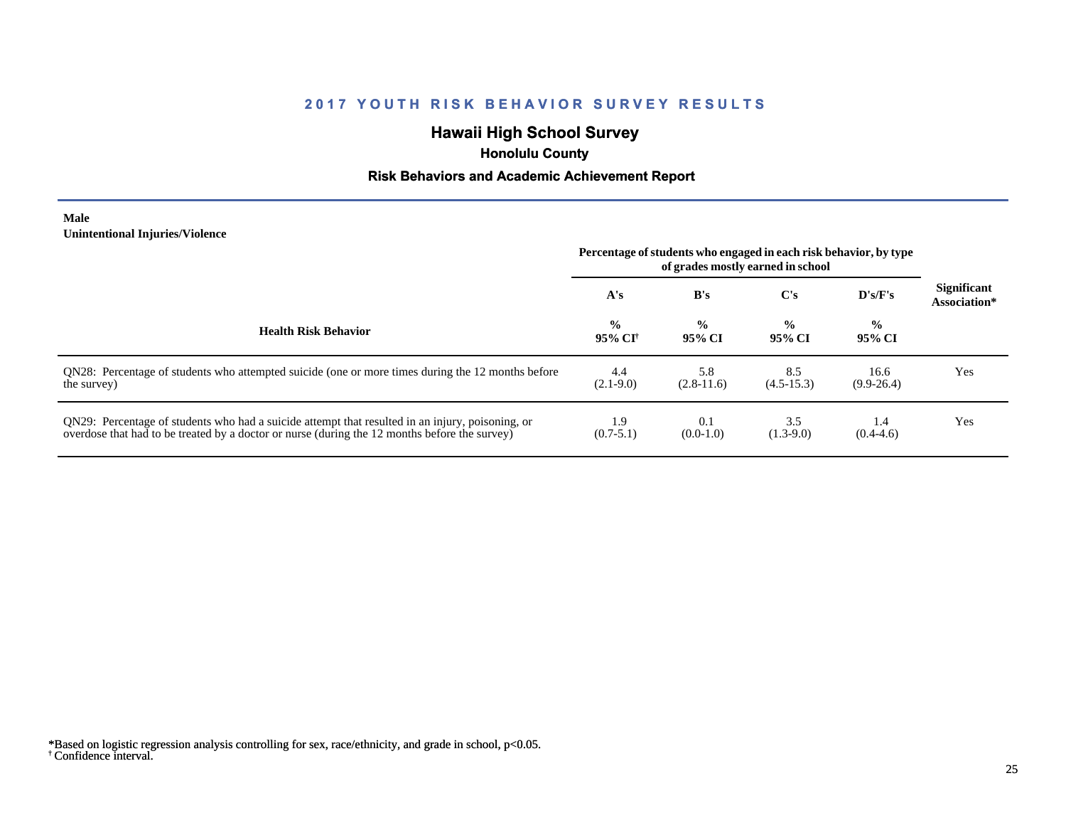# **Hawaii High School Survey**

 **Honolulu County**

#### **Risk Behaviors and Academic Achievement Report**

#### **Male Unintentional Injuries/Violence**

|                                                                                                                                                                                                   | Percentage of students who engaged in each risk behavior, by type<br>of grades mostly earned in school |                         |                         |                         |                                    |
|---------------------------------------------------------------------------------------------------------------------------------------------------------------------------------------------------|--------------------------------------------------------------------------------------------------------|-------------------------|-------------------------|-------------------------|------------------------------------|
|                                                                                                                                                                                                   | A's                                                                                                    | B's                     | $\bf C's$               | $\bf{D's/F's}$          | <b>Significant</b><br>Association* |
| <b>Health Risk Behavior</b>                                                                                                                                                                       | $\frac{0}{0}$<br>95% CI†                                                                               | $\frac{0}{0}$<br>95% CI | $\frac{0}{0}$<br>95% CI | $\frac{0}{0}$<br>95% CI |                                    |
| ON28: Percentage of students who attempted suicide (one or more times during the 12 months before<br>the survey)                                                                                  | 4.4<br>$(2.1-9.0)$                                                                                     | 5.8<br>$(2.8-11.6)$     | 8.5<br>$(4.5-15.3)$     | 16.6<br>$(9.9-26.4)$    | Yes                                |
| QN29: Percentage of students who had a suicide attempt that resulted in an injury, poisoning, or<br>overdose that had to be treated by a doctor or nurse (during the 12 months before the survey) | 1.9<br>$(0.7-5.1)$                                                                                     | 0.1<br>$(0.0-1.0)$      | 3.5<br>$(1.3-9.0)$      | 1.4<br>$(0.4 - 4.6)$    | Yes                                |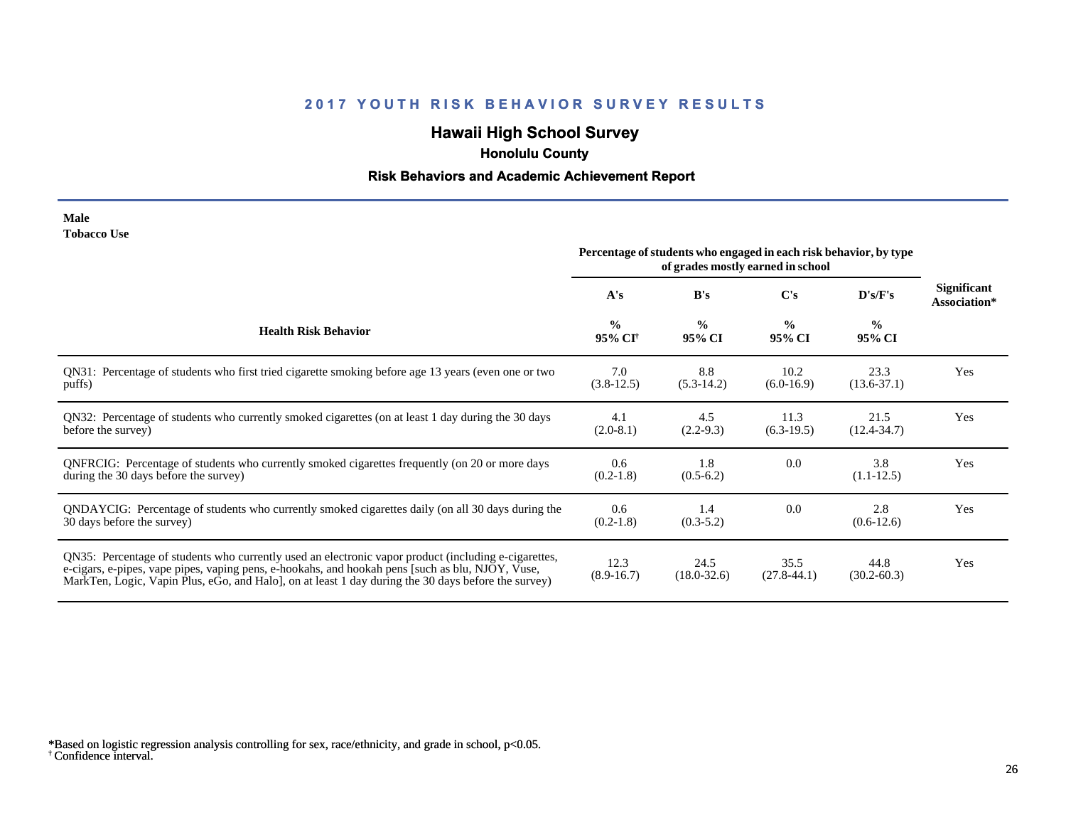# **Hawaii High School Survey**

 **Honolulu County**

# **Risk Behaviors and Academic Achievement Report**

| Male               |  |
|--------------------|--|
| <b>Tobacco Use</b> |  |

|                                                                                                                                                                                                                                                                                                                | Percentage of students who engaged in each risk behavior, by type<br>of grades mostly earned in school |                         |                         |                         |                                    |
|----------------------------------------------------------------------------------------------------------------------------------------------------------------------------------------------------------------------------------------------------------------------------------------------------------------|--------------------------------------------------------------------------------------------------------|-------------------------|-------------------------|-------------------------|------------------------------------|
|                                                                                                                                                                                                                                                                                                                | A's                                                                                                    | B's                     | $\bf C's$               | D's/F's                 | <b>Significant</b><br>Association* |
| <b>Health Risk Behavior</b>                                                                                                                                                                                                                                                                                    | $\frac{0}{0}$<br>95% CI <sup>+</sup>                                                                   | $\frac{0}{0}$<br>95% CI | $\frac{0}{0}$<br>95% CI | $\frac{0}{0}$<br>95% CI |                                    |
| QN31: Percentage of students who first tried cigarette smoking before age 13 years (even one or two<br>puffs)                                                                                                                                                                                                  | 7.0<br>$(3.8-12.5)$                                                                                    | 8.8<br>$(5.3-14.2)$     | 10.2<br>$(6.0-16.9)$    | 23.3<br>$(13.6 - 37.1)$ | Yes                                |
| QN32: Percentage of students who currently smoked cigarettes (on at least 1 day during the 30 days<br>before the survey)                                                                                                                                                                                       | 4.1<br>$(2.0-8.1)$                                                                                     | 4.5<br>$(2.2-9.3)$      | 11.3<br>$(6.3-19.5)$    | 21.5<br>$(12.4 - 34.7)$ | Yes                                |
| QNFRCIG: Percentage of students who currently smoked cigarettes frequently (on 20 or more days<br>during the 30 days before the survey)                                                                                                                                                                        | 0.6<br>$(0.2-1.8)$                                                                                     | 1.8<br>$(0.5-6.2)$      | 0.0                     | 3.8<br>$(1.1-12.5)$     | Yes                                |
| QNDAYCIG: Percentage of students who currently smoked cigarettes daily (on all 30 days during the<br>30 days before the survey)                                                                                                                                                                                | 0.6<br>$(0.2-1.8)$                                                                                     | 1.4<br>$(0.3-5.2)$      | 0.0                     | 2.8<br>$(0.6-12.6)$     | Yes                                |
| QN35: Percentage of students who currently used an electronic vapor product (including e-cigarettes,<br>e-cigars, e-pipes, vape pipes, vaping pens, e-hookahs, and hookah pens [such as blu, NJOY, Vuse,<br>MarkTen, Logic, Vapin Plus, eGo, and Halo, on at least 1 day during the 30 days before the survey) | 12.3<br>$(8.9-16.7)$                                                                                   | 24.5<br>$(18.0 - 32.6)$ | 35.5<br>$(27.8-44.1)$   | 44.8<br>$(30.2 - 60.3)$ | Yes                                |

<sup>†</sup> Confidence interval. \*Based on logistic regression analysis controlling for sex, race/ethnicity, and grade in school, p<0.05.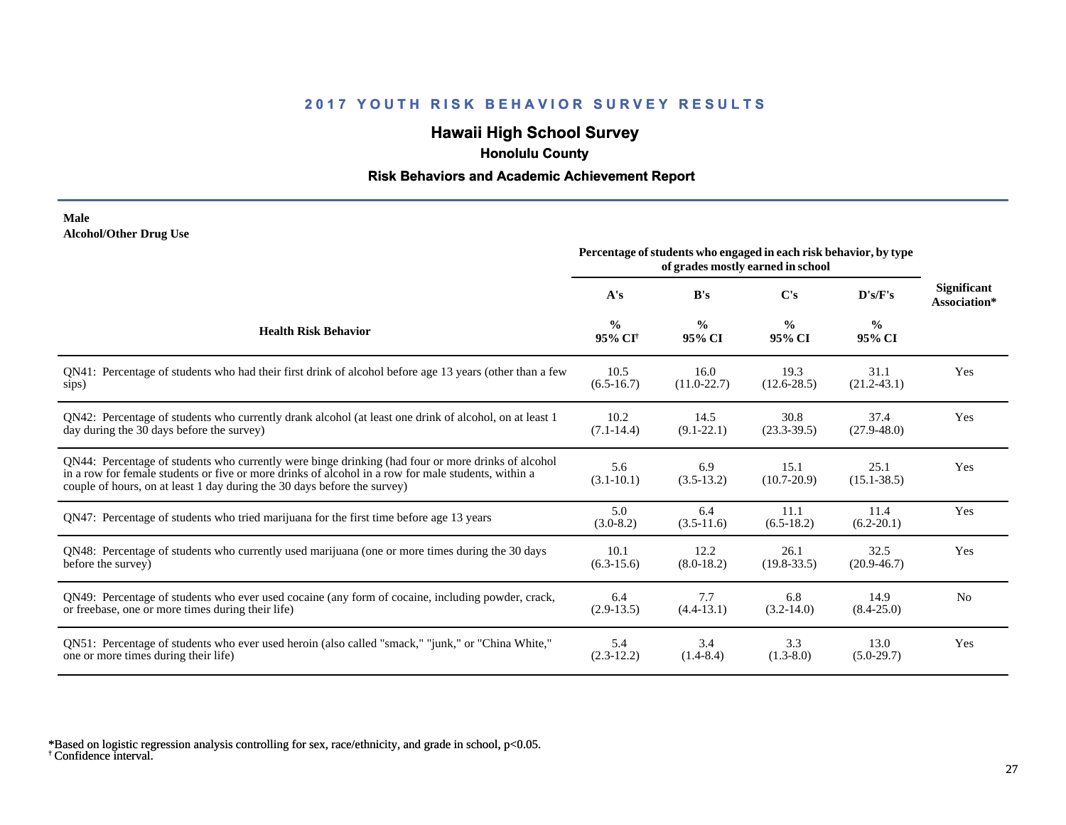# **Hawaii High School Survey**

 **Honolulu County**

#### **Risk Behaviors and Academic Achievement Report**

#### **Male Alcohol/Other Drug Use**

|                                                                                                                                                                                                                                                                                       | Percentage of students who engaged in each risk behavior, by type<br>of grades mostly earned in school |                         |                         |                         |                                    |
|---------------------------------------------------------------------------------------------------------------------------------------------------------------------------------------------------------------------------------------------------------------------------------------|--------------------------------------------------------------------------------------------------------|-------------------------|-------------------------|-------------------------|------------------------------------|
|                                                                                                                                                                                                                                                                                       | A's                                                                                                    | B's                     | C's                     | D's/F's                 | <b>Significant</b><br>Association* |
| <b>Health Risk Behavior</b>                                                                                                                                                                                                                                                           | $\frac{0}{0}$<br>95% CI <sup>+</sup>                                                                   | $\frac{0}{0}$<br>95% CI | $\frac{0}{0}$<br>95% CI | $\frac{0}{0}$<br>95% CI |                                    |
| QN41: Percentage of students who had their first drink of alcohol before age 13 years (other than a few                                                                                                                                                                               | 10.5                                                                                                   | 16.0                    | 19.3                    | 31.1                    | Yes                                |
| sips)                                                                                                                                                                                                                                                                                 | $(6.5-16.7)$                                                                                           | $(11.0 - 22.7)$         | $(12.6 - 28.5)$         | $(21.2 - 43.1)$         |                                    |
| QN42: Percentage of students who currently drank alcohol (at least one drink of alcohol, on at least 1                                                                                                                                                                                | 10.2                                                                                                   | 14.5                    | 30.8                    | 37.4                    | Yes                                |
| day during the 30 days before the survey)                                                                                                                                                                                                                                             | $(7.1 - 14.4)$                                                                                         | $(9.1 - 22.1)$          | $(23.3 - 39.5)$         | $(27.9 - 48.0)$         |                                    |
| QN44: Percentage of students who currently were binge drinking (had four or more drinks of alcohol<br>in a row for female students or five or more drinks of alcohol in a row for male students, within a<br>couple of hours, on at least 1 day during the 30 days before the survey) | 5.6<br>$(3.1 - 10.1)$                                                                                  | 6.9<br>$(3.5-13.2)$     | 15.1<br>$(10.7 - 20.9)$ | 25.1<br>$(15.1 - 38.5)$ | Yes                                |
| QN47: Percentage of students who tried marijuana for the first time before age 13 years                                                                                                                                                                                               | 5.0<br>$(3.0-8.2)$                                                                                     | 6.4<br>$(3.5-11.6)$     | 11.1<br>$(6.5-18.2)$    | 11.4<br>$(6.2 - 20.1)$  | Yes                                |
| QN48: Percentage of students who currently used marijuana (one or more times during the 30 days                                                                                                                                                                                       | 10.1                                                                                                   | 12.2                    | 26.1                    | 32.5                    | Yes                                |
| before the survey)                                                                                                                                                                                                                                                                    | $(6.3-15.6)$                                                                                           | $(8.0-18.2)$            | $(19.8 - 33.5)$         | $(20.9 - 46.7)$         |                                    |
| QN49: Percentage of students who ever used cocaine (any form of cocaine, including powder, crack,                                                                                                                                                                                     | 6.4                                                                                                    | 7.7                     | 6.8                     | 14.9                    | N <sub>0</sub>                     |
| or freebase, one or more times during their life)                                                                                                                                                                                                                                     | $(2.9-13.5)$                                                                                           | $(4.4-13.1)$            | $(3.2 - 14.0)$          | $(8.4 - 25.0)$          |                                    |
| ON51: Percentage of students who ever used heroin (also called "smack," "junk," or "China White,"                                                                                                                                                                                     | 5.4                                                                                                    | 3.4                     | 3.3                     | 13.0                    | Yes                                |
| one or more times during their life)                                                                                                                                                                                                                                                  | $(2.3-12.2)$                                                                                           | $(1.4 - 8.4)$           | $(1.3-8.0)$             | $(5.0-29.7)$            |                                    |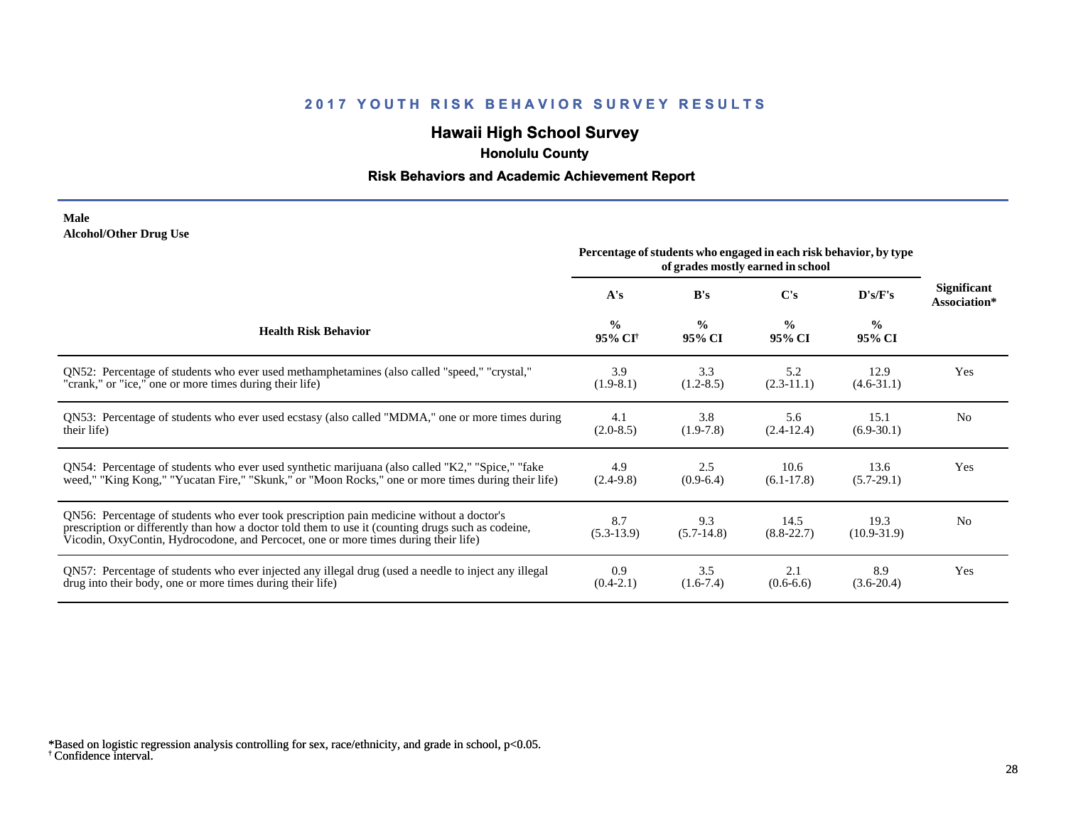# **Hawaii High School Survey**

 **Honolulu County**

#### **Risk Behaviors and Academic Achievement Report**

#### **Male Alcohol/Other Drug Use**

|                                                                                                                                                                                                                                                                                       | Percentage of students who engaged in each risk behavior, by type |                         |                         |                         |                                    |
|---------------------------------------------------------------------------------------------------------------------------------------------------------------------------------------------------------------------------------------------------------------------------------------|-------------------------------------------------------------------|-------------------------|-------------------------|-------------------------|------------------------------------|
|                                                                                                                                                                                                                                                                                       | A's                                                               | B's                     | C's                     | D's/F's                 | <b>Significant</b><br>Association* |
| <b>Health Risk Behavior</b>                                                                                                                                                                                                                                                           | $\frac{0}{0}$<br>95% CI <sup>+</sup>                              | $\frac{0}{0}$<br>95% CI | $\frac{0}{0}$<br>95% CI | $\frac{0}{0}$<br>95% CI |                                    |
| ON52: Percentage of students who ever used methamphetamines (also called "speed," "crystal,"                                                                                                                                                                                          | 3.9                                                               | 3.3                     | 5.2                     | 12.9                    | Yes                                |
| "crank," or "ice," one or more times during their life)                                                                                                                                                                                                                               | $(1.9-8.1)$                                                       | $(1.2-8.5)$             | $(2.3-11.1)$            | $(4.6 - 31.1)$          |                                    |
| QN53: Percentage of students who ever used ecstasy (also called "MDMA," one or more times during                                                                                                                                                                                      | 4.1                                                               | 3.8                     | 5.6                     | 15.1                    | N <sub>0</sub>                     |
| their life)                                                                                                                                                                                                                                                                           | $(2.0-8.5)$                                                       | $(1.9-7.8)$             | $(2.4-12.4)$            | $(6.9-30.1)$            |                                    |
| QN54: Percentage of students who ever used synthetic marijuana (also called "K2," "Spice," "fake                                                                                                                                                                                      | 4.9                                                               | 2.5                     | 10.6                    | 13.6                    | Yes                                |
| weed," "King Kong," "Yucatan Fire," "Skunk," or "Moon Rocks," one or more times during their life)                                                                                                                                                                                    | $(2.4-9.8)$                                                       | $(0.9-6.4)$             | $(6.1 - 17.8)$          | $(5.7-29.1)$            |                                    |
| QN56: Percentage of students who ever took prescription pain medicine without a doctor's<br>prescription or differently than how a doctor told them to use it (counting drugs such as codeine,<br>Vicodin, OxyContin, Hydrocodone, and Percocet, one or more times during their life) | 8.7<br>$(5.3-13.9)$                                               | 9.3<br>$(5.7-14.8)$     | 14.5<br>$(8.8-22.7)$    | 19.3<br>$(10.9 - 31.9)$ | N <sub>0</sub>                     |
| QN57: Percentage of students who ever injected any illegal drug (used a needle to inject any illegal                                                                                                                                                                                  | 0.9                                                               | 3.5                     | 2.1                     | 8.9                     | Yes                                |
| drug into their body, one or more times during their life)                                                                                                                                                                                                                            | $(0.4-2.1)$                                                       | $(1.6-7.4)$             | $(0.6-6.6)$             | $(3.6-20.4)$            |                                    |

<sup>†</sup> Confidence interval. \*Based on logistic regression analysis controlling for sex, race/ethnicity, and grade in school, p<0.05.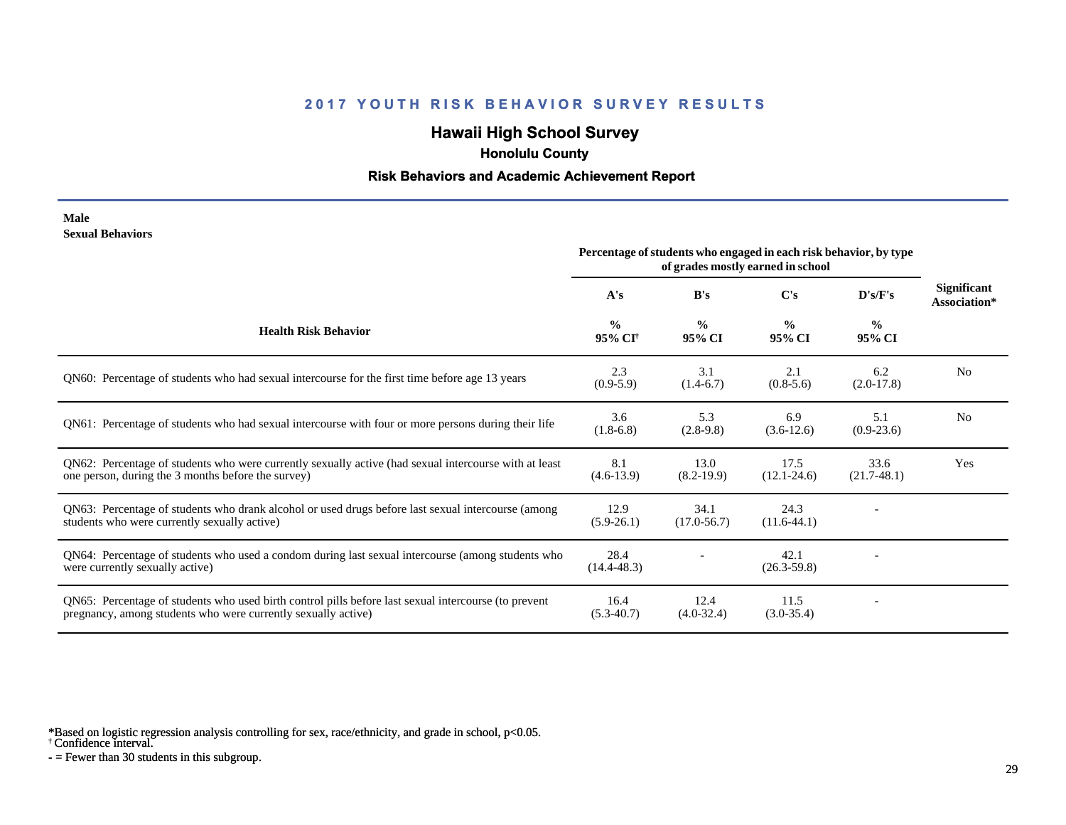# **Hawaii High School Survey**

 **Honolulu County**

#### **Risk Behaviors and Academic Achievement Report**

#### **Male Sexual Behaviors**

|                                                                                                                                                                       | Percentage of students who engaged in each risk behavior, by type<br>of grades mostly earned in school |                         |                         |                         |                                    |
|-----------------------------------------------------------------------------------------------------------------------------------------------------------------------|--------------------------------------------------------------------------------------------------------|-------------------------|-------------------------|-------------------------|------------------------------------|
|                                                                                                                                                                       | A's                                                                                                    | B's                     | C's                     | D's/F's                 | <b>Significant</b><br>Association* |
| <b>Health Risk Behavior</b>                                                                                                                                           | $\frac{0}{0}$<br>95% CI <sup>+</sup>                                                                   | $\frac{0}{0}$<br>95% CI | $\frac{0}{0}$<br>95% CI | $\frac{0}{0}$<br>95% CI |                                    |
| QN60: Percentage of students who had sexual intercourse for the first time before age 13 years                                                                        | 2.3<br>$(0.9-5.9)$                                                                                     | 3.1<br>$(1.4-6.7)$      | 2.1<br>$(0.8-5.6)$      | 6.2<br>$(2.0-17.8)$     | N <sub>0</sub>                     |
| QN61: Percentage of students who had sexual intercourse with four or more persons during their life                                                                   | 3.6<br>$(1.8-6.8)$                                                                                     | 5.3<br>$(2.8-9.8)$      | 6.9<br>$(3.6-12.6)$     | 5.1<br>$(0.9-23.6)$     | N <sub>0</sub>                     |
| QN62: Percentage of students who were currently sexually active (had sexual intercourse with at least<br>one person, during the 3 months before the survey)           | 8.1<br>$(4.6-13.9)$                                                                                    | 13.0<br>$(8.2-19.9)$    | 17.5<br>$(12.1 - 24.6)$ | 33.6<br>$(21.7-48.1)$   | Yes                                |
| QN63: Percentage of students who drank alcohol or used drugs before last sexual intercourse (among<br>students who were currently sexually active)                    | 12.9<br>$(5.9-26.1)$                                                                                   | 34.1<br>$(17.0 - 56.7)$ | 24.3<br>$(11.6-44.1)$   |                         |                                    |
| QN64: Percentage of students who used a condom during last sexual intercourse (among students who<br>were currently sexually active)                                  | 28.4<br>$(14.4 - 48.3)$                                                                                |                         | 42.1<br>$(26.3 - 59.8)$ |                         |                                    |
| QN65: Percentage of students who used birth control pills before last sexual intercourse (to prevent<br>pregnancy, among students who were currently sexually active) | 16.4<br>$(5.3-40.7)$                                                                                   | 12.4<br>$(4.0-32.4)$    | 11.5<br>$(3.0-35.4)$    |                         |                                    |

\*Based on logistic regression analysis controlling for sex, race/ethnicity, and grade in school, p<0.05.

† Confidence interval.

 $-$  = Fewer than 30 students in this subgroup.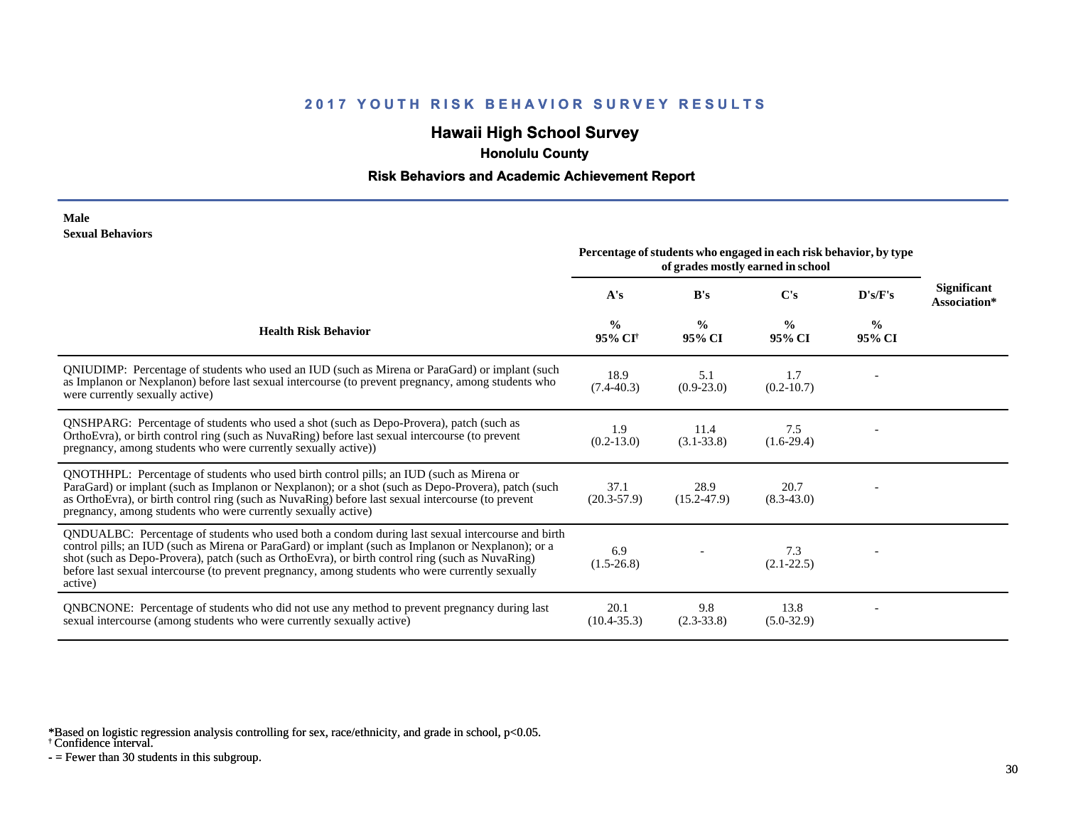# **Hawaii High School Survey**

 **Honolulu County**

#### **Risk Behaviors and Academic Achievement Report**

#### **Male Sexual Behaviors**

|                                                                                                                                                                                                                                                                                                                                                                                                                            | Percentage of students who engaged in each risk behavior, by type<br>of grades mostly earned in school |                         |                         |                         |                                    |
|----------------------------------------------------------------------------------------------------------------------------------------------------------------------------------------------------------------------------------------------------------------------------------------------------------------------------------------------------------------------------------------------------------------------------|--------------------------------------------------------------------------------------------------------|-------------------------|-------------------------|-------------------------|------------------------------------|
|                                                                                                                                                                                                                                                                                                                                                                                                                            | A's                                                                                                    | B's                     | C's                     | D's/F's                 | <b>Significant</b><br>Association* |
| <b>Health Risk Behavior</b>                                                                                                                                                                                                                                                                                                                                                                                                | $\frac{0}{0}$<br>95% CI <sup>+</sup>                                                                   | $\frac{0}{0}$<br>95% CI | $\frac{0}{0}$<br>95% CI | $\frac{0}{0}$<br>95% CI |                                    |
| QNIUDIMP: Percentage of students who used an IUD (such as Mirena or ParaGard) or implant (such<br>as Implanon or Nexplanon) before last sexual intercourse (to prevent pregnancy, among students who<br>were currently sexually active)                                                                                                                                                                                    | 18.9<br>$(7.4 - 40.3)$                                                                                 | 5.1<br>$(0.9-23.0)$     | 1.7<br>$(0.2 - 10.7)$   |                         |                                    |
| QNSHPARG: Percentage of students who used a shot (such as Depo-Provera), patch (such as<br>OrthoEvra), or birth control ring (such as NuvaRing) before last sexual intercourse (to prevent<br>pregnancy, among students who were currently sexually active))                                                                                                                                                               | 1.9<br>$(0.2 - 13.0)$                                                                                  | 11.4<br>$(3.1 - 33.8)$  | 7.5<br>$(1.6-29.4)$     |                         |                                    |
| QNOTHHPL: Percentage of students who used birth control pills; an IUD (such as Mirena or<br>ParaGard) or implant (such as Implanon or Nexplanon); or a shot (such as Depo-Provera), patch (such<br>as OrthoEvra), or birth control ring (such as NuvaRing) before last sexual intercourse (to prevent<br>pregnancy, among students who were currently sexually active)                                                     | 37.1<br>$(20.3 - 57.9)$                                                                                | 28.9<br>$(15.2 - 47.9)$ | 20.7<br>$(8.3 - 43.0)$  |                         |                                    |
| QNDUALBC: Percentage of students who used both a condom during last sexual intercourse and birth<br>control pills; an IUD (such as Mirena or ParaGard) or implant (such as Implanon or Nexplanon); or a<br>shot (such as Depo-Provera), patch (such as OrthoEvra), or birth control ring (such as NuvaRing)<br>before last sexual intercourse (to prevent pregnancy, among students who were currently sexually<br>active) | 6.9<br>$(1.5-26.8)$                                                                                    |                         | 7.3<br>$(2.1 - 22.5)$   |                         |                                    |
| QNBCNONE: Percentage of students who did not use any method to prevent pregnancy during last<br>sexual intercourse (among students who were currently sexually active)                                                                                                                                                                                                                                                     | 20.1<br>$(10.4 - 35.3)$                                                                                | 9.8<br>$(2.3-33.8)$     | 13.8<br>$(5.0-32.9)$    |                         |                                    |

\*Based on logistic regression analysis controlling for sex, race/ethnicity, and grade in school, p<0.05.

† Confidence interval.

 $-$  = Fewer than 30 students in this subgroup.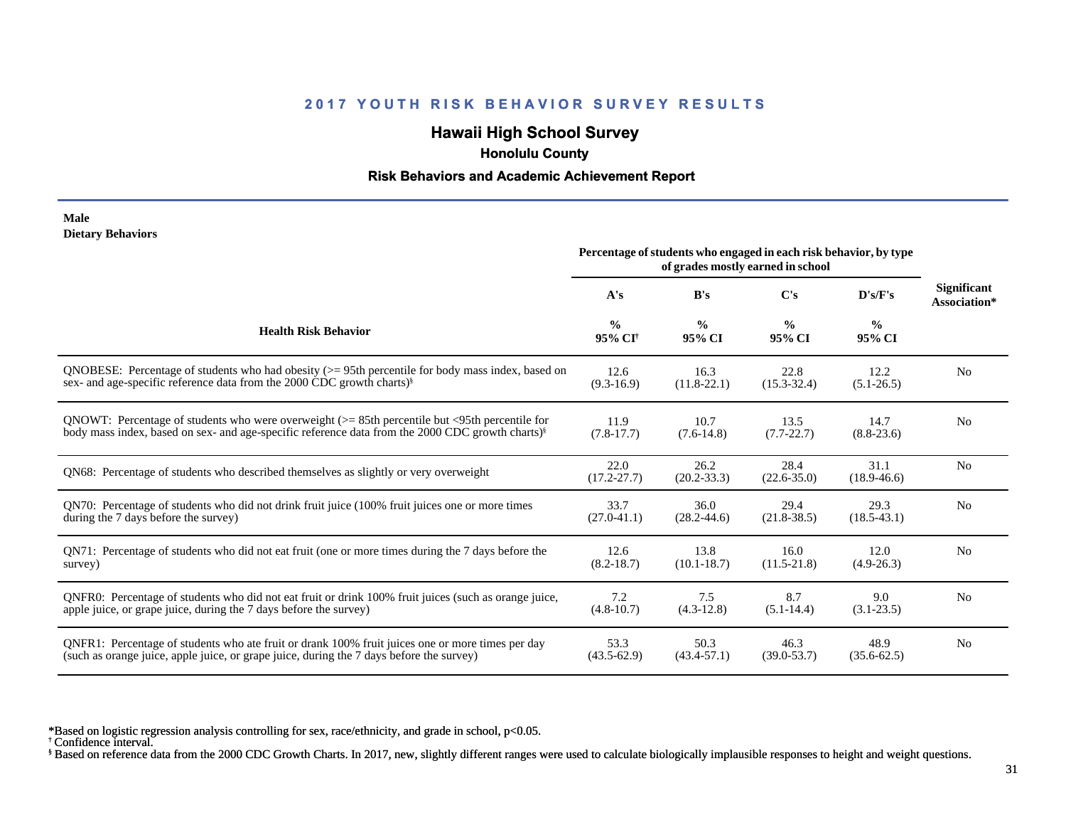# **Hawaii High School Survey**

 **Honolulu County**

#### **Risk Behaviors and Academic Achievement Report**

#### **Male Dietary Behaviors**

|                                                                                                              | Percentage of students who engaged in each risk behavior, by type<br>of grades mostly earned in school |                         |                         |                         |                                    |
|--------------------------------------------------------------------------------------------------------------|--------------------------------------------------------------------------------------------------------|-------------------------|-------------------------|-------------------------|------------------------------------|
|                                                                                                              | A's                                                                                                    | B's                     | $\bf C's$               | D's/F's                 | <b>Significant</b><br>Association* |
| <b>Health Risk Behavior</b>                                                                                  | $\frac{0}{0}$<br>95% CI <sup>†</sup>                                                                   | $\frac{0}{0}$<br>95% CI | $\frac{0}{0}$<br>95% CI | $\frac{0}{0}$<br>95% CI |                                    |
| QNOBESE: Percentage of students who had obesity $(>= 95$ th percentile for body mass index, based on         | 12.6                                                                                                   | 16.3                    | 22.8                    | 12.2                    | N <sub>o</sub>                     |
| sex- and age-specific reference data from the 2000 CDC growth charts) <sup>§</sup>                           | $(9.3 - 16.9)$                                                                                         | $(11.8-22.1)$           | $(15.3 - 32.4)$         | $(5.1 - 26.5)$          |                                    |
| QNOWT: Percentage of students who were overweight $(>= 85$ th percentile but $\leq$ 95th percentile for      | 11.9                                                                                                   | 10.7                    | 13.5                    | 14.7                    | N <sub>0</sub>                     |
| body mass index, based on sex- and age-specific reference data from the 2000 CDC growth charts) <sup>§</sup> | $(7.8-17.7)$                                                                                           | $(7.6-14.8)$            | $(7.7 - 22.7)$          | $(8.8-23.6)$            |                                    |
| QN68: Percentage of students who described themselves as slightly or very overweight                         | 22.0<br>$(17.2 - 27.7)$                                                                                | 26.2<br>$(20.2 - 33.3)$ | 28.4<br>$(22.6 - 35.0)$ | 31.1<br>$(18.9 - 46.6)$ | N <sub>o</sub>                     |
| QN70: Percentage of students who did not drink fruit juice (100% fruit juices one or more times              | 33.7                                                                                                   | 36.0                    | 29.4                    | 29.3                    | N <sub>0</sub>                     |
| during the 7 days before the survey)                                                                         | $(27.0 - 41.1)$                                                                                        | $(28.2 - 44.6)$         | $(21.8 - 38.5)$         | $(18.5 - 43.1)$         |                                    |
| QN71: Percentage of students who did not eat fruit (one or more times during the 7 days before the           | 12.6                                                                                                   | 13.8                    | 16.0                    | 12.0                    | N <sub>o</sub>                     |
| survey)                                                                                                      | $(8.2 - 18.7)$                                                                                         | $(10.1 - 18.7)$         | $(11.5 - 21.8)$         | $(4.9-26.3)$            |                                    |
| QNFR0: Percentage of students who did not eat fruit or drink 100% fruit juices (such as orange juice,        | 7.2                                                                                                    | 7.5                     | 8.7                     | 9.0                     | N <sub>0</sub>                     |
| apple juice, or grape juice, during the 7 days before the survey)                                            | $(4.8 - 10.7)$                                                                                         | $(4.3-12.8)$            | $(5.1 - 14.4)$          | $(3.1 - 23.5)$          |                                    |
| QNFR1: Percentage of students who ate fruit or drank 100% fruit juices one or more times per day             | 53.3                                                                                                   | 50.3                    | 46.3                    | 48.9                    | N <sub>0</sub>                     |
| (such as orange juice, apple juice, or grape juice, during the 7 days before the survey)                     | $(43.5 - 62.9)$                                                                                        | $(43.4 - 57.1)$         | $(39.0 - 53.7)$         | $(35.6 - 62.5)$         |                                    |

\*Based on logistic regression analysis controlling for sex, race/ethnicity, and grade in school, p<0.05.

† Confidence interval.

§ Based on reference data from the 2000 CDC Growth Charts. In 2017, new, slightly different ranges were used to calculate biologically implausible responses to height and weight questions.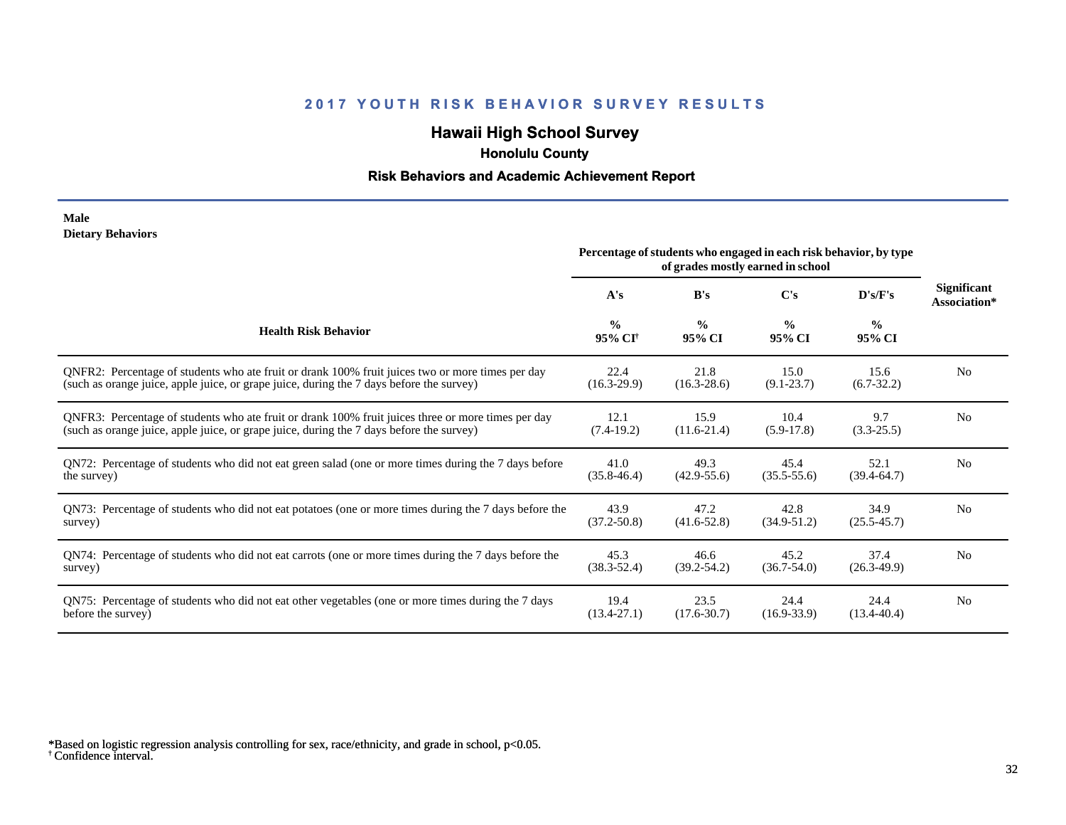# **Hawaii High School Survey**

 **Honolulu County**

#### **Risk Behaviors and Academic Achievement Report**

#### **Male Dietary Behaviors**

|                                                                                                       | Percentage of students who engaged in each risk behavior, by type<br>of grades mostly earned in school |                         |                         |                         |                                    |
|-------------------------------------------------------------------------------------------------------|--------------------------------------------------------------------------------------------------------|-------------------------|-------------------------|-------------------------|------------------------------------|
|                                                                                                       | A's                                                                                                    | B's                     | C's                     | D's/F's                 | <b>Significant</b><br>Association* |
| <b>Health Risk Behavior</b>                                                                           | $\frac{0}{0}$<br>95% CI <sup>+</sup>                                                                   | $\frac{0}{0}$<br>95% CI | $\frac{0}{0}$<br>95% CI | $\frac{0}{0}$<br>95% CI |                                    |
| ONFR2: Percentage of students who ate fruit or drank 100% fruit juices two or more times per day      | 22.4                                                                                                   | 21.8                    | 15.0                    | 15.6                    | N <sub>0</sub>                     |
| (such as orange juice, apple juice, or grape juice, during the 7 days before the survey)              | $(16.3-29.9)$                                                                                          | $(16.3 - 28.6)$         | $(9.1 - 23.7)$          | $(6.7-32.2)$            |                                    |
| QNFR3: Percentage of students who ate fruit or drank 100% fruit juices three or more times per day    | 12.1                                                                                                   | 15.9                    | 10.4                    | 9.7                     | N <sub>0</sub>                     |
| (such as orange juice, apple juice, or grape juice, during the 7 days before the survey)              | $(7.4-19.2)$                                                                                           | $(11.6-21.4)$           | $(5.9-17.8)$            | $(3.3-25.5)$            |                                    |
| QN72: Percentage of students who did not eat green salad (one or more times during the 7 days before  | 41.0                                                                                                   | 49.3                    | 45.4                    | 52.1                    | N <sub>0</sub>                     |
| the survey)                                                                                           | $(35.8 - 46.4)$                                                                                        | $(42.9 - 55.6)$         | $(35.5 - 55.6)$         | $(39.4-64.7)$           |                                    |
| QN73: Percentage of students who did not eat potatoes (one or more times during the 7 days before the | 43.9                                                                                                   | 47.2                    | 42.8                    | 34.9                    | N <sub>0</sub>                     |
| survey)                                                                                               | $(37.2 - 50.8)$                                                                                        | $(41.6 - 52.8)$         | $(34.9 - 51.2)$         | $(25.5 - 45.7)$         |                                    |
| QN74: Percentage of students who did not eat carrots (one or more times during the 7 days before the  | 45.3                                                                                                   | 46.6                    | 45.2                    | 37.4                    | N <sub>0</sub>                     |
| survey)                                                                                               | $(38.3 - 52.4)$                                                                                        | $(39.2 - 54.2)$         | $(36.7 - 54.0)$         | $(26.3-49.9)$           |                                    |
| QN75: Percentage of students who did not eat other vegetables (one or more times during the 7 days    | 19.4                                                                                                   | 23.5                    | 24.4                    | 24.4                    | N <sub>0</sub>                     |
| before the survey)                                                                                    | $(13.4 - 27.1)$                                                                                        | $(17.6 - 30.7)$         | $(16.9 - 33.9)$         | $(13.4 - 40.4)$         |                                    |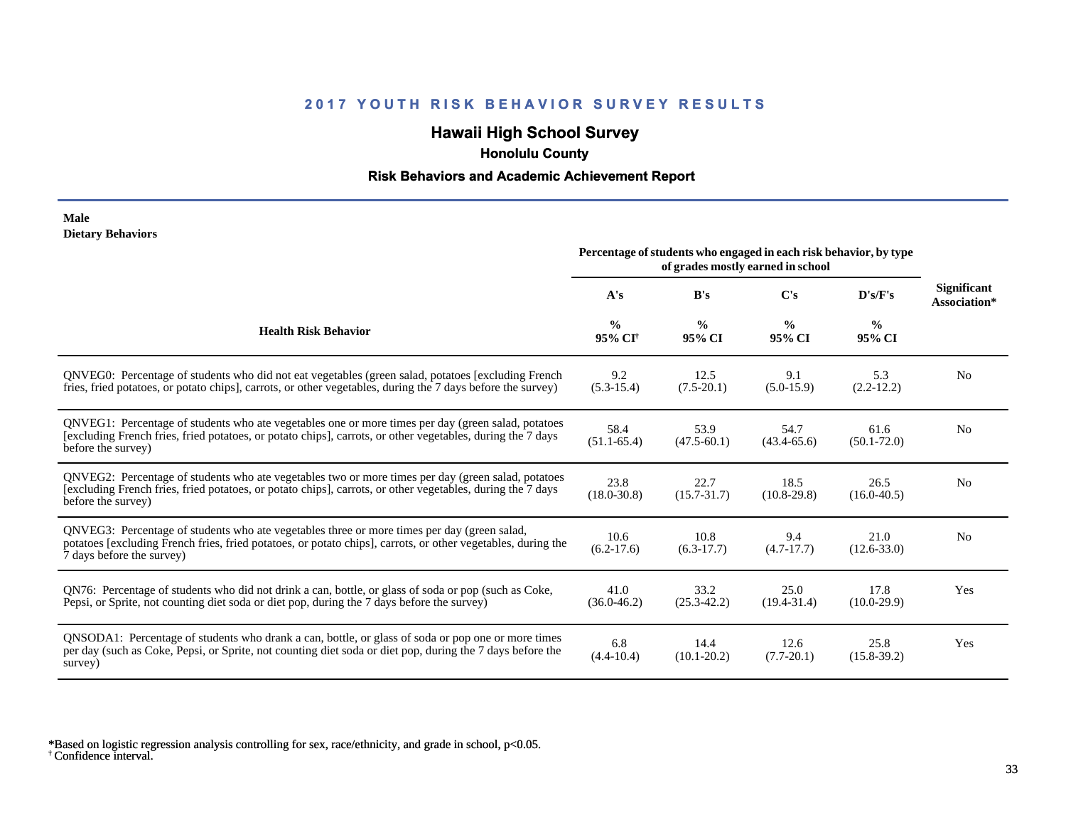# **Hawaii High School Survey**

 **Honolulu County**

#### **Risk Behaviors and Academic Achievement Report**

#### **Male Dietary Behaviors**

|                                                                                                                                                                                                                                          | Percentage of students who engaged in each risk behavior, by type<br>of grades mostly earned in school |                         |                         |                         |                                    |
|------------------------------------------------------------------------------------------------------------------------------------------------------------------------------------------------------------------------------------------|--------------------------------------------------------------------------------------------------------|-------------------------|-------------------------|-------------------------|------------------------------------|
|                                                                                                                                                                                                                                          | A's                                                                                                    | B's                     | C's                     | D's/F's                 | <b>Significant</b><br>Association* |
| <b>Health Risk Behavior</b>                                                                                                                                                                                                              | $\frac{0}{0}$<br>95% CI <sup>+</sup>                                                                   | $\frac{0}{0}$<br>95% CI | $\frac{0}{0}$<br>95% CI | $\frac{6}{6}$<br>95% CI |                                    |
| QNVEG0: Percentage of students who did not eat vegetables (green salad, potatoes [excluding French<br>fries, fried potatoes, or potato chips], carrots, or other vegetables, during the 7 days before the survey)                        | 9.2<br>$(5.3-15.4)$                                                                                    | 12.5<br>$(7.5-20.1)$    | 9.1<br>$(5.0-15.9)$     | 5.3<br>$(2.2-12.2)$     | N <sub>0</sub>                     |
| QNVEG1: Percentage of students who ate vegetables one or more times per day (green salad, potatoes<br>[excluding French fries, fried potatoes, or potato chips], carrots, or other vegetables, during the 7 days<br>before the survey)   | 58.4<br>$(51.1 - 65.4)$                                                                                | 53.9<br>$(47.5 - 60.1)$ | 54.7<br>$(43.4 - 65.6)$ | 61.6<br>$(50.1 - 72.0)$ | N <sub>0</sub>                     |
| QNVEG2: Percentage of students who ate vegetables two or more times per day (green salad, potatoes<br>[excluding French fries, fried potatoes, or potato chips], carrots, or other vegetables, during the 7 days<br>before the survey)   | 23.8<br>$(18.0 - 30.8)$                                                                                | 22.7<br>$(15.7 - 31.7)$ | 18.5<br>$(10.8-29.8)$   | 26.5<br>$(16.0 - 40.5)$ | N <sub>0</sub>                     |
| QNVEG3: Percentage of students who ate vegetables three or more times per day (green salad,<br>potatoes [excluding French fries, fried potatoes, or potato chips], carrots, or other vegetables, during the<br>7 days before the survey) | 10.6<br>$(6.2-17.6)$                                                                                   | 10.8<br>$(6.3-17.7)$    | 9.4<br>$(4.7 - 17.7)$   | 21.0<br>$(12.6 - 33.0)$ | N <sub>0</sub>                     |
| QN76: Percentage of students who did not drink a can, bottle, or glass of soda or pop (such as Coke,<br>Pepsi, or Sprite, not counting diet soda or diet pop, during the 7 days before the survey)                                       | 41.0<br>$(36.0 - 46.2)$                                                                                | 33.2<br>$(25.3 - 42.2)$ | 25.0<br>$(19.4 - 31.4)$ | 17.8<br>$(10.0-29.9)$   | Yes                                |
| QNSODA1: Percentage of students who drank a can, bottle, or glass of soda or pop one or more times<br>per day (such as Coke, Pepsi, or Sprite, not counting diet soda or diet pop, during the 7 days before the<br>survey)               | 6.8<br>$(4.4 - 10.4)$                                                                                  | 14.4<br>$(10.1 - 20.2)$ | 12.6<br>$(7.7 - 20.1)$  | 25.8<br>$(15.8 - 39.2)$ | Yes                                |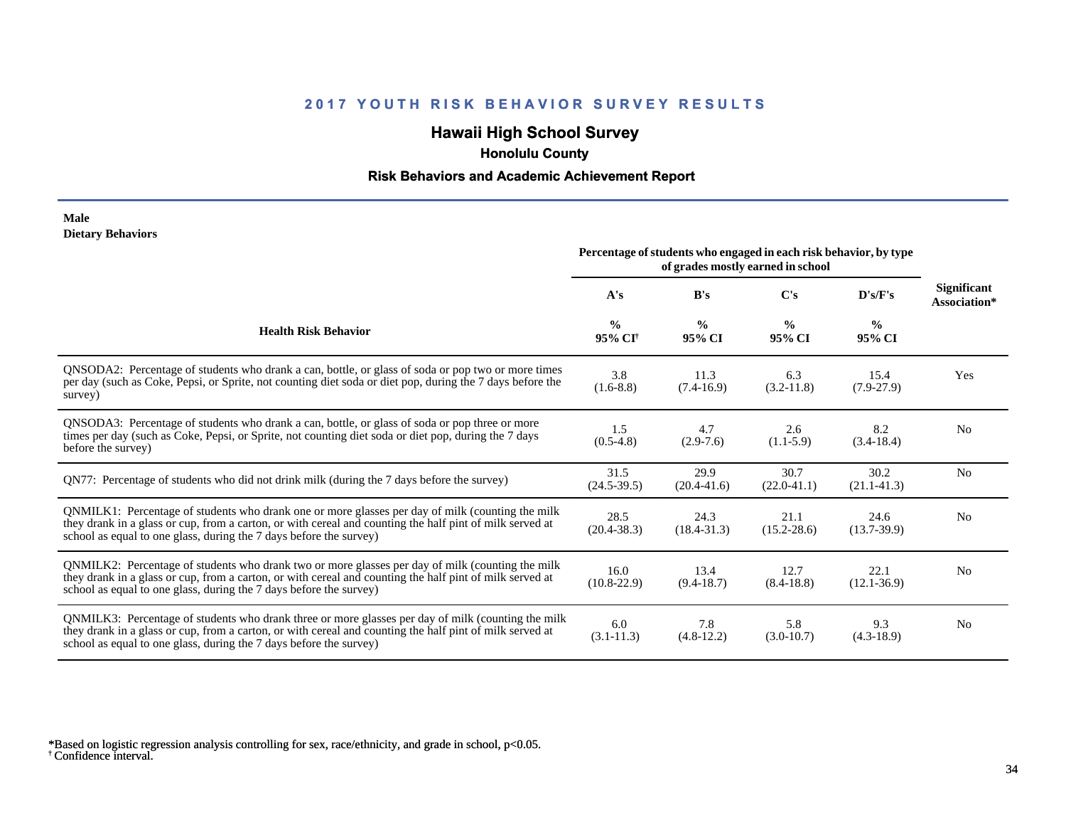# **Hawaii High School Survey**

 **Honolulu County**

#### **Risk Behaviors and Academic Achievement Report**

#### **Male Dietary Behaviors**

|                                                                                                                                                                                                                                                                                      | Percentage of students who engaged in each risk behavior, by type<br>of grades mostly earned in school |                         |                         |                         |                                    |
|--------------------------------------------------------------------------------------------------------------------------------------------------------------------------------------------------------------------------------------------------------------------------------------|--------------------------------------------------------------------------------------------------------|-------------------------|-------------------------|-------------------------|------------------------------------|
|                                                                                                                                                                                                                                                                                      | A's                                                                                                    | B's                     | $\bf C's$               | D's/F's                 | <b>Significant</b><br>Association* |
| <b>Health Risk Behavior</b>                                                                                                                                                                                                                                                          | $\frac{0}{0}$<br>95% CI <sup>+</sup>                                                                   | $\frac{0}{0}$<br>95% CI | $\frac{6}{9}$<br>95% CI | $\frac{0}{0}$<br>95% CI |                                    |
| QNSODA2: Percentage of students who drank a can, bottle, or glass of soda or pop two or more times<br>per day (such as Coke, Pepsi, or Sprite, not counting diet soda or diet pop, during the 7 days before the<br>survey)                                                           | 3.8<br>$(1.6-8.8)$                                                                                     | 11.3<br>$(7.4-16.9)$    | 6.3<br>$(3.2 - 11.8)$   | 15.4<br>$(7.9-27.9)$    | Yes                                |
| QNSODA3: Percentage of students who drank a can, bottle, or glass of soda or pop three or more<br>times per day (such as Coke, Pepsi, or Sprite, not counting diet soda or diet pop, during the 7 days<br>before the survey)                                                         | 1.5<br>$(0.5-4.8)$                                                                                     | 4.7<br>$(2.9-7.6)$      | 2.6<br>$(1.1-5.9)$      | 8.2<br>$(3.4-18.4)$     | N <sub>0</sub>                     |
| QN77: Percentage of students who did not drink milk (during the 7 days before the survey)                                                                                                                                                                                            | 31.5<br>$(24.5-39.5)$                                                                                  | 29.9<br>$(20.4 - 41.6)$ | 30.7<br>$(22.0-41.1)$   | 30.2<br>$(21.1 - 41.3)$ | N <sub>0</sub>                     |
| QNMILK1: Percentage of students who drank one or more glasses per day of milk (counting the milk<br>they drank in a glass or cup, from a carton, or with cereal and counting the half pint of milk served at<br>school as equal to one glass, during the 7 days before the survey)   | 28.5<br>$(20.4 - 38.3)$                                                                                | 24.3<br>$(18.4 - 31.3)$ | 21.1<br>$(15.2 - 28.6)$ | 24.6<br>$(13.7-39.9)$   | N <sub>0</sub>                     |
| QNMILK2: Percentage of students who drank two or more glasses per day of milk (counting the milk<br>they drank in a glass or cup, from a carton, or with cereal and counting the half pint of milk served at<br>school as equal to one glass, during the 7 days before the survey)   | 16.0<br>$(10.8-22.9)$                                                                                  | 13.4<br>$(9.4 - 18.7)$  | 12.7<br>$(8.4 - 18.8)$  | 22.1<br>$(12.1 - 36.9)$ | N <sub>0</sub>                     |
| QNMILK3: Percentage of students who drank three or more glasses per day of milk (counting the milk<br>they drank in a glass or cup, from a carton, or with cereal and counting the half pint of milk served at<br>school as equal to one glass, during the 7 days before the survey) | 6.0<br>$(3.1 - 11.3)$                                                                                  | 7.8<br>$(4.8-12.2)$     | 5.8<br>$(3.0-10.7)$     | 9.3<br>$(4.3-18.9)$     | N <sub>0</sub>                     |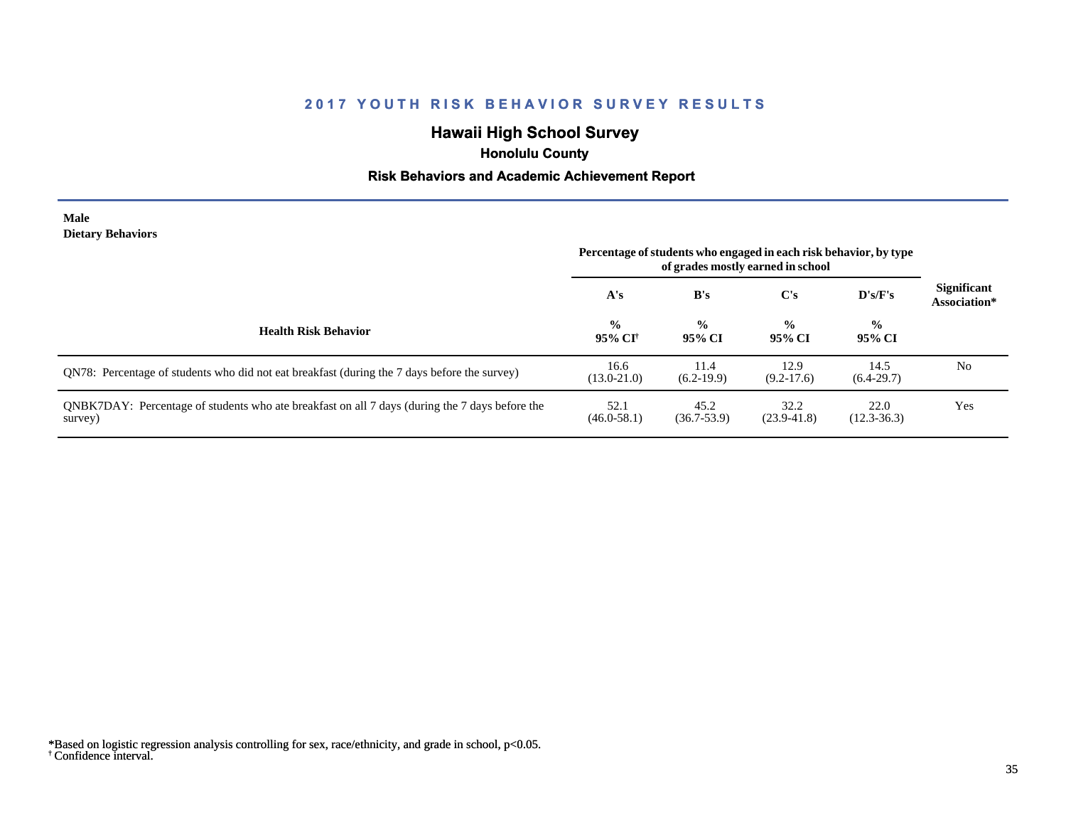# **Hawaii High School Survey**

 **Honolulu County**

#### **Risk Behaviors and Academic Achievement Report**

#### **Male Dietary Behaviors**

|                                                                                                           | Percentage of students who engaged in each risk behavior, by type<br>of grades mostly earned in school |                         |                         |                         |                                    |
|-----------------------------------------------------------------------------------------------------------|--------------------------------------------------------------------------------------------------------|-------------------------|-------------------------|-------------------------|------------------------------------|
|                                                                                                           | A's                                                                                                    | B's                     | C's                     | $\bf{D's/F's}$          | <b>Significant</b><br>Association* |
| <b>Health Risk Behavior</b>                                                                               | $\frac{0}{0}$<br>95% CI <sup>+</sup>                                                                   | $\frac{0}{0}$<br>95% CI | $\frac{6}{9}$<br>95% CI | $\frac{0}{0}$<br>95% CI |                                    |
| QN78: Percentage of students who did not eat breakfast (during the 7 days before the survey)              | 16.6<br>$(13.0 - 21.0)$                                                                                | 11.4<br>$(6.2-19.9)$    | 12.9<br>$(9.2-17.6)$    | 14.5<br>$(6.4-29.7)$    | N <sub>0</sub>                     |
| QNBK7DAY: Percentage of students who ate breakfast on all 7 days (during the 7 days before the<br>survey) | 52.1<br>$(46.0 - 58.1)$                                                                                | 45.2<br>$(36.7 - 53.9)$ | 32.2<br>$(23.9 - 41.8)$ | 22.0<br>$(12.3 - 36.3)$ | Yes                                |

<sup>†</sup> Confidence interval. \*Based on logistic regression analysis controlling for sex, race/ethnicity, and grade in school, p<0.05.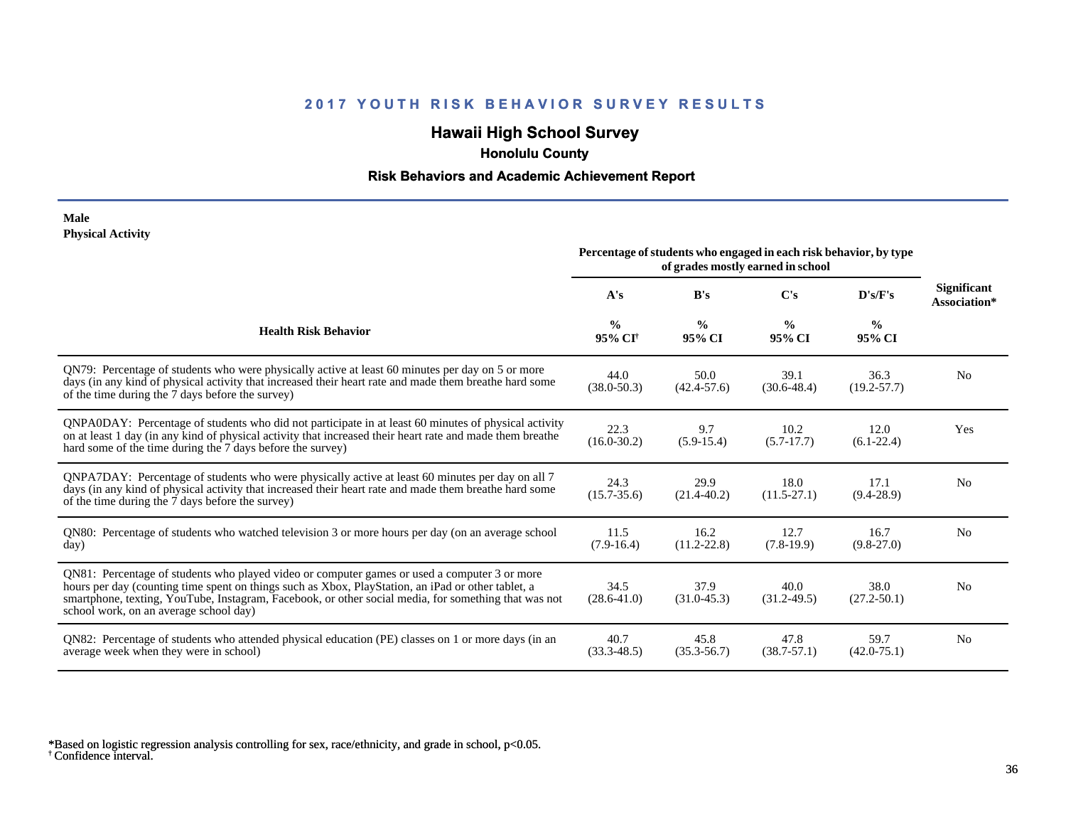# **Hawaii High School Survey**

 **Honolulu County**

#### **Risk Behaviors and Academic Achievement Report**

#### **Male Physical Activity**

|                                                                                                                                                                                                                                                                                                                                                      | Percentage of students who engaged in each risk behavior, by type<br>of grades mostly earned in school |                         |                         |                         |                                    |
|------------------------------------------------------------------------------------------------------------------------------------------------------------------------------------------------------------------------------------------------------------------------------------------------------------------------------------------------------|--------------------------------------------------------------------------------------------------------|-------------------------|-------------------------|-------------------------|------------------------------------|
|                                                                                                                                                                                                                                                                                                                                                      | A's                                                                                                    | B's                     | C's                     | D's/F's                 | <b>Significant</b><br>Association* |
| <b>Health Risk Behavior</b>                                                                                                                                                                                                                                                                                                                          | $\frac{0}{0}$<br>95% CI <sup>+</sup>                                                                   | $\frac{0}{0}$<br>95% CI | $\frac{0}{0}$<br>95% CI | $\frac{0}{0}$<br>95% CI |                                    |
| QN79: Percentage of students who were physically active at least 60 minutes per day on 5 or more<br>days (in any kind of physical activity that increased their heart rate and made them breathe hard some<br>of the time during the 7 days before the survey)                                                                                       | 44.0<br>$(38.0 - 50.3)$                                                                                | 50.0<br>$(42.4 - 57.6)$ | 39.1<br>$(30.6 - 48.4)$ | 36.3<br>$(19.2 - 57.7)$ | N <sub>0</sub>                     |
| QNPA0DAY: Percentage of students who did not participate in at least 60 minutes of physical activity<br>on at least 1 day (in any kind of physical activity that increased their heart rate and made them breathe<br>hard some of the time during the 7 days before the survey)                                                                      | 22.3<br>$(16.0 - 30.2)$                                                                                | 9.7<br>$(5.9-15.4)$     | 10.2<br>$(5.7-17.7)$    | 12.0<br>$(6.1-22.4)$    | Yes                                |
| ONPA7DAY: Percentage of students who were physically active at least 60 minutes per day on all 7<br>days (in any kind of physical activity that increased their heart rate and made them breathe hard some<br>of the time during the 7 days before the survey)                                                                                       | 24.3<br>$(15.7 - 35.6)$                                                                                | 29.9<br>$(21.4 - 40.2)$ | 18.0<br>$(11.5 - 27.1)$ | 17.1<br>$(9.4 - 28.9)$  | N <sub>0</sub>                     |
| QN80: Percentage of students who watched television 3 or more hours per day (on an average school<br>day)                                                                                                                                                                                                                                            | 11.5<br>$(7.9-16.4)$                                                                                   | 16.2<br>$(11.2 - 22.8)$ | 12.7<br>$(7.8-19.9)$    | 16.7<br>$(9.8-27.0)$    | No                                 |
| QN81: Percentage of students who played video or computer games or used a computer 3 or more<br>hours per day (counting time spent on things such as Xbox, PlayStation, an iPad or other tablet, a<br>smartphone, texting, YouTube, Instagram, Facebook, or other social media, for something that was not<br>school work, on an average school day) | 34.5<br>$(28.6 - 41.0)$                                                                                | 37.9<br>$(31.0 - 45.3)$ | 40.0<br>$(31.2 - 49.5)$ | 38.0<br>$(27.2 - 50.1)$ | N <sub>0</sub>                     |
| QN82: Percentage of students who attended physical education (PE) classes on 1 or more days (in an<br>average week when they were in school)                                                                                                                                                                                                         | 40.7<br>$(33.3 - 48.5)$                                                                                | 45.8<br>$(35.3 - 56.7)$ | 47.8<br>$(38.7 - 57.1)$ | 59.7<br>$(42.0 - 75.1)$ | N <sub>0</sub>                     |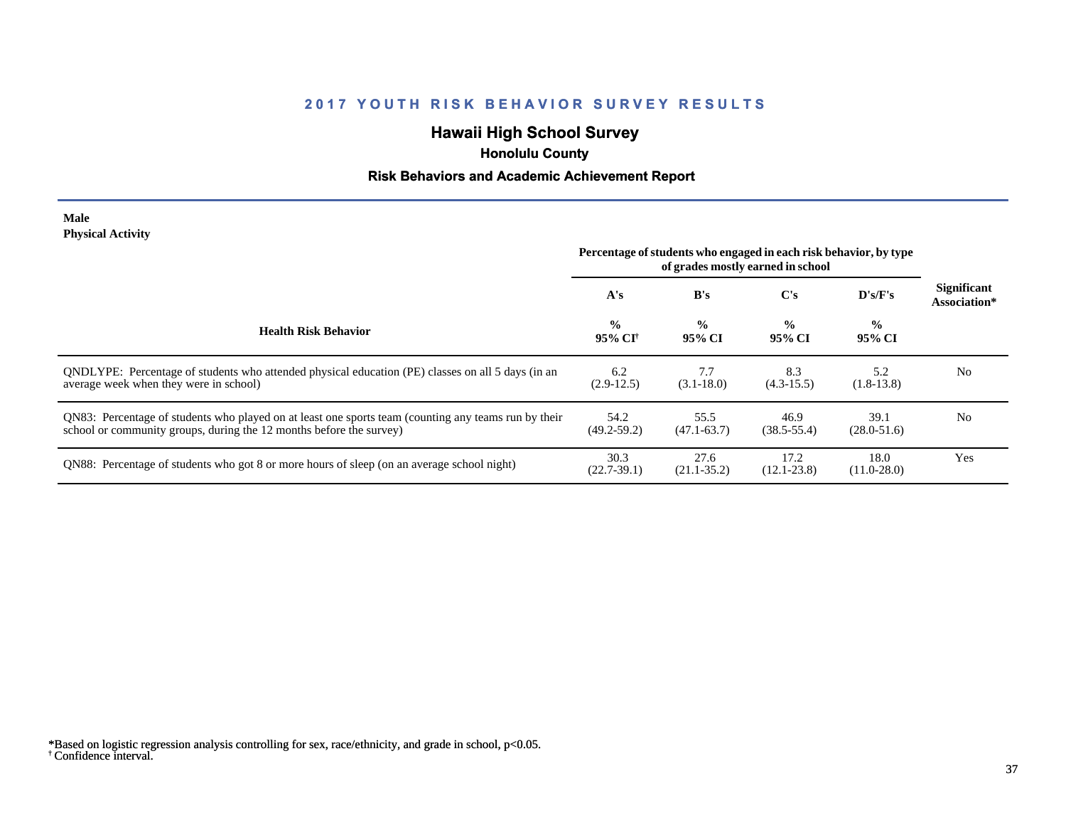## **Hawaii High School Survey**

 **Honolulu County**

### **Risk Behaviors and Academic Achievement Report**

#### **Male Physical Activity**

|                                                                                                                                                                             | Percentage of students who engaged in each risk behavior, by type<br>of grades mostly earned in school |                         |                         |                         |                                    |
|-----------------------------------------------------------------------------------------------------------------------------------------------------------------------------|--------------------------------------------------------------------------------------------------------|-------------------------|-------------------------|-------------------------|------------------------------------|
|                                                                                                                                                                             | A's                                                                                                    | B's                     | $\bf C's$               | $\bf{D's/F's}$          | <b>Significant</b><br>Association* |
| <b>Health Risk Behavior</b>                                                                                                                                                 | $\frac{0}{0}$<br>95% CI†                                                                               | $\frac{0}{0}$<br>95% CI | $\frac{0}{0}$<br>95% CI | $\frac{0}{0}$<br>95% CI |                                    |
| ONDLYPE: Percentage of students who attended physical education (PE) classes on all 5 days (in an<br>average week when they were in school)                                 | 6.2<br>$(2.9-12.5)$                                                                                    | 7.7<br>$(3.1 - 18.0)$   | 8.3<br>$(4.3-15.5)$     | 5.2<br>$(1.8-13.8)$     | N <sub>0</sub>                     |
| QN83: Percentage of students who played on at least one sports team (counting any teams run by their<br>school or community groups, during the 12 months before the survey) | 54.2<br>$(49.2 - 59.2)$                                                                                | 55.5<br>$(47.1 - 63.7)$ | 46.9<br>$(38.5 - 55.4)$ | 39.1<br>$(28.0 - 51.6)$ | N <sub>0</sub>                     |
| QN88: Percentage of students who got 8 or more hours of sleep (on an average school night)                                                                                  | 30.3<br>$(22.7-39.1)$                                                                                  | 27.6<br>$(21.1 - 35.2)$ | 17.2<br>$(12.1 - 23.8)$ | 18.0<br>$(11.0 - 28.0)$ | Yes                                |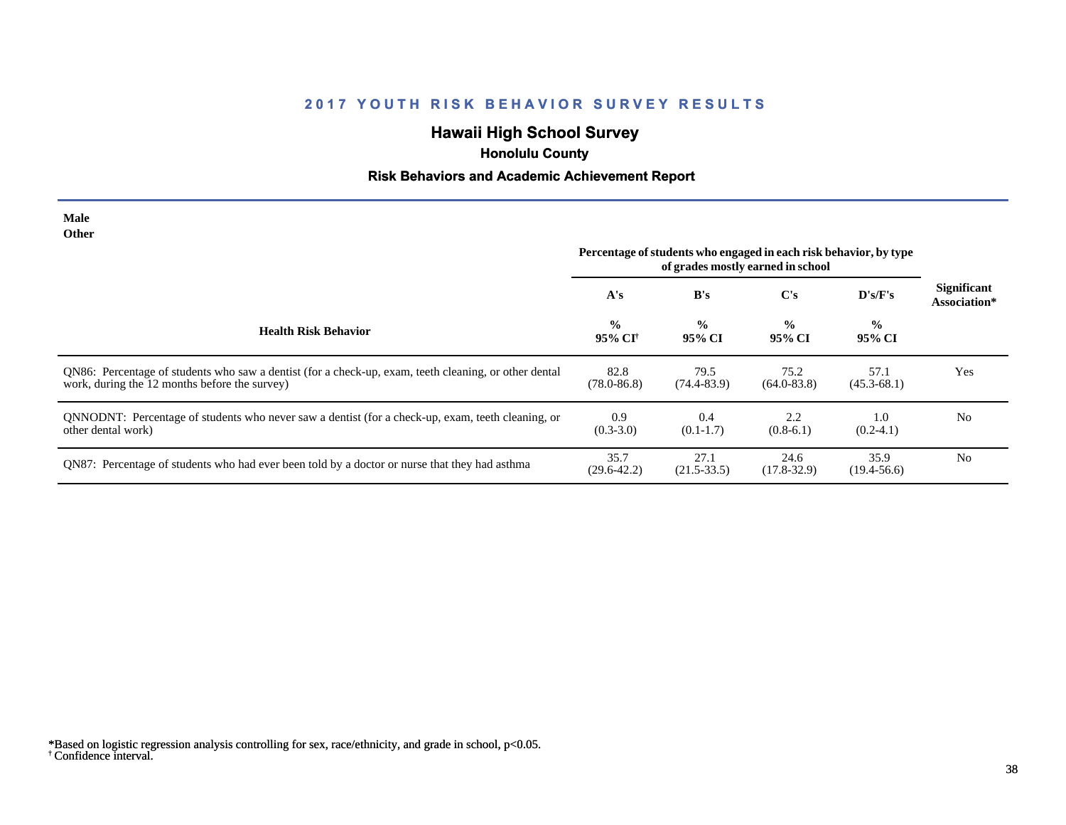## **Hawaii High School Survey**

# **Honolulu County**

## **Risk Behaviors and Academic Achievement Report**

| <b>Male</b><br><b>Other</b>                                                                                                                            |                                                                                                        |                         |                         |                         |                                    |
|--------------------------------------------------------------------------------------------------------------------------------------------------------|--------------------------------------------------------------------------------------------------------|-------------------------|-------------------------|-------------------------|------------------------------------|
|                                                                                                                                                        | Percentage of students who engaged in each risk behavior, by type<br>of grades mostly earned in school |                         |                         |                         |                                    |
|                                                                                                                                                        | A's                                                                                                    | B's                     | $\bf C's$               | D's/F's                 | <b>Significant</b><br>Association* |
| <b>Health Risk Behavior</b>                                                                                                                            | $\frac{0}{0}$<br>95% CI†                                                                               | $\frac{0}{0}$<br>95% CI | $\frac{0}{0}$<br>95% CI | $\frac{6}{6}$<br>95% CI |                                    |
| QN86: Percentage of students who saw a dentist (for a check-up, exam, teeth cleaning, or other dental<br>work, during the 12 months before the survey) | 82.8<br>$(78.0 - 86.8)$                                                                                | 79.5<br>$(74.4 - 83.9)$ | 75.2<br>$(64.0 - 83.8)$ | 57.1<br>$(45.3 - 68.1)$ | Yes                                |
| QNNODNT: Percentage of students who never saw a dentist (for a check-up, exam, teeth cleaning, or<br>other dental work)                                | 0.9<br>$(0.3-3.0)$                                                                                     | 0.4<br>$(0.1-1.7)$      | 2.2<br>$(0.8-6.1)$      | 1.0<br>$(0.2-4.1)$      | N <sub>0</sub>                     |
| QN87: Percentage of students who had ever been told by a doctor or nurse that they had asthma                                                          | 35.7<br>$(29.6 - 42.2)$                                                                                | 27.1<br>$(21.5 - 33.5)$ | 24.6<br>$(17.8 - 32.9)$ | 35.9<br>$(19.4 - 56.6)$ | N <sub>0</sub>                     |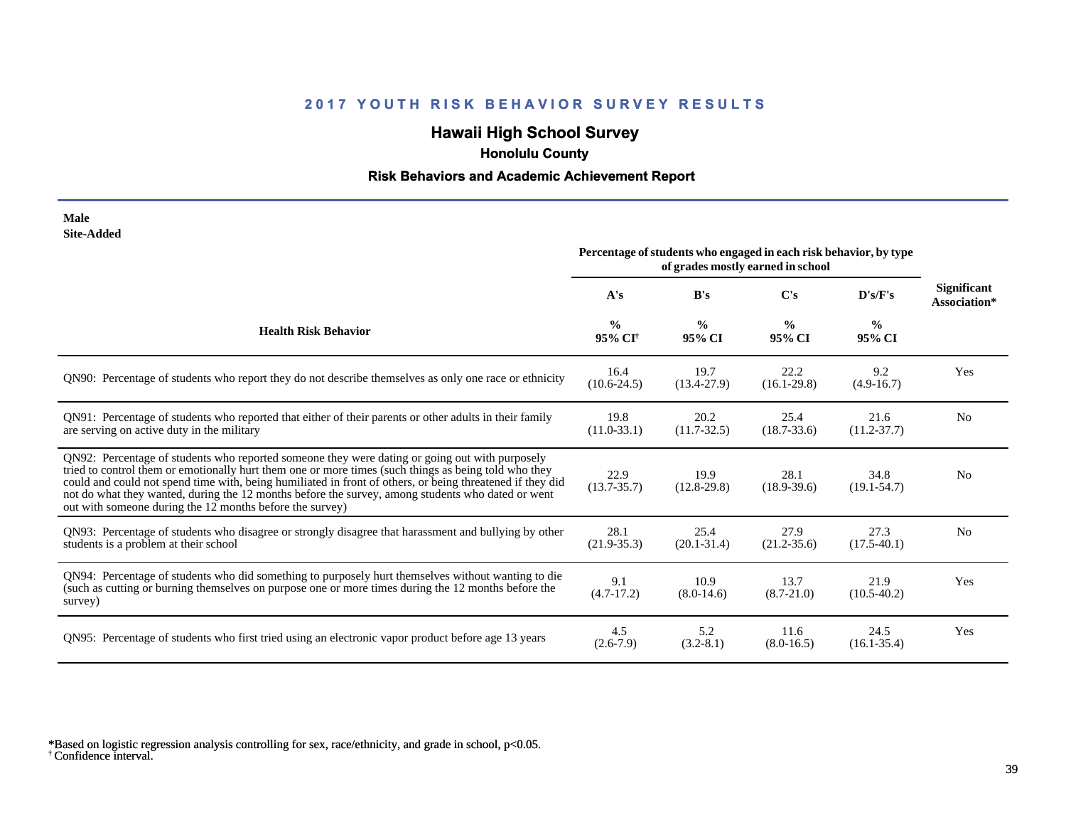## **Hawaii High School Survey**

 **Honolulu County**

## **Risk Behaviors and Academic Achievement Report**

| Male       |
|------------|
| Site-Added |

|                                                                                                                                                                                                                                                                                                                                                                                                                                                                                      | Percentage of students who engaged in each risk behavior, by type<br>of grades mostly earned in school |                         |                         |                         |                                    |
|--------------------------------------------------------------------------------------------------------------------------------------------------------------------------------------------------------------------------------------------------------------------------------------------------------------------------------------------------------------------------------------------------------------------------------------------------------------------------------------|--------------------------------------------------------------------------------------------------------|-------------------------|-------------------------|-------------------------|------------------------------------|
|                                                                                                                                                                                                                                                                                                                                                                                                                                                                                      | A's                                                                                                    | B's                     | C's                     | D's/F's                 | <b>Significant</b><br>Association* |
| <b>Health Risk Behavior</b>                                                                                                                                                                                                                                                                                                                                                                                                                                                          | $\frac{0}{0}$<br>95% CI <sup>†</sup>                                                                   | $\frac{0}{0}$<br>95% CI | $\frac{0}{0}$<br>95% CI | $\frac{6}{6}$<br>95% CI |                                    |
| QN90: Percentage of students who report they do not describe themselves as only one race or ethnicity                                                                                                                                                                                                                                                                                                                                                                                | 16.4<br>$(10.6 - 24.5)$                                                                                | 19.7<br>$(13.4 - 27.9)$ | 22.2<br>$(16.1 - 29.8)$ | 9.2<br>$(4.9-16.7)$     | Yes                                |
| QN91: Percentage of students who reported that either of their parents or other adults in their family<br>are serving on active duty in the military                                                                                                                                                                                                                                                                                                                                 | 19.8<br>$(11.0-33.1)$                                                                                  | 20.2<br>$(11.7-32.5)$   | 25.4<br>$(18.7 - 33.6)$ | 21.6<br>$(11.2 - 37.7)$ | N <sub>0</sub>                     |
| QN92: Percentage of students who reported someone they were dating or going out with purposely<br>tried to control them or emotionally hurt them one or more times (such things as being told who they<br>could and could not spend time with, being humiliated in front of others, or being threatened if they did<br>not do what they wanted, during the 12 months before the survey, among students who dated or went<br>out with someone during the 12 months before the survey) | 22.9<br>$(13.7 - 35.7)$                                                                                | 19.9<br>$(12.8-29.8)$   | 28.1<br>$(18.9 - 39.6)$ | 34.8<br>$(19.1 - 54.7)$ | N <sub>0</sub>                     |
| QN93: Percentage of students who disagree or strongly disagree that harassment and bullying by other<br>students is a problem at their school                                                                                                                                                                                                                                                                                                                                        | 28.1<br>$(21.9 - 35.3)$                                                                                | 25.4<br>$(20.1 - 31.4)$ | 27.9<br>$(21.2 - 35.6)$ | 27.3<br>$(17.5-40.1)$   | N <sub>o</sub>                     |
| QN94: Percentage of students who did something to purposely hurt themselves without wanting to die<br>(such as cutting or burning themselves on purpose one or more times during the 12 months before the<br>survey)                                                                                                                                                                                                                                                                 | 9.1<br>$(4.7-17.2)$                                                                                    | 10.9<br>$(8.0-14.6)$    | 13.7<br>$(8.7 - 21.0)$  | 21.9<br>$(10.5-40.2)$   | Yes                                |
| QN95: Percentage of students who first tried using an electronic vapor product before age 13 years                                                                                                                                                                                                                                                                                                                                                                                   | 4.5<br>$(2.6 - 7.9)$                                                                                   | 5.2<br>$(3.2 - 8.1)$    | 11.6<br>$(8.0-16.5)$    | 24.5<br>$(16.1 - 35.4)$ | Yes                                |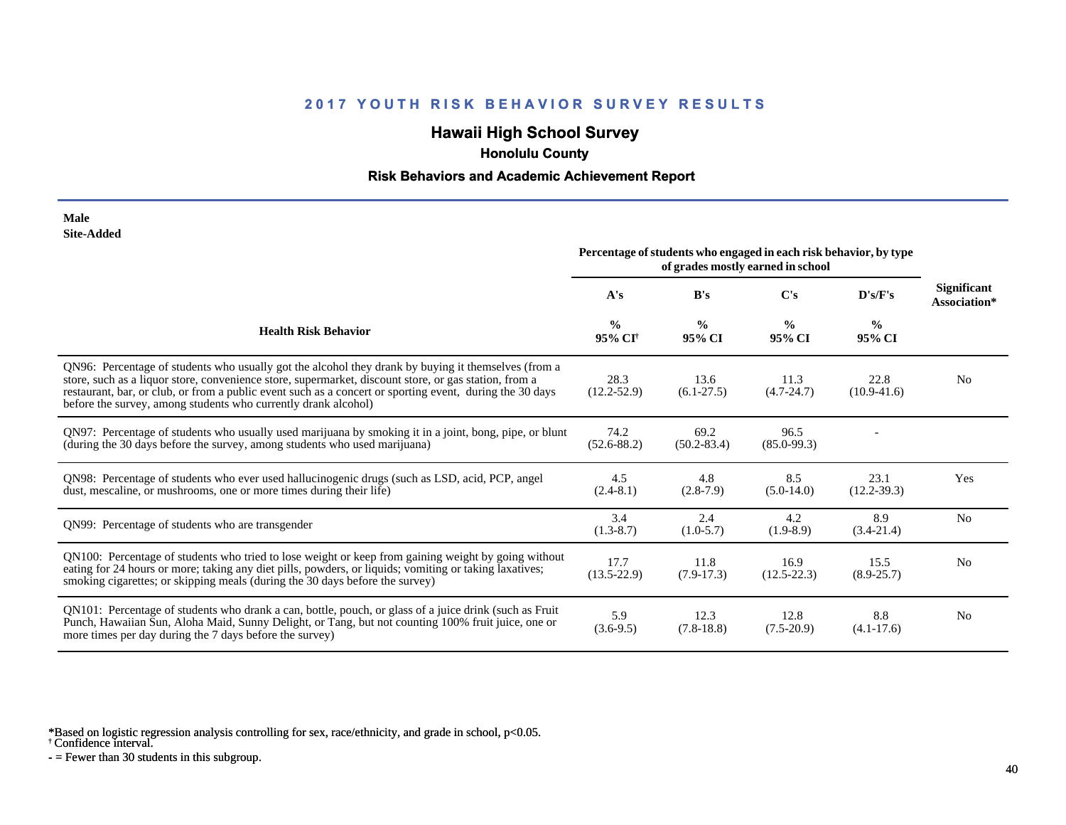## **Hawaii High School Survey**

 **Honolulu County**

### **Risk Behaviors and Academic Achievement Report**

| Male              |
|-------------------|
| <b>Site-Added</b> |

|                                                                                                                                                                                                                                                                                                                                                                                            | Percentage of students who engaged in each risk behavior, by type<br>of grades mostly earned in school |                         |                         |                         |                                    |
|--------------------------------------------------------------------------------------------------------------------------------------------------------------------------------------------------------------------------------------------------------------------------------------------------------------------------------------------------------------------------------------------|--------------------------------------------------------------------------------------------------------|-------------------------|-------------------------|-------------------------|------------------------------------|
|                                                                                                                                                                                                                                                                                                                                                                                            | A's                                                                                                    | B's                     | C's                     | D's/F's                 | <b>Significant</b><br>Association* |
| <b>Health Risk Behavior</b>                                                                                                                                                                                                                                                                                                                                                                | $\frac{0}{0}$<br>95% CI <sup>+</sup>                                                                   | $\frac{6}{9}$<br>95% CI | $\frac{0}{0}$<br>95% CI | $\frac{6}{6}$<br>95% CI |                                    |
| QN96: Percentage of students who usually got the alcohol they drank by buying it themselves (from a<br>store, such as a liquor store, convenience store, supermarket, discount store, or gas station, from a<br>restaurant, bar, or club, or from a public event such as a concert or sporting event, during the 30 days<br>before the survey, among students who currently drank alcohol) | 28.3<br>$(12.2 - 52.9)$                                                                                | 13.6<br>$(6.1-27.5)$    | 11.3<br>$(4.7 - 24.7)$  | 22.8<br>$(10.9-41.6)$   | N <sub>0</sub>                     |
| QN97: Percentage of students who usually used marijuana by smoking it in a joint, bong, pipe, or blunt<br>(during the 30 days before the survey, among students who used marijuana)                                                                                                                                                                                                        | 74.2<br>$(52.6 - 88.2)$                                                                                | 69.2<br>$(50.2 - 83.4)$ | 96.5<br>$(85.0 - 99.3)$ |                         |                                    |
| QN98: Percentage of students who ever used hallucinogenic drugs (such as LSD, acid, PCP, angel<br>dust, mescaline, or mushrooms, one or more times during their life)                                                                                                                                                                                                                      | 4.5<br>$(2.4-8.1)$                                                                                     | 4.8<br>$(2.8-7.9)$      | 8.5<br>$(5.0-14.0)$     | 23.1<br>$(12.2 - 39.3)$ | Yes                                |
| QN99: Percentage of students who are transgender                                                                                                                                                                                                                                                                                                                                           | 3.4<br>$(1.3-8.7)$                                                                                     | 2.4<br>$(1.0-5.7)$      | 4.2<br>$(1.9-8.9)$      | 8.9<br>$(3.4-21.4)$     | N <sub>0</sub>                     |
| QN100: Percentage of students who tried to lose weight or keep from gaining weight by going without<br>eating for 24 hours or more; taking any diet pills, powders, or liquids; vomiting or taking laxatives;<br>smoking cigarettes; or skipping meals (during the 30 days before the survey)                                                                                              | 17.7<br>$(13.5 - 22.9)$                                                                                | 11.8<br>$(7.9-17.3)$    | 16.9<br>$(12.5 - 22.3)$ | 15.5<br>$(8.9 - 25.7)$  | N <sub>0</sub>                     |
| QN101: Percentage of students who drank a can, bottle, pouch, or glass of a juice drink (such as Fruit<br>Punch, Hawaiian Sun, Aloha Maid, Sunny Delight, or Tang, but not counting 100% fruit juice, one or<br>more times per day during the 7 days before the survey)                                                                                                                    | 5.9<br>$(3.6-9.5)$                                                                                     | 12.3<br>$(7.8-18.8)$    | 12.8<br>$(7.5-20.9)$    | 8.8<br>$(4.1 - 17.6)$   | N <sub>0</sub>                     |

\*Based on logistic regression analysis controlling for sex, race/ethnicity, and grade in school, p<0.05.

† Confidence interval.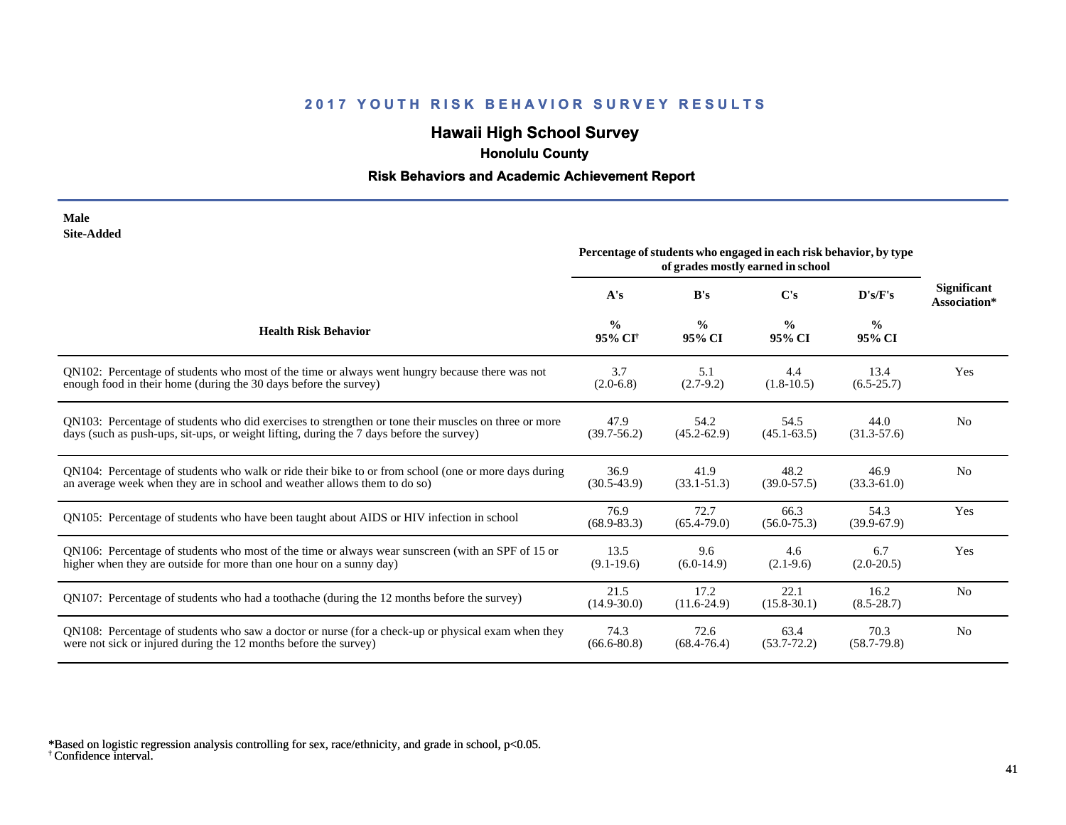## **Hawaii High School Survey**

 **Honolulu County**

## **Risk Behaviors and Academic Achievement Report**

| Male       |
|------------|
| Site-Added |

|                                                                                                      | Percentage of students who engaged in each risk behavior, by type<br>of grades mostly earned in school |                         |                         |                         |                                    |
|------------------------------------------------------------------------------------------------------|--------------------------------------------------------------------------------------------------------|-------------------------|-------------------------|-------------------------|------------------------------------|
|                                                                                                      | A's                                                                                                    | B's                     | $\bf C's$               | D's/F's                 | <b>Significant</b><br>Association* |
| <b>Health Risk Behavior</b>                                                                          | $\frac{0}{0}$<br>95% CI <sup>+</sup>                                                                   | $\frac{0}{0}$<br>95% CI | $\frac{0}{0}$<br>95% CI | $\frac{0}{0}$<br>95% CI |                                    |
| QN102: Percentage of students who most of the time or always went hungry because there was not       | 3.7                                                                                                    | 5.1                     | 4.4                     | 13.4                    | Yes                                |
| enough food in their home (during the 30 days before the survey)                                     | $(2.0-6.8)$                                                                                            | $(2.7-9.2)$             | $(1.8-10.5)$            | $(6.5-25.7)$            |                                    |
| ON103: Percentage of students who did exercises to strengthen or tone their muscles on three or more | 47.9                                                                                                   | 54.2                    | 54.5                    | 44.0                    | N <sub>0</sub>                     |
| days (such as push-ups, sit-ups, or weight lifting, during the 7 days before the survey)             | $(39.7 - 56.2)$                                                                                        | $(45.2 - 62.9)$         | $(45.1 - 63.5)$         | $(31.3 - 57.6)$         |                                    |
| QN104: Percentage of students who walk or ride their bike to or from school (one or more days during | 36.9                                                                                                   | 41.9                    | 48.2                    | 46.9                    | N <sub>0</sub>                     |
| an average week when they are in school and weather allows them to do so)                            | $(30.5-43.9)$                                                                                          | $(33.1 - 51.3)$         | $(39.0 - 57.5)$         | $(33.3 - 61.0)$         |                                    |
| QN105: Percentage of students who have been taught about AIDS or HIV infection in school             | 76.9<br>$(68.9 - 83.3)$                                                                                | 72.7<br>$(65.4 - 79.0)$ | 66.3<br>$(56.0 - 75.3)$ | 54.3<br>$(39.9-67.9)$   | Yes                                |
| QN106: Percentage of students who most of the time or always wear sunscreen (with an SPF of 15 or    | 13.5                                                                                                   | 9.6                     | 4.6                     | 6.7                     | Yes                                |
| higher when they are outside for more than one hour on a sunny day)                                  | $(9.1-19.6)$                                                                                           | $(6.0-14.9)$            | $(2.1-9.6)$             | $(2.0-20.5)$            |                                    |
| QN107: Percentage of students who had a toothache (during the 12 months before the survey)           | 21.5<br>$(14.9 - 30.0)$                                                                                | 17.2<br>$(11.6-24.9)$   | 22.1<br>$(15.8 - 30.1)$ | 16.2<br>$(8.5 - 28.7)$  | N <sub>0</sub>                     |
| QN108: Percentage of students who saw a doctor or nurse (for a check-up or physical exam when they   | 74.3                                                                                                   | 72.6                    | 63.4                    | 70.3                    | N <sub>0</sub>                     |
| were not sick or injured during the 12 months before the survey)                                     | $(66.6 - 80.8)$                                                                                        | $(68.4 - 76.4)$         | $(53.7 - 72.2)$         | $(58.7 - 79.8)$         |                                    |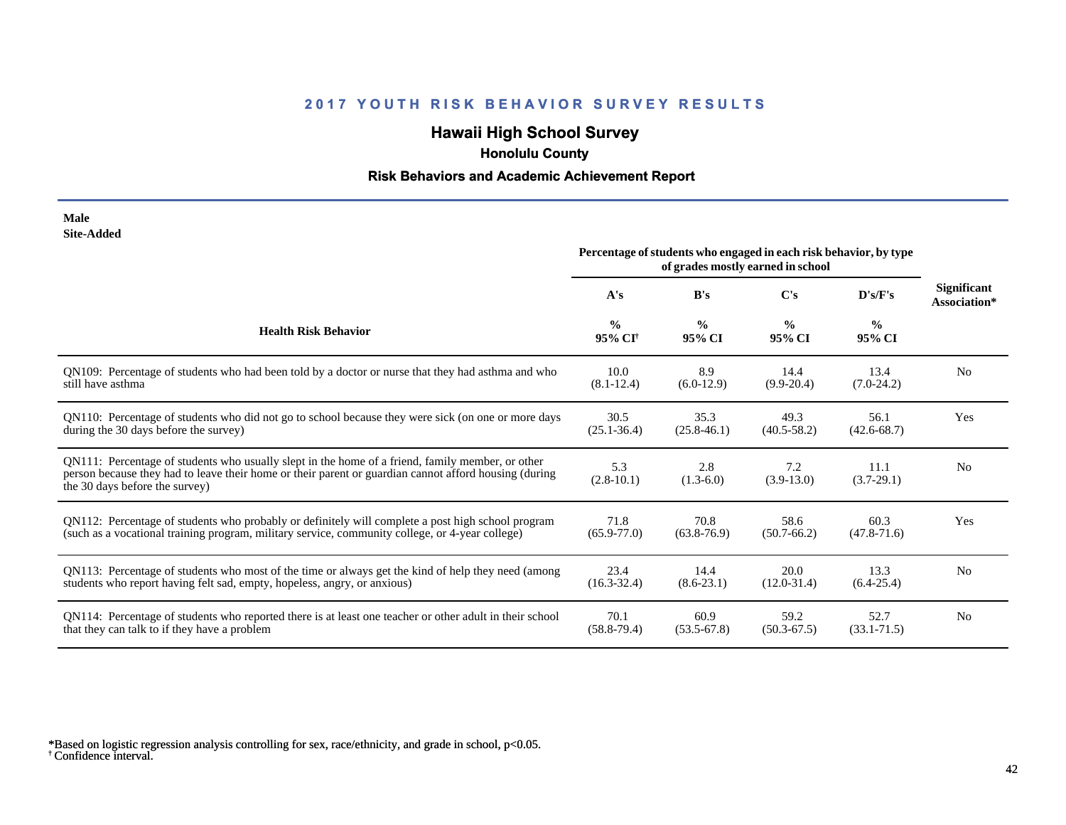## **Hawaii High School Survey**

 **Honolulu County**

## **Risk Behaviors and Academic Achievement Report**

| Male       |
|------------|
| Site-Added |

|                                                                                                                                                                                                                                             | Percentage of students who engaged in each risk behavior, by type<br>of grades mostly earned in school |                         |                         |                         |                                    |
|---------------------------------------------------------------------------------------------------------------------------------------------------------------------------------------------------------------------------------------------|--------------------------------------------------------------------------------------------------------|-------------------------|-------------------------|-------------------------|------------------------------------|
|                                                                                                                                                                                                                                             | A's                                                                                                    | B's                     | C's                     | D's/F's                 | <b>Significant</b><br>Association* |
| <b>Health Risk Behavior</b>                                                                                                                                                                                                                 | $\frac{0}{0}$<br>95% CI <sup>+</sup>                                                                   | $\frac{0}{0}$<br>95% CI | $\frac{0}{0}$<br>95% CI | $\frac{0}{0}$<br>95% CI |                                    |
| QN109: Percentage of students who had been told by a doctor or nurse that they had asthma and who                                                                                                                                           | 10.0                                                                                                   | 8.9                     | 14.4                    | 13.4                    | N <sub>0</sub>                     |
| still have asthma                                                                                                                                                                                                                           | $(8.1 - 12.4)$                                                                                         | $(6.0-12.9)$            | $(9.9-20.4)$            | $(7.0-24.2)$            |                                    |
| QN110: Percentage of students who did not go to school because they were sick (on one or more days                                                                                                                                          | 30.5                                                                                                   | 35.3                    | 49.3                    | 56.1                    | Yes                                |
| during the 30 days before the survey)                                                                                                                                                                                                       | $(25.1 - 36.4)$                                                                                        | $(25.8-46.1)$           | $(40.5 - 58.2)$         | $(42.6 - 68.7)$         |                                    |
| QN111: Percentage of students who usually slept in the home of a friend, family member, or other<br>person because they had to leave their home or their parent or guardian cannot afford housing (during<br>the 30 days before the survey) | 5.3<br>$(2.8-10.1)$                                                                                    | 2.8<br>$(1.3-6.0)$      | 7.2<br>$(3.9-13.0)$     | 11.1<br>$(3.7-29.1)$    | N <sub>0</sub>                     |
| QN112: Percentage of students who probably or definitely will complete a post high school program                                                                                                                                           | 71.8                                                                                                   | 70.8                    | 58.6                    | 60.3                    | Yes                                |
| (such as a vocational training program, military service, community college, or 4-year college)                                                                                                                                             | $(65.9 - 77.0)$                                                                                        | $(63.8-76.9)$           | $(50.7-66.2)$           | $(47.8 - 71.6)$         |                                    |
| QN113: Percentage of students who most of the time or always get the kind of help they need (among                                                                                                                                          | 23.4                                                                                                   | 14.4                    | 20.0                    | 13.3                    | N <sub>0</sub>                     |
| students who report having felt sad, empty, hopeless, angry, or anxious)                                                                                                                                                                    | $(16.3 - 32.4)$                                                                                        | $(8.6-23.1)$            | $(12.0-31.4)$           | $(6.4-25.4)$            |                                    |
| QN114: Percentage of students who reported there is at least one teacher or other adult in their school                                                                                                                                     | 70.1                                                                                                   | 60.9                    | 59.2                    | 52.7                    | N <sub>0</sub>                     |
| that they can talk to if they have a problem                                                                                                                                                                                                | $(58.8 - 79.4)$                                                                                        | $(53.5-67.8)$           | $(50.3 - 67.5)$         | $(33.1 - 71.5)$         |                                    |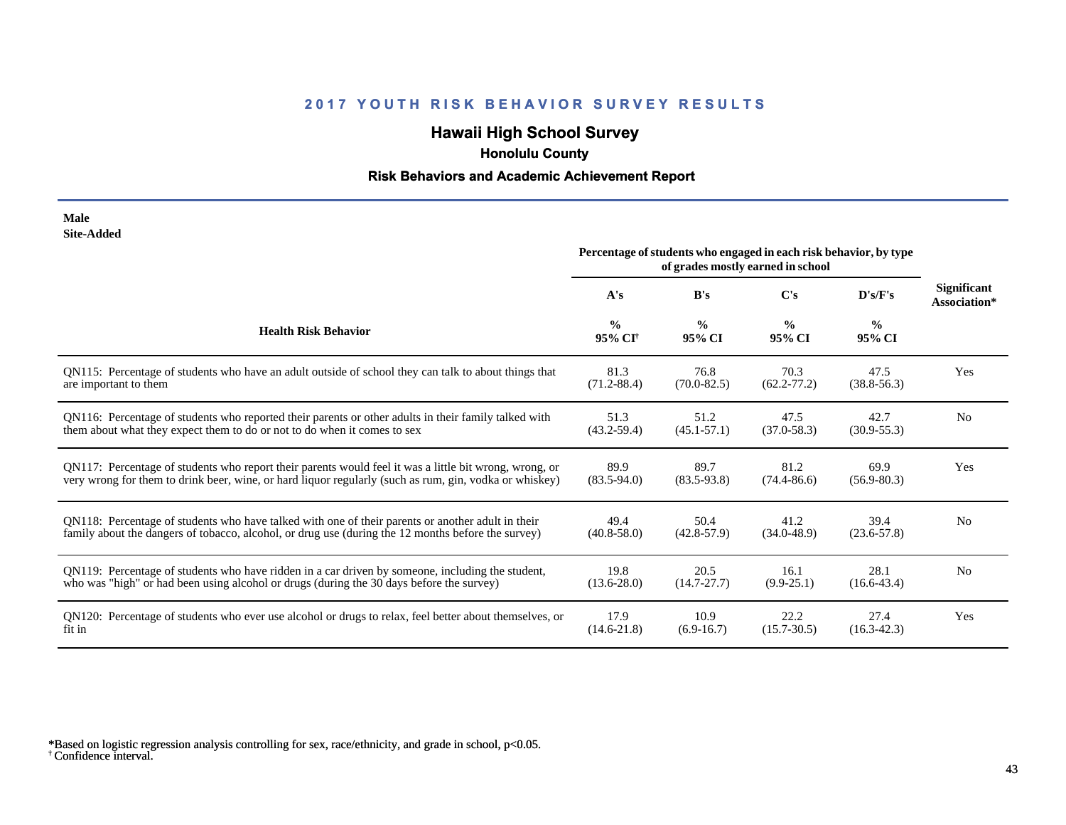## **Hawaii High School Survey**

 **Honolulu County**

## **Risk Behaviors and Academic Achievement Report**

| Male       |
|------------|
| Site-Added |

|                                                                                                        | Percentage of students who engaged in each risk behavior, by type<br>of grades mostly earned in school |                         |                         |                         |                                    |
|--------------------------------------------------------------------------------------------------------|--------------------------------------------------------------------------------------------------------|-------------------------|-------------------------|-------------------------|------------------------------------|
|                                                                                                        | A's                                                                                                    | B's                     | $\bf C's$               | D's/F's                 | <b>Significant</b><br>Association* |
| <b>Health Risk Behavior</b>                                                                            | $\frac{0}{0}$<br>95% CI <sup>+</sup>                                                                   | $\frac{0}{0}$<br>95% CI | $\frac{0}{0}$<br>95% CI | $\frac{0}{0}$<br>95% CI |                                    |
| QN115: Percentage of students who have an adult outside of school they can talk to about things that   | 81.3                                                                                                   | 76.8                    | 70.3                    | 47.5                    | Yes                                |
| are important to them                                                                                  | $(71.2 - 88.4)$                                                                                        | $(70.0 - 82.5)$         | $(62.2 - 77.2)$         | $(38.8 - 56.3)$         |                                    |
| QN116: Percentage of students who reported their parents or other adults in their family talked with   | 51.3                                                                                                   | 51.2                    | 47.5                    | 42.7                    | N <sub>o</sub>                     |
| them about what they expect them to do or not to do when it comes to sex                               | $(43.2 - 59.4)$                                                                                        | $(45.1 - 57.1)$         | $(37.0 - 58.3)$         | $(30.9 - 55.3)$         |                                    |
| QN117: Percentage of students who report their parents would feel it was a little bit wrong, wrong, or | 89.9                                                                                                   | 89.7                    | 81.2                    | 69.9                    | Yes                                |
| very wrong for them to drink beer, wine, or hard liquor regularly (such as rum, gin, vodka or whiskey) | $(83.5 - 94.0)$                                                                                        | $(83.5 - 93.8)$         | $(74.4 - 86.6)$         | $(56.9 - 80.3)$         |                                    |
| QN118: Percentage of students who have talked with one of their parents or another adult in their      | 49.4                                                                                                   | 50.4                    | 41.2                    | 39.4                    | N <sub>0</sub>                     |
| family about the dangers of tobacco, alcohol, or drug use (during the 12 months before the survey)     | $(40.8 - 58.0)$                                                                                        | $(42.8 - 57.9)$         | $(34.0 - 48.9)$         | $(23.6 - 57.8)$         |                                    |
| QN119: Percentage of students who have ridden in a car driven by someone, including the student,       | 19.8                                                                                                   | 20.5                    | 16.1                    | 28.1                    | N <sub>0</sub>                     |
| who was "high" or had been using alcohol or drugs (during the 30 days before the survey)               | $(13.6 - 28.0)$                                                                                        | $(14.7 - 27.7)$         | $(9.9 - 25.1)$          | $(16.6 - 43.4)$         |                                    |
| QN120: Percentage of students who ever use alcohol or drugs to relax, feel better about themselves, or | 17.9                                                                                                   | 10.9                    | 22.2                    | 27.4                    | Yes                                |
| fit in                                                                                                 | $(14.6 - 21.8)$                                                                                        | $(6.9-16.7)$            | $(15.7 - 30.5)$         | $(16.3 - 42.3)$         |                                    |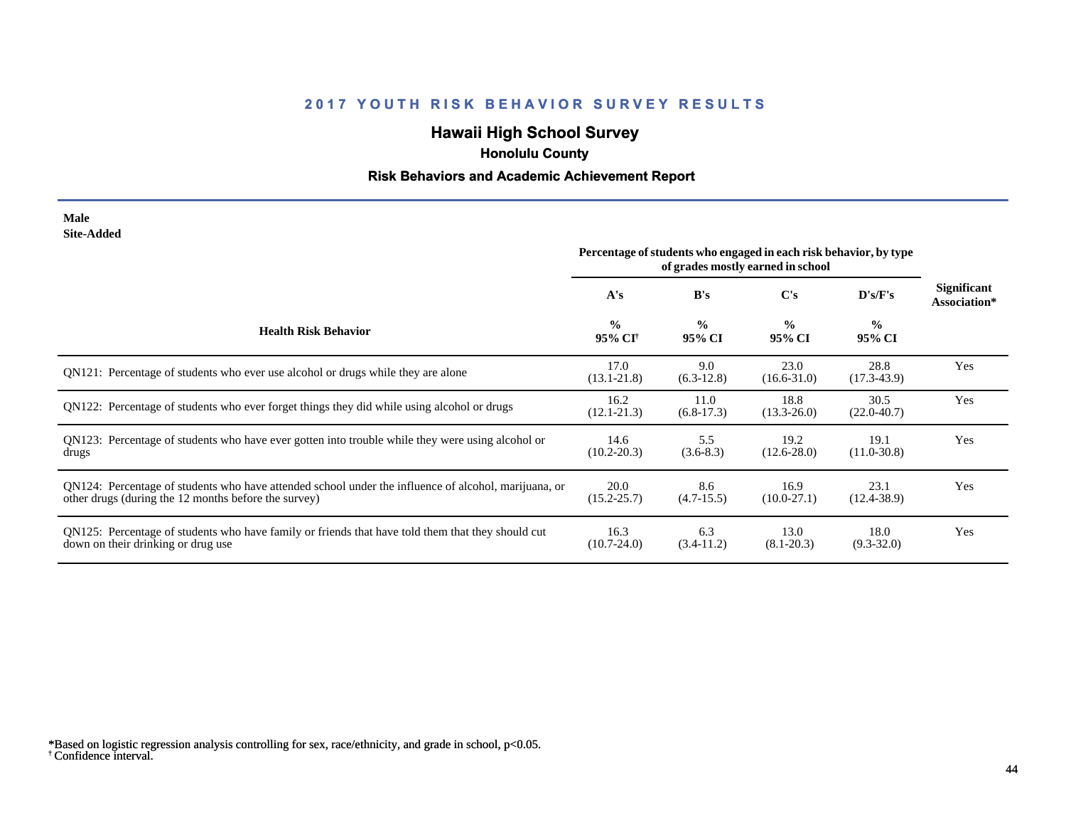# **Hawaii High School Survey**

 **Honolulu County**

## **Risk Behaviors and Academic Achievement Report**

| Male       |  |
|------------|--|
| Site-Added |  |

|                                                                                                                                                              | Percentage of students who engaged in each risk behavior, by type<br>of grades mostly earned in school |                         |                         |                         |                                    |
|--------------------------------------------------------------------------------------------------------------------------------------------------------------|--------------------------------------------------------------------------------------------------------|-------------------------|-------------------------|-------------------------|------------------------------------|
|                                                                                                                                                              | A's                                                                                                    | B's                     | C's                     | D's/F's                 | <b>Significant</b><br>Association* |
| <b>Health Risk Behavior</b>                                                                                                                                  | $\frac{0}{0}$<br>95% CI <sup>+</sup>                                                                   | $\frac{6}{6}$<br>95% CI | $\frac{0}{0}$<br>95% CI | $\frac{0}{0}$<br>95% CI |                                    |
| QN121: Percentage of students who ever use alcohol or drugs while they are alone                                                                             | 17.0<br>$(13.1 - 21.8)$                                                                                | 9.0<br>$(6.3-12.8)$     | 23.0<br>$(16.6 - 31.0)$ | 28.8<br>$(17.3 - 43.9)$ | Yes                                |
| QN122: Percentage of students who ever forget things they did while using alcohol or drugs                                                                   | 16.2<br>$(12.1 - 21.3)$                                                                                | 11.0<br>$(6.8-17.3)$    | 18.8<br>$(13.3 - 26.0)$ | 30.5<br>$(22.0 - 40.7)$ | Yes                                |
| QN123: Percentage of students who have ever gotten into trouble while they were using alcohol or<br>drugs                                                    | 14.6<br>$(10.2 - 20.3)$                                                                                | 5.5<br>$(3.6-8.3)$      | 19.2<br>$(12.6 - 28.0)$ | 19.1<br>$(11.0 - 30.8)$ | Yes                                |
| QN124: Percentage of students who have attended school under the influence of alcohol, marijuana, or<br>other drugs (during the 12 months before the survey) | 20.0<br>$(15.2 - 25.7)$                                                                                | 8.6<br>$(4.7-15.5)$     | 16.9<br>$(10.0-27.1)$   | 23.1<br>$(12.4 - 38.9)$ | Yes                                |
| QN125: Percentage of students who have family or friends that have told them that they should cut<br>down on their drinking or drug use                      | 16.3<br>$(10.7 - 24.0)$                                                                                | 6.3<br>$(3.4-11.2)$     | 13.0<br>$(8.1 - 20.3)$  | 18.0<br>$(9.3 - 32.0)$  | Yes                                |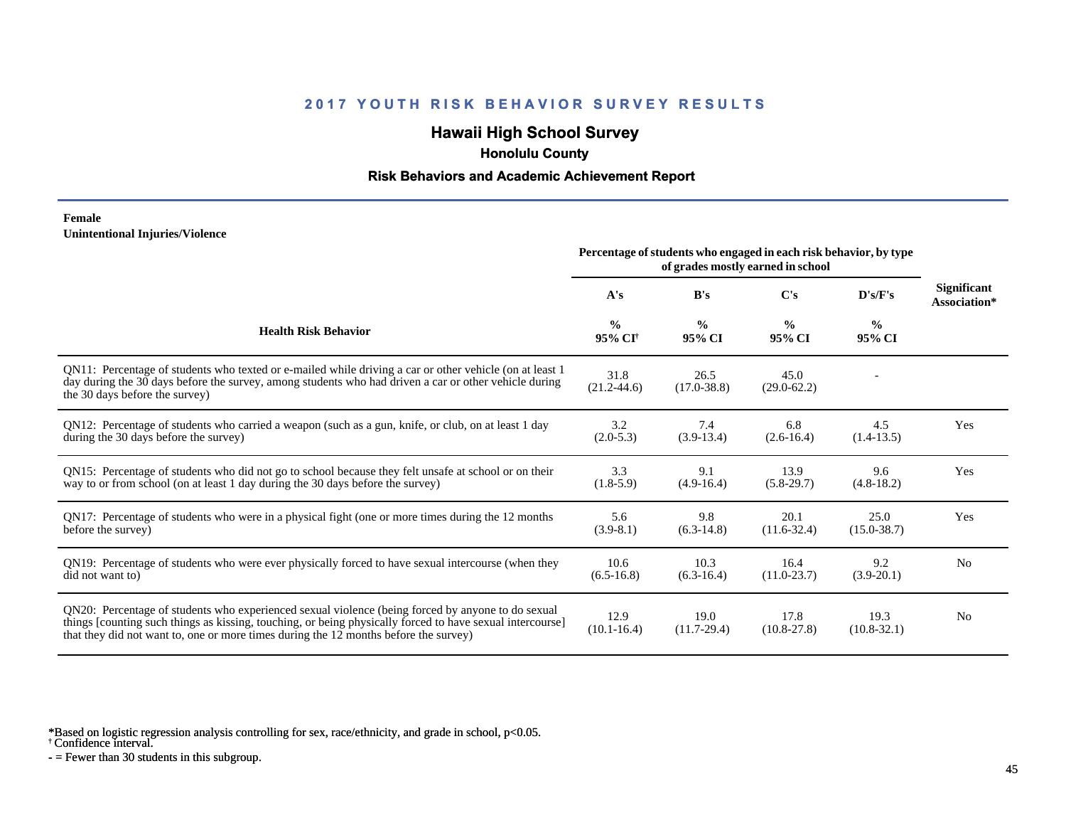## **Hawaii High School Survey**

 **Honolulu County**

#### **Risk Behaviors and Academic Achievement Report**

#### **Female Unintentional Injuries/Violence**

|                                                                                                                                                                                                                                                                                                        | Percentage of students who engaged in each risk behavior, by type<br>of grades mostly earned in school |                         |                         |                         |                                    |
|--------------------------------------------------------------------------------------------------------------------------------------------------------------------------------------------------------------------------------------------------------------------------------------------------------|--------------------------------------------------------------------------------------------------------|-------------------------|-------------------------|-------------------------|------------------------------------|
|                                                                                                                                                                                                                                                                                                        | A's                                                                                                    | B's                     | C's                     | D's/F's                 | <b>Significant</b><br>Association* |
| <b>Health Risk Behavior</b>                                                                                                                                                                                                                                                                            | $\frac{0}{0}$<br>95% CI <sup>+</sup>                                                                   | $\frac{0}{0}$<br>95% CI | $\frac{0}{0}$<br>95% CI | $\frac{0}{0}$<br>95% CI |                                    |
| QN11: Percentage of students who texted or e-mailed while driving a car or other vehicle (on at least 1)<br>day during the 30 days before the survey, among students who had driven a car or other vehicle during<br>the 30 days before the survey)                                                    | 31.8<br>$(21.2 - 44.6)$                                                                                | 26.5<br>$(17.0 - 38.8)$ | 45.0<br>$(29.0 - 62.2)$ |                         |                                    |
| QN12: Percentage of students who carried a weapon (such as a gun, knife, or club, on at least 1 day<br>during the 30 days before the survey)                                                                                                                                                           | 3.2<br>$(2.0-5.3)$                                                                                     | 7.4<br>$(3.9-13.4)$     | 6.8<br>$(2.6 - 16.4)$   | 4.5<br>$(1.4-13.5)$     | Yes                                |
| QN15: Percentage of students who did not go to school because they felt unsafe at school or on their<br>way to or from school (on at least 1 day during the 30 days before the survey)                                                                                                                 | 3.3<br>$(1.8-5.9)$                                                                                     | 9.1<br>$(4.9-16.4)$     | 13.9<br>$(5.8-29.7)$    | 9.6<br>$(4.8-18.2)$     | Yes                                |
| QN17: Percentage of students who were in a physical fight (one or more times during the 12 months<br>before the survey)                                                                                                                                                                                | 5.6<br>$(3.9-8.1)$                                                                                     | 9.8<br>$(6.3-14.8)$     | 20.1<br>$(11.6 - 32.4)$ | 25.0<br>$(15.0 - 38.7)$ | Yes                                |
| QN19: Percentage of students who were ever physically forced to have sexual intercourse (when they<br>did not want to)                                                                                                                                                                                 | 10.6<br>$(6.5-16.8)$                                                                                   | 10.3<br>$(6.3-16.4)$    | 16.4<br>$(11.0 - 23.7)$ | 9.2<br>$(3.9-20.1)$     | N <sub>o</sub>                     |
| ON20: Percentage of students who experienced sexual violence (being forced by anyone to do sexual<br>things [counting such things as kissing, touching, or being physically forced to have sexual intercourse]<br>that they did not want to, one or more times during the 12 months before the survey) | 12.9<br>$(10.1 - 16.4)$                                                                                | 19.0<br>$(11.7-29.4)$   | 17.8<br>$(10.8 - 27.8)$ | 19.3<br>$(10.8 - 32.1)$ | N <sub>0</sub>                     |

\*Based on logistic regression analysis controlling for sex, race/ethnicity, and grade in school, p<0.05.

† Confidence interval.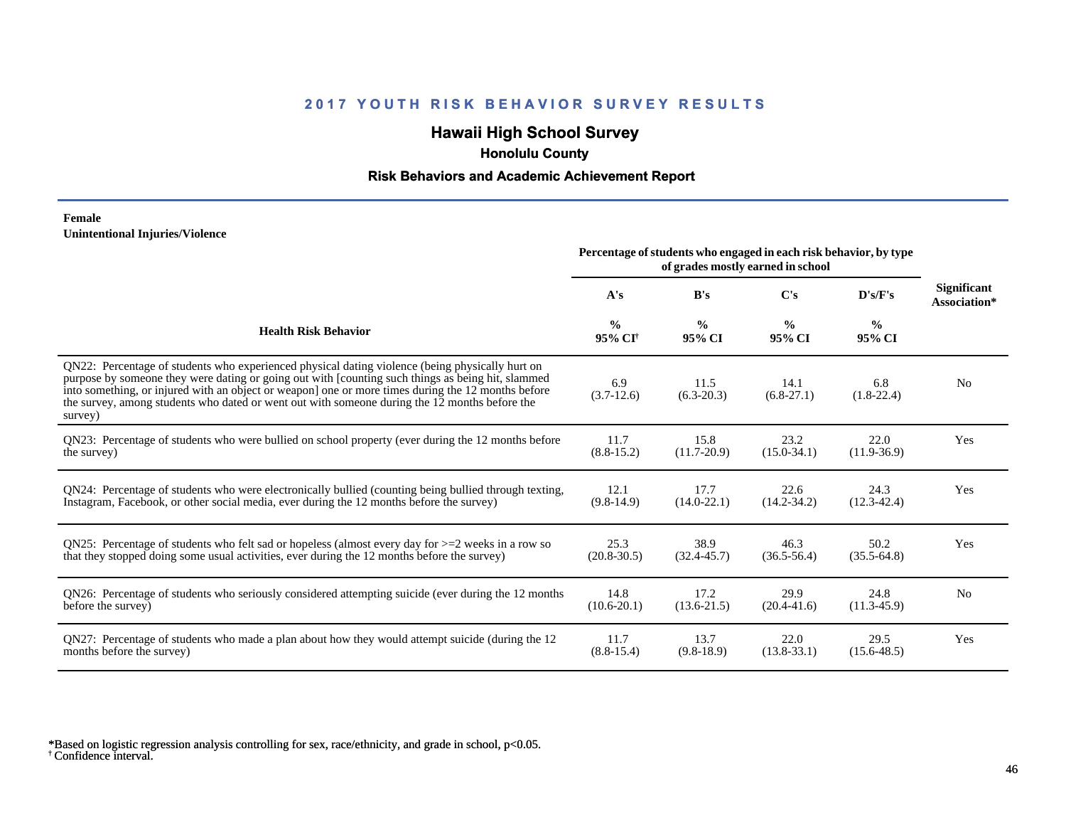## **Hawaii High School Survey**

 **Honolulu County**

### **Risk Behaviors and Academic Achievement Report**

#### **Female Unintentional Injuries/Violence**

|                                                                                                                                                                                                                                                                                                                                                                                                                        | Percentage of students who engaged in each risk behavior, by type<br>of grades mostly earned in school |                         |                         |                         |                             |
|------------------------------------------------------------------------------------------------------------------------------------------------------------------------------------------------------------------------------------------------------------------------------------------------------------------------------------------------------------------------------------------------------------------------|--------------------------------------------------------------------------------------------------------|-------------------------|-------------------------|-------------------------|-----------------------------|
|                                                                                                                                                                                                                                                                                                                                                                                                                        | A's                                                                                                    | B's                     | $\bf C's$               | D's/F's                 | Significant<br>Association* |
| <b>Health Risk Behavior</b>                                                                                                                                                                                                                                                                                                                                                                                            | $\frac{0}{0}$<br>95% CI <sup>+</sup>                                                                   | $\frac{0}{0}$<br>95% CI | $\frac{0}{0}$<br>95% CI | $\frac{6}{6}$<br>95% CI |                             |
| QN22: Percentage of students who experienced physical dating violence (being physically hurt on<br>purpose by someone they were dating or going out with [counting such things as being hit, slammed<br>into something, or injured with an object or weapon] one or more times during the 12 months before<br>the survey, among students who dated or went out with someone during the 12 months before the<br>survey) | 6.9<br>$(3.7-12.6)$                                                                                    | 11.5<br>$(6.3 - 20.3)$  | 14.1<br>$(6.8-27.1)$    | 6.8<br>$(1.8-22.4)$     | N <sub>0</sub>              |
| QN23: Percentage of students who were bullied on school property (ever during the 12 months before                                                                                                                                                                                                                                                                                                                     | 11.7                                                                                                   | 15.8                    | 23.2                    | 22.0                    | Yes                         |
| the survey)                                                                                                                                                                                                                                                                                                                                                                                                            | $(8.8-15.2)$                                                                                           | $(11.7-20.9)$           | $(15.0 - 34.1)$         | $(11.9-36.9)$           |                             |
| QN24: Percentage of students who were electronically bullied (counting being bullied through texting,                                                                                                                                                                                                                                                                                                                  | 12.1                                                                                                   | 17.7                    | 22.6                    | 24.3                    | Yes                         |
| Instagram, Facebook, or other social media, ever during the 12 months before the survey)                                                                                                                                                                                                                                                                                                                               | $(9.8-14.9)$                                                                                           | $(14.0 - 22.1)$         | $(14.2 - 34.2)$         | $(12.3 - 42.4)$         |                             |
| ON25: Percentage of students who felt sad or hopeless (almost every day for $>=$ 2 weeks in a row so                                                                                                                                                                                                                                                                                                                   | 25.3                                                                                                   | 38.9                    | 46.3                    | 50.2                    | Yes                         |
| that they stopped doing some usual activities, ever during the 12 months before the survey)                                                                                                                                                                                                                                                                                                                            | $(20.8 - 30.5)$                                                                                        | $(32.4 - 45.7)$         | $(36.5 - 56.4)$         | $(35.5-64.8)$           |                             |
| QN26: Percentage of students who seriously considered attempting suicide (ever during the 12 months                                                                                                                                                                                                                                                                                                                    | 14.8                                                                                                   | 17.2                    | 29.9                    | 24.8                    | No                          |
| before the survey)                                                                                                                                                                                                                                                                                                                                                                                                     | $(10.6 - 20.1)$                                                                                        | $(13.6 - 21.5)$         | $(20.4 - 41.6)$         | $(11.3-45.9)$           |                             |
| QN27: Percentage of students who made a plan about how they would attempt suicide (during the 12                                                                                                                                                                                                                                                                                                                       | 11.7                                                                                                   | 13.7                    | 22.0                    | 29.5                    | Yes                         |
| months before the survey)                                                                                                                                                                                                                                                                                                                                                                                              | $(8.8-15.4)$                                                                                           | $(9.8-18.9)$            | $(13.8 - 33.1)$         | $(15.6 - 48.5)$         |                             |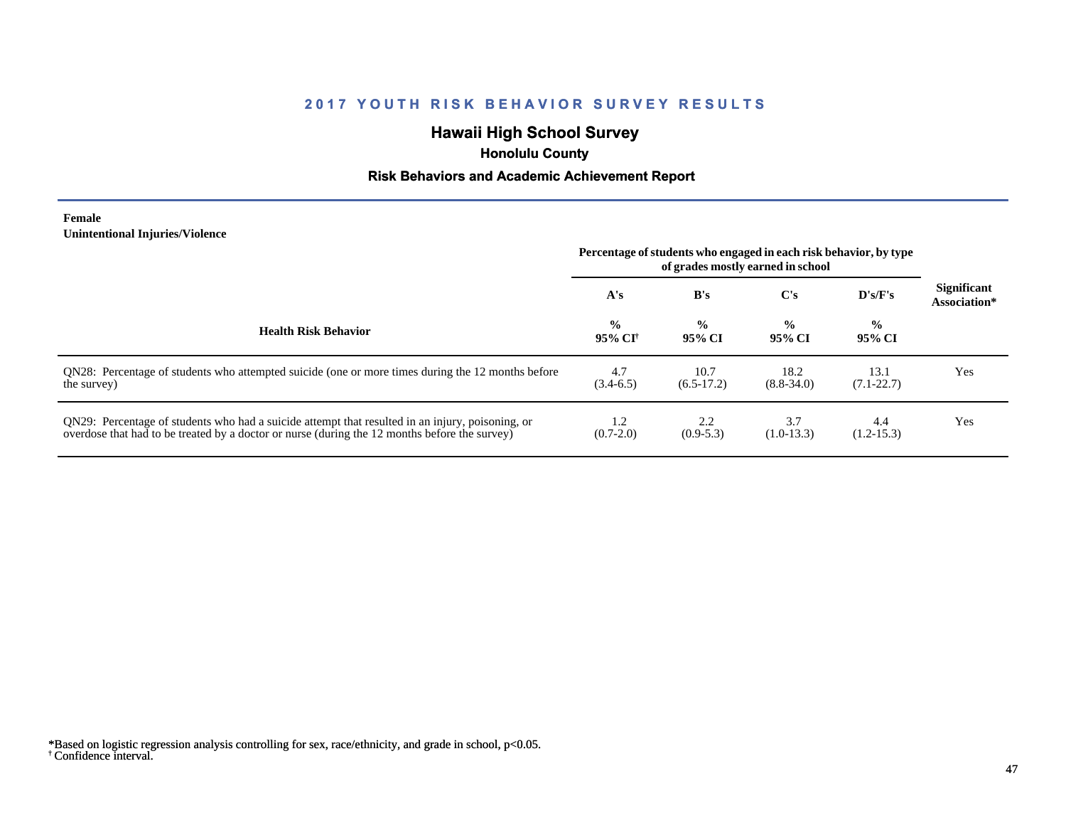## **Hawaii High School Survey**

 **Honolulu County**

### **Risk Behaviors and Academic Achievement Report**

**Female Unintentional Injuries/Violence**

 $\overline{\phantom{0}}$ 

 $\overline{\phantom{a}}$ 

|                                                                                                                                                                                                   | Percentage of students who engaged in each risk behavior, by type<br>of grades mostly earned in school |                         |                         |                         |                                    |
|---------------------------------------------------------------------------------------------------------------------------------------------------------------------------------------------------|--------------------------------------------------------------------------------------------------------|-------------------------|-------------------------|-------------------------|------------------------------------|
|                                                                                                                                                                                                   | A's                                                                                                    | B's                     | C's                     | $\bf{D's/F's}$          | <b>Significant</b><br>Association* |
| <b>Health Risk Behavior</b>                                                                                                                                                                       | $\frac{0}{0}$<br>95% CI†                                                                               | $\frac{0}{0}$<br>95% CI | $\frac{0}{0}$<br>95% CI | $\frac{0}{0}$<br>95% CI |                                    |
| QN28: Percentage of students who attempted suicide (one or more times during the 12 months before<br>the survey)                                                                                  | 4.7<br>$(3.4-6.5)$                                                                                     | 10.7<br>$(6.5-17.2)$    | 18.2<br>$(8.8 - 34.0)$  | 13.1<br>$(7.1 - 22.7)$  | Yes                                |
| QN29: Percentage of students who had a suicide attempt that resulted in an injury, poisoning, or<br>overdose that had to be treated by a doctor or nurse (during the 12 months before the survey) | 1.2<br>$(0.7-2.0)$                                                                                     | 2.2<br>$(0.9-5.3)$      | 3.7<br>$(1.0-13.3)$     | 4.4<br>$(1.2 - 15.3)$   | Yes                                |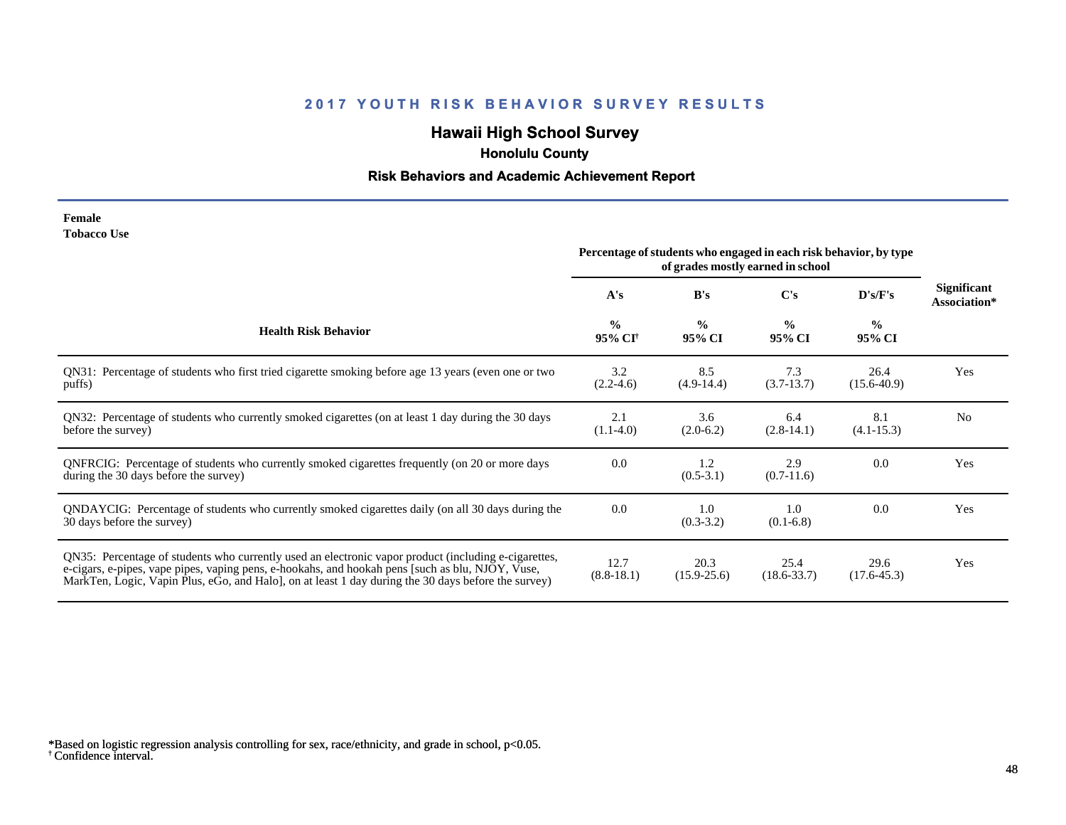## **Hawaii High School Survey**

 **Honolulu County**

## **Risk Behaviors and Academic Achievement Report**

| Female             |  |
|--------------------|--|
| <b>Tobacco Use</b> |  |

|                                                                                                                                                                                                                                                                                                                | Percentage of students who engaged in each risk behavior, by type<br>of grades mostly earned in school |                         |                         |                         |                                    |
|----------------------------------------------------------------------------------------------------------------------------------------------------------------------------------------------------------------------------------------------------------------------------------------------------------------|--------------------------------------------------------------------------------------------------------|-------------------------|-------------------------|-------------------------|------------------------------------|
|                                                                                                                                                                                                                                                                                                                | A's                                                                                                    | B's                     | C's                     | D's/F's                 | <b>Significant</b><br>Association* |
| <b>Health Risk Behavior</b>                                                                                                                                                                                                                                                                                    | $\frac{0}{0}$<br>95% CI <sup>+</sup>                                                                   | $\frac{0}{0}$<br>95% CI | $\frac{0}{0}$<br>95% CI | $\frac{0}{0}$<br>95% CI |                                    |
| QN31: Percentage of students who first tried cigarette smoking before age 13 years (even one or two<br>puffs)                                                                                                                                                                                                  | 3.2<br>$(2.2-4.6)$                                                                                     | 8.5<br>$(4.9-14.4)$     | 7.3<br>$(3.7-13.7)$     | 26.4<br>$(15.6-40.9)$   | Yes                                |
| QN32: Percentage of students who currently smoked cigarettes (on at least 1 day during the 30 days<br>before the survey)                                                                                                                                                                                       | 2.1<br>$(1.1-4.0)$                                                                                     | 3.6<br>$(2.0-6.2)$      | 6.4<br>$(2.8-14.1)$     | 8.1<br>$(4.1 - 15.3)$   | N <sub>0</sub>                     |
| QNFRCIG: Percentage of students who currently smoked cigarettes frequently (on 20 or more days<br>during the 30 days before the survey)                                                                                                                                                                        | 0.0                                                                                                    | 1.2<br>$(0.5-3.1)$      | 2.9<br>$(0.7-11.6)$     | 0.0                     | Yes                                |
| QNDAYCIG: Percentage of students who currently smoked cigarettes daily (on all 30 days during the<br>30 days before the survey)                                                                                                                                                                                | 0.0                                                                                                    | 1.0<br>$(0.3-3.2)$      | 1.0<br>$(0.1-6.8)$      | 0.0                     | Yes                                |
| QN35: Percentage of students who currently used an electronic vapor product (including e-cigarettes,<br>e-cigars, e-pipes, vape pipes, vaping pens, e-hookahs, and hookah pens [such as blu, NJOY, Vuse,<br>MarkTen, Logic, Vapin Plus, eGo, and Halo, on at least 1 day during the 30 days before the survey) | 12.7<br>$(8.8-18.1)$                                                                                   | 20.3<br>$(15.9 - 25.6)$ | 25.4<br>$(18.6 - 33.7)$ | 29.6<br>$(17.6 - 45.3)$ | Yes                                |

<sup>†</sup> Confidence interval. \*Based on logistic regression analysis controlling for sex, race/ethnicity, and grade in school, p<0.05.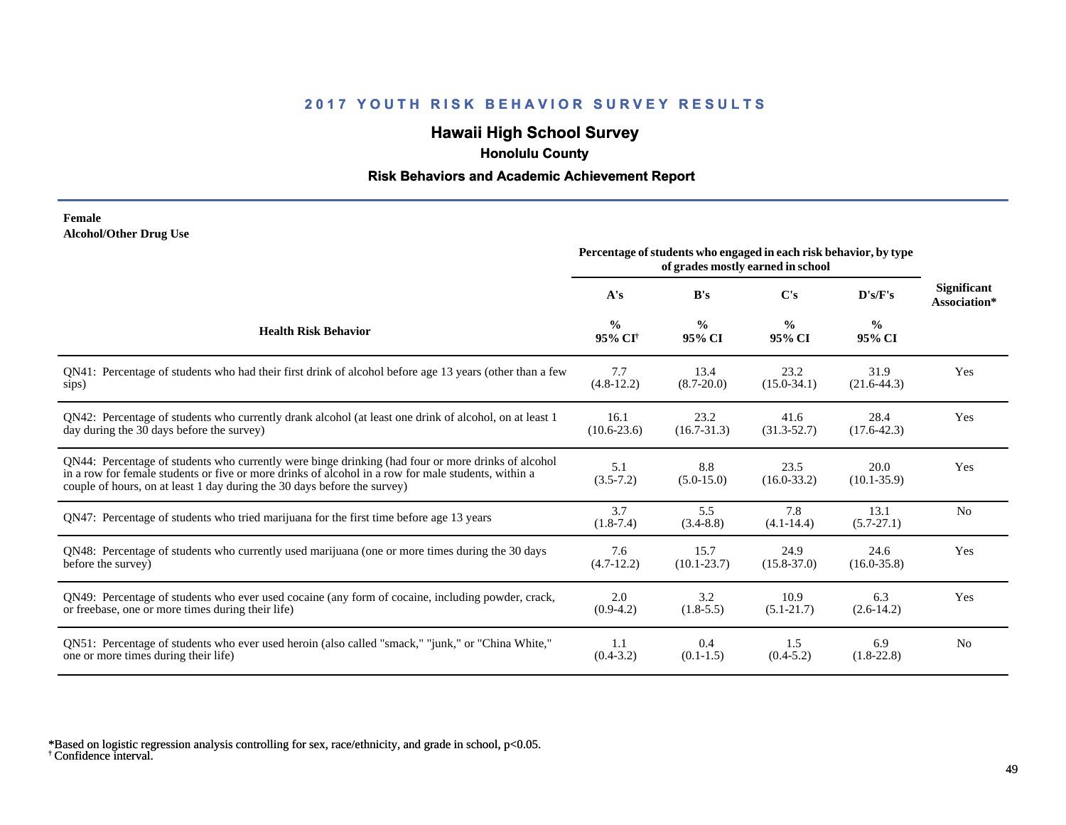## **Hawaii High School Survey**

 **Honolulu County**

### **Risk Behaviors and Academic Achievement Report**

#### **Female Alcohol/Other Drug Use**

|                                                                                                                                                                                                                                                                                       | Percentage of students who engaged in each risk behavior, by type<br>of grades mostly earned in school |                         |                         |                         |                                    |
|---------------------------------------------------------------------------------------------------------------------------------------------------------------------------------------------------------------------------------------------------------------------------------------|--------------------------------------------------------------------------------------------------------|-------------------------|-------------------------|-------------------------|------------------------------------|
|                                                                                                                                                                                                                                                                                       | A's                                                                                                    | B's                     | C's                     | D's/F's                 | <b>Significant</b><br>Association* |
| <b>Health Risk Behavior</b>                                                                                                                                                                                                                                                           | $\frac{0}{0}$<br>95% CI <sup>+</sup>                                                                   | $\frac{0}{0}$<br>95% CI | $\frac{0}{0}$<br>95% CI | $\frac{6}{6}$<br>95% CI |                                    |
| QN41: Percentage of students who had their first drink of alcohol before age 13 years (other than a few                                                                                                                                                                               | 7.7                                                                                                    | 13.4                    | 23.2                    | 31.9                    | Yes                                |
| sips)                                                                                                                                                                                                                                                                                 | $(4.8-12.2)$                                                                                           | $(8.7 - 20.0)$          | $(15.0 - 34.1)$         | $(21.6-44.3)$           |                                    |
| QN42: Percentage of students who currently drank alcohol (at least one drink of alcohol, on at least 1                                                                                                                                                                                | 16.1                                                                                                   | 23.2                    | 41.6                    | 28.4                    | Yes                                |
| day during the 30 days before the survey)                                                                                                                                                                                                                                             | $(10.6 - 23.6)$                                                                                        | $(16.7 - 31.3)$         | $(31.3 - 52.7)$         | $(17.6 - 42.3)$         |                                    |
| QN44: Percentage of students who currently were binge drinking (had four or more drinks of alcohol<br>in a row for female students or five or more drinks of alcohol in a row for male students, within a<br>couple of hours, on at least 1 day during the 30 days before the survey) | 5.1<br>$(3.5 - 7.2)$                                                                                   | 8.8<br>$(5.0-15.0)$     | 23.5<br>$(16.0 - 33.2)$ | 20.0<br>$(10.1 - 35.9)$ | Yes                                |
| QN47: Percentage of students who tried marijuana for the first time before age 13 years                                                                                                                                                                                               | 3.7<br>$(1.8-7.4)$                                                                                     | 5.5<br>$(3.4 - 8.8)$    | 7.8<br>$(4.1 - 14.4)$   | 13.1<br>$(5.7 - 27.1)$  | N <sub>0</sub>                     |
| QN48: Percentage of students who currently used marijuana (one or more times during the 30 days                                                                                                                                                                                       | 7.6                                                                                                    | 15.7                    | 24.9                    | 24.6                    | Yes                                |
| before the survey)                                                                                                                                                                                                                                                                    | $(4.7-12.2)$                                                                                           | $(10.1 - 23.7)$         | $(15.8 - 37.0)$         | $(16.0 - 35.8)$         |                                    |
| QN49: Percentage of students who ever used cocaine (any form of cocaine, including powder, crack,                                                                                                                                                                                     | 2.0                                                                                                    | 3.2                     | 10.9                    | 6.3                     | Yes                                |
| or freebase, one or more times during their life)                                                                                                                                                                                                                                     | $(0.9-4.2)$                                                                                            | $(1.8-5.5)$             | $(5.1 - 21.7)$          | $(2.6-14.2)$            |                                    |
| QN51: Percentage of students who ever used heroin (also called "smack," "junk," or "China White,"                                                                                                                                                                                     | 1.1                                                                                                    | 0.4                     | 1.5                     | 6.9                     | N <sub>0</sub>                     |
| one or more times during their life)                                                                                                                                                                                                                                                  | $(0.4-3.2)$                                                                                            | $(0.1-1.5)$             | $(0.4-5.2)$             | $(1.8-22.8)$            |                                    |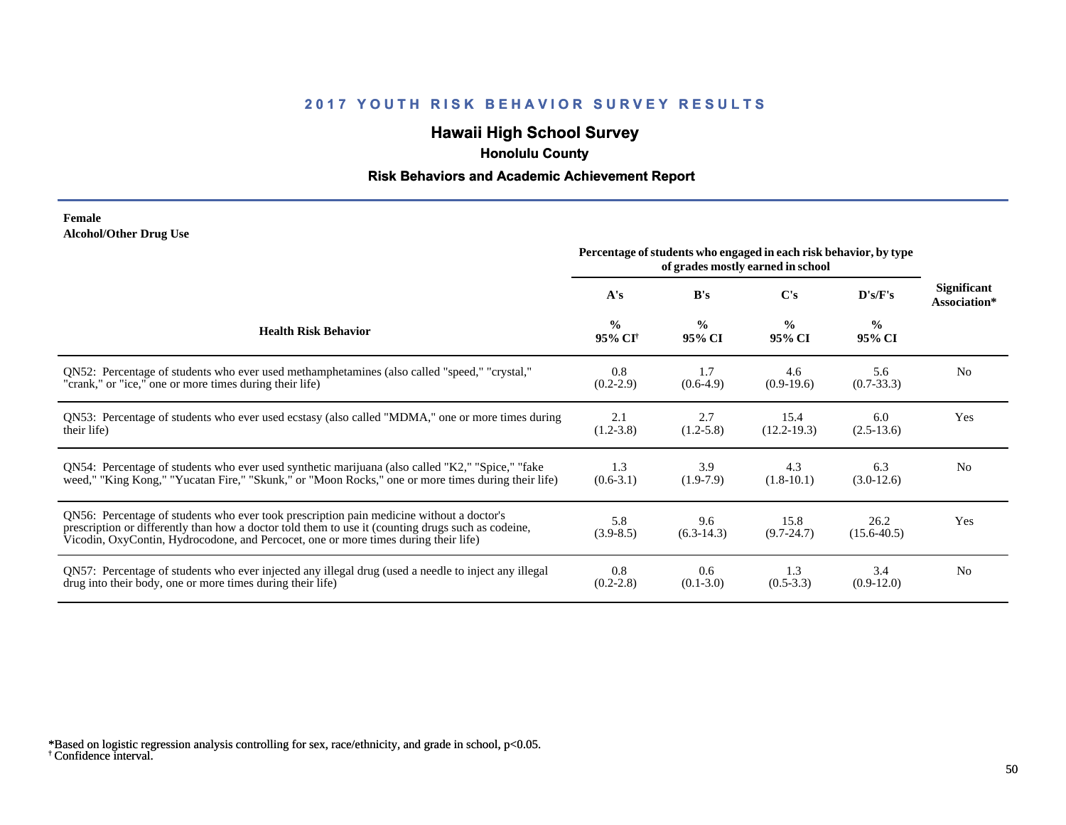## **Hawaii High School Survey**

 **Honolulu County**

### **Risk Behaviors and Academic Achievement Report**

#### **Female Alcohol/Other Drug Use**

|                                                                                                                                                                                                                                                                                       | Percentage of students who engaged in each risk behavior, by type<br>of grades mostly earned in school |                         |                         |                          |                                    |
|---------------------------------------------------------------------------------------------------------------------------------------------------------------------------------------------------------------------------------------------------------------------------------------|--------------------------------------------------------------------------------------------------------|-------------------------|-------------------------|--------------------------|------------------------------------|
|                                                                                                                                                                                                                                                                                       | A's                                                                                                    | B's                     | C's                     | $\bf{D}$ 's/ $\bf{F}$ 's | <b>Significant</b><br>Association* |
| <b>Health Risk Behavior</b>                                                                                                                                                                                                                                                           | $\frac{0}{0}$<br>95% CI <sup>†</sup>                                                                   | $\frac{0}{0}$<br>95% CI | $\frac{0}{0}$<br>95% CI | $\frac{0}{0}$<br>95% CI  |                                    |
| QN52: Percentage of students who ever used methamphetamines (also called "speed," "crystal,"                                                                                                                                                                                          | 0.8                                                                                                    | 1.7                     | 4.6                     | 5.6                      | N <sub>0</sub>                     |
| "crank," or "ice," one or more times during their life)                                                                                                                                                                                                                               | $(0.2 - 2.9)$                                                                                          | $(0.6-4.9)$             | $(0.9-19.6)$            | $(0.7 - 33.3)$           |                                    |
| QN53: Percentage of students who ever used ecstasy (also called "MDMA," one or more times during                                                                                                                                                                                      | 2.1                                                                                                    | 2.7                     | 15.4                    | 6.0                      | Yes                                |
| their life)                                                                                                                                                                                                                                                                           | $(1.2 - 3.8)$                                                                                          | $(1.2 - 5.8)$           | $(12.2 - 19.3)$         | $(2.5-13.6)$             |                                    |
| QN54: Percentage of students who ever used synthetic marijuana (also called "K2," "Spice," "fake                                                                                                                                                                                      | 1.3                                                                                                    | 3.9                     | 4.3                     | 6.3                      | N <sub>0</sub>                     |
| weed," "King Kong," "Yucatan Fire," "Skunk," or "Moon Rocks," one or more times during their life)                                                                                                                                                                                    | $(0.6-3.1)$                                                                                            | $(1.9-7.9)$             | $(1.8-10.1)$            | $(3.0-12.6)$             |                                    |
| QN56: Percentage of students who ever took prescription pain medicine without a doctor's<br>prescription or differently than how a doctor told them to use it (counting drugs such as codeine,<br>Vicodin, OxyContin, Hydrocodone, and Percocet, one or more times during their life) | 5.8<br>$(3.9 - 8.5)$                                                                                   | 9.6<br>$(6.3-14.3)$     | 15.8<br>$(9.7 - 24.7)$  | 26.2<br>$(15.6 - 40.5)$  | Yes                                |
| QN57: Percentage of students who ever injected any illegal drug (used a needle to inject any illegal                                                                                                                                                                                  | 0.8                                                                                                    | 0.6                     | 1.3                     | 3.4                      | N <sub>0</sub>                     |
| drug into their body, one or more times during their life)                                                                                                                                                                                                                            | $(0.2 - 2.8)$                                                                                          | $(0.1 - 3.0)$           | $(0.5-3.3)$             | $(0.9-12.0)$             |                                    |

<sup>†</sup> Confidence interval. \*Based on logistic regression analysis controlling for sex, race/ethnicity, and grade in school, p<0.05.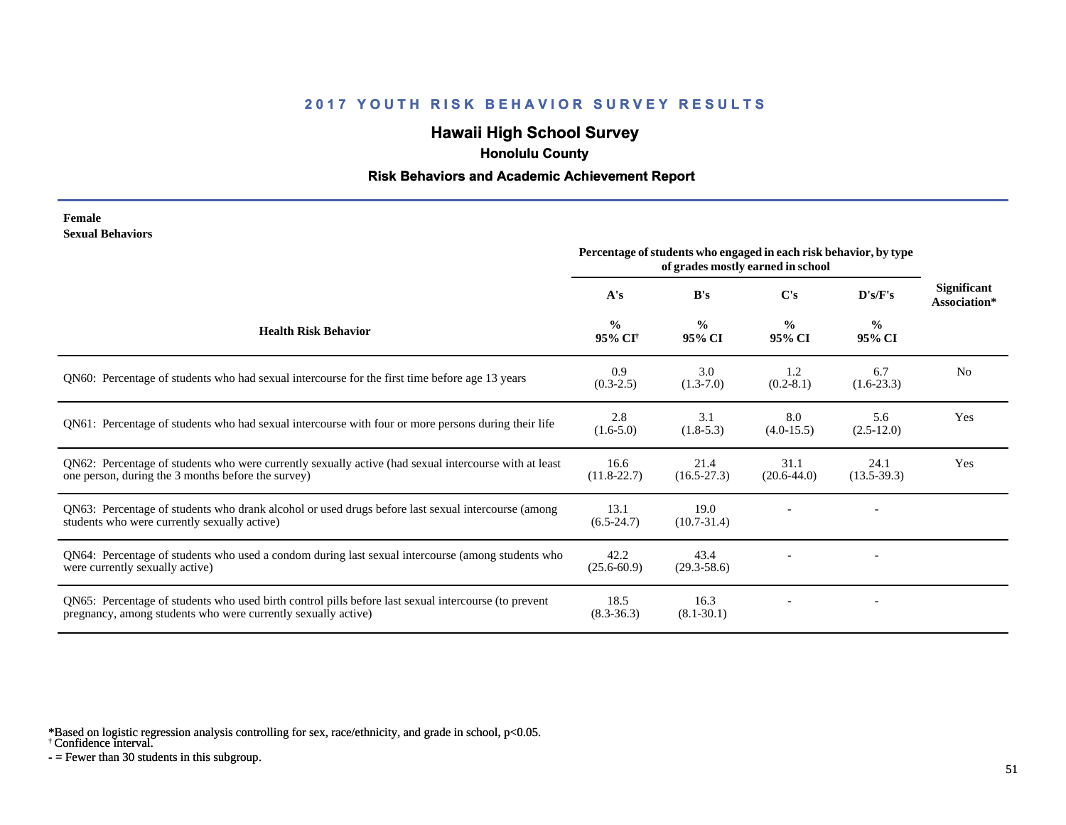## **Hawaii High School Survey**

 **Honolulu County**

#### **Risk Behaviors and Academic Achievement Report**

**Female Sexual Behaviors**

|                                                                                                                                                                       | Percentage of students who engaged in each risk behavior, by type<br>of grades mostly earned in school |                         |                         |                         |                                    |
|-----------------------------------------------------------------------------------------------------------------------------------------------------------------------|--------------------------------------------------------------------------------------------------------|-------------------------|-------------------------|-------------------------|------------------------------------|
|                                                                                                                                                                       | A's                                                                                                    | B's                     | C's                     | D's/F's                 | <b>Significant</b><br>Association* |
| <b>Health Risk Behavior</b>                                                                                                                                           | $\frac{0}{0}$<br>95% CI <sup>†</sup>                                                                   | $\frac{0}{0}$<br>95% CI | $\frac{0}{0}$<br>95% CI | $\frac{0}{0}$<br>95% CI |                                    |
| QN60: Percentage of students who had sexual intercourse for the first time before age 13 years                                                                        | 0.9<br>$(0.3-2.5)$                                                                                     | 3.0<br>$(1.3-7.0)$      | 1.2<br>$(0.2 - 8.1)$    | 6.7<br>$(1.6-23.3)$     | N <sub>0</sub>                     |
| QN61: Percentage of students who had sexual intercourse with four or more persons during their life                                                                   | 2.8<br>$(1.6-5.0)$                                                                                     | 3.1<br>$(1.8-5.3)$      | 8.0<br>$(4.0-15.5)$     | 5.6<br>$(2.5-12.0)$     | Yes                                |
| QN62: Percentage of students who were currently sexually active (had sexual intercourse with at least<br>one person, during the 3 months before the survey)           | 16.6<br>$(11.8-22.7)$                                                                                  | 21.4<br>$(16.5 - 27.3)$ | 31.1<br>$(20.6-44.0)$   | 24.1<br>$(13.5-39.3)$   | Yes                                |
| QN63: Percentage of students who drank alcohol or used drugs before last sexual intercourse (among<br>students who were currently sexually active)                    | 13.1<br>$(6.5-24.7)$                                                                                   | 19.0<br>$(10.7 - 31.4)$ |                         |                         |                                    |
| QN64: Percentage of students who used a condom during last sexual intercourse (among students who<br>were currently sexually active)                                  | 42.2<br>$(25.6 - 60.9)$                                                                                | 43.4<br>$(29.3 - 58.6)$ |                         |                         |                                    |
| QN65: Percentage of students who used birth control pills before last sexual intercourse (to prevent<br>pregnancy, among students who were currently sexually active) | 18.5<br>$(8.3 - 36.3)$                                                                                 | 16.3<br>$(8.1 - 30.1)$  |                         |                         |                                    |

\*Based on logistic regression analysis controlling for sex, race/ethnicity, and grade in school, p<0.05.

† Confidence interval.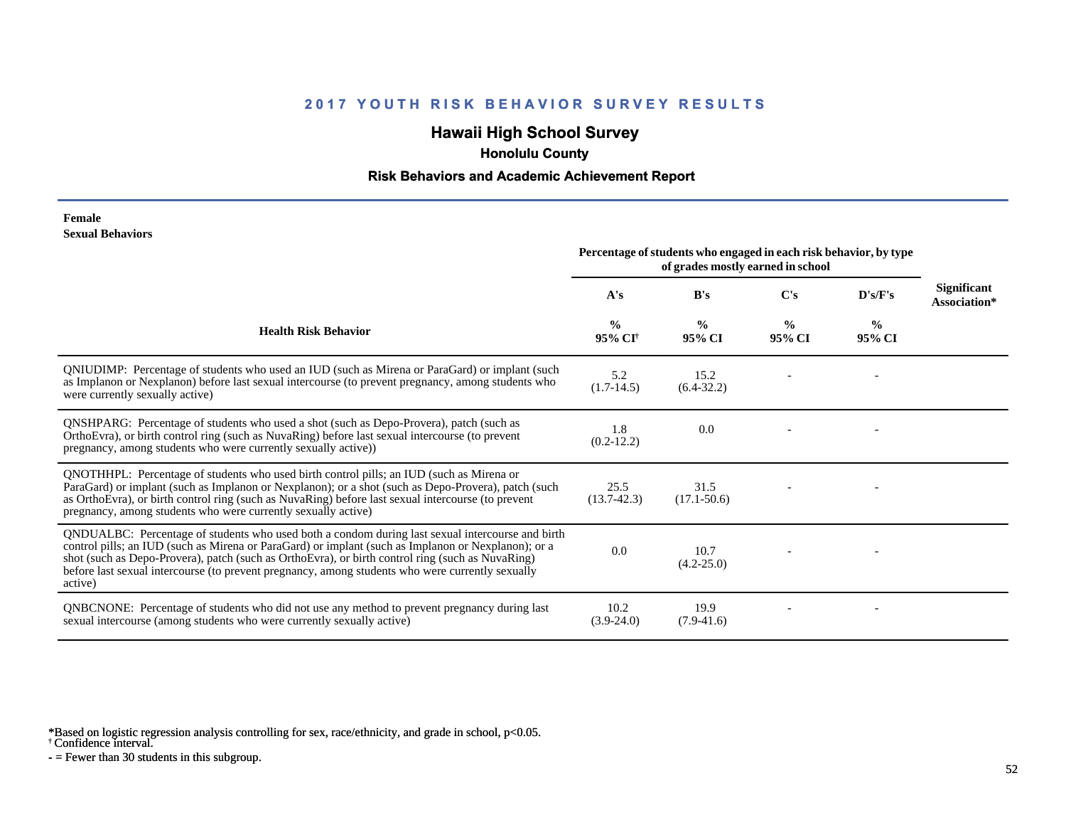## **Hawaii High School Survey**

 **Honolulu County**

#### **Risk Behaviors and Academic Achievement Report**

#### **Female Sexual Behaviors**

|                                                                                                                                                                                                                                                                                                                                                                                                                            | Percentage of students who engaged in each risk behavior, by type<br>of grades mostly earned in school |                         |                         |                         |                                    |
|----------------------------------------------------------------------------------------------------------------------------------------------------------------------------------------------------------------------------------------------------------------------------------------------------------------------------------------------------------------------------------------------------------------------------|--------------------------------------------------------------------------------------------------------|-------------------------|-------------------------|-------------------------|------------------------------------|
|                                                                                                                                                                                                                                                                                                                                                                                                                            | A's                                                                                                    | B's                     | C's                     | D's/F's                 | <b>Significant</b><br>Association* |
| <b>Health Risk Behavior</b>                                                                                                                                                                                                                                                                                                                                                                                                | $\frac{0}{0}$<br>95% CI <sup>†</sup>                                                                   | $\frac{0}{0}$<br>95% CI | $\frac{0}{0}$<br>95% CI | $\frac{6}{6}$<br>95% CI |                                    |
| QNIUDIMP: Percentage of students who used an IUD (such as Mirena or ParaGard) or implant (such<br>as Implanon or Nexplanon) before last sexual intercourse (to prevent pregnancy, among students who<br>were currently sexually active)                                                                                                                                                                                    | 5.2<br>$(1.7-14.5)$                                                                                    | 15.2<br>$(6.4-32.2)$    |                         |                         |                                    |
| <b>QNSHPARG:</b> Percentage of students who used a shot (such as Depo-Provera), patch (such as<br>OrthoEvra), or birth control ring (such as NuvaRing) before last sexual intercourse (to prevent<br>pregnancy, among students who were currently sexually active))                                                                                                                                                        | 1.8<br>$(0.2-12.2)$                                                                                    | 0.0                     |                         |                         |                                    |
| QNOTHHPL: Percentage of students who used birth control pills; an IUD (such as Mirena or<br>ParaGard) or implant (such as Implanon or Nexplanon); or a shot (such as Depo-Provera), patch (such<br>as OrthoEvra), or birth control ring (such as NuvaRing) before last sexual intercourse (to prevent<br>pregnancy, among students who were currently sexually active)                                                     | 25.5<br>$(13.7-42.3)$                                                                                  | 31.5<br>$(17.1 - 50.6)$ |                         |                         |                                    |
| QNDUALBC: Percentage of students who used both a condom during last sexual intercourse and birth<br>control pills; an IUD (such as Mirena or ParaGard) or implant (such as Implanon or Nexplanon); or a<br>shot (such as Depo-Provera), patch (such as OrthoEvra), or birth control ring (such as NuvaRing)<br>before last sexual intercourse (to prevent pregnancy, among students who were currently sexually<br>active) | 0.0                                                                                                    | 10.7<br>$(4.2 - 25.0)$  |                         |                         |                                    |
| QNBCNONE: Percentage of students who did not use any method to prevent pregnancy during last<br>sexual intercourse (among students who were currently sexually active)                                                                                                                                                                                                                                                     | 10.2<br>$(3.9-24.0)$                                                                                   | 19.9<br>$(7.9-41.6)$    |                         |                         |                                    |

\*Based on logistic regression analysis controlling for sex, race/ethnicity, and grade in school, p<0.05.

† Confidence interval.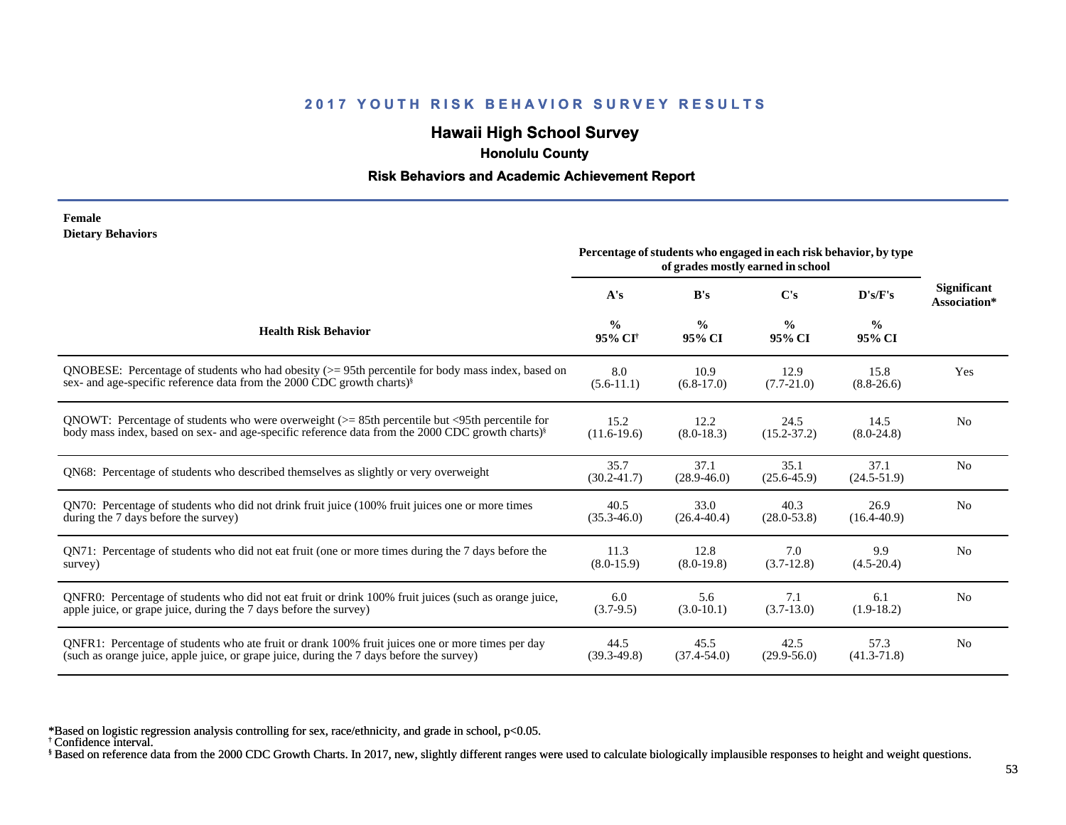## **Hawaii High School Survey**

 **Honolulu County**

#### **Risk Behaviors and Academic Achievement Report**

#### **Female Dietary Behaviors**

|                                                                                                              | Percentage of students who engaged in each risk behavior, by type<br>of grades mostly earned in school |                         |                         |                         |                                    |
|--------------------------------------------------------------------------------------------------------------|--------------------------------------------------------------------------------------------------------|-------------------------|-------------------------|-------------------------|------------------------------------|
|                                                                                                              | A's                                                                                                    | B's                     | $\bf C's$               | D's/F's                 | <b>Significant</b><br>Association* |
| <b>Health Risk Behavior</b>                                                                                  | $\frac{0}{0}$<br>95% CI <sup>†</sup>                                                                   | $\frac{0}{0}$<br>95% CI | $\frac{0}{0}$<br>95% CI | $\frac{6}{6}$<br>95% CI |                                    |
| ONOBESE: Percentage of students who had obesity $(>= 95$ th percentile for body mass index, based on         | 8.0                                                                                                    | 10.9                    | 12.9                    | 15.8                    | Yes                                |
| sex- and age-specific reference data from the 2000 CDC growth charts) <sup>§</sup>                           | $(5.6-11.1)$                                                                                           | $(6.8-17.0)$            | $(7.7 - 21.0)$          | $(8.8-26.6)$            |                                    |
| QNOWT: Percentage of students who were overweight $(>= 85$ th percentile but $\leq$ 95th percentile for      | 15.2                                                                                                   | 12.2                    | 24.5                    | 14.5                    | N <sub>o</sub>                     |
| body mass index, based on sex- and age-specific reference data from the 2000 CDC growth charts) <sup>§</sup> | $(11.6-19.6)$                                                                                          | $(8.0-18.3)$            | $(15.2 - 37.2)$         | $(8.0-24.8)$            |                                    |
| QN68: Percentage of students who described themselves as slightly or very overweight                         | 35.7<br>$(30.2 - 41.7)$                                                                                | 37.1<br>$(28.9 - 46.0)$ | 35.1<br>$(25.6 - 45.9)$ | 37.1<br>$(24.5 - 51.9)$ | N <sub>o</sub>                     |
| QN70: Percentage of students who did not drink fruit juice (100% fruit juices one or more times              | 40.5                                                                                                   | 33.0                    | 40.3                    | 26.9                    | N <sub>o</sub>                     |
| during the 7 days before the survey)                                                                         | $(35.3 - 46.0)$                                                                                        | $(26.4 - 40.4)$         | $(28.0 - 53.8)$         | $(16.4 - 40.9)$         |                                    |
| QN71: Percentage of students who did not eat fruit (one or more times during the 7 days before the           | 11.3                                                                                                   | 12.8                    | 7.0                     | 9.9                     | N <sub>0</sub>                     |
| survey)                                                                                                      | $(8.0-15.9)$                                                                                           | $(8.0-19.8)$            | $(3.7-12.8)$            | $(4.5-20.4)$            |                                    |
| ONFR0: Percentage of students who did not eat fruit or drink 100% fruit juices (such as orange juice,        | 6.0                                                                                                    | 5.6                     | 7.1                     | 6.1                     | N <sub>0</sub>                     |
| apple juice, or grape juice, during the 7 days before the survey)                                            | $(3.7-9.5)$                                                                                            | $(3.0-10.1)$            | $(3.7-13.0)$            | $(1.9-18.2)$            |                                    |
| QNFR1: Percentage of students who ate fruit or drank 100% fruit juices one or more times per day             | 44.5                                                                                                   | 45.5                    | 42.5                    | 57.3                    | N <sub>o</sub>                     |
| (such as orange juice, apple juice, or grape juice, during the 7 days before the survey)                     | $(39.3 - 49.8)$                                                                                        | $(37.4 - 54.0)$         | $(29.9 - 56.0)$         | $(41.3 - 71.8)$         |                                    |

\*Based on logistic regression analysis controlling for sex, race/ethnicity, and grade in school, p<0.05.

† Confidence interval.

§ Based on reference data from the 2000 CDC Growth Charts. In 2017, new, slightly different ranges were used to calculate biologically implausible responses to height and weight questions.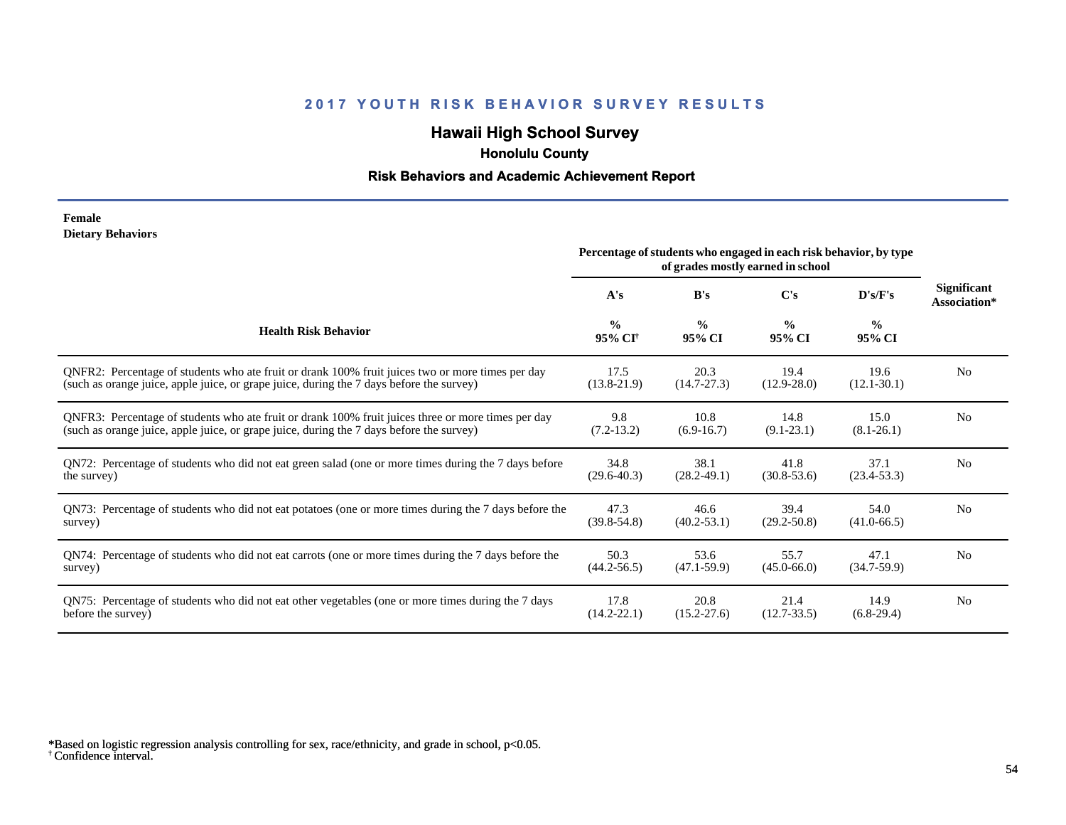## **Hawaii High School Survey**

 **Honolulu County**

### **Risk Behaviors and Academic Achievement Report**

#### **Female Dietary Behaviors**

|                                                                                                       |                                      | Percentage of students who engaged in each risk behavior, by type | of grades mostly earned in school |                         |                             |
|-------------------------------------------------------------------------------------------------------|--------------------------------------|-------------------------------------------------------------------|-----------------------------------|-------------------------|-----------------------------|
|                                                                                                       | A's                                  | B's                                                               | C's                               | D's/F's                 | Significant<br>Association* |
| <b>Health Risk Behavior</b>                                                                           | $\frac{0}{0}$<br>95% CI <sup>+</sup> | $\frac{0}{0}$<br>95% CI                                           | $\frac{0}{0}$<br>95% CI           | $\frac{0}{0}$<br>95% CI |                             |
| ONFR2: Percentage of students who ate fruit or drank 100% fruit juices two or more times per day      | 17.5                                 | 20.3                                                              | 19.4                              | 19.6                    | N <sub>0</sub>              |
| (such as orange juice, apple juice, or grape juice, during the 7 days before the survey)              | $(13.8-21.9)$                        | $(14.7 - 27.3)$                                                   | $(12.9 - 28.0)$                   | $(12.1 - 30.1)$         |                             |
| QNFR3: Percentage of students who ate fruit or drank 100% fruit juices three or more times per day    | 9.8                                  | 10.8                                                              | 14.8                              | 15.0                    | N <sub>0</sub>              |
| (such as orange juice, apple juice, or grape juice, during the 7 days before the survey)              | $(7.2-13.2)$                         | $(6.9-16.7)$                                                      | $(9.1 - 23.1)$                    | $(8.1 - 26.1)$          |                             |
| QN72: Percentage of students who did not eat green salad (one or more times during the 7 days before  | 34.8                                 | 38.1                                                              | 41.8                              | 37.1                    | N <sub>0</sub>              |
| the survey)                                                                                           | $(29.6 - 40.3)$                      | $(28.2 - 49.1)$                                                   | $(30.8 - 53.6)$                   | $(23.4 - 53.3)$         |                             |
| QN73: Percentage of students who did not eat potatoes (one or more times during the 7 days before the | 47.3                                 | 46.6                                                              | 39.4                              | 54.0                    | N <sub>0</sub>              |
| survey)                                                                                               | $(39.8 - 54.8)$                      | $(40.2 - 53.1)$                                                   | $(29.2 - 50.8)$                   | $(41.0 - 66.5)$         |                             |
| QN74: Percentage of students who did not eat carrots (one or more times during the 7 days before the  | 50.3                                 | 53.6                                                              | 55.7                              | 47.1                    | N <sub>0</sub>              |
| survey)                                                                                               | $(44.2 - 56.5)$                      | $(47.1 - 59.9)$                                                   | $(45.0 - 66.0)$                   | $(34.7-59.9)$           |                             |
| QN75: Percentage of students who did not eat other vegetables (one or more times during the 7 days    | 17.8                                 | 20.8                                                              | 21.4                              | 14.9                    | N <sub>0</sub>              |
| before the survey)                                                                                    | $(14.2 - 22.1)$                      | $(15.2 - 27.6)$                                                   | $(12.7 - 33.5)$                   | $(6.8-29.4)$            |                             |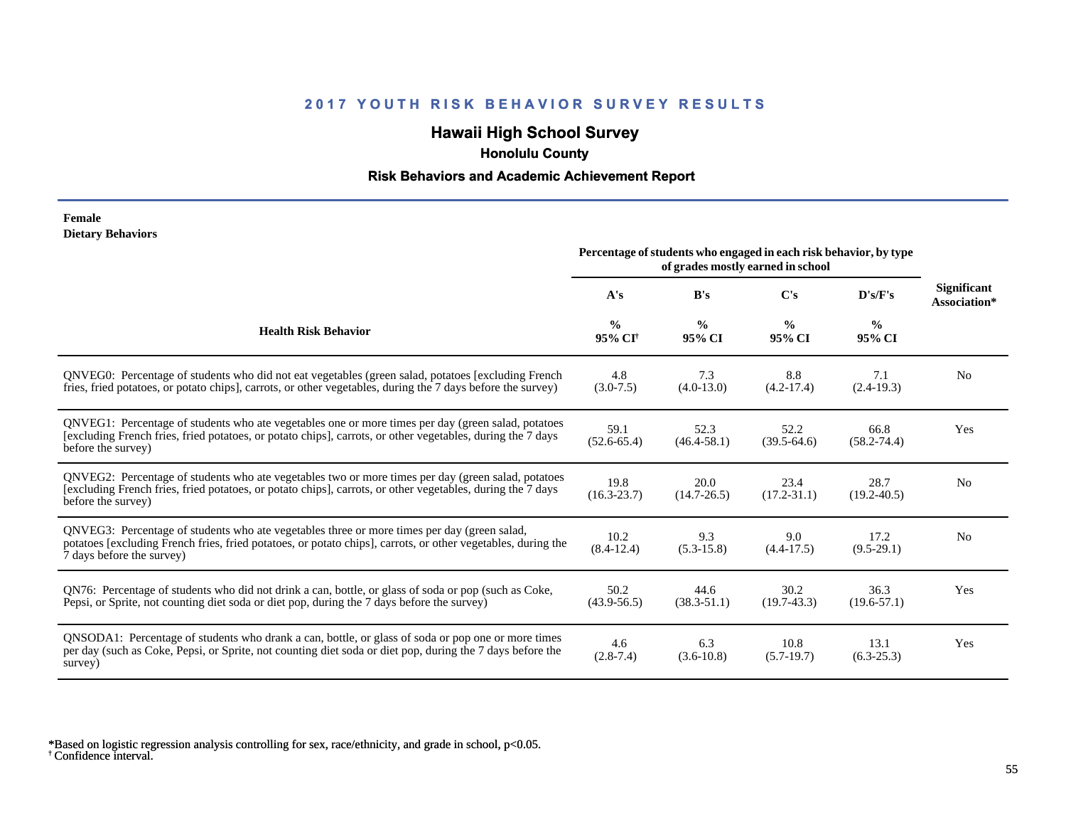## **Hawaii High School Survey**

 **Honolulu County**

### **Risk Behaviors and Academic Achievement Report**

#### **Female Dietary Behaviors**

|                                                                                                                                                                                                                                          |                                      |                         | Percentage of students who engaged in each risk behavior, by type<br>of grades mostly earned in school |                         |                                    |
|------------------------------------------------------------------------------------------------------------------------------------------------------------------------------------------------------------------------------------------|--------------------------------------|-------------------------|--------------------------------------------------------------------------------------------------------|-------------------------|------------------------------------|
|                                                                                                                                                                                                                                          | A's                                  | B's                     | C's                                                                                                    | D's/F's                 | <b>Significant</b><br>Association* |
| <b>Health Risk Behavior</b>                                                                                                                                                                                                              | $\frac{0}{0}$<br>95% CI <sup>+</sup> | $\frac{0}{0}$<br>95% CI | $\frac{0}{0}$<br>95% CI                                                                                | $\frac{0}{0}$<br>95% CI |                                    |
| QNVEG0: Percentage of students who did not eat vegetables (green salad, potatoes [excluding French<br>fries, fried potatoes, or potato chips], carrots, or other vegetables, during the 7 days before the survey)                        | 4.8<br>$(3.0 - 7.5)$                 | 7.3<br>$(4.0-13.0)$     | 8.8<br>$(4.2-17.4)$                                                                                    | 7.1<br>$(2.4-19.3)$     | N <sub>0</sub>                     |
| QNVEG1: Percentage of students who ate vegetables one or more times per day (green salad, potatoes<br>[excluding French fries, fried potatoes, or potato chips], carrots, or other vegetables, during the 7 days<br>before the survey)   | 59.1<br>$(52.6 - 65.4)$              | 52.3<br>$(46.4 - 58.1)$ | 52.2<br>$(39.5-64.6)$                                                                                  | 66.8<br>$(58.2 - 74.4)$ | Yes                                |
| QNVEG2: Percentage of students who ate vegetables two or more times per day (green salad, potatoes<br>[excluding French fries, fried potatoes, or potato chips], carrots, or other vegetables, during the 7 days<br>before the survey)   | 19.8<br>$(16.3 - 23.7)$              | 20.0<br>$(14.7 - 26.5)$ | 23.4<br>$(17.2 - 31.1)$                                                                                | 28.7<br>$(19.2 - 40.5)$ | N <sub>0</sub>                     |
| QNVEG3: Percentage of students who ate vegetables three or more times per day (green salad,<br>potatoes [excluding French fries, fried potatoes, or potato chips], carrots, or other vegetables, during the<br>7 days before the survey) | 10.2<br>$(8.4-12.4)$                 | 9.3<br>$(5.3 - 15.8)$   | 9.0<br>$(4.4 - 17.5)$                                                                                  | 17.2<br>$(9.5-29.1)$    | N <sub>0</sub>                     |
| QN76: Percentage of students who did not drink a can, bottle, or glass of soda or pop (such as Coke,<br>Pepsi, or Sprite, not counting diet soda or diet pop, during the 7 days before the survey)                                       | 50.2<br>$(43.9 - 56.5)$              | 44.6<br>$(38.3 - 51.1)$ | 30.2<br>$(19.7-43.3)$                                                                                  | 36.3<br>$(19.6 - 57.1)$ | Yes                                |
| QNSODA1: Percentage of students who drank a can, bottle, or glass of soda or pop one or more times<br>per day (such as Coke, Pepsi, or Sprite, not counting diet soda or diet pop, during the 7 days before the<br>survey)               | 4.6<br>$(2.8-7.4)$                   | 6.3<br>$(3.6-10.8)$     | 10.8<br>$(5.7-19.7)$                                                                                   | 13.1<br>$(6.3-25.3)$    | Yes                                |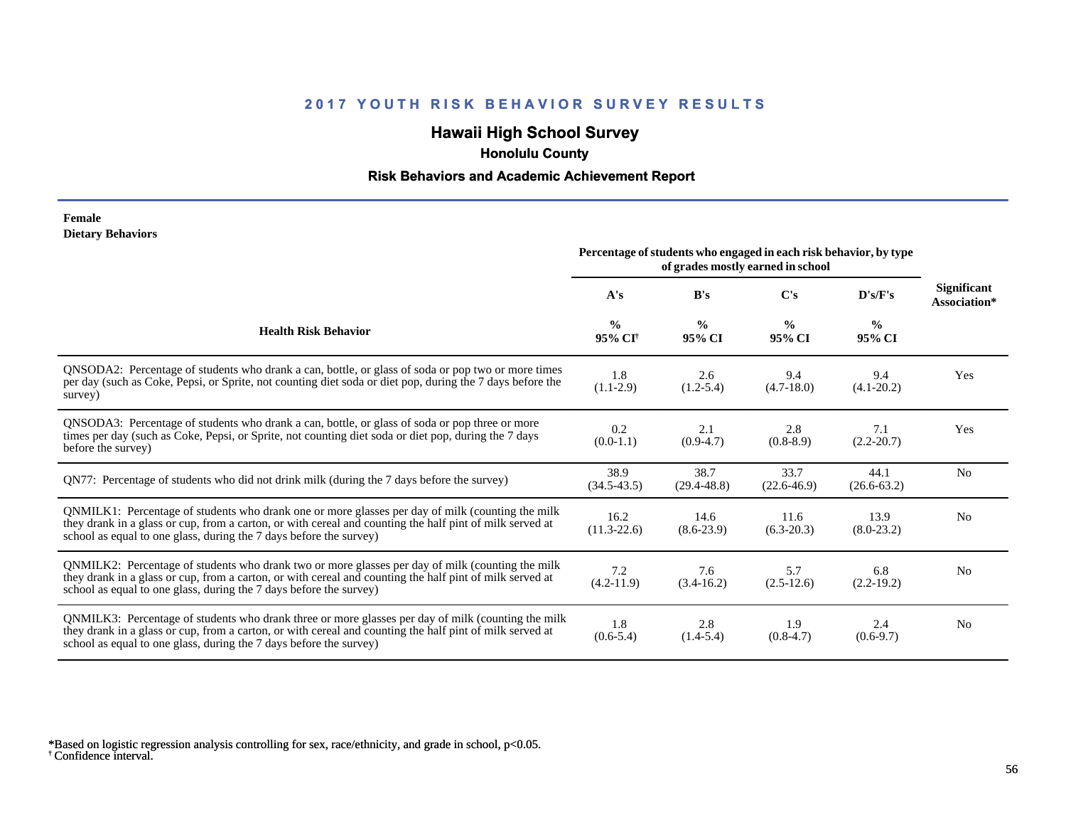## **Hawaii High School Survey**

 **Honolulu County**

### **Risk Behaviors and Academic Achievement Report**

#### **Female Dietary Behaviors**

|                                                                                                                                                                                                                                                                                      | Percentage of students who engaged in each risk behavior, by type<br>of grades mostly earned in school |                         |                         |                         |                                    |
|--------------------------------------------------------------------------------------------------------------------------------------------------------------------------------------------------------------------------------------------------------------------------------------|--------------------------------------------------------------------------------------------------------|-------------------------|-------------------------|-------------------------|------------------------------------|
|                                                                                                                                                                                                                                                                                      | A's                                                                                                    | B's                     | $\bf C's$               | D's/F's                 | <b>Significant</b><br>Association* |
| <b>Health Risk Behavior</b>                                                                                                                                                                                                                                                          | $\frac{0}{0}$<br>95% CI <sup>†</sup>                                                                   | $\frac{0}{0}$<br>95% CI | $\frac{6}{9}$<br>95% CI | $\frac{0}{0}$<br>95% CI |                                    |
| QNSODA2: Percentage of students who drank a can, bottle, or glass of soda or pop two or more times<br>per day (such as Coke, Pepsi, or Sprite, not counting diet soda or diet pop, during the 7 days before the<br>survey)                                                           | 1.8<br>$(1.1-2.9)$                                                                                     | 2.6<br>$(1.2 - 5.4)$    | 9.4<br>$(4.7-18.0)$     | 9.4<br>$(4.1 - 20.2)$   | Yes                                |
| ONSODA3: Percentage of students who drank a can, bottle, or glass of soda or pop three or more<br>times per day (such as Coke, Pepsi, or Sprite, not counting diet soda or diet pop, during the 7 days<br>before the survey)                                                         | 0.2<br>$(0.0-1.1)$                                                                                     | 2.1<br>$(0.9-4.7)$      | 2.8<br>$(0.8-8.9)$      | 7.1<br>$(2.2 - 20.7)$   | Yes                                |
| QN77: Percentage of students who did not drink milk (during the 7 days before the survey)                                                                                                                                                                                            | 38.9<br>$(34.5 - 43.5)$                                                                                | 38.7<br>$(29.4 - 48.8)$ | 33.7<br>$(22.6 - 46.9)$ | 44.1<br>$(26.6 - 63.2)$ | N <sub>0</sub>                     |
| QNMILK1: Percentage of students who drank one or more glasses per day of milk (counting the milk<br>they drank in a glass or cup, from a carton, or with cereal and counting the half pint of milk served at<br>school as equal to one glass, during the 7 days before the survey)   | 16.2<br>$(11.3-22.6)$                                                                                  | 14.6<br>$(8.6-23.9)$    | 11.6<br>$(6.3-20.3)$    | 13.9<br>$(8.0-23.2)$    | N <sub>0</sub>                     |
| QNMILK2: Percentage of students who drank two or more glasses per day of milk (counting the milk<br>they drank in a glass or cup, from a carton, or with cereal and counting the half pint of milk served at<br>school as equal to one glass, during the 7 days before the survey)   | 7.2<br>$(4.2 - 11.9)$                                                                                  | 7.6<br>$(3.4-16.2)$     | 5.7<br>$(2.5-12.6)$     | 6.8<br>$(2.2-19.2)$     | N <sub>0</sub>                     |
| QNMILK3: Percentage of students who drank three or more glasses per day of milk (counting the milk<br>they drank in a glass or cup, from a carton, or with cereal and counting the half pint of milk served at<br>school as equal to one glass, during the 7 days before the survey) | 1.8<br>$(0.6-5.4)$                                                                                     | 2.8<br>$(1.4-5.4)$      | 1.9<br>$(0.8-4.7)$      | 2.4<br>$(0.6-9.7)$      | N <sub>0</sub>                     |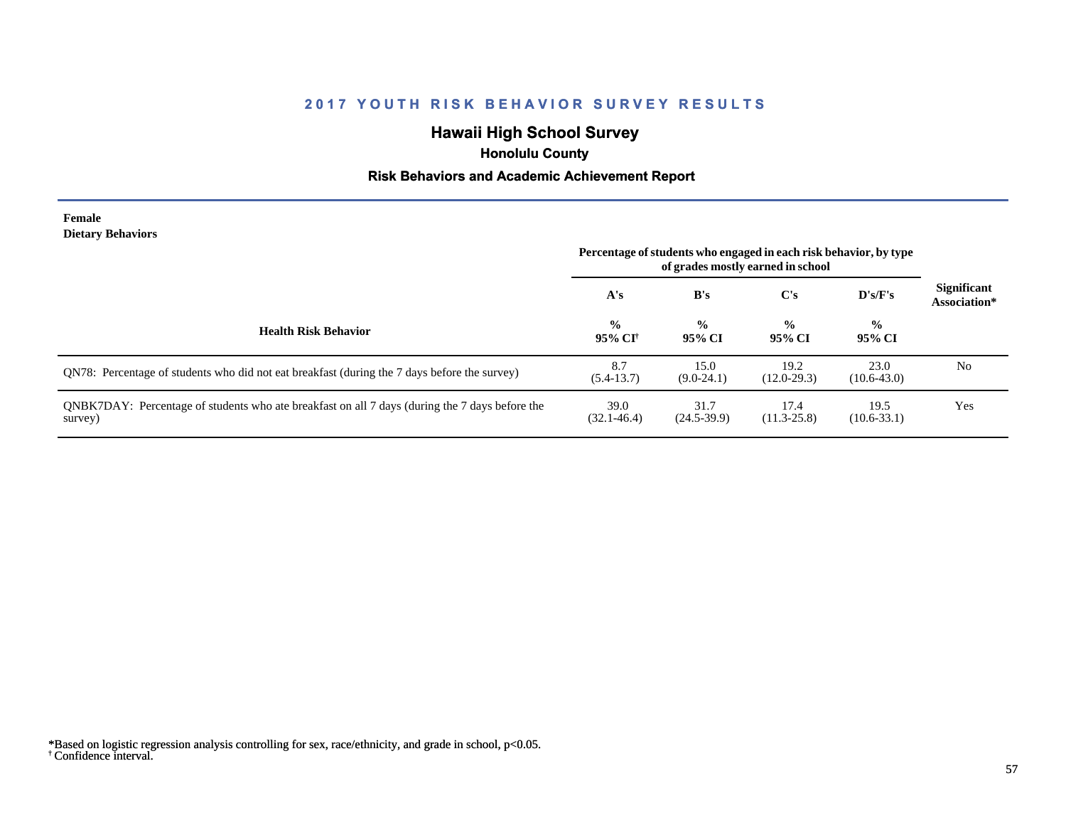## **Hawaii High School Survey**

 **Honolulu County**

### **Risk Behaviors and Academic Achievement Report**

#### **Female Dietary Behaviors**

|                                                                                                           | Percentage of students who engaged in each risk behavior, by type<br>of grades mostly earned in school |                         |                         |                         |                                    |
|-----------------------------------------------------------------------------------------------------------|--------------------------------------------------------------------------------------------------------|-------------------------|-------------------------|-------------------------|------------------------------------|
|                                                                                                           | A's                                                                                                    | B's                     | C's                     | D's/F's                 | <b>Significant</b><br>Association* |
| <b>Health Risk Behavior</b>                                                                               | $\frac{0}{0}$<br>95% CI†                                                                               | $\frac{0}{0}$<br>95% CI | $\frac{6}{9}$<br>95% CI | $\frac{6}{9}$<br>95% CI |                                    |
| QN78: Percentage of students who did not eat breakfast (during the 7 days before the survey)              | 8.7<br>$(5.4-13.7)$                                                                                    | 15.0<br>$(9.0-24.1)$    | 19.2<br>$(12.0 - 29.3)$ | 23.0<br>$(10.6-43.0)$   | No                                 |
| ONBK7DAY: Percentage of students who ate breakfast on all 7 days (during the 7 days before the<br>survey) | 39.0<br>$(32.1 - 46.4)$                                                                                | 31.7<br>$(24.5-39.9)$   | 17.4<br>$(11.3 - 25.8)$ | 19.5<br>$(10.6 - 33.1)$ | Yes                                |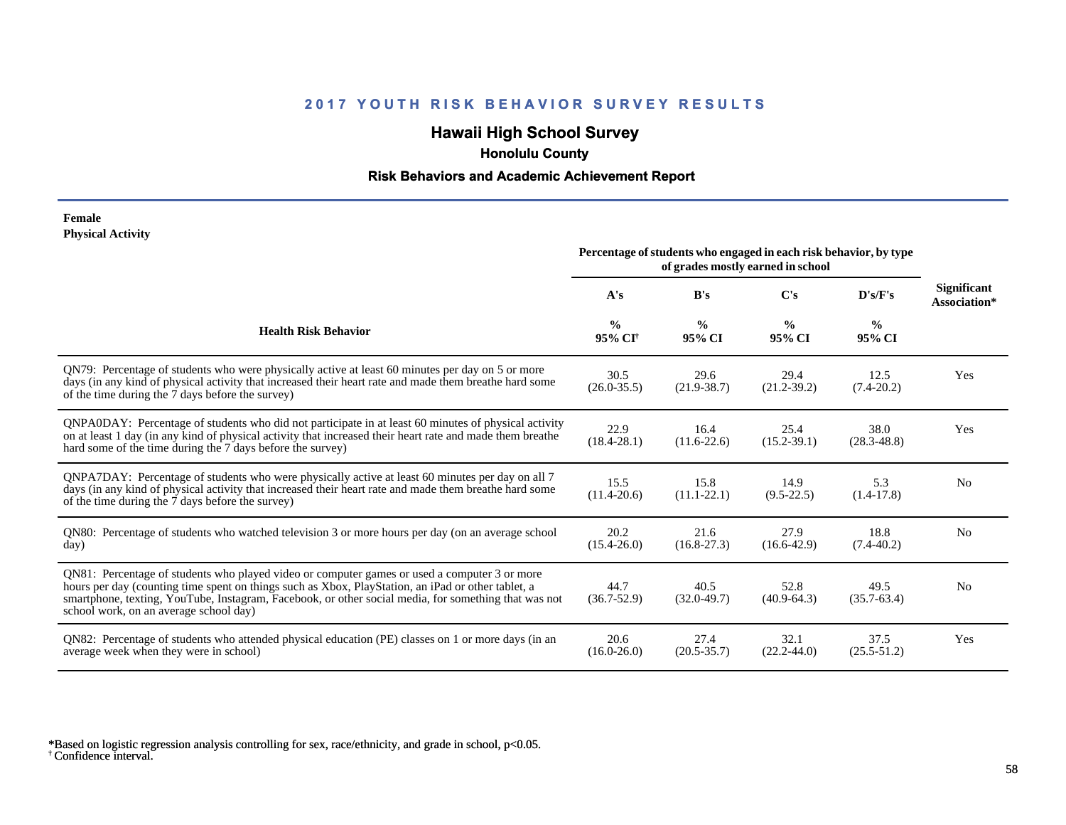## **Hawaii High School Survey**

 **Honolulu County**

### **Risk Behaviors and Academic Achievement Report**

#### **Female Physical Activity**

|                                                                                                                                                                                                                                                                                                                                                      |                                      |                         | Percentage of students who engaged in each risk behavior, by type<br>of grades mostly earned in school |                         |                                    |
|------------------------------------------------------------------------------------------------------------------------------------------------------------------------------------------------------------------------------------------------------------------------------------------------------------------------------------------------------|--------------------------------------|-------------------------|--------------------------------------------------------------------------------------------------------|-------------------------|------------------------------------|
|                                                                                                                                                                                                                                                                                                                                                      | A's                                  | B's                     | C's                                                                                                    | D's/F's                 | <b>Significant</b><br>Association* |
| <b>Health Risk Behavior</b>                                                                                                                                                                                                                                                                                                                          | $\frac{0}{0}$<br>95% CI <sup>+</sup> | $\frac{0}{0}$<br>95% CI | $\frac{0}{0}$<br>95% CI                                                                                | $\frac{0}{0}$<br>95% CI |                                    |
| QN79: Percentage of students who were physically active at least 60 minutes per day on 5 or more<br>days (in any kind of physical activity that increased their heart rate and made them breathe hard some<br>of the time during the 7 days before the survey)                                                                                       | 30.5<br>$(26.0 - 35.5)$              | 29.6<br>$(21.9 - 38.7)$ | 29.4<br>$(21.2 - 39.2)$                                                                                | 12.5<br>$(7.4 - 20.2)$  | Yes                                |
| QNPA0DAY: Percentage of students who did not participate in at least 60 minutes of physical activity<br>on at least 1 day (in any kind of physical activity that increased their heart rate and made them breathe<br>hard some of the time during the 7 days before the survey)                                                                      | 22.9<br>$(18.4 - 28.1)$              | 16.4<br>$(11.6 - 22.6)$ | 25.4<br>$(15.2 - 39.1)$                                                                                | 38.0<br>$(28.3 - 48.8)$ | Yes                                |
| QNPA7DAY: Percentage of students who were physically active at least 60 minutes per day on all 7<br>days (in any kind of physical activity that increased their heart rate and made them breathe hard some<br>of the time during the 7 days before the survey)                                                                                       | 15.5<br>$(11.4 - 20.6)$              | 15.8<br>$(11.1 - 22.1)$ | 14.9<br>$(9.5-22.5)$                                                                                   | 5.3<br>$(1.4-17.8)$     | N <sub>0</sub>                     |
| QN80: Percentage of students who watched television 3 or more hours per day (on an average school<br>day)                                                                                                                                                                                                                                            | 20.2<br>$(15.4 - 26.0)$              | 21.6<br>$(16.8 - 27.3)$ | 27.9<br>$(16.6 - 42.9)$                                                                                | 18.8<br>$(7.4 - 40.2)$  | No                                 |
| QN81: Percentage of students who played video or computer games or used a computer 3 or more<br>hours per day (counting time spent on things such as Xbox, PlayStation, an iPad or other tablet, a<br>smartphone, texting, YouTube, Instagram, Facebook, or other social media, for something that was not<br>school work, on an average school day) | 44.7<br>$(36.7 - 52.9)$              | 40.5<br>$(32.0 - 49.7)$ | 52.8<br>$(40.9 - 64.3)$                                                                                | 49.5<br>$(35.7 - 63.4)$ | N <sub>0</sub>                     |
| QN82: Percentage of students who attended physical education (PE) classes on 1 or more days (in an<br>average week when they were in school)                                                                                                                                                                                                         | 20.6<br>$(16.0 - 26.0)$              | 27.4<br>$(20.5 - 35.7)$ | 32.1<br>$(22.2 - 44.0)$                                                                                | 37.5<br>$(25.5 - 51.2)$ | Yes                                |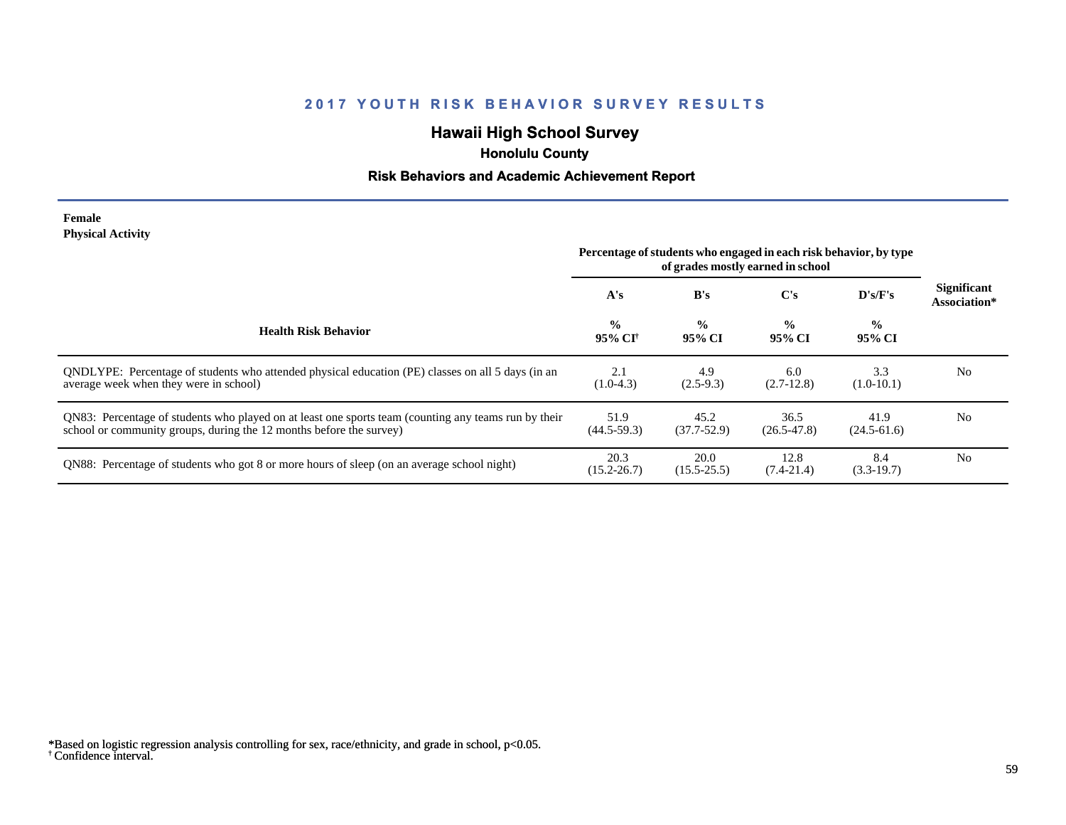## **Hawaii High School Survey**

 **Honolulu County**

### **Risk Behaviors and Academic Achievement Report**

#### **Female Physical Activity**

|                                                                                                                                                                             | Percentage of students who engaged in each risk behavior, by type<br>of grades mostly earned in school |                         |                         |                         |                                    |
|-----------------------------------------------------------------------------------------------------------------------------------------------------------------------------|--------------------------------------------------------------------------------------------------------|-------------------------|-------------------------|-------------------------|------------------------------------|
|                                                                                                                                                                             | A's                                                                                                    | B's                     | $\bf C's$               | $\bf{D's/F's}$          | <b>Significant</b><br>Association* |
| <b>Health Risk Behavior</b>                                                                                                                                                 | $\frac{0}{0}$<br>95% CI†                                                                               | $\frac{0}{0}$<br>95% CI | $\frac{0}{0}$<br>95% CI | $\frac{0}{0}$<br>95% CI |                                    |
| ONDLYPE: Percentage of students who attended physical education (PE) classes on all 5 days (in an<br>average week when they were in school)                                 | 2.1<br>$(1.0-4.3)$                                                                                     | 4.9<br>$(2.5-9.3)$      | 6.0<br>$(2.7-12.8)$     | 3.3<br>$(1.0-10.1)$     | N <sub>0</sub>                     |
| QN83: Percentage of students who played on at least one sports team (counting any teams run by their<br>school or community groups, during the 12 months before the survey) | 51.9<br>$(44.5 - 59.3)$                                                                                | 45.2<br>$(37.7 - 52.9)$ | 36.5<br>$(26.5 - 47.8)$ | 41.9<br>$(24.5 - 61.6)$ | N <sub>0</sub>                     |
| QN88: Percentage of students who got 8 or more hours of sleep (on an average school night)                                                                                  | 20.3<br>$(15.2 - 26.7)$                                                                                | 20.0<br>$(15.5 - 25.5)$ | 12.8<br>$(7.4 - 21.4)$  | 8.4<br>$(3.3-19.7)$     | N <sub>0</sub>                     |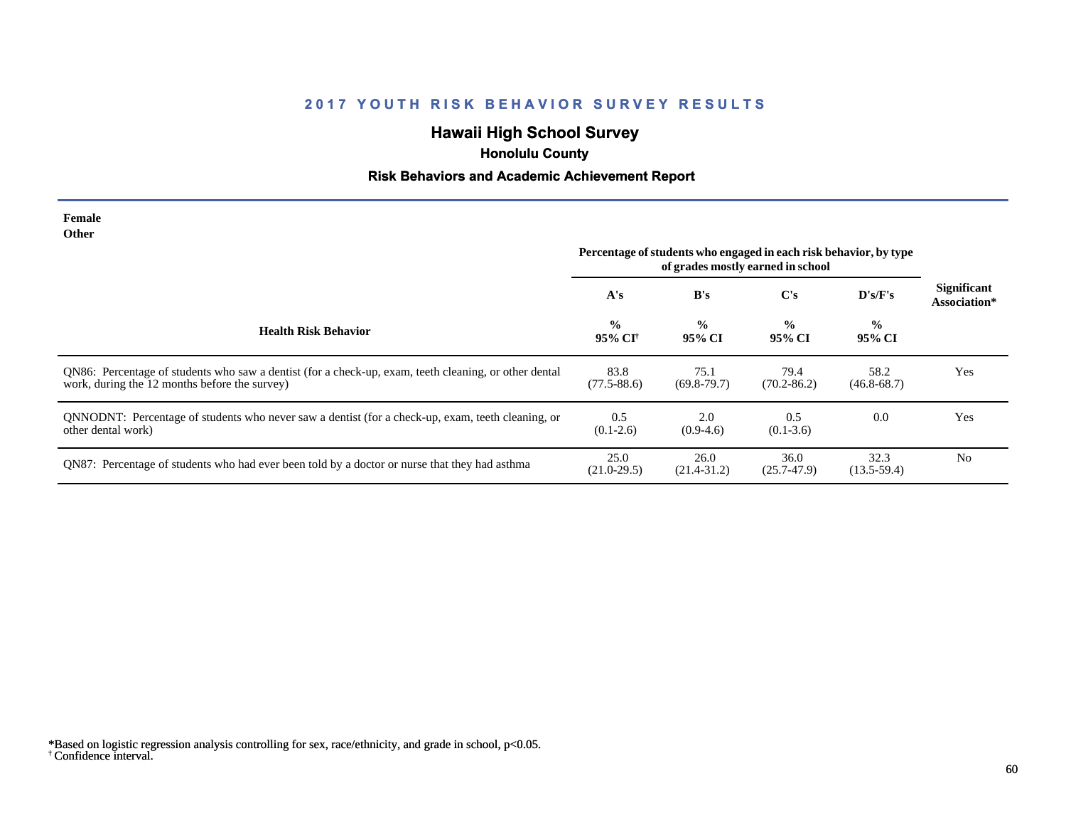## **Hawaii High School Survey**

# **Honolulu County**

## **Risk Behaviors and Academic Achievement Report**

| Female<br>Other                                                                                                                                        |                          |                         | Percentage of students who engaged in each risk behavior, by type<br>of grades mostly earned in school |                         |                                    |
|--------------------------------------------------------------------------------------------------------------------------------------------------------|--------------------------|-------------------------|--------------------------------------------------------------------------------------------------------|-------------------------|------------------------------------|
|                                                                                                                                                        | A's                      | B's                     | $\bf C's$                                                                                              | D's/F's                 | <b>Significant</b><br>Association* |
| <b>Health Risk Behavior</b>                                                                                                                            | $\frac{0}{0}$<br>95% CI† | $\frac{0}{0}$<br>95% CI | $\frac{0}{0}$<br>95% CI                                                                                | $\frac{0}{0}$<br>95% CI |                                    |
| QN86: Percentage of students who saw a dentist (for a check-up, exam, teeth cleaning, or other dental<br>work, during the 12 months before the survey) | 83.8<br>$(77.5 - 88.6)$  | 75.1<br>$(69.8-79.7)$   | 79.4<br>$(70.2 - 86.2)$                                                                                | 58.2<br>$(46.8 - 68.7)$ | Yes                                |
| QNNODNT: Percentage of students who never saw a dentist (for a check-up, exam, teeth cleaning, or<br>other dental work)                                | 0.5<br>$(0.1-2.6)$       | 2.0<br>$(0.9-4.6)$      | 0.5<br>$(0.1 - 3.6)$                                                                                   | 0.0                     | Yes                                |
| QN87: Percentage of students who had ever been told by a doctor or nurse that they had asthma                                                          | 25.0<br>$(21.0-29.5)$    | 26.0<br>$(21.4 - 31.2)$ | 36.0<br>$(25.7 - 47.9)$                                                                                | 32.3<br>$(13.5-59.4)$   | N <sub>0</sub>                     |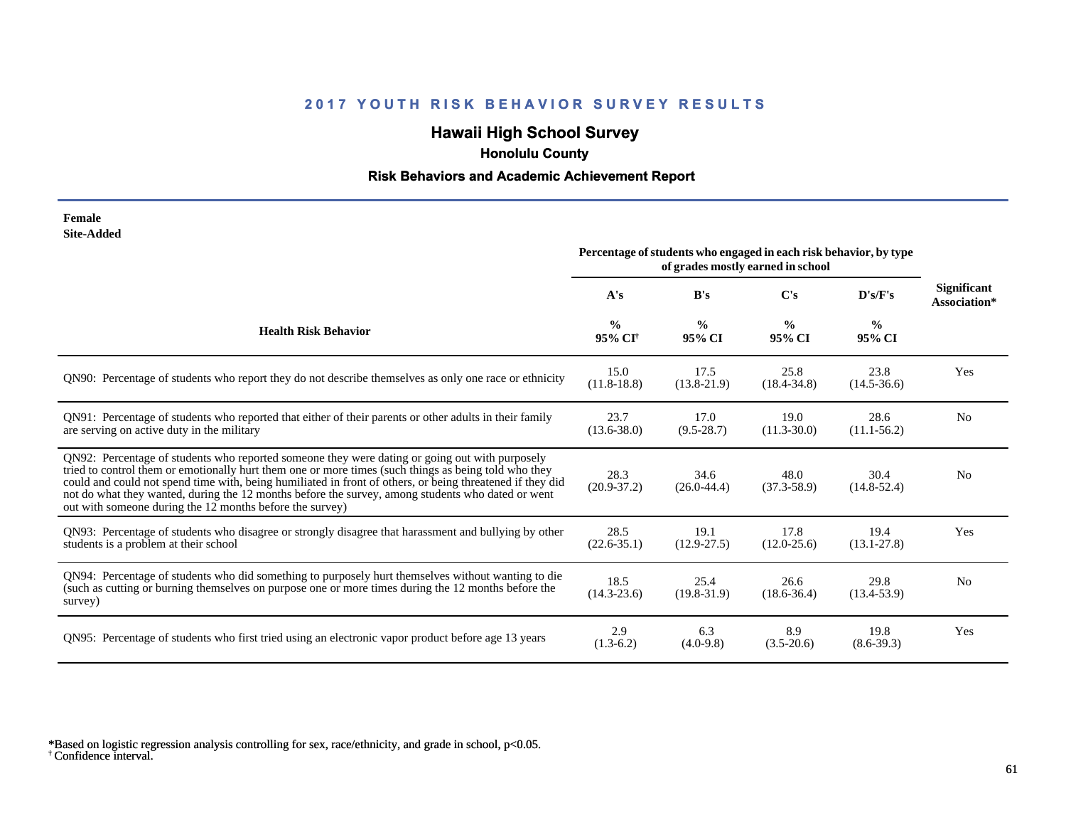## **Hawaii High School Survey**

 **Honolulu County**

## **Risk Behaviors and Academic Achievement Report**

| Female            |
|-------------------|
| <b>Site-Added</b> |

| one Auucu                                                                                                                                                                                                                                                                                                                                                                                                                                                                            | Percentage of students who engaged in each risk behavior, by type<br>of grades mostly earned in school |                         |                         |                         |                                    |
|--------------------------------------------------------------------------------------------------------------------------------------------------------------------------------------------------------------------------------------------------------------------------------------------------------------------------------------------------------------------------------------------------------------------------------------------------------------------------------------|--------------------------------------------------------------------------------------------------------|-------------------------|-------------------------|-------------------------|------------------------------------|
|                                                                                                                                                                                                                                                                                                                                                                                                                                                                                      | A's                                                                                                    | B's                     | $\bf C's$               | D's/F's                 | <b>Significant</b><br>Association* |
| <b>Health Risk Behavior</b>                                                                                                                                                                                                                                                                                                                                                                                                                                                          | $\frac{0}{0}$<br>95% CI <sup>+</sup>                                                                   | $\frac{0}{0}$<br>95% CI | $\frac{0}{0}$<br>95% CI | $\frac{0}{0}$<br>95% CI |                                    |
| QN90: Percentage of students who report they do not describe themselves as only one race or ethnicity                                                                                                                                                                                                                                                                                                                                                                                | 15.0<br>$(11.8-18.8)$                                                                                  | 17.5<br>$(13.8-21.9)$   | 25.8<br>$(18.4 - 34.8)$ | 23.8<br>$(14.5 - 36.6)$ | Yes                                |
| QN91: Percentage of students who reported that either of their parents or other adults in their family<br>are serving on active duty in the military                                                                                                                                                                                                                                                                                                                                 | 23.7<br>$(13.6 - 38.0)$                                                                                | 17.0<br>$(9.5 - 28.7)$  | 19.0<br>$(11.3 - 30.0)$ | 28.6<br>$(11.1 - 56.2)$ | N <sub>o</sub>                     |
| QN92: Percentage of students who reported someone they were dating or going out with purposely<br>tried to control them or emotionally hurt them one or more times (such things as being told who they<br>could and could not spend time with, being humiliated in front of others, or being threatened if they did<br>not do what they wanted, during the 12 months before the survey, among students who dated or went<br>out with someone during the 12 months before the survey) | 28.3<br>$(20.9 - 37.2)$                                                                                | 34.6<br>$(26.0 - 44.4)$ | 48.0<br>$(37.3 - 58.9)$ | 30.4<br>$(14.8 - 52.4)$ | N <sub>0</sub>                     |
| QN93: Percentage of students who disagree or strongly disagree that harassment and bullying by other<br>students is a problem at their school                                                                                                                                                                                                                                                                                                                                        | 28.5<br>$(22.6 - 35.1)$                                                                                | 19.1<br>$(12.9 - 27.5)$ | 17.8<br>$(12.0 - 25.6)$ | 19.4<br>$(13.1 - 27.8)$ | Yes                                |
| QN94: Percentage of students who did something to purposely hurt themselves without wanting to die<br>(such as cutting or burning themselves on purpose one or more times during the 12 months before the<br>survey)                                                                                                                                                                                                                                                                 | 18.5<br>$(14.3 - 23.6)$                                                                                | 25.4<br>$(19.8-31.9)$   | 26.6<br>$(18.6 - 36.4)$ | 29.8<br>$(13.4 - 53.9)$ | N <sub>0</sub>                     |
| QN95: Percentage of students who first tried using an electronic vapor product before age 13 years                                                                                                                                                                                                                                                                                                                                                                                   | 2.9<br>$(1.3-6.2)$                                                                                     | 6.3<br>$(4.0-9.8)$      | 8.9<br>$(3.5-20.6)$     | 19.8<br>$(8.6 - 39.3)$  | Yes                                |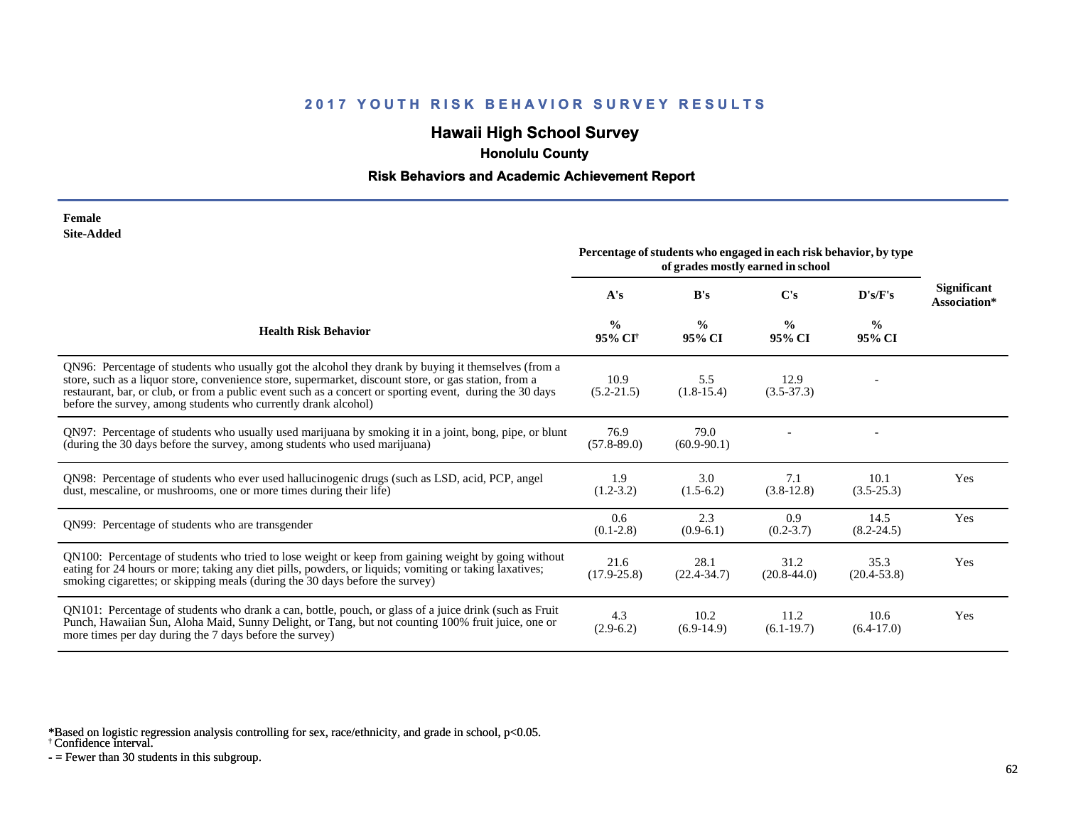## **Hawaii High School Survey**

 **Honolulu County**

### **Risk Behaviors and Academic Achievement Report**

| Female            |
|-------------------|
| <b>Site-Added</b> |

|                                                                                                                                                                                                                                                                                                                                                                                            | Percentage of students who engaged in each risk behavior, by type<br>of grades mostly earned in school |                         |                         |                         |                                    |
|--------------------------------------------------------------------------------------------------------------------------------------------------------------------------------------------------------------------------------------------------------------------------------------------------------------------------------------------------------------------------------------------|--------------------------------------------------------------------------------------------------------|-------------------------|-------------------------|-------------------------|------------------------------------|
|                                                                                                                                                                                                                                                                                                                                                                                            | A's                                                                                                    | B's                     | C's                     | D's/F's                 | <b>Significant</b><br>Association* |
| <b>Health Risk Behavior</b>                                                                                                                                                                                                                                                                                                                                                                | $\frac{0}{0}$<br>95% CI <sup>+</sup>                                                                   | $\frac{6}{9}$<br>95% CI | $\frac{0}{0}$<br>95% CI | $\frac{6}{6}$<br>95% CI |                                    |
| QN96: Percentage of students who usually got the alcohol they drank by buying it themselves (from a<br>store, such as a liquor store, convenience store, supermarket, discount store, or gas station, from a<br>restaurant, bar, or club, or from a public event such as a concert or sporting event, during the 30 days<br>before the survey, among students who currently drank alcohol) | 10.9<br>$(5.2 - 21.5)$                                                                                 | 5.5<br>$(1.8-15.4)$     | 12.9<br>$(3.5-37.3)$    |                         |                                    |
| QN97: Percentage of students who usually used marijuana by smoking it in a joint, bong, pipe, or blunt<br>(during the 30 days before the survey, among students who used marijuana)                                                                                                                                                                                                        | 76.9<br>$(57.8 - 89.0)$                                                                                | 79.0<br>$(60.9-90.1)$   |                         |                         |                                    |
| QN98: Percentage of students who ever used hallucinogenic drugs (such as LSD, acid, PCP, angel<br>dust, mescaline, or mushrooms, one or more times during their life)                                                                                                                                                                                                                      | 1.9<br>$(1.2 - 3.2)$                                                                                   | 3.0<br>$(1.5-6.2)$      | 7.1<br>$(3.8-12.8)$     | 10.1<br>$(3.5 - 25.3)$  | Yes                                |
| QN99: Percentage of students who are transgender                                                                                                                                                                                                                                                                                                                                           | 0.6<br>$(0.1-2.8)$                                                                                     | 2.3<br>$(0.9-6.1)$      | 0.9<br>$(0.2 - 3.7)$    | 14.5<br>$(8.2 - 24.5)$  | Yes                                |
| QN100: Percentage of students who tried to lose weight or keep from gaining weight by going without<br>eating for 24 hours or more; taking any diet pills, powders, or liquids; vomiting or taking laxatives;<br>smoking cigarettes; or skipping meals (during the 30 days before the survey)                                                                                              | 21.6<br>$(17.9 - 25.8)$                                                                                | 28.1<br>$(22.4 - 34.7)$ | 31.2<br>$(20.8 - 44.0)$ | 35.3<br>$(20.4 - 53.8)$ | Yes                                |
| QN101: Percentage of students who drank a can, bottle, pouch, or glass of a juice drink (such as Fruit<br>Punch, Hawaiian Sun, Aloha Maid, Sunny Delight, or Tang, but not counting 100% fruit juice, one or<br>more times per day during the 7 days before the survey)                                                                                                                    | 4.3<br>$(2.9-6.2)$                                                                                     | 10.2<br>$(6.9-14.9)$    | 11.2<br>$(6.1-19.7)$    | 10.6<br>$(6.4-17.0)$    | Yes                                |

\*Based on logistic regression analysis controlling for sex, race/ethnicity, and grade in school, p<0.05.

† Confidence interval.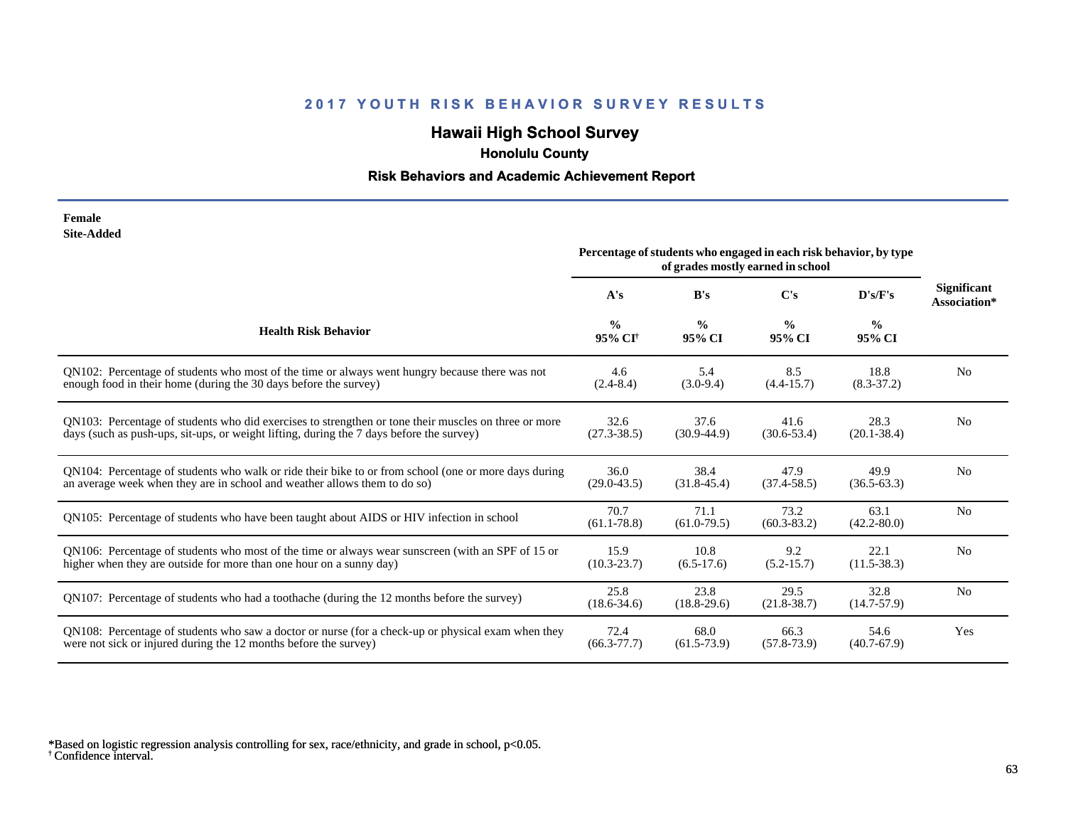## **Hawaii High School Survey**

 **Honolulu County**

## **Risk Behaviors and Academic Achievement Report**

| Female     |
|------------|
| Site-Added |

|                                                                                                      | Percentage of students who engaged in each risk behavior, by type |                         |                         |                         |                                    |
|------------------------------------------------------------------------------------------------------|-------------------------------------------------------------------|-------------------------|-------------------------|-------------------------|------------------------------------|
|                                                                                                      | A's                                                               | B's                     | C's                     | D's/F's                 | <b>Significant</b><br>Association* |
| <b>Health Risk Behavior</b>                                                                          | $\frac{0}{0}$<br>95% CI <sup>+</sup>                              | $\frac{0}{0}$<br>95% CI | $\frac{0}{0}$<br>95% CI | $\frac{6}{6}$<br>95% CI |                                    |
| QN102: Percentage of students who most of the time or always went hungry because there was not       | 4.6                                                               | 5.4                     | 8.5                     | 18.8                    | N <sub>0</sub>                     |
| enough food in their home (during the 30 days before the survey)                                     | $(2.4 - 8.4)$                                                     | $(3.0-9.4)$             | $(4.4 - 15.7)$          | $(8.3 - 37.2)$          |                                    |
| QN103: Percentage of students who did exercises to strengthen or tone their muscles on three or more | 32.6                                                              | 37.6                    | 41.6                    | 28.3                    | N <sub>0</sub>                     |
| days (such as push-ups, sit-ups, or weight lifting, during the 7 days before the survey)             | $(27.3 - 38.5)$                                                   | $(30.9-44.9)$           | $(30.6 - 53.4)$         | $(20.1 - 38.4)$         |                                    |
| QN104: Percentage of students who walk or ride their bike to or from school (one or more days during | 36.0                                                              | 38.4                    | 47.9                    | 49.9                    | N <sub>0</sub>                     |
| an average week when they are in school and weather allows them to do so)                            | $(29.0 - 43.5)$                                                   | $(31.8-45.4)$           | $(37.4 - 58.5)$         | $(36.5 - 63.3)$         |                                    |
| QN105: Percentage of students who have been taught about AIDS or HIV infection in school             | 70.7<br>$(61.1 - 78.8)$                                           | 71.1<br>$(61.0-79.5)$   | 73.2<br>$(60.3 - 83.2)$ | 63.1<br>$(42.2 - 80.0)$ | N <sub>o</sub>                     |
| QN106: Percentage of students who most of the time or always wear sunscreen (with an SPF of 15 or    | 15.9                                                              | 10.8                    | 9.2                     | 22.1                    | N <sub>0</sub>                     |
| higher when they are outside for more than one hour on a sunny day)                                  | $(10.3 - 23.7)$                                                   | $(6.5-17.6)$            | $(5.2 - 15.7)$          | $(11.5 - 38.3)$         |                                    |
| QN107: Percentage of students who had a toothache (during the 12 months before the survey)           | 25.8<br>$(18.6 - 34.6)$                                           | 23.8<br>$(18.8-29.6)$   | 29.5<br>$(21.8 - 38.7)$ | 32.8<br>$(14.7 - 57.9)$ | N <sub>0</sub>                     |
| QN108: Percentage of students who saw a doctor or nurse (for a check-up or physical exam when they   | 72.4                                                              | 68.0                    | 66.3                    | 54.6                    | Yes                                |
| were not sick or injured during the 12 months before the survey)                                     | $(66.3 - 77.7)$                                                   | $(61.5 - 73.9)$         | $(57.8 - 73.9)$         | $(40.7 - 67.9)$         |                                    |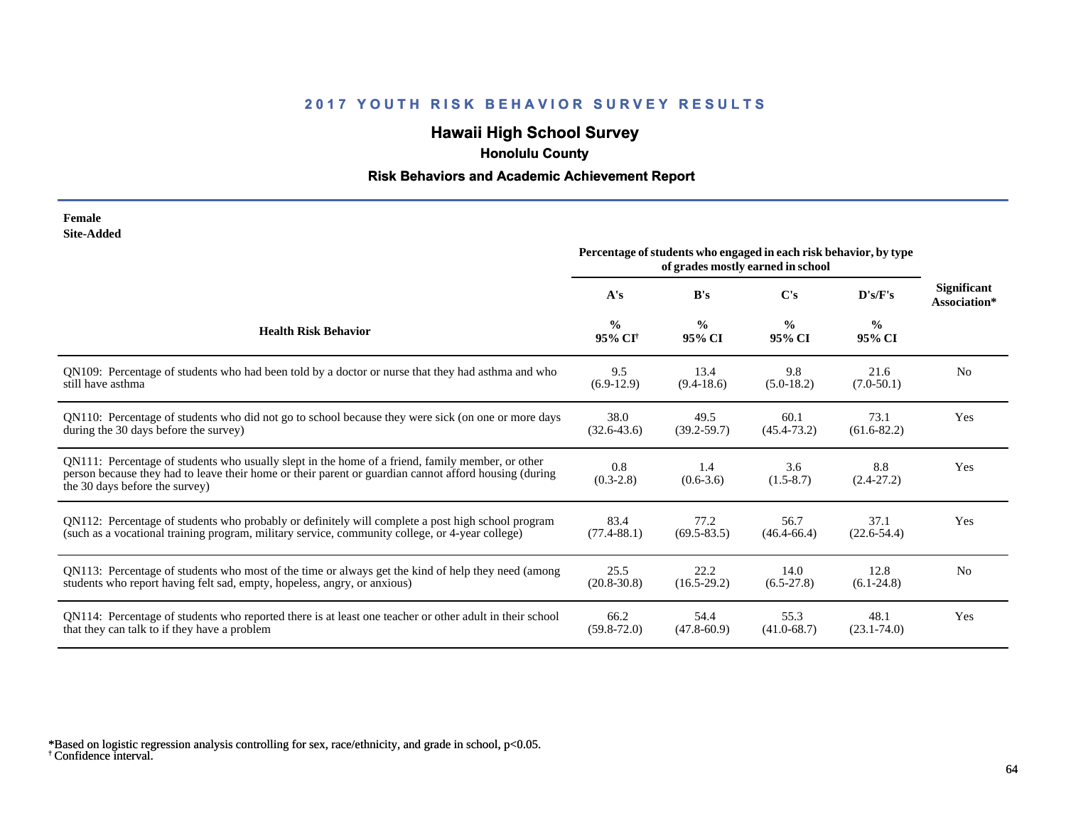## **Hawaii High School Survey**

 **Honolulu County**

## **Risk Behaviors and Academic Achievement Report**

| Female     |
|------------|
| Site-Added |

| www.nuu                                                                                                                                                                                                                                     | Percentage of students who engaged in each risk behavior, by type<br>of grades mostly earned in school |                         |                         |                         |                             |
|---------------------------------------------------------------------------------------------------------------------------------------------------------------------------------------------------------------------------------------------|--------------------------------------------------------------------------------------------------------|-------------------------|-------------------------|-------------------------|-----------------------------|
|                                                                                                                                                                                                                                             | A's                                                                                                    | B's                     | C's                     | D's/F's                 | Significant<br>Association* |
| <b>Health Risk Behavior</b>                                                                                                                                                                                                                 | $\frac{0}{0}$<br>95% CI <sup>+</sup>                                                                   | $\frac{0}{0}$<br>95% CI | $\frac{0}{0}$<br>95% CI | $\frac{0}{0}$<br>95% CI |                             |
| QN109: Percentage of students who had been told by a doctor or nurse that they had asthma and who                                                                                                                                           | 9.5                                                                                                    | 13.4                    | 9.8                     | 21.6                    | N <sub>0</sub>              |
| still have asthma                                                                                                                                                                                                                           | $(6.9-12.9)$                                                                                           | $(9.4-18.6)$            | $(5.0-18.2)$            | $(7.0-50.1)$            |                             |
| QN110: Percentage of students who did not go to school because they were sick (on one or more days                                                                                                                                          | 38.0                                                                                                   | 49.5                    | 60.1                    | 73.1                    | Yes                         |
| during the 30 days before the survey)                                                                                                                                                                                                       | $(32.6 - 43.6)$                                                                                        | $(39.2 - 59.7)$         | $(45.4 - 73.2)$         | $(61.6 - 82.2)$         |                             |
| QN111: Percentage of students who usually slept in the home of a friend, family member, or other<br>person because they had to leave their home or their parent or guardian cannot afford housing (during<br>the 30 days before the survey) | 0.8<br>$(0.3-2.8)$                                                                                     | 1.4<br>$(0.6-3.6)$      | 3.6<br>$(1.5-8.7)$      | 8.8<br>$(2.4-27.2)$     | Yes                         |
| QN112: Percentage of students who probably or definitely will complete a post high school program                                                                                                                                           | 83.4                                                                                                   | 77.2                    | 56.7                    | 37.1                    | Yes                         |
| (such as a vocational training program, military service, community college, or 4-year college)                                                                                                                                             | $(77.4 - 88.1)$                                                                                        | $(69.5 - 83.5)$         | $(46.4 - 66.4)$         | $(22.6 - 54.4)$         |                             |
| QN113: Percentage of students who most of the time or always get the kind of help they need (among                                                                                                                                          | 25.5                                                                                                   | 22.2                    | 14.0                    | 12.8                    | N <sub>0</sub>              |
| students who report having felt sad, empty, hopeless, angry, or anxious)                                                                                                                                                                    | $(20.8 - 30.8)$                                                                                        | $(16.5-29.2)$           | $(6.5-27.8)$            | $(6.1-24.8)$            |                             |
| QN114: Percentage of students who reported there is at least one teacher or other adult in their school                                                                                                                                     | 66.2                                                                                                   | 54.4                    | 55.3                    | 48.1                    | Yes                         |
| that they can talk to if they have a problem                                                                                                                                                                                                | $(59.8 - 72.0)$                                                                                        | $(47.8 - 60.9)$         | $(41.0 - 68.7)$         | $(23.1 - 74.0)$         |                             |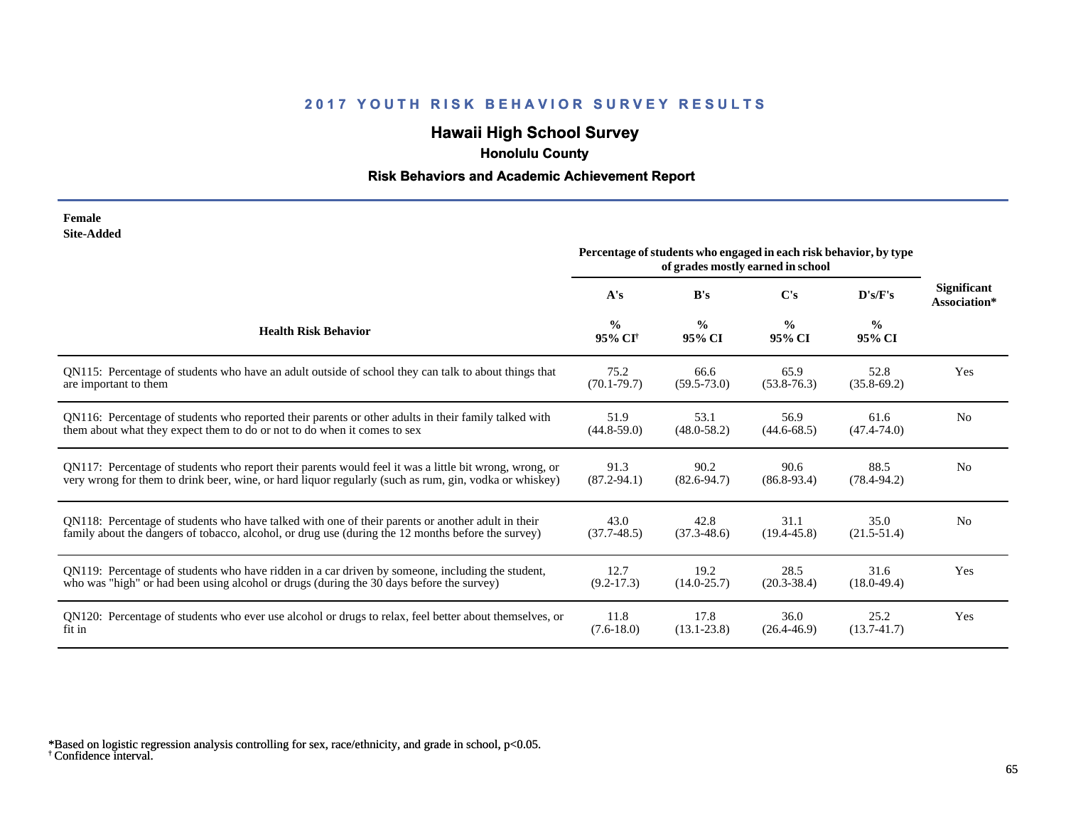## **Hawaii High School Survey**

 **Honolulu County**

## **Risk Behaviors and Academic Achievement Report**

| Female            |
|-------------------|
| <b>Site-Added</b> |

|                                                                                                        | Percentage of students who engaged in each risk behavior, by type<br>of grades mostly earned in school |                         |                         |                         |                             |
|--------------------------------------------------------------------------------------------------------|--------------------------------------------------------------------------------------------------------|-------------------------|-------------------------|-------------------------|-----------------------------|
|                                                                                                        | A's                                                                                                    | B's                     | $\bf C's$               | D's/F's                 | Significant<br>Association* |
| <b>Health Risk Behavior</b>                                                                            | $\frac{0}{0}$<br>95% CI <sup>+</sup>                                                                   | $\frac{0}{0}$<br>95% CI | $\frac{0}{0}$<br>95% CI | $\frac{6}{6}$<br>95% CI |                             |
| QN115: Percentage of students who have an adult outside of school they can talk to about things that   | 75.2                                                                                                   | 66.6                    | 65.9                    | 52.8                    | Yes                         |
| are important to them                                                                                  | $(70.1 - 79.7)$                                                                                        | $(59.5 - 73.0)$         | $(53.8 - 76.3)$         | $(35.8-69.2)$           |                             |
| QN116: Percentage of students who reported their parents or other adults in their family talked with   | 51.9                                                                                                   | 53.1                    | 56.9                    | 61.6                    | N <sub>0</sub>              |
| them about what they expect them to do or not to do when it comes to sex                               | $(44.8 - 59.0)$                                                                                        | $(48.0 - 58.2)$         | $(44.6 - 68.5)$         | $(47.4 - 74.0)$         |                             |
| QN117: Percentage of students who report their parents would feel it was a little bit wrong, wrong, or | 91.3                                                                                                   | 90.2                    | 90.6                    | 88.5                    | N <sub>0</sub>              |
| very wrong for them to drink beer, wine, or hard liquor regularly (such as rum, gin, vodka or whiskey) | $(87.2 - 94.1)$                                                                                        | $(82.6 - 94.7)$         | $(86.8-93.4)$           | $(78.4 - 94.2)$         |                             |
| QN118: Percentage of students who have talked with one of their parents or another adult in their      | 43.0                                                                                                   | 42.8                    | 31.1                    | 35.0                    | N <sub>0</sub>              |
| family about the dangers of tobacco, alcohol, or drug use (during the 12 months before the survey)     | $(37.7 - 48.5)$                                                                                        | $(37.3 - 48.6)$         | $(19.4 - 45.8)$         | $(21.5 - 51.4)$         |                             |
| QN119: Percentage of students who have ridden in a car driven by someone, including the student,       | 12.7                                                                                                   | 19.2                    | 28.5                    | 31.6                    | Yes                         |
| who was "high" or had been using alcohol or drugs (during the 30 days before the survey)               | $(9.2 - 17.3)$                                                                                         | $(14.0 - 25.7)$         | $(20.3 - 38.4)$         | $(18.0 - 49.4)$         |                             |
| QN120: Percentage of students who ever use alcohol or drugs to relax, feel better about themselves, or | 11.8                                                                                                   | 17.8                    | 36.0                    | 25.2                    | Yes                         |
| fit in                                                                                                 | $(7.6 - 18.0)$                                                                                         | $(13.1 - 23.8)$         | $(26.4 - 46.9)$         | $(13.7 - 41.7)$         |                             |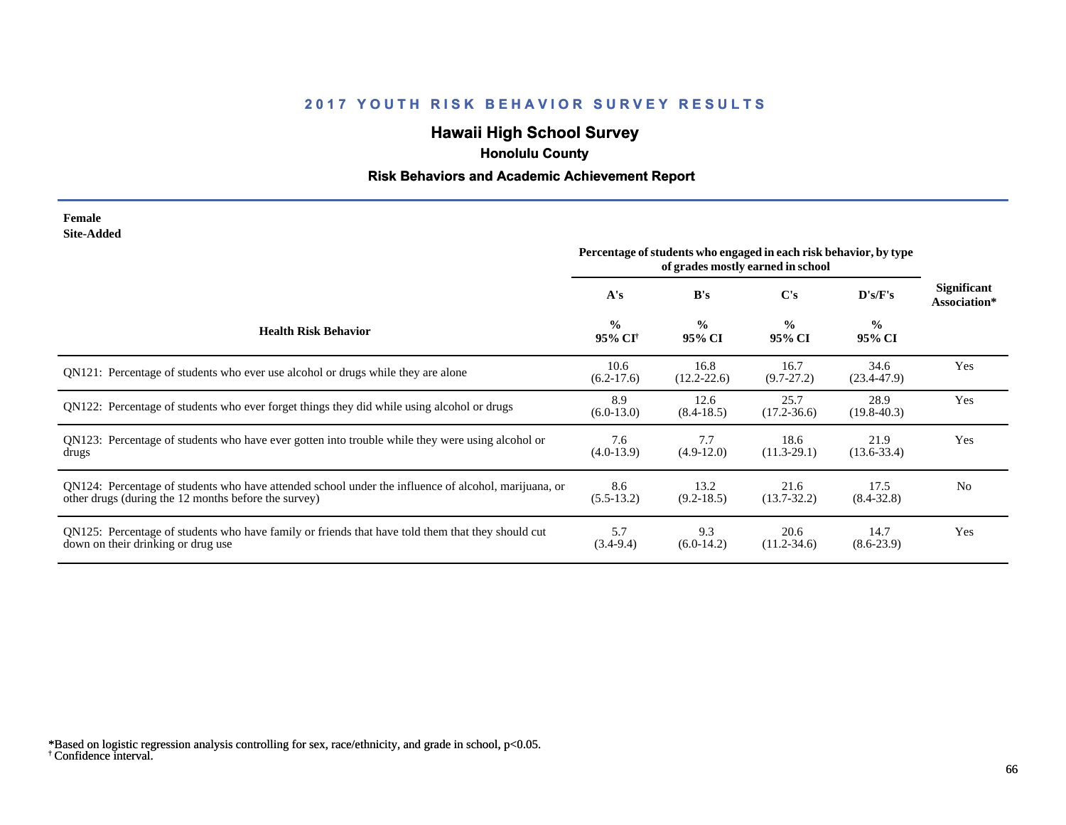## **Hawaii High School Survey**

 **Honolulu County**

## **Risk Behaviors and Academic Achievement Report**

#### **Female Site-Added**

|                                                                                                                                                              | Percentage of students who engaged in each risk behavior, by type<br>of grades mostly earned in school |                         |                         |                          |                                    |
|--------------------------------------------------------------------------------------------------------------------------------------------------------------|--------------------------------------------------------------------------------------------------------|-------------------------|-------------------------|--------------------------|------------------------------------|
|                                                                                                                                                              | A's                                                                                                    | B's                     | C's                     | $\bf{D}$ 's/ $\bf{F}$ 's | <b>Significant</b><br>Association* |
| <b>Health Risk Behavior</b>                                                                                                                                  | $\frac{0}{0}$<br>95% CI <sup>†</sup>                                                                   | $\frac{0}{0}$<br>95% CI | $\frac{0}{0}$<br>95% CI | $\frac{0}{0}$<br>95% CI  |                                    |
| QN121: Percentage of students who ever use alcohol or drugs while they are alone                                                                             | 10.6<br>$(6.2-17.6)$                                                                                   | 16.8<br>$(12.2 - 22.6)$ | 16.7<br>$(9.7 - 27.2)$  | 34.6<br>$(23.4 - 47.9)$  | Yes                                |
| QN122: Percentage of students who ever forget things they did while using alcohol or drugs                                                                   | 8.9<br>$(6.0-13.0)$                                                                                    | 12.6<br>$(8.4 - 18.5)$  | 25.7<br>$(17.2 - 36.6)$ | 28.9<br>$(19.8 - 40.3)$  | Yes                                |
| QN123: Percentage of students who have ever gotten into trouble while they were using alcohol or<br>drugs                                                    | 7.6<br>$(4.0-13.9)$                                                                                    | 7.7<br>$(4.9-12.0)$     | 18.6<br>$(11.3-29.1)$   | 21.9<br>$(13.6 - 33.4)$  | Yes                                |
| QN124: Percentage of students who have attended school under the influence of alcohol, marijuana, or<br>other drugs (during the 12 months before the survey) | 8.6<br>$(5.5-13.2)$                                                                                    | 13.2<br>$(9.2 - 18.5)$  | 21.6<br>$(13.7 - 32.2)$ | 17.5<br>$(8.4 - 32.8)$   | N <sub>0</sub>                     |
| QN125: Percentage of students who have family or friends that have told them that they should cut<br>down on their drinking or drug use                      | 5.7<br>$(3.4-9.4)$                                                                                     | 9.3<br>$(6.0-14.2)$     | 20.6<br>$(11.2 - 34.6)$ | 14.7<br>$(8.6-23.9)$     | Yes                                |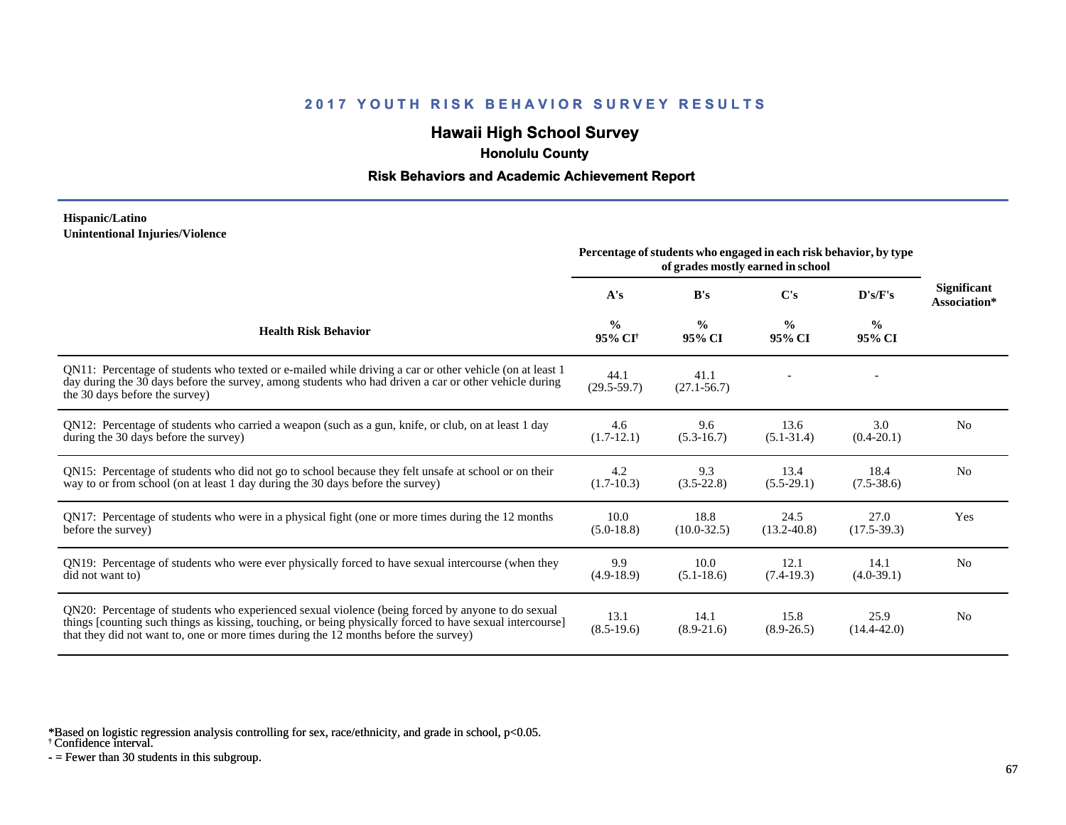## **Hawaii High School Survey**

 **Honolulu County**

#### **Risk Behaviors and Academic Achievement Report**

#### **Hispanic/Latino Unintentional Injuries/Violence**

|                                                                                                                                                                                                                                                                                                        | Percentage of students who engaged in each risk behavior, by type<br>of grades mostly earned in school |                         |                         |                         |                                    |
|--------------------------------------------------------------------------------------------------------------------------------------------------------------------------------------------------------------------------------------------------------------------------------------------------------|--------------------------------------------------------------------------------------------------------|-------------------------|-------------------------|-------------------------|------------------------------------|
|                                                                                                                                                                                                                                                                                                        | A's                                                                                                    | B's                     | $\bf C's$               | D's/F's                 | <b>Significant</b><br>Association* |
| <b>Health Risk Behavior</b>                                                                                                                                                                                                                                                                            | $\frac{0}{0}$<br>95% CI <sup>+</sup>                                                                   | $\frac{0}{0}$<br>95% CI | $\frac{6}{9}$<br>95% CI | $\frac{0}{0}$<br>95% CI |                                    |
| QN11: Percentage of students who texted or e-mailed while driving a car or other vehicle (on at least 1<br>day during the 30 days before the survey, among students who had driven a car or other vehicle during<br>the 30 days before the survey)                                                     | 44.1<br>$(29.5 - 59.7)$                                                                                | 41.1<br>$(27.1 - 56.7)$ |                         |                         |                                    |
| QN12: Percentage of students who carried a weapon (such as a gun, knife, or club, on at least 1 day<br>during the 30 days before the survey)                                                                                                                                                           | 4.6<br>$(1.7-12.1)$                                                                                    | 9.6<br>$(5.3-16.7)$     | 13.6<br>$(5.1 - 31.4)$  | 3.0<br>$(0.4-20.1)$     | N <sub>0</sub>                     |
| QN15: Percentage of students who did not go to school because they felt unsafe at school or on their<br>way to or from school (on at least 1 day during the 30 days before the survey)                                                                                                                 | 4.2<br>$(1.7-10.3)$                                                                                    | 9.3<br>$(3.5-22.8)$     | 13.4<br>$(5.5-29.1)$    | 18.4<br>$(7.5-38.6)$    | N <sub>0</sub>                     |
| QN17: Percentage of students who were in a physical fight (one or more times during the 12 months<br>before the survey)                                                                                                                                                                                | 10.0<br>$(5.0-18.8)$                                                                                   | 18.8<br>$(10.0 - 32.5)$ | 24.5<br>$(13.2 - 40.8)$ | 27.0<br>$(17.5-39.3)$   | Yes                                |
| ON19: Percentage of students who were ever physically forced to have sexual intercourse (when they<br>did not want to)                                                                                                                                                                                 | 9.9<br>$(4.9-18.9)$                                                                                    | 10.0<br>$(5.1 - 18.6)$  | 12.1<br>$(7.4-19.3)$    | 14.1<br>$(4.0-39.1)$    | N <sub>0</sub>                     |
| QN20: Percentage of students who experienced sexual violence (being forced by anyone to do sexual<br>things [counting such things as kissing, touching, or being physically forced to have sexual intercourse]<br>that they did not want to, one or more times during the 12 months before the survey) | 13.1<br>$(8.5-19.6)$                                                                                   | 14.1<br>$(8.9-21.6)$    | 15.8<br>$(8.9 - 26.5)$  | 25.9<br>$(14.4 - 42.0)$ | N <sub>0</sub>                     |

\*Based on logistic regression analysis controlling for sex, race/ethnicity, and grade in school, p<0.05.

† Confidence interval.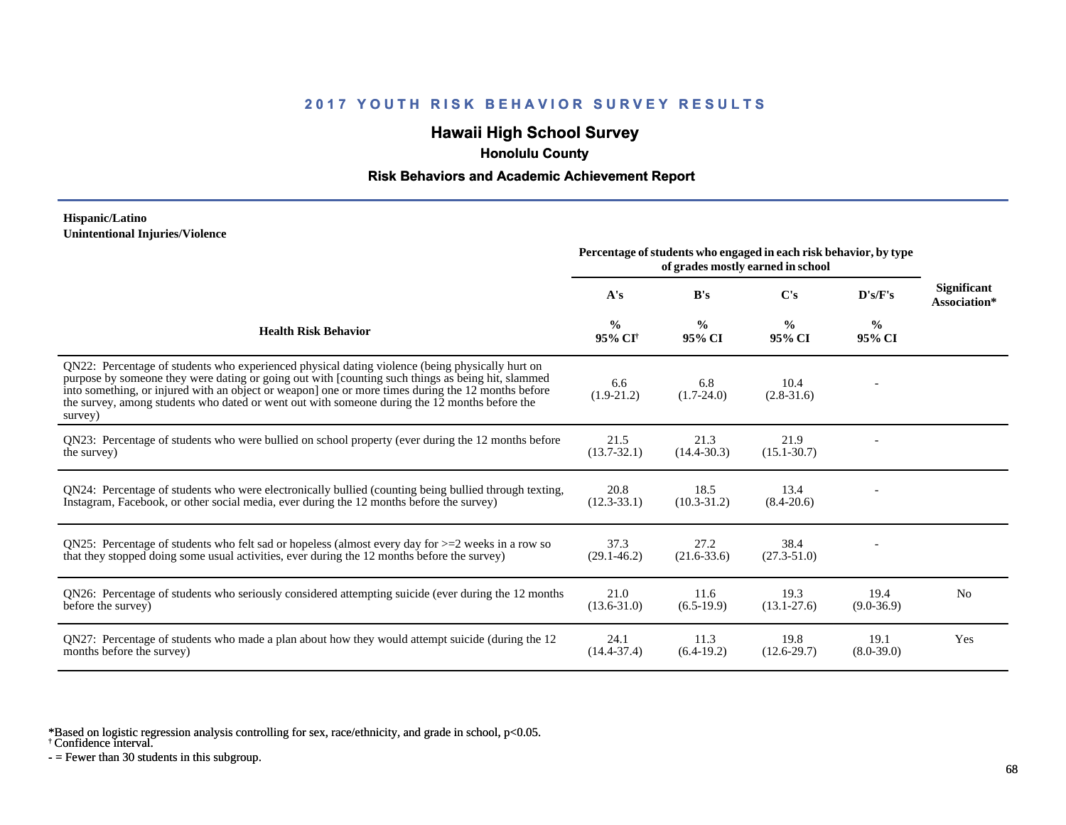## **Hawaii High School Survey**

 **Honolulu County**

#### **Risk Behaviors and Academic Achievement Report**

#### **Hispanic/Latino Unintentional Injuries/Violence**

|                                                                                                                                                                                                                                                                                                                                                                                                                        | Percentage of students who engaged in each risk behavior, by type<br>of grades mostly earned in school |                         |                         |                         |                             |
|------------------------------------------------------------------------------------------------------------------------------------------------------------------------------------------------------------------------------------------------------------------------------------------------------------------------------------------------------------------------------------------------------------------------|--------------------------------------------------------------------------------------------------------|-------------------------|-------------------------|-------------------------|-----------------------------|
|                                                                                                                                                                                                                                                                                                                                                                                                                        | A's                                                                                                    | B's                     | $\bf C's$               | D's/F's                 | Significant<br>Association* |
| <b>Health Risk Behavior</b>                                                                                                                                                                                                                                                                                                                                                                                            | $\frac{0}{0}$<br>95% CI <sup>†</sup>                                                                   | $\frac{0}{0}$<br>95% CI | $\frac{0}{0}$<br>95% CI | $\frac{0}{0}$<br>95% CI |                             |
| QN22: Percentage of students who experienced physical dating violence (being physically hurt on<br>purpose by someone they were dating or going out with [counting such things as being hit, slammed<br>into something, or injured with an object or weapon] one or more times during the 12 months before<br>the survey, among students who dated or went out with someone during the 12 months before the<br>survey) | 6.6<br>$(1.9-21.2)$                                                                                    | 6.8<br>$(1.7-24.0)$     | 10.4<br>$(2.8-31.6)$    |                         |                             |
| QN23: Percentage of students who were bullied on school property (ever during the 12 months before<br>the survey)                                                                                                                                                                                                                                                                                                      | 21.5<br>$(13.7 - 32.1)$                                                                                | 21.3<br>$(14.4 - 30.3)$ | 21.9<br>$(15.1 - 30.7)$ |                         |                             |
| QN24: Percentage of students who were electronically bullied (counting being bullied through texting,<br>Instagram, Facebook, or other social media, ever during the 12 months before the survey)                                                                                                                                                                                                                      | 20.8<br>$(12.3 - 33.1)$                                                                                | 18.5<br>$(10.3 - 31.2)$ | 13.4<br>$(8.4 - 20.6)$  |                         |                             |
| ON25: Percentage of students who felt sad or hopeless (almost every day for $>=$ 2 weeks in a row so<br>that they stopped doing some usual activities, ever during the 12 months before the survey)                                                                                                                                                                                                                    | 37.3<br>$(29.1 - 46.2)$                                                                                | 27.2<br>$(21.6 - 33.6)$ | 38.4<br>$(27.3 - 51.0)$ |                         |                             |
| QN26: Percentage of students who seriously considered attempting suicide (ever during the 12 months<br>before the survey)                                                                                                                                                                                                                                                                                              | 21.0<br>$(13.6 - 31.0)$                                                                                | 11.6<br>$(6.5-19.9)$    | 19.3<br>$(13.1 - 27.6)$ | 19.4<br>$(9.0 - 36.9)$  | N <sub>0</sub>              |
| QN27: Percentage of students who made a plan about how they would attempt suicide (during the 12<br>months before the survey)                                                                                                                                                                                                                                                                                          | 24.1<br>$(14.4 - 37.4)$                                                                                | 11.3<br>$(6.4-19.2)$    | 19.8<br>$(12.6-29.7)$   | 19.1<br>$(8.0 - 39.0)$  | Yes                         |

\*Based on logistic regression analysis controlling for sex, race/ethnicity, and grade in school, p<0.05.

† Confidence interval.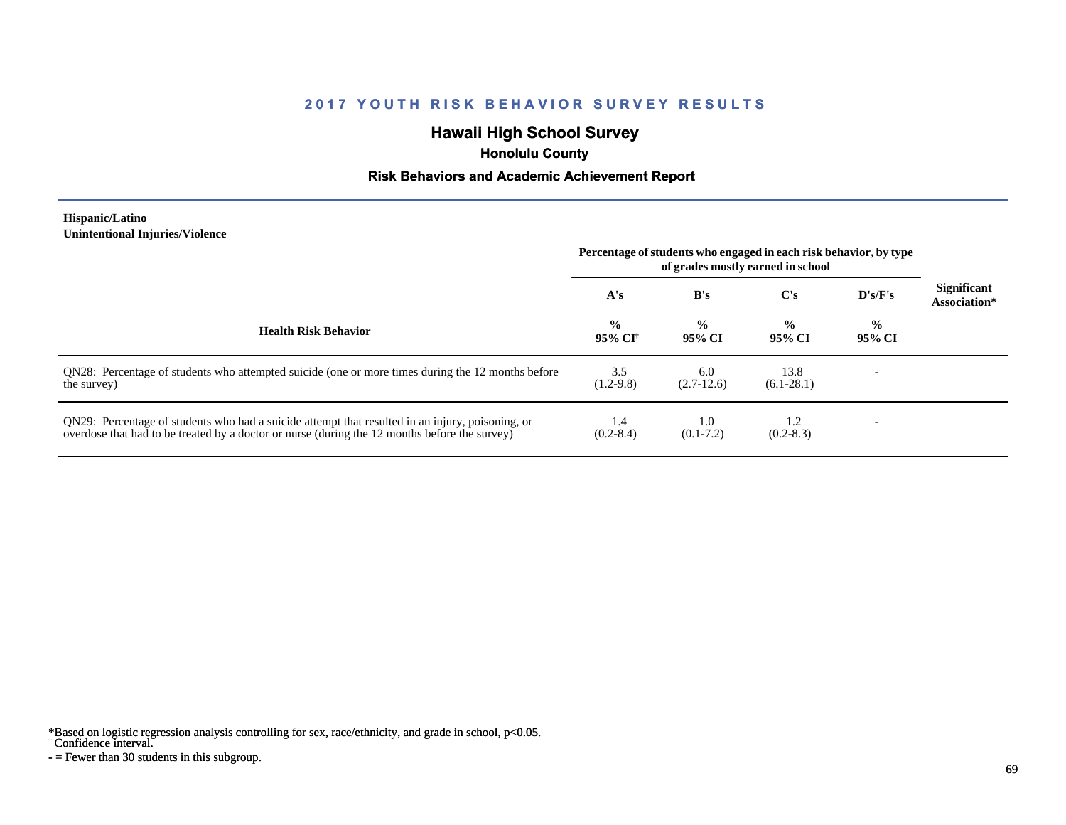## **Hawaii High School Survey**

 **Honolulu County**

#### **Risk Behaviors and Academic Achievement Report**

#### **Hispanic/Latino Unintentional Injuries/Violence**

|                                                                                                                                                                                                   | Percentage of students who engaged in each risk behavior, by type<br>of grades mostly earned in school |                         |                         |                         |                                    |
|---------------------------------------------------------------------------------------------------------------------------------------------------------------------------------------------------|--------------------------------------------------------------------------------------------------------|-------------------------|-------------------------|-------------------------|------------------------------------|
|                                                                                                                                                                                                   | A's                                                                                                    | B's                     | $\bf C's$               | D's/F's                 | <b>Significant</b><br>Association* |
| <b>Health Risk Behavior</b>                                                                                                                                                                       | $\frac{0}{0}$<br>95% CI†                                                                               | $\frac{0}{0}$<br>95% CI | $\frac{0}{0}$<br>95% CI | $\frac{0}{0}$<br>95% CI |                                    |
| QN28: Percentage of students who attempted suicide (one or more times during the 12 months before<br>the survey)                                                                                  | 3.5<br>$(1.2-9.8)$                                                                                     | 6.0<br>$(2.7-12.6)$     | 13.8<br>$(6.1-28.1)$    |                         |                                    |
| QN29: Percentage of students who had a suicide attempt that resulted in an injury, poisoning, or<br>overdose that had to be treated by a doctor or nurse (during the 12 months before the survey) | 1.4<br>$(0.2 - 8.4)$                                                                                   | 1.0<br>$(0.1 - 7.2)$    | 1.2<br>$(0.2 - 8.3)$    |                         |                                    |

\*Based on logistic regression analysis controlling for sex, race/ethnicity, and grade in school, p<0.05.

† Confidence interval.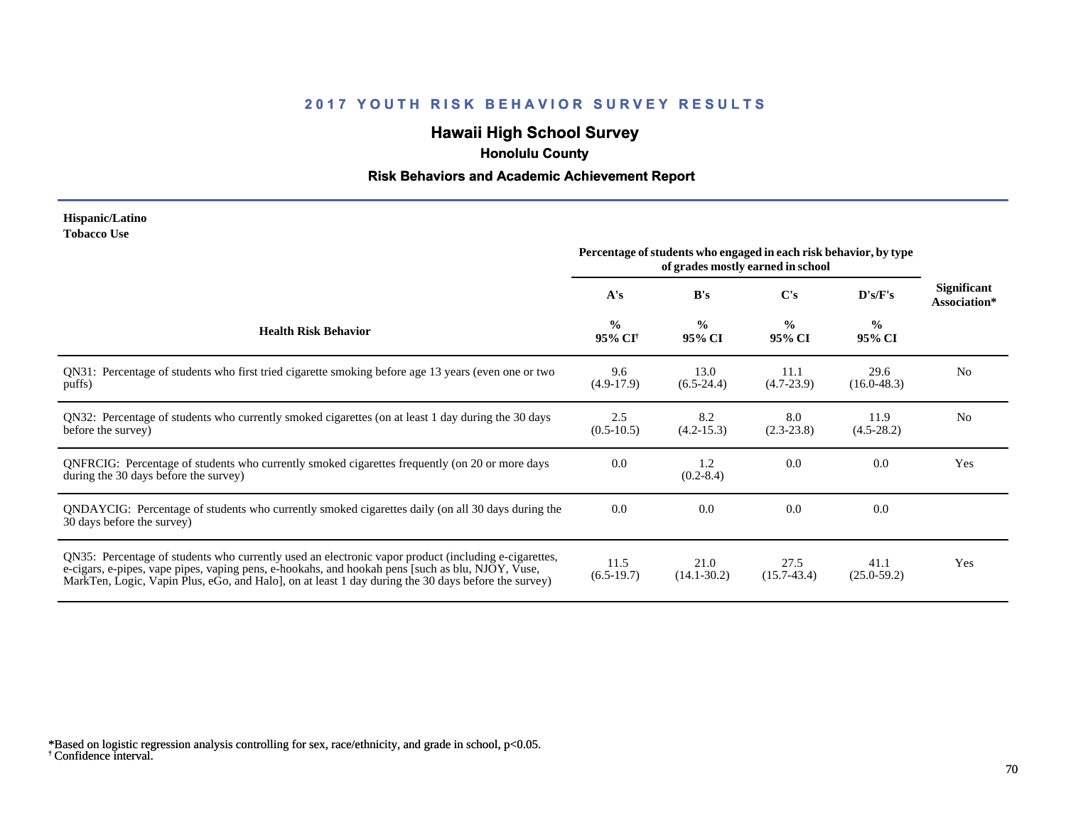## **Hawaii High School Survey**

 **Honolulu County**

### **Risk Behaviors and Academic Achievement Report**

#### **Hispanic/Latino Tobacco Use**

|                                                                                                                                                                                                                                                                                                                 | Percentage of students who engaged in each risk behavior, by type |                         |                         |                         |                                    |
|-----------------------------------------------------------------------------------------------------------------------------------------------------------------------------------------------------------------------------------------------------------------------------------------------------------------|-------------------------------------------------------------------|-------------------------|-------------------------|-------------------------|------------------------------------|
|                                                                                                                                                                                                                                                                                                                 | A's                                                               | B's                     | $\bf C's$               | D's/F's                 | <b>Significant</b><br>Association* |
| <b>Health Risk Behavior</b>                                                                                                                                                                                                                                                                                     | $\frac{0}{0}$<br>95% CI <sup>†</sup>                              | $\frac{0}{0}$<br>95% CI | $\frac{0}{0}$<br>95% CI | $\frac{0}{0}$<br>95% CI |                                    |
| QN31: Percentage of students who first tried cigarette smoking before age 13 years (even one or two<br>puffs)                                                                                                                                                                                                   | 9.6<br>$(4.9-17.9)$                                               | 13.0<br>$(6.5-24.4)$    | 11.1<br>$(4.7-23.9)$    | 29.6<br>$(16.0 - 48.3)$ | N <sub>0</sub>                     |
| QN32: Percentage of students who currently smoked cigarettes (on at least 1 day during the 30 days<br>before the survey)                                                                                                                                                                                        | 2.5<br>$(0.5-10.5)$                                               | 8.2<br>$(4.2 - 15.3)$   | 8.0<br>$(2.3-23.8)$     | 11.9<br>$(4.5-28.2)$    | No                                 |
| QNFRCIG: Percentage of students who currently smoked cigarettes frequently (on 20 or more days<br>during the 30 days before the survey)                                                                                                                                                                         | 0.0                                                               | 1.2<br>$(0.2 - 8.4)$    | 0.0                     | 0.0                     | Yes                                |
| QNDAYCIG: Percentage of students who currently smoked cigarettes daily (on all 30 days during the<br>30 days before the survey)                                                                                                                                                                                 | 0.0                                                               | 0.0                     | 0.0                     | 0.0                     |                                    |
| QN35: Percentage of students who currently used an electronic vapor product (including e-cigarettes,<br>e-cigars, e-pipes, vape pipes, vaping pens, e-hookahs, and hookah pens [such as blu, NJOY, Vuse,<br>MarkTen, Logic, Vapin Plus, eGo, and Halo], on at least 1 day during the 30 days before the survey) | 11.5<br>$(6.5-19.7)$                                              | 21.0<br>$(14.1 - 30.2)$ | 27.5<br>$(15.7-43.4)$   | 41.1<br>$(25.0 - 59.2)$ | Yes                                |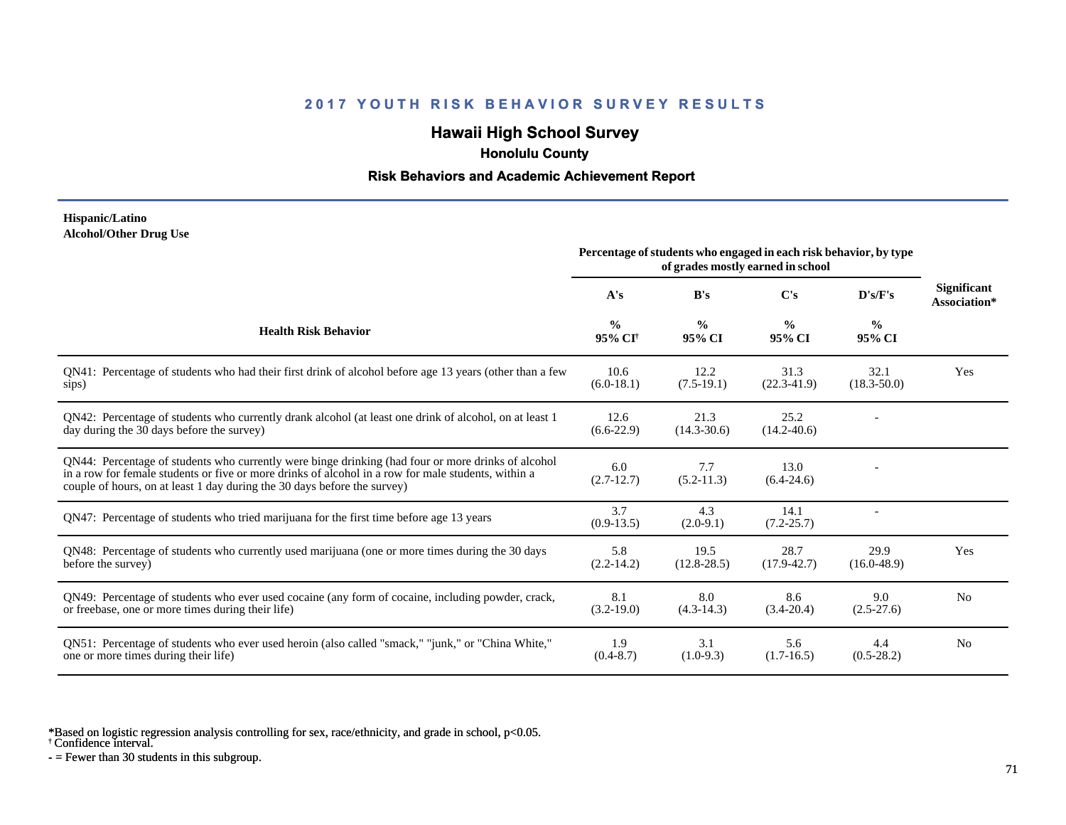## **Hawaii High School Survey**

 **Honolulu County**

#### **Risk Behaviors and Academic Achievement Report**

#### **Hispanic/Latino Alcohol/Other Drug Use**

|                                                                                                                                                                                                                                                                                       | Percentage of students who engaged in each risk behavior, by type |                         |                         |                         |                                    |
|---------------------------------------------------------------------------------------------------------------------------------------------------------------------------------------------------------------------------------------------------------------------------------------|-------------------------------------------------------------------|-------------------------|-------------------------|-------------------------|------------------------------------|
|                                                                                                                                                                                                                                                                                       | A's                                                               | B's                     | C's                     | D's/F's                 | <b>Significant</b><br>Association* |
| <b>Health Risk Behavior</b>                                                                                                                                                                                                                                                           | $\frac{0}{0}$<br>95% CI <sup>+</sup>                              | $\frac{0}{0}$<br>95% CI | $\frac{0}{0}$<br>95% CI | $\frac{0}{0}$<br>95% CI |                                    |
| QN41: Percentage of students who had their first drink of alcohol before age 13 years (other than a few<br>sips)                                                                                                                                                                      | 10.6<br>$(6.0-18.1)$                                              | 12.2<br>$(7.5-19.1)$    | 31.3<br>$(22.3-41.9)$   | 32.1<br>$(18.3 - 50.0)$ | Yes                                |
| QN42: Percentage of students who currently drank alcohol (at least one drink of alcohol, on at least 1<br>day during the 30 days before the survey)                                                                                                                                   | 12.6<br>$(6.6-22.9)$                                              | 21.3<br>$(14.3 - 30.6)$ | 25.2<br>$(14.2 - 40.6)$ |                         |                                    |
| QN44: Percentage of students who currently were binge drinking (had four or more drinks of alcohol<br>in a row for female students or five or more drinks of alcohol in a row for male students, within a<br>couple of hours, on at least 1 day during the 30 days before the survey) | 6.0<br>$(2.7-12.7)$                                               | 7.7<br>$(5.2 - 11.3)$   | 13.0<br>$(6.4-24.6)$    |                         |                                    |
| QN47: Percentage of students who tried marijuana for the first time before age 13 years                                                                                                                                                                                               | 3.7<br>$(0.9-13.5)$                                               | 4.3<br>$(2.0-9.1)$      | 14.1<br>$(7.2 - 25.7)$  |                         |                                    |
| QN48: Percentage of students who currently used marijuana (one or more times during the 30 days<br>before the survey)                                                                                                                                                                 | 5.8<br>$(2.2-14.2)$                                               | 19.5<br>$(12.8 - 28.5)$ | 28.7<br>$(17.9 - 42.7)$ | 29.9<br>$(16.0 - 48.9)$ | Yes                                |
| QN49: Percentage of students who ever used cocaine (any form of cocaine, including powder, crack,<br>or freebase, one or more times during their life)                                                                                                                                | 8.1<br>$(3.2-19.0)$                                               | 8.0<br>$(4.3-14.3)$     | 8.6<br>$(3.4 - 20.4)$   | 9.0<br>$(2.5-27.6)$     | N <sub>0</sub>                     |
| QN51: Percentage of students who ever used heroin (also called "smack," "junk," or "China White,"<br>one or more times during their life)                                                                                                                                             | 1.9<br>$(0.4 - 8.7)$                                              | 3.1<br>$(1.0-9.3)$      | 5.6<br>$(1.7-16.5)$     | 4.4<br>$(0.5-28.2)$     | N <sub>0</sub>                     |

\*Based on logistic regression analysis controlling for sex, race/ethnicity, and grade in school, p<0.05.

† Confidence interval.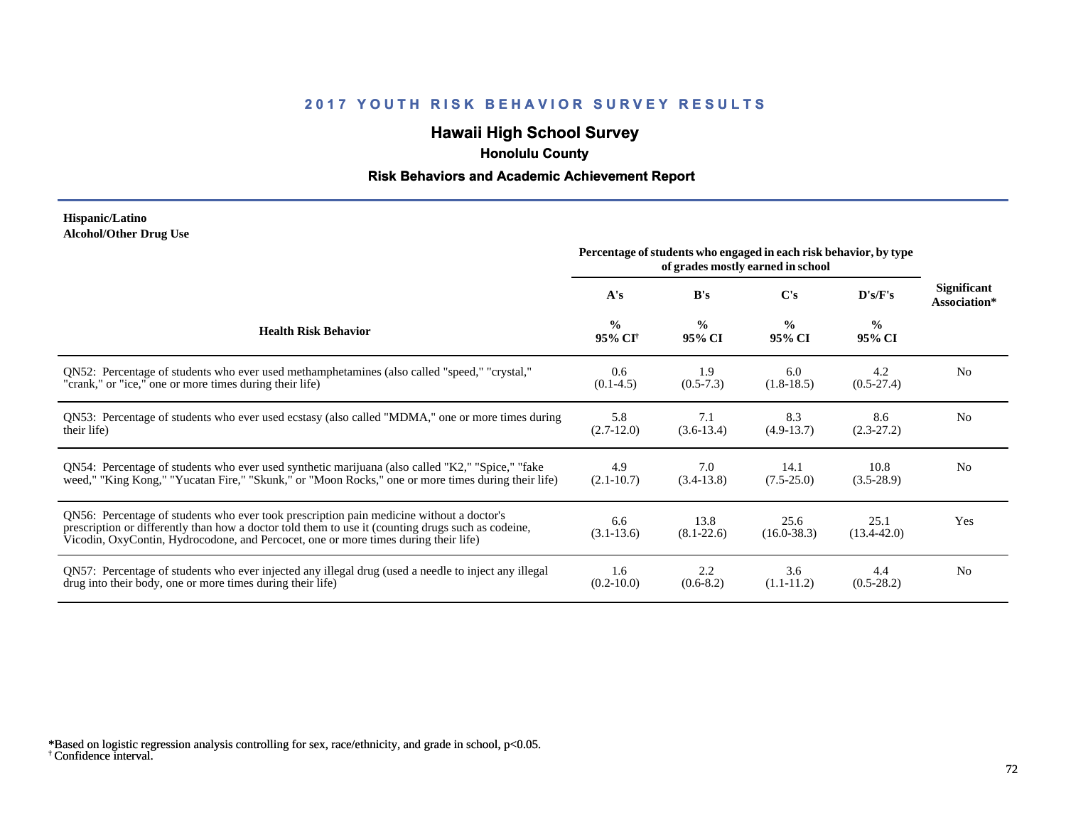## **Hawaii High School Survey**

 **Honolulu County**

### **Risk Behaviors and Academic Achievement Report**

#### **Hispanic/Latino Alcohol/Other Drug Use**

|                                                                                                                                                                                                                                                                                       | Percentage of students who engaged in each risk behavior, by type |                         |                         |                         |                                    |
|---------------------------------------------------------------------------------------------------------------------------------------------------------------------------------------------------------------------------------------------------------------------------------------|-------------------------------------------------------------------|-------------------------|-------------------------|-------------------------|------------------------------------|
|                                                                                                                                                                                                                                                                                       | A's                                                               | B's                     | C's                     | D's/F's                 | <b>Significant</b><br>Association* |
| <b>Health Risk Behavior</b>                                                                                                                                                                                                                                                           | $\frac{0}{0}$<br>95% CI <sup>†</sup>                              | $\frac{0}{0}$<br>95% CI | $\frac{0}{0}$<br>95% CI | $\frac{0}{0}$<br>95% CI |                                    |
| ON52: Percentage of students who ever used methamphetamines (also called "speed," "crystal,"                                                                                                                                                                                          | 0.6                                                               | 1.9                     | 6.0                     | 4.2                     | N <sub>0</sub>                     |
| "crank," or "ice," one or more times during their life)                                                                                                                                                                                                                               | $(0.1-4.5)$                                                       | $(0.5-7.3)$             | $(1.8-18.5)$            | $(0.5-27.4)$            |                                    |
| QN53: Percentage of students who ever used ecstasy (also called "MDMA," one or more times during                                                                                                                                                                                      | 5.8                                                               | 7.1                     | 8.3                     | 8.6                     | N <sub>0</sub>                     |
| their life)                                                                                                                                                                                                                                                                           | $(2.7-12.0)$                                                      | $(3.6-13.4)$            | $(4.9-13.7)$            | $(2.3-27.2)$            |                                    |
| QN54: Percentage of students who ever used synthetic marijuana (also called "K2," "Spice," "fake                                                                                                                                                                                      | 4.9                                                               | 7.0                     | 14.1                    | 10.8                    | N <sub>0</sub>                     |
| weed," "King Kong," "Yucatan Fire," "Skunk," or "Moon Rocks," one or more times during their life)                                                                                                                                                                                    | $(2.1 - 10.7)$                                                    | $(3.4-13.8)$            | $(7.5 - 25.0)$          | $(3.5-28.9)$            |                                    |
| QN56: Percentage of students who ever took prescription pain medicine without a doctor's<br>prescription or differently than how a doctor told them to use it (counting drugs such as codeine,<br>Vicodin, OxyContin, Hydrocodone, and Percocet, one or more times during their life) | 6.6<br>$(3.1 - 13.6)$                                             | 13.8<br>$(8.1 - 22.6)$  | 25.6<br>$(16.0 - 38.3)$ | 25.1<br>$(13.4 - 42.0)$ | Yes                                |
| QN57: Percentage of students who ever injected any illegal drug (used a needle to inject any illegal                                                                                                                                                                                  | 1.6                                                               | 2.2                     | 3.6                     | 4.4                     | N <sub>0</sub>                     |
| drug into their body, one or more times during their life)                                                                                                                                                                                                                            | $(0.2 - 10.0)$                                                    | $(0.6-8.2)$             | $(1.1 - 11.2)$          | $(0.5-28.2)$            |                                    |

<sup>†</sup> Confidence interval. \*Based on logistic regression analysis controlling for sex, race/ethnicity, and grade in school, p<0.05.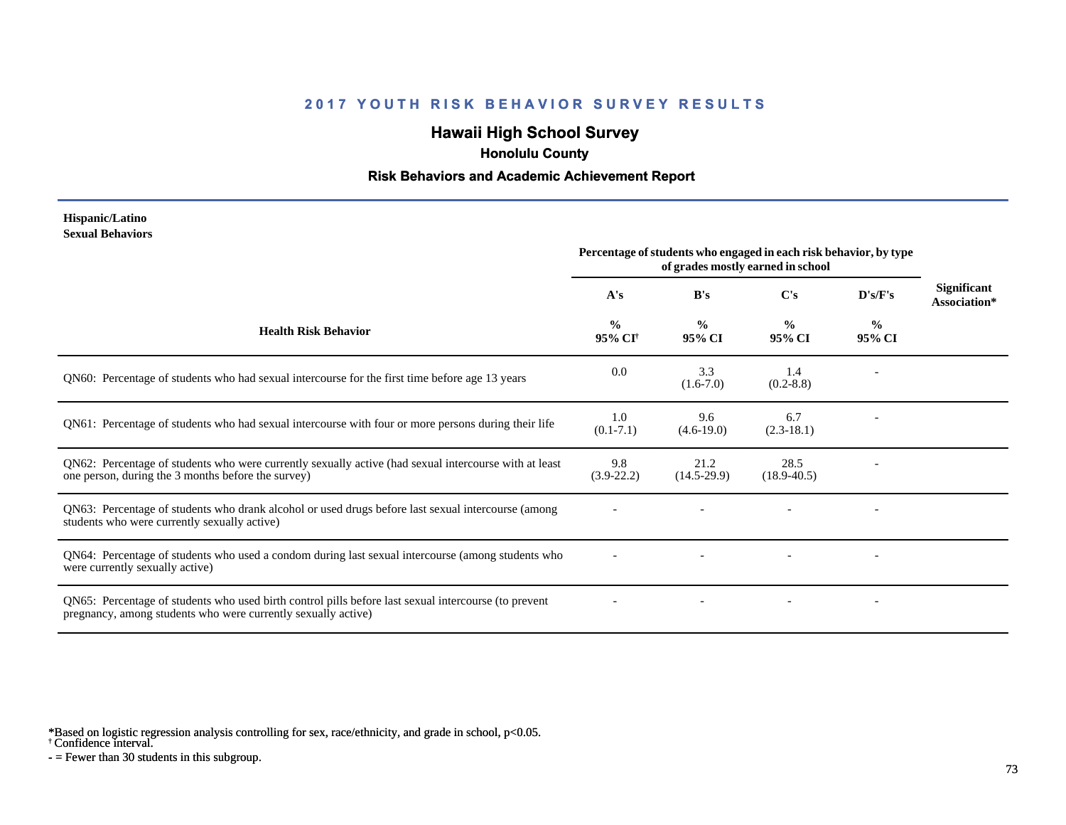# **Hawaii High School Survey**

 **Honolulu County**

#### **Risk Behaviors and Academic Achievement Report**

#### **Hispanic/Latino Sexual Behaviors**

|                                                                                                                                                                       | Percentage of students who engaged in each risk behavior, by type<br>of grades mostly earned in school |                         |                         |                          |                                    |
|-----------------------------------------------------------------------------------------------------------------------------------------------------------------------|--------------------------------------------------------------------------------------------------------|-------------------------|-------------------------|--------------------------|------------------------------------|
|                                                                                                                                                                       | A's                                                                                                    | B's                     | C's                     | $\bf{D's/F's}$           | <b>Significant</b><br>Association* |
| <b>Health Risk Behavior</b>                                                                                                                                           | $\frac{0}{0}$<br>95% CI <sup>+</sup>                                                                   | $\frac{0}{0}$<br>95% CI | $\frac{0}{0}$<br>95% CI | $\frac{0}{0}$<br>95% CI  |                                    |
| QN60: Percentage of students who had sexual intercourse for the first time before age 13 years                                                                        | 0.0                                                                                                    | 3.3<br>$(1.6-7.0)$      | 1.4<br>$(0.2 - 8.8)$    |                          |                                    |
| QN61: Percentage of students who had sexual intercourse with four or more persons during their life                                                                   | 1.0<br>$(0.1 - 7.1)$                                                                                   | 9.6<br>$(4.6-19.0)$     | 6.7<br>$(2.3-18.1)$     |                          |                                    |
| QN62: Percentage of students who were currently sexually active (had sexual intercourse with at least<br>one person, during the 3 months before the survey)           | 9.8<br>$(3.9-22.2)$                                                                                    | 21.2<br>$(14.5-29.9)$   | 28.5<br>$(18.9 - 40.5)$ |                          |                                    |
| QN63: Percentage of students who drank alcohol or used drugs before last sexual intercourse (among<br>students who were currently sexually active)                    |                                                                                                        |                         |                         | $\overline{\phantom{a}}$ |                                    |
| QN64: Percentage of students who used a condom during last sexual intercourse (among students who<br>were currently sexually active)                                  |                                                                                                        |                         |                         |                          |                                    |
| QN65: Percentage of students who used birth control pills before last sexual intercourse (to prevent<br>pregnancy, among students who were currently sexually active) |                                                                                                        |                         |                         | $\overline{\phantom{a}}$ |                                    |

\*Based on logistic regression analysis controlling for sex, race/ethnicity, and grade in school, p<0.05.

† Confidence interval.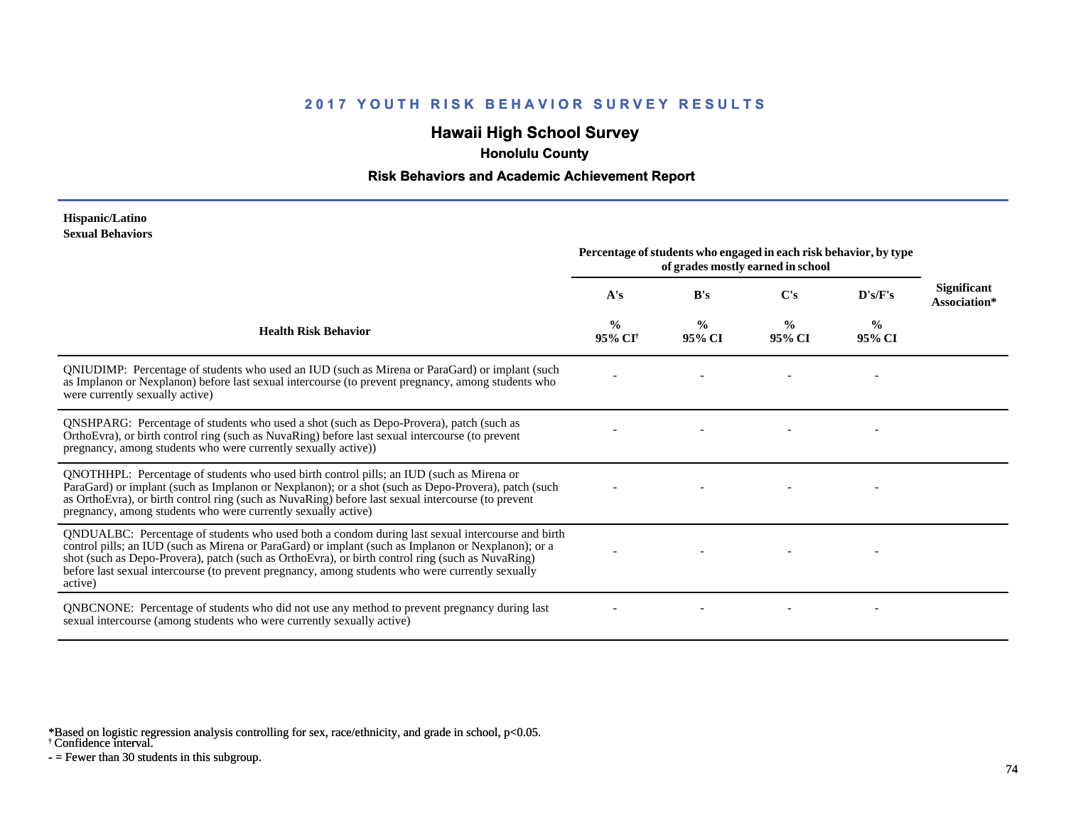# **Hawaii High School Survey**

 **Honolulu County**

#### **Risk Behaviors and Academic Achievement Report**

#### **Hispanic/Latino Sexual Behaviors**

|                                                                                                                                                                                                                                                                                                                                                                                                                            | Percentage of students who engaged in each risk behavior, by type<br>of grades mostly earned in school |                         |                         |                         |                             |
|----------------------------------------------------------------------------------------------------------------------------------------------------------------------------------------------------------------------------------------------------------------------------------------------------------------------------------------------------------------------------------------------------------------------------|--------------------------------------------------------------------------------------------------------|-------------------------|-------------------------|-------------------------|-----------------------------|
|                                                                                                                                                                                                                                                                                                                                                                                                                            | A's                                                                                                    | B's                     | C's                     | D's/F's                 | Significant<br>Association* |
| <b>Health Risk Behavior</b>                                                                                                                                                                                                                                                                                                                                                                                                | $\frac{0}{0}$<br>95% CI                                                                                | $\frac{0}{0}$<br>95% CI | $\frac{0}{0}$<br>95% CI | $\frac{0}{0}$<br>95% CI |                             |
| QNIUDIMP: Percentage of students who used an IUD (such as Mirena or ParaGard) or implant (such<br>as Implanon or Nexplanon) before last sexual intercourse (to prevent pregnancy, among students who<br>were currently sexually active)                                                                                                                                                                                    |                                                                                                        |                         |                         |                         |                             |
| QNSHPARG: Percentage of students who used a shot (such as Depo-Provera), patch (such as<br>OrthoEvra), or birth control ring (such as NuvaRing) before last sexual intercourse (to prevent<br>pregnancy, among students who were currently sexually active))                                                                                                                                                               |                                                                                                        |                         |                         |                         |                             |
| QNOTHHPL: Percentage of students who used birth control pills; an IUD (such as Mirena or<br>ParaGard) or implant (such as Implanon or Nexplanon); or a shot (such as Depo-Provera), patch (such<br>as OrthoEvra), or birth control ring (such as NuvaRing) before last sexual intercourse (to prevent<br>pregnancy, among students who were currently sexually active)                                                     |                                                                                                        |                         |                         |                         |                             |
| QNDUALBC: Percentage of students who used both a condom during last sexual intercourse and birth<br>control pills; an IUD (such as Mirena or ParaGard) or implant (such as Implanon or Nexplanon); or a<br>shot (such as Depo-Provera), patch (such as OrthoEvra), or birth control ring (such as NuvaRing)<br>before last sexual intercourse (to prevent pregnancy, among students who were currently sexually<br>active) |                                                                                                        |                         |                         |                         |                             |
| QNBCNONE: Percentage of students who did not use any method to prevent pregnancy during last<br>sexual intercourse (among students who were currently sexually active)                                                                                                                                                                                                                                                     |                                                                                                        |                         |                         |                         |                             |

\*Based on logistic regression analysis controlling for sex, race/ethnicity, and grade in school, p<0.05.

† Confidence interval.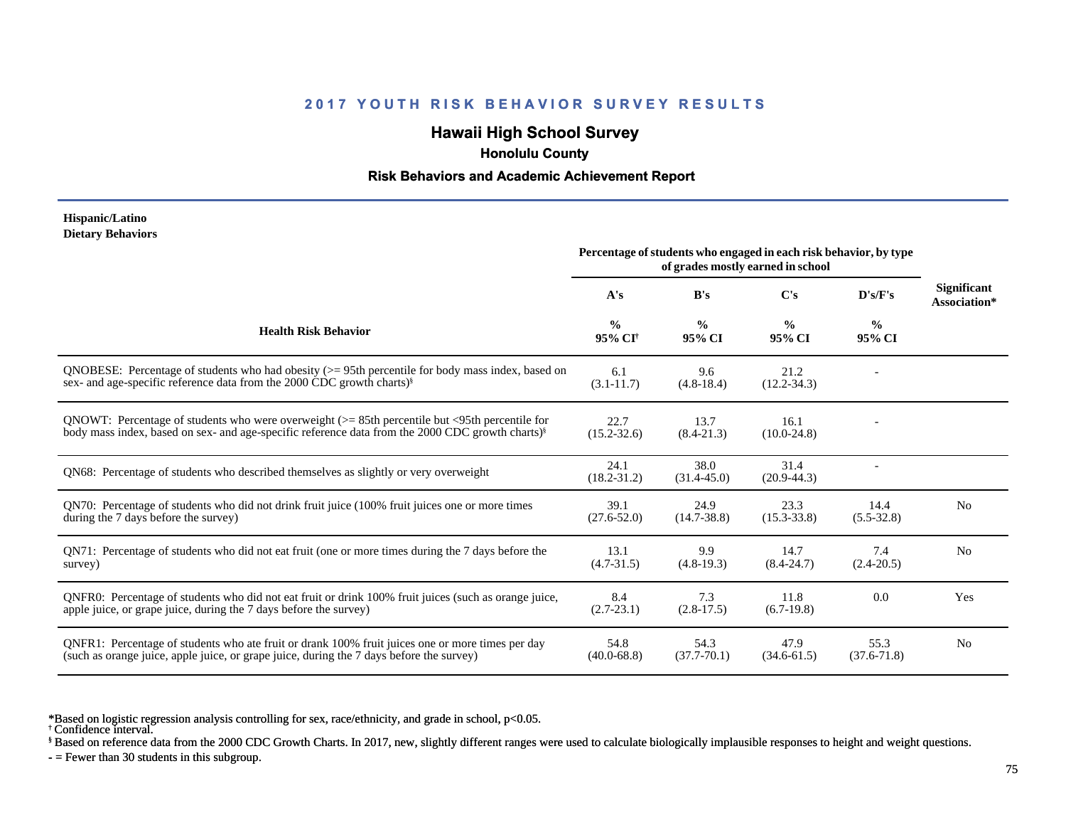# **Hawaii High School Survey**

 **Honolulu County**

#### **Risk Behaviors and Academic Achievement Report**

#### **Hispanic/Latino Dietary Behaviors**

|                                                                                                                                                                                                                   | Percentage of students who engaged in each risk behavior, by type<br>of grades mostly earned in school |                         |                         |                         |                                    |
|-------------------------------------------------------------------------------------------------------------------------------------------------------------------------------------------------------------------|--------------------------------------------------------------------------------------------------------|-------------------------|-------------------------|-------------------------|------------------------------------|
|                                                                                                                                                                                                                   | A's                                                                                                    | B's                     | $\bf C's$               | D's/F's                 | <b>Significant</b><br>Association* |
| <b>Health Risk Behavior</b>                                                                                                                                                                                       | $\frac{0}{0}$<br>95% CI <sup>†</sup>                                                                   | $\frac{6}{9}$<br>95% CI | $\frac{0}{0}$<br>95% CI | $\frac{6}{9}$<br>95% CI |                                    |
| QNOBESE: Percentage of students who had obesity $(>= 95$ th percentile for body mass index, based on<br>sex- and age-specific reference data from the 2000 CDC growth charts) <sup>§</sup>                        | 6.1<br>$(3.1 - 11.7)$                                                                                  | 9.6<br>$(4.8-18.4)$     | 21.2<br>$(12.2 - 34.3)$ |                         |                                    |
| QNOWT: Percentage of students who were overweight $(>= 85$ th percentile but <95th percentile for<br>body mass index, based on sex- and age-specific reference data from the 2000 CDC growth charts) <sup>§</sup> | 22.7<br>$(15.2 - 32.6)$                                                                                | 13.7<br>$(8.4 - 21.3)$  | 16.1<br>$(10.0 - 24.8)$ |                         |                                    |
| QN68: Percentage of students who described themselves as slightly or very overweight                                                                                                                              | 24.1<br>$(18.2 - 31.2)$                                                                                | 38.0<br>$(31.4 - 45.0)$ | 31.4<br>$(20.9 - 44.3)$ |                         |                                    |
| QN70: Percentage of students who did not drink fruit juice (100% fruit juices one or more times<br>during the 7 days before the survey)                                                                           | 39.1<br>$(27.6 - 52.0)$                                                                                | 24.9<br>$(14.7 - 38.8)$ | 23.3<br>$(15.3 - 33.8)$ | 14.4<br>$(5.5 - 32.8)$  | N <sub>0</sub>                     |
| QN71: Percentage of students who did not eat fruit (one or more times during the 7 days before the<br>survey)                                                                                                     | 13.1<br>$(4.7 - 31.5)$                                                                                 | 9.9<br>$(4.8-19.3)$     | 14.7<br>$(8.4 - 24.7)$  | 7.4<br>$(2.4 - 20.5)$   | N <sub>0</sub>                     |
| QNFR0: Percentage of students who did not eat fruit or drink 100% fruit juices (such as orange juice,<br>apple juice, or grape juice, during the 7 days before the survey)                                        | 8.4<br>$(2.7 - 23.1)$                                                                                  | 7.3<br>$(2.8-17.5)$     | 11.8<br>$(6.7-19.8)$    | 0.0                     | Yes                                |
| QNFR1: Percentage of students who ate fruit or drank 100% fruit juices one or more times per day<br>(such as orange juice, apple juice, or grape juice, during the 7 days before the survey)                      | 54.8<br>$(40.0 - 68.8)$                                                                                | 54.3<br>$(37.7 - 70.1)$ | 47.9<br>$(34.6 - 61.5)$ | 55.3<br>$(37.6 - 71.8)$ | N <sub>0</sub>                     |

\*Based on logistic regression analysis controlling for sex, race/ethnicity, and grade in school, p<0.05.

† Confidence interval.

§ Based on reference data from the 2000 CDC Growth Charts. In 2017, new, slightly different ranges were used to calculate biologically implausible responses to height and weight questions.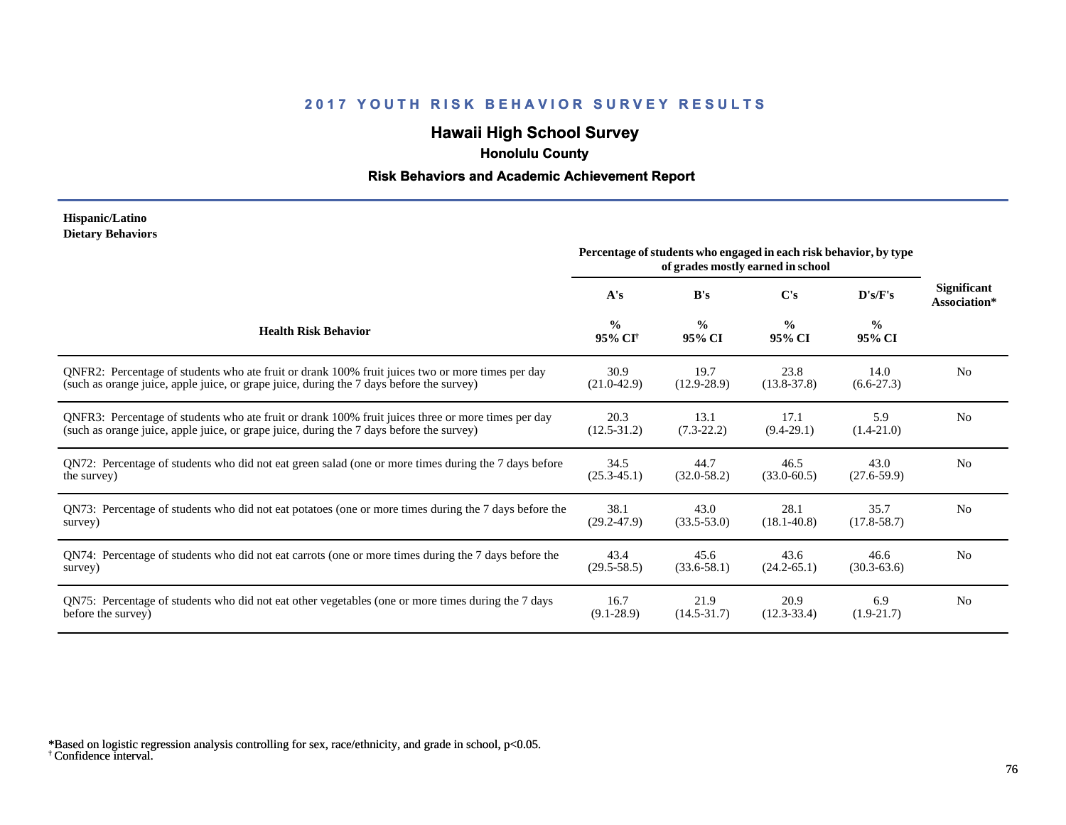# **Hawaii High School Survey**

 **Honolulu County**

#### **Risk Behaviors and Academic Achievement Report**

#### **Hispanic/Latino Dietary Behaviors**

|                                                                                                       | Percentage of students who engaged in each risk behavior, by type<br>of grades mostly earned in school |                         |                         |                         |                                    |
|-------------------------------------------------------------------------------------------------------|--------------------------------------------------------------------------------------------------------|-------------------------|-------------------------|-------------------------|------------------------------------|
|                                                                                                       | A's                                                                                                    | B's                     | $\bf C's$               | D's/F's                 | <b>Significant</b><br>Association* |
| <b>Health Risk Behavior</b>                                                                           | $\frac{0}{0}$<br>95% CI <sup>+</sup>                                                                   | $\frac{0}{0}$<br>95% CI | $\frac{0}{0}$<br>95% CI | $\frac{0}{0}$<br>95% CI |                                    |
| ONFR2: Percentage of students who ate fruit or drank 100% fruit juices two or more times per day      | 30.9                                                                                                   | 19.7                    | 23.8                    | 14.0                    | N <sub>0</sub>                     |
| (such as orange juice, apple juice, or grape juice, during the 7 days before the survey)              | $(21.0 - 42.9)$                                                                                        | $(12.9 - 28.9)$         | $(13.8 - 37.8)$         | $(6.6-27.3)$            |                                    |
| QNFR3: Percentage of students who ate fruit or drank 100% fruit juices three or more times per day    | 20.3                                                                                                   | 13.1                    | 17.1                    | 5.9                     | N <sub>0</sub>                     |
| (such as orange juice, apple juice, or grape juice, during the 7 days before the survey)              | $(12.5 - 31.2)$                                                                                        | $(7.3-22.2)$            | $(9.4-29.1)$            | $(1.4-21.0)$            |                                    |
| QN72: Percentage of students who did not eat green salad (one or more times during the 7 days before  | 34.5                                                                                                   | 44.7                    | 46.5                    | 43.0                    | N <sub>0</sub>                     |
| the survey)                                                                                           | $(25.3 - 45.1)$                                                                                        | $(32.0 - 58.2)$         | $(33.0 - 60.5)$         | $(27.6 - 59.9)$         |                                    |
| QN73: Percentage of students who did not eat potatoes (one or more times during the 7 days before the | 38.1                                                                                                   | 43.0                    | 28.1                    | 35.7                    | N <sub>0</sub>                     |
| survey)                                                                                               | $(29.2 - 47.9)$                                                                                        | $(33.5 - 53.0)$         | $(18.1 - 40.8)$         | $(17.8 - 58.7)$         |                                    |
| QN74: Percentage of students who did not eat carrots (one or more times during the 7 days before the  | 43.4                                                                                                   | 45.6                    | 43.6                    | 46.6                    | No                                 |
| survey)                                                                                               | $(29.5 - 58.5)$                                                                                        | $(33.6 - 58.1)$         | $(24.2 - 65.1)$         | $(30.3 - 63.6)$         |                                    |
| QN75: Percentage of students who did not eat other vegetables (one or more times during the 7 days    | 16.7                                                                                                   | 21.9                    | 20.9                    | 6.9                     | N <sub>0</sub>                     |
| before the survey)                                                                                    | $(9.1 - 28.9)$                                                                                         | $(14.5 - 31.7)$         | $(12.3 - 33.4)$         | $(1.9-21.7)$            |                                    |

† Confidence interval. \*Based on logistic regression analysis controlling for sex, race/ethnicity, and grade in school, p<0.05.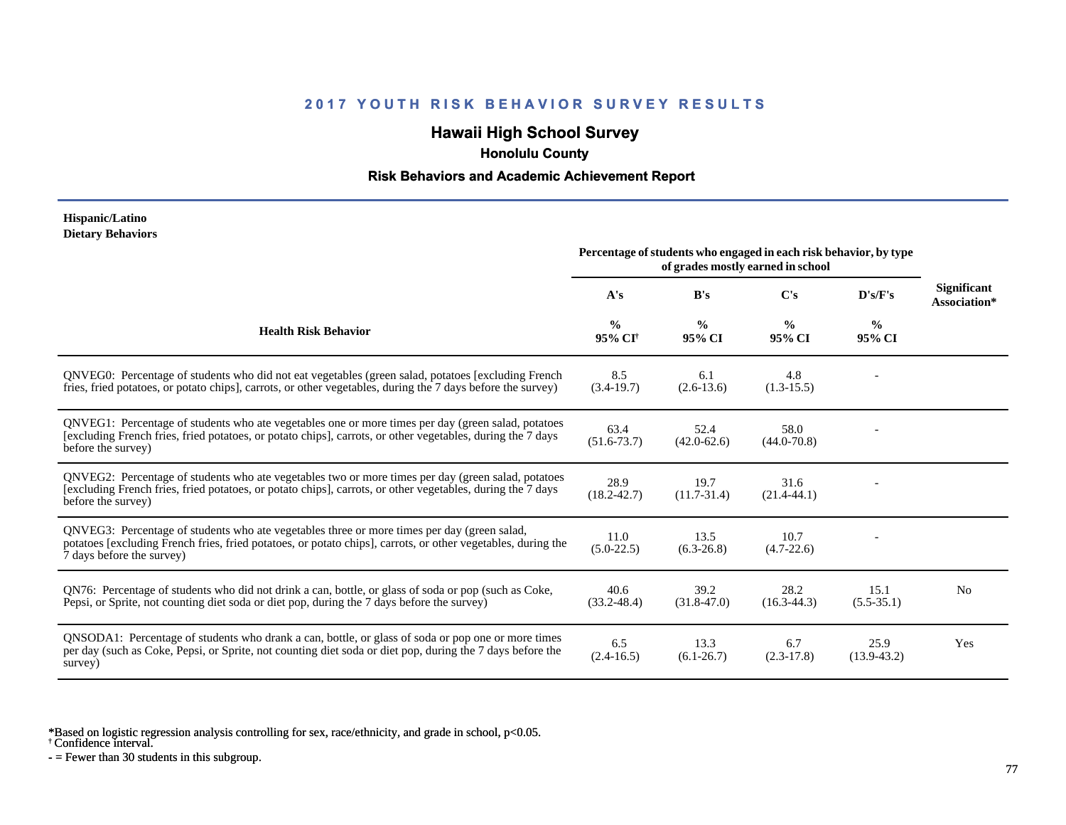# **Hawaii High School Survey**

 **Honolulu County**

#### **Risk Behaviors and Academic Achievement Report**

#### **Hispanic/Latino Dietary Behaviors**

|                                                                                                                                                                                                                                          | Percentage of students who engaged in each risk behavior, by type<br>of grades mostly earned in school |                         |                         |                         |                             |
|------------------------------------------------------------------------------------------------------------------------------------------------------------------------------------------------------------------------------------------|--------------------------------------------------------------------------------------------------------|-------------------------|-------------------------|-------------------------|-----------------------------|
|                                                                                                                                                                                                                                          | A's                                                                                                    | B's                     | C's                     | D's/F's                 | Significant<br>Association* |
| <b>Health Risk Behavior</b>                                                                                                                                                                                                              | $\frac{0}{0}$<br>95% CI <sup>+</sup>                                                                   | $\frac{0}{0}$<br>95% CI | $\frac{0}{0}$<br>95% CI | $\frac{6}{9}$<br>95% CI |                             |
| QNVEG0: Percentage of students who did not eat vegetables (green salad, potatoes [excluding French]<br>fries, fried potatoes, or potato chips], carrots, or other vegetables, during the 7 days before the survey)                       | 8.5<br>$(3.4-19.7)$                                                                                    | 6.1<br>$(2.6-13.6)$     | 4.8<br>$(1.3-15.5)$     |                         |                             |
| QNVEG1: Percentage of students who ate vegetables one or more times per day (green salad, potatoes<br>[excluding French fries, fried potatoes, or potato chips], carrots, or other vegetables, during the 7 days<br>before the survey)   | 63.4<br>$(51.6 - 73.7)$                                                                                | 52.4<br>$(42.0 - 62.6)$ | 58.0<br>$(44.0 - 70.8)$ |                         |                             |
| QNVEG2: Percentage of students who ate vegetables two or more times per day (green salad, potatoes<br>[excluding French fries, fried potatoes, or potato chips], carrots, or other vegetables, during the 7 days<br>before the survey)   | 28.9<br>$(18.2 - 42.7)$                                                                                | 19.7<br>$(11.7-31.4)$   | 31.6<br>$(21.4-44.1)$   |                         |                             |
| QNVEG3: Percentage of students who ate vegetables three or more times per day (green salad,<br>potatoes [excluding French fries, fried potatoes, or potato chips], carrots, or other vegetables, during the<br>7 days before the survey) | 11.0<br>$(5.0-22.5)$                                                                                   | 13.5<br>$(6.3-26.8)$    | 10.7<br>$(4.7 - 22.6)$  |                         |                             |
| QN76: Percentage of students who did not drink a can, bottle, or glass of soda or pop (such as Coke,<br>Pepsi, or Sprite, not counting diet soda or diet pop, during the 7 days before the survey)                                       | 40.6<br>$(33.2 - 48.4)$                                                                                | 39.2<br>$(31.8 - 47.0)$ | 28.2<br>$(16.3-44.3)$   | 15.1<br>$(5.5-35.1)$    | N <sub>0</sub>              |
| QNSODA1: Percentage of students who drank a can, bottle, or glass of soda or pop one or more times<br>per day (such as Coke, Pepsi, or Sprite, not counting diet soda or diet pop, during the 7 days before the<br>survey)               | 6.5<br>$(2.4 - 16.5)$                                                                                  | 13.3<br>$(6.1 - 26.7)$  | 6.7<br>$(2.3-17.8)$     | 25.9<br>$(13.9-43.2)$   | Yes                         |

\*Based on logistic regression analysis controlling for sex, race/ethnicity, and grade in school, p<0.05.

† Confidence interval.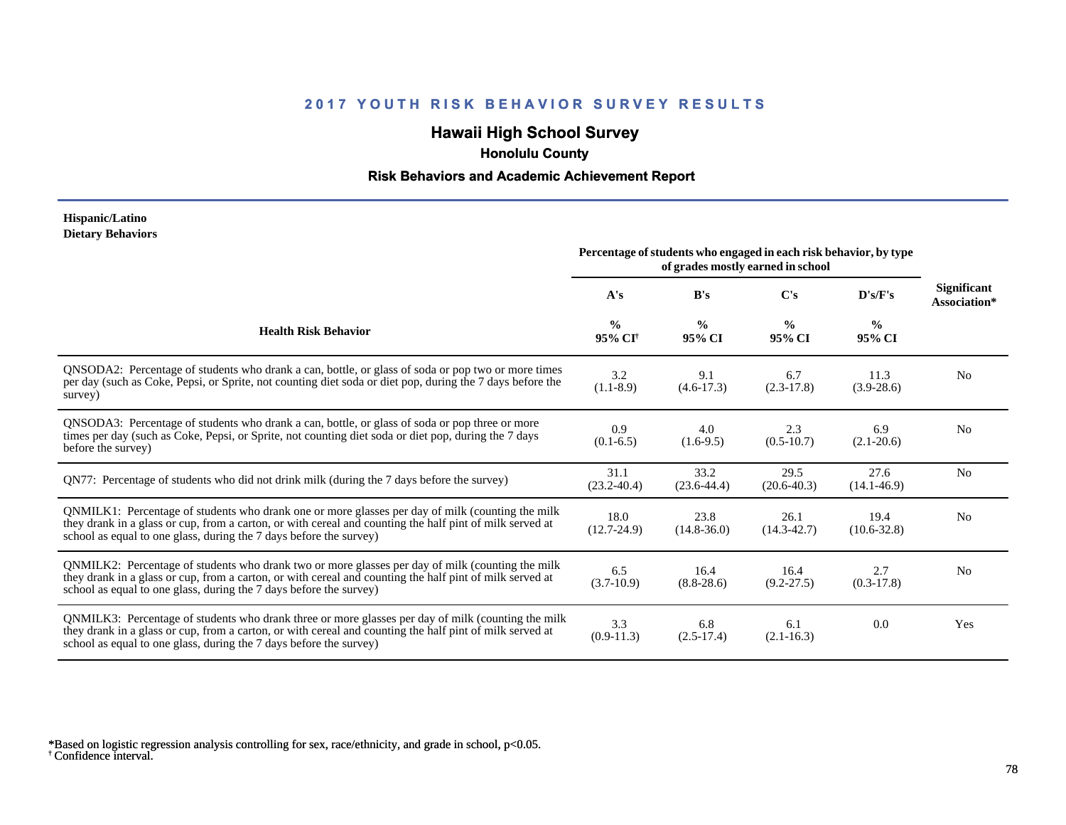# **Hawaii High School Survey**

 **Honolulu County**

#### **Risk Behaviors and Academic Achievement Report**

#### **Hispanic/Latino Dietary Behaviors**

|                                                                                                                                                                                                                                                                                      | Percentage of students who engaged in each risk behavior, by type<br>of grades mostly earned in school |                         |                         |                         |                             |
|--------------------------------------------------------------------------------------------------------------------------------------------------------------------------------------------------------------------------------------------------------------------------------------|--------------------------------------------------------------------------------------------------------|-------------------------|-------------------------|-------------------------|-----------------------------|
|                                                                                                                                                                                                                                                                                      | A's                                                                                                    | B's                     | $\bf C's$               | D's/F's                 | Significant<br>Association* |
| <b>Health Risk Behavior</b>                                                                                                                                                                                                                                                          | $\frac{0}{0}$<br>95% CI <sup>†</sup>                                                                   | $\frac{0}{0}$<br>95% CI | $\frac{0}{0}$<br>95% CI | $\frac{0}{0}$<br>95% CI |                             |
| QNSODA2: Percentage of students who drank a can, bottle, or glass of soda or pop two or more times<br>per day (such as Coke, Pepsi, or Sprite, not counting diet soda or diet pop, during the 7 days before the<br>survey)                                                           | 3.2<br>$(1.1-8.9)$                                                                                     | 9.1<br>$(4.6-17.3)$     | 6.7<br>$(2.3-17.8)$     | 11.3<br>$(3.9-28.6)$    | N <sub>0</sub>              |
| QNSODA3: Percentage of students who drank a can, bottle, or glass of soda or pop three or more<br>times per day (such as Coke, Pepsi, or Sprite, not counting diet soda or diet pop, during the 7 days<br>before the survey)                                                         | 0.9<br>$(0.1-6.5)$                                                                                     | 4.0<br>$(1.6-9.5)$      | 2.3<br>$(0.5-10.7)$     | 6.9<br>$(2.1 - 20.6)$   | N <sub>0</sub>              |
| QN77: Percentage of students who did not drink milk (during the 7 days before the survey)                                                                                                                                                                                            | 31.1<br>$(23.2 - 40.4)$                                                                                | 33.2<br>$(23.6 - 44.4)$ | 29.5<br>$(20.6 - 40.3)$ | 27.6<br>$(14.1 - 46.9)$ | N <sub>0</sub>              |
| QNMILK1: Percentage of students who drank one or more glasses per day of milk (counting the milk<br>they drank in a glass or cup, from a carton, or with cereal and counting the half pint of milk served at<br>school as equal to one glass, during the 7 days before the survey)   | 18.0<br>$(12.7 - 24.9)$                                                                                | 23.8<br>$(14.8 - 36.0)$ | 26.1<br>$(14.3 - 42.7)$ | 19.4<br>$(10.6 - 32.8)$ | N <sub>0</sub>              |
| QNMILK2: Percentage of students who drank two or more glasses per day of milk (counting the milk<br>they drank in a glass or cup, from a carton, or with cereal and counting the half pint of milk served at<br>school as equal to one glass, during the 7 days before the survey)   | 6.5<br>$(3.7-10.9)$                                                                                    | 16.4<br>$(8.8-28.6)$    | 16.4<br>$(9.2 - 27.5)$  | 2.7<br>$(0.3-17.8)$     | N <sub>0</sub>              |
| QNMILK3: Percentage of students who drank three or more glasses per day of milk (counting the milk<br>they drank in a glass or cup, from a carton, or with cereal and counting the half pint of milk served at<br>school as equal to one glass, during the 7 days before the survey) | 3.3<br>$(0.9-11.3)$                                                                                    | 6.8<br>$(2.5-17.4)$     | 6.1<br>$(2.1 - 16.3)$   | 0.0                     | Yes                         |

† Confidence interval. \*Based on logistic regression analysis controlling for sex, race/ethnicity, and grade in school, p<0.05.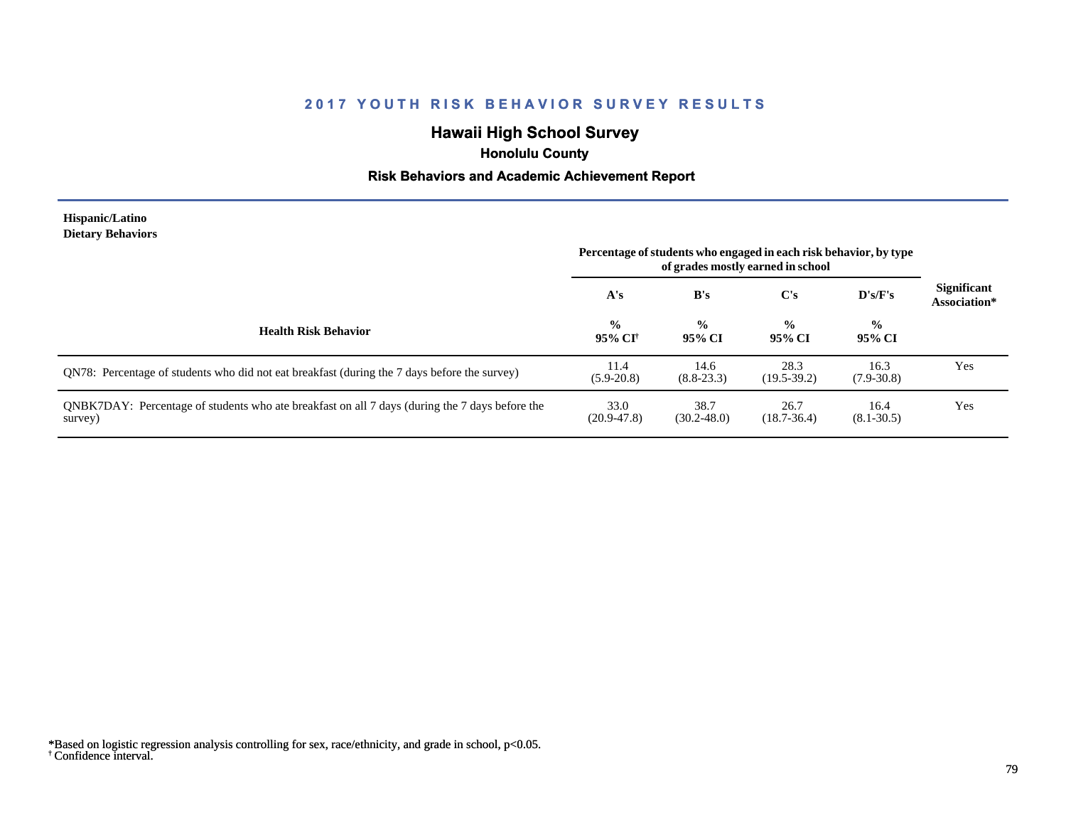# **Hawaii High School Survey**

 **Honolulu County**

#### **Risk Behaviors and Academic Achievement Report**

#### **Hispanic/Latino Dietary Behaviors**

|                                                                                                           | Percentage of students who engaged in each risk behavior, by type<br>of grades mostly earned in school |                         |                         |                         |                                    |
|-----------------------------------------------------------------------------------------------------------|--------------------------------------------------------------------------------------------------------|-------------------------|-------------------------|-------------------------|------------------------------------|
|                                                                                                           | A's                                                                                                    | B's                     | $\bf C's$               | D's/F's                 | <b>Significant</b><br>Association* |
| <b>Health Risk Behavior</b>                                                                               | $\frac{0}{0}$<br>95% CI†                                                                               | $\frac{0}{0}$<br>95% CI | $\frac{6}{9}$<br>95% CI | $\frac{1}{2}$<br>95% CI |                                    |
| QN78: Percentage of students who did not eat breakfast (during the 7 days before the survey)              | 11.4<br>$(5.9 - 20.8)$                                                                                 | 14.6<br>$(8.8 - 23.3)$  | 28.3<br>$(19.5-39.2)$   | 16.3<br>$(7.9 - 30.8)$  | Yes                                |
| QNBK7DAY: Percentage of students who ate breakfast on all 7 days (during the 7 days before the<br>survey) | 33.0<br>$(20.9 - 47.8)$                                                                                | 38.7<br>$(30.2 - 48.0)$ | 26.7<br>$(18.7 - 36.4)$ | 16.4<br>$(8.1 - 30.5)$  | Yes                                |

<sup>†</sup> Confidence interval. \*Based on logistic regression analysis controlling for sex, race/ethnicity, and grade in school, p<0.05.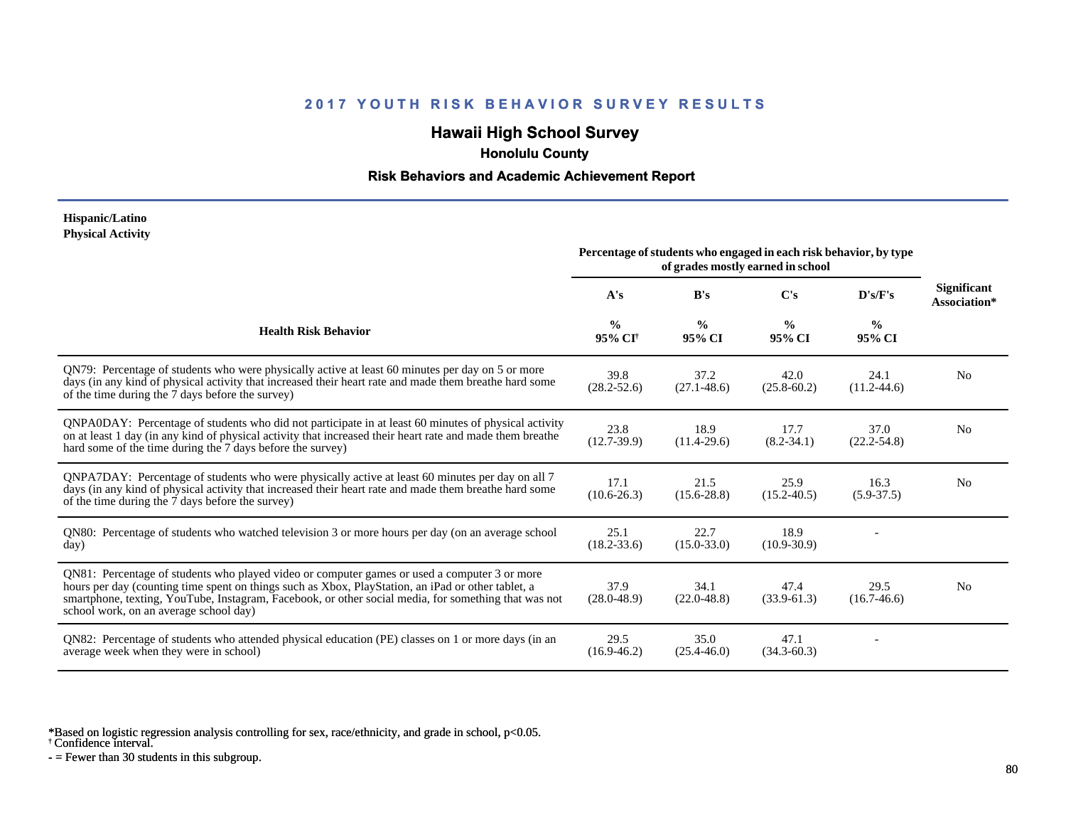# **Hawaii High School Survey**

 **Honolulu County**

#### **Risk Behaviors and Academic Achievement Report**

#### **Hispanic/Latino Physical Activity**

|                                                                                                                                                                                                                                                                                                                                                      | Percentage of students who engaged in each risk behavior, by type<br>of grades mostly earned in school |                         |                         |                         |                                    |
|------------------------------------------------------------------------------------------------------------------------------------------------------------------------------------------------------------------------------------------------------------------------------------------------------------------------------------------------------|--------------------------------------------------------------------------------------------------------|-------------------------|-------------------------|-------------------------|------------------------------------|
|                                                                                                                                                                                                                                                                                                                                                      | A's                                                                                                    | B's                     | C's                     | D's/F's                 | <b>Significant</b><br>Association* |
| <b>Health Risk Behavior</b>                                                                                                                                                                                                                                                                                                                          | $\frac{0}{0}$<br>95% CI <sup>†</sup>                                                                   | $\frac{0}{0}$<br>95% CI | $\frac{0}{0}$<br>95% CI | $\frac{0}{0}$<br>95% CI |                                    |
| QN79: Percentage of students who were physically active at least 60 minutes per day on 5 or more<br>days (in any kind of physical activity that increased their heart rate and made them breathe hard some<br>of the time during the 7 days before the survey)                                                                                       | 39.8<br>$(28.2 - 52.6)$                                                                                | 37.2<br>$(27.1 - 48.6)$ | 42.0<br>$(25.8 - 60.2)$ | 24.1<br>$(11.2 - 44.6)$ | N <sub>0</sub>                     |
| QNPA0DAY: Percentage of students who did not participate in at least 60 minutes of physical activity<br>on at least 1 day (in any kind of physical activity that increased their heart rate and made them breather<br>hard some of the time during the 7 days before the survey)                                                                     | 23.8<br>$(12.7-39.9)$                                                                                  | 18.9<br>$(11.4-29.6)$   | 17.7<br>$(8.2 - 34.1)$  | 37.0<br>$(22.2 - 54.8)$ | No                                 |
| QNPA7DAY: Percentage of students who were physically active at least 60 minutes per day on all 7<br>days (in any kind of physical activity that increased their heart rate and made them breathe hard some<br>of the time during the 7 days before the survey)                                                                                       | 17.1<br>$(10.6 - 26.3)$                                                                                | 21.5<br>$(15.6 - 28.8)$ | 25.9<br>$(15.2 - 40.5)$ | 16.3<br>$(5.9 - 37.5)$  | N <sub>0</sub>                     |
| QN80: Percentage of students who watched television 3 or more hours per day (on an average school<br>day)                                                                                                                                                                                                                                            | 25.1<br>$(18.2 - 33.6)$                                                                                | 22.7<br>$(15.0 - 33.0)$ | 18.9<br>$(10.9 - 30.9)$ |                         |                                    |
| QN81: Percentage of students who played video or computer games or used a computer 3 or more<br>hours per day (counting time spent on things such as Xbox, PlayStation, an iPad or other tablet, a<br>smartphone, texting, YouTube, Instagram, Facebook, or other social media, for something that was not<br>school work, on an average school day) | 37.9<br>$(28.0 - 48.9)$                                                                                | 34.1<br>$(22.0 - 48.8)$ | 47.4<br>$(33.9-61.3)$   | 29.5<br>$(16.7-46.6)$   | N <sub>0</sub>                     |
| QN82: Percentage of students who attended physical education (PE) classes on 1 or more days (in an<br>average week when they were in school)                                                                                                                                                                                                         | 29.5<br>$(16.9 - 46.2)$                                                                                | 35.0<br>$(25.4 - 46.0)$ | 47.1<br>$(34.3 - 60.3)$ |                         |                                    |

\*Based on logistic regression analysis controlling for sex, race/ethnicity, and grade in school, p<0.05.

† Confidence interval.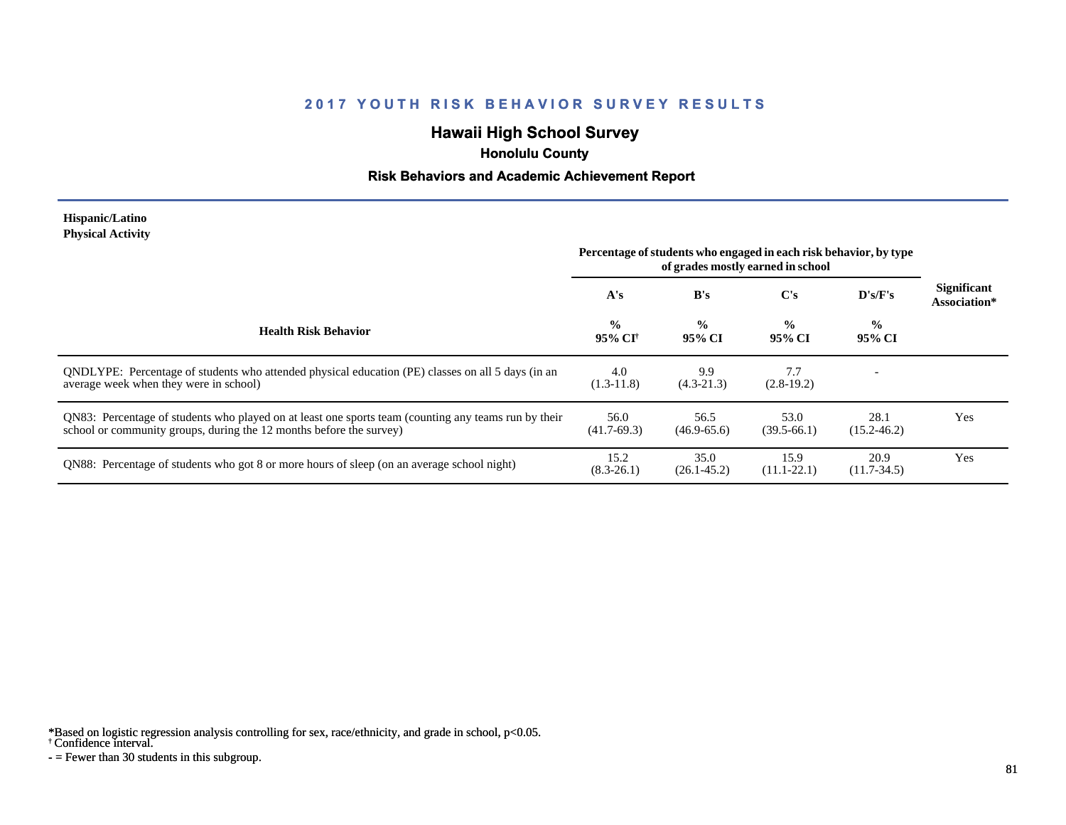# **Hawaii High School Survey**

 **Honolulu County**

#### **Risk Behaviors and Academic Achievement Report**

#### **Hispanic/Latino Physical Activity**

|                                                                                                                                                                             | Percentage of students who engaged in each risk behavior, by type<br>of grades mostly earned in school |                         |                         |                         |                                    |
|-----------------------------------------------------------------------------------------------------------------------------------------------------------------------------|--------------------------------------------------------------------------------------------------------|-------------------------|-------------------------|-------------------------|------------------------------------|
|                                                                                                                                                                             | A's                                                                                                    | B's                     | $\bf C's$               | $\bf{D's/F's}$          | <b>Significant</b><br>Association* |
| <b>Health Risk Behavior</b>                                                                                                                                                 | $\frac{0}{0}$<br>95% CI†                                                                               | $\frac{6}{6}$<br>95% CI | $\frac{0}{0}$<br>95% CI | $\frac{1}{2}$<br>95% CI |                                    |
| ONDLYPE: Percentage of students who attended physical education (PE) classes on all 5 days (in an<br>average week when they were in school)                                 | 4.0<br>$(1.3-11.8)$                                                                                    | 9.9<br>$(4.3-21.3)$     | 7.7<br>$(2.8-19.2)$     |                         |                                    |
| QN83: Percentage of students who played on at least one sports team (counting any teams run by their<br>school or community groups, during the 12 months before the survey) | 56.0<br>$(41.7-69.3)$                                                                                  | 56.5<br>$(46.9 - 65.6)$ | 53.0<br>$(39.5-66.1)$   | 28.1<br>$(15.2 - 46.2)$ | Yes                                |
| QN88: Percentage of students who got 8 or more hours of sleep (on an average school night)                                                                                  | 15.2<br>$(8.3-26.1)$                                                                                   | 35.0<br>$(26.1 - 45.2)$ | 15.9<br>$(11.1 - 22.1)$ | 20.9<br>$(11.7-34.5)$   | Yes                                |

\*Based on logistic regression analysis controlling for sex, race/ethnicity, and grade in school, p<0.05.

† Confidence interval.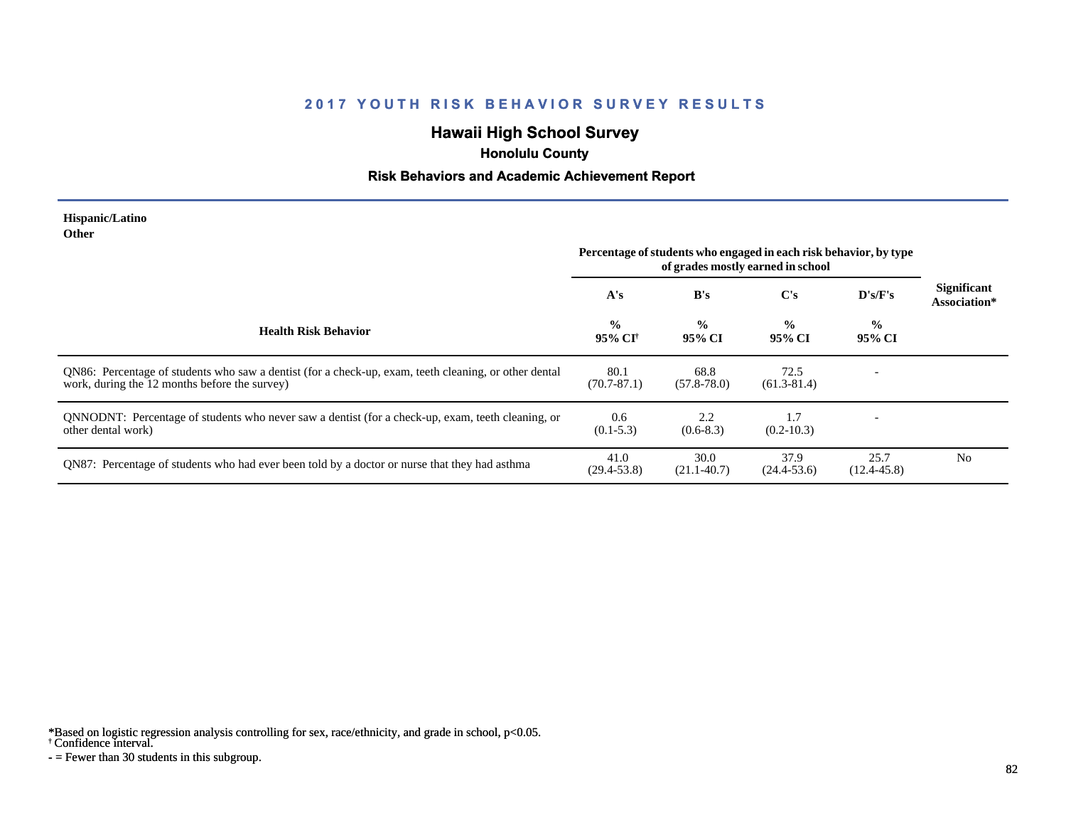# **Hawaii High School Survey**

 **Honolulu County**

#### **Risk Behaviors and Academic Achievement Report**

#### **Hispanic/Latino Other**

|                                                                                                                                                        | Percentage of students who engaged in each risk behavior, by type<br>of grades mostly earned in school |                         |                         |                         |                                    |
|--------------------------------------------------------------------------------------------------------------------------------------------------------|--------------------------------------------------------------------------------------------------------|-------------------------|-------------------------|-------------------------|------------------------------------|
|                                                                                                                                                        | A's                                                                                                    | B's                     | C's                     | D's/F's                 | <b>Significant</b><br>Association* |
| <b>Health Risk Behavior</b>                                                                                                                            | $\frac{6}{6}$<br>95% CI†                                                                               | $\frac{0}{0}$<br>95% CI | $\frac{0}{0}$<br>95% CI | $\frac{0}{0}$<br>95% CI |                                    |
| QN86: Percentage of students who saw a dentist (for a check-up, exam, teeth cleaning, or other dental<br>work, during the 12 months before the survey) | 80.1<br>$(70.7 - 87.1)$                                                                                | 68.8<br>$(57.8 - 78.0)$ | 72.5<br>$(61.3 - 81.4)$ |                         |                                    |
| QNNODNT: Percentage of students who never saw a dentist (for a check-up, exam, teeth cleaning, or<br>other dental work)                                | 0.6<br>$(0.1 - 5.3)$                                                                                   | 2.2<br>$(0.6-8.3)$      | 1.7<br>$(0.2 - 10.3)$   |                         |                                    |
| QN87: Percentage of students who had ever been told by a doctor or nurse that they had asthma                                                          | 41.0<br>$(29.4 - 53.8)$                                                                                | 30.0<br>$(21.1 - 40.7)$ | 37.9<br>$(24.4-53.6)$   | 25.7<br>$(12.4 - 45.8)$ | N <sub>0</sub>                     |

\*Based on logistic regression analysis controlling for sex, race/ethnicity, and grade in school, p<0.05.

† Confidence interval.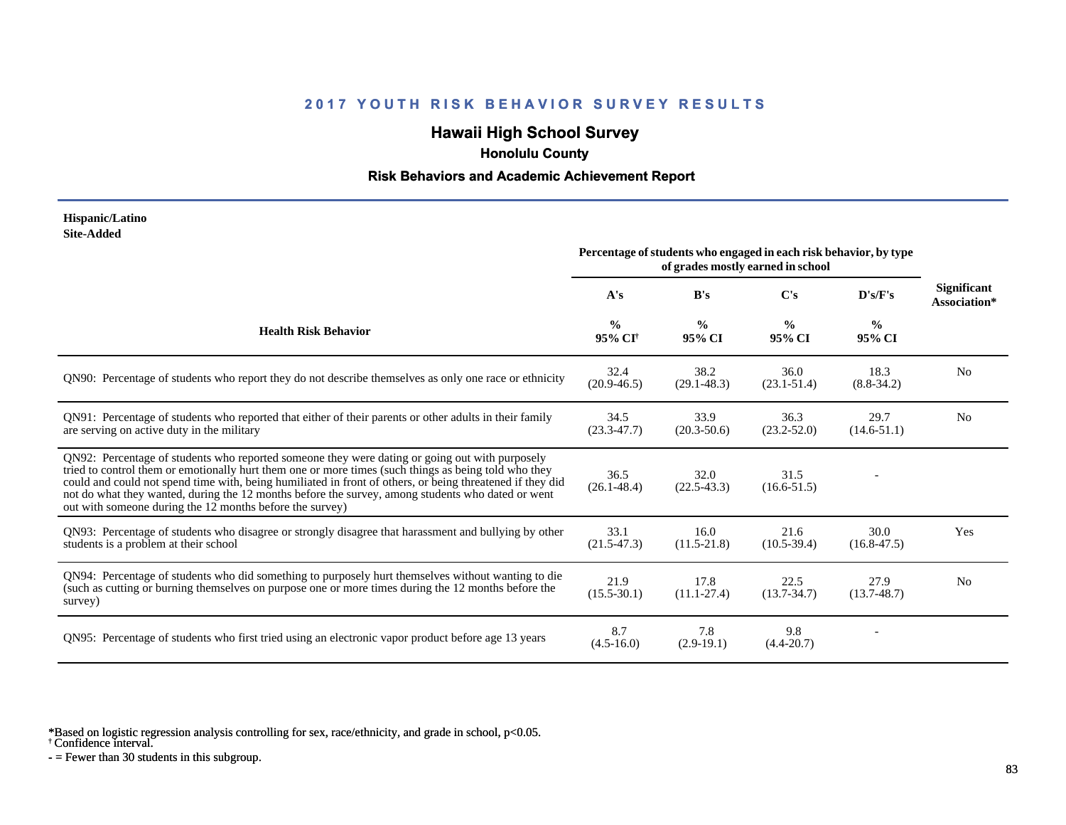# **Hawaii High School Survey**

 **Honolulu County**

#### **Risk Behaviors and Academic Achievement Report**

#### **Hispanic/Latino Site-Added**

|                                                                                                                                                                                                                                                                                                                                                                                                                                                                                      | Percentage of students who engaged in each risk behavior, by type<br>of grades mostly earned in school |                         |                         |                         |                                    |
|--------------------------------------------------------------------------------------------------------------------------------------------------------------------------------------------------------------------------------------------------------------------------------------------------------------------------------------------------------------------------------------------------------------------------------------------------------------------------------------|--------------------------------------------------------------------------------------------------------|-------------------------|-------------------------|-------------------------|------------------------------------|
|                                                                                                                                                                                                                                                                                                                                                                                                                                                                                      | A's                                                                                                    | B's                     | C's                     | D's/F's                 | <b>Significant</b><br>Association* |
| <b>Health Risk Behavior</b>                                                                                                                                                                                                                                                                                                                                                                                                                                                          | $\frac{0}{0}$<br>95% CI <sup>†</sup>                                                                   | $\frac{0}{0}$<br>95% CI | $\frac{0}{0}$<br>95% CI | $\frac{0}{0}$<br>95% CI |                                    |
| QN90: Percentage of students who report they do not describe themselves as only one race or ethnicity                                                                                                                                                                                                                                                                                                                                                                                | 32.4<br>$(20.9 - 46.5)$                                                                                | 38.2<br>$(29.1 - 48.3)$ | 36.0<br>$(23.1 - 51.4)$ | 18.3<br>$(8.8-34.2)$    | N <sub>0</sub>                     |
| QN91: Percentage of students who reported that either of their parents or other adults in their family<br>are serving on active duty in the military                                                                                                                                                                                                                                                                                                                                 | 34.5<br>$(23.3 - 47.7)$                                                                                | 33.9<br>$(20.3 - 50.6)$ | 36.3<br>$(23.2 - 52.0)$ | 29.7<br>$(14.6-51.1)$   | N <sub>0</sub>                     |
| QN92: Percentage of students who reported someone they were dating or going out with purposely<br>tried to control them or emotionally hurt them one or more times (such things as being told who they<br>could and could not spend time with, being humiliated in front of others, or being threatened if they did<br>not do what they wanted, during the 12 months before the survey, among students who dated or went<br>out with someone during the 12 months before the survey) | 36.5<br>$(26.1 - 48.4)$                                                                                | 32.0<br>$(22.5 - 43.3)$ | 31.5<br>$(16.6 - 51.5)$ |                         |                                    |
| QN93: Percentage of students who disagree or strongly disagree that harassment and bullying by other<br>students is a problem at their school                                                                                                                                                                                                                                                                                                                                        | 33.1<br>$(21.5 - 47.3)$                                                                                | 16.0<br>$(11.5 - 21.8)$ | 21.6<br>$(10.5 - 39.4)$ | 30.0<br>$(16.8 - 47.5)$ | Yes                                |
| QN94: Percentage of students who did something to purposely hurt themselves without wanting to die<br>(such as cutting or burning themselves on purpose one or more times during the 12 months before the<br>survey)                                                                                                                                                                                                                                                                 | 21.9<br>$(15.5 - 30.1)$                                                                                | 17.8<br>$(11.1 - 27.4)$ | 22.5<br>$(13.7 - 34.7)$ | 27.9<br>$(13.7 - 48.7)$ | N <sub>0</sub>                     |
| QN95: Percentage of students who first tried using an electronic vapor product before age 13 years                                                                                                                                                                                                                                                                                                                                                                                   | 8.7<br>$(4.5-16.0)$                                                                                    | 7.8<br>$(2.9-19.1)$     | 9.8<br>$(4.4 - 20.7)$   |                         |                                    |

\*Based on logistic regression analysis controlling for sex, race/ethnicity, and grade in school, p<0.05.

† Confidence interval.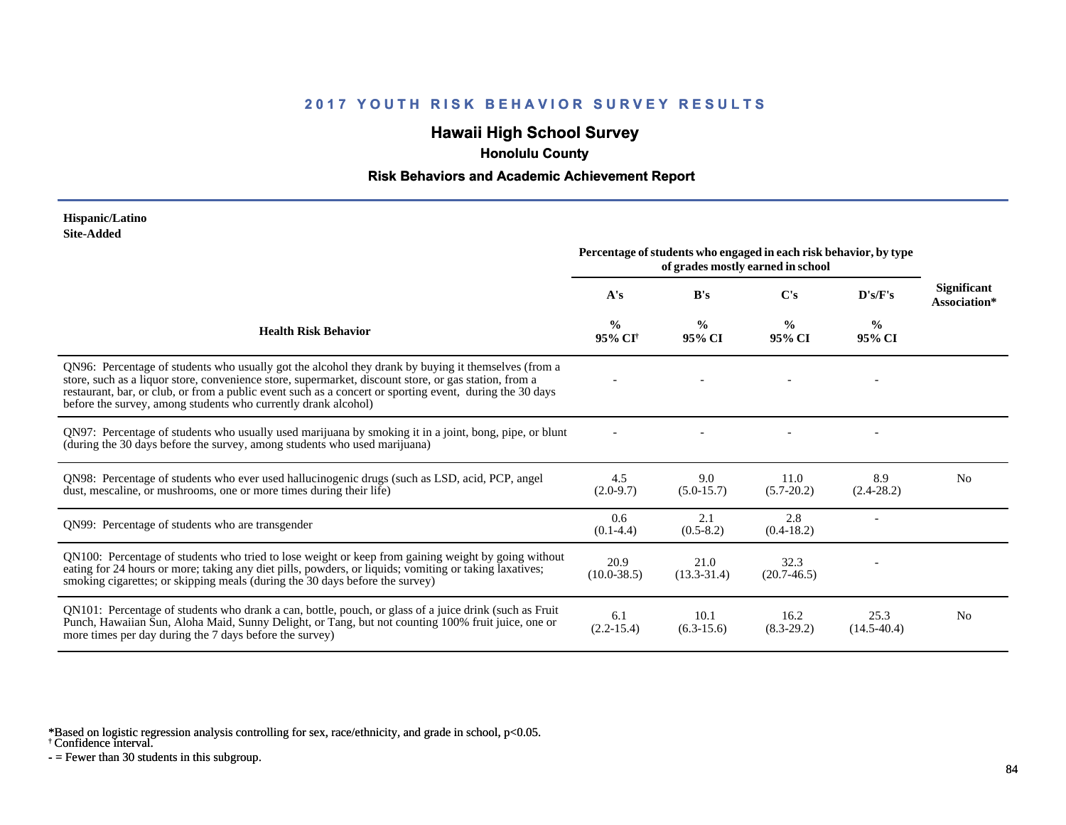# **Hawaii High School Survey**

 **Honolulu County**

#### **Risk Behaviors and Academic Achievement Report**

#### **Hispanic/Latino Site-Added**

|                                                                                                                                                                                                                                                                                                                                                                                            | Percentage of students who engaged in each risk behavior, by type<br>of grades mostly earned in school |                         |                         |                         |                                    |
|--------------------------------------------------------------------------------------------------------------------------------------------------------------------------------------------------------------------------------------------------------------------------------------------------------------------------------------------------------------------------------------------|--------------------------------------------------------------------------------------------------------|-------------------------|-------------------------|-------------------------|------------------------------------|
|                                                                                                                                                                                                                                                                                                                                                                                            | A's                                                                                                    | B's                     | C's                     | D's/F's                 | <b>Significant</b><br>Association* |
| <b>Health Risk Behavior</b>                                                                                                                                                                                                                                                                                                                                                                | $\frac{0}{0}$<br>95% CI <sup>+</sup>                                                                   | $\frac{0}{0}$<br>95% CI | $\frac{0}{0}$<br>95% CI | $\frac{6}{6}$<br>95% CI |                                    |
| QN96: Percentage of students who usually got the alcohol they drank by buying it themselves (from a<br>store, such as a liquor store, convenience store, supermarket, discount store, or gas station, from a<br>restaurant, bar, or club, or from a public event such as a concert or sporting event, during the 30 days<br>before the survey, among students who currently drank alcohol) |                                                                                                        |                         |                         |                         |                                    |
| QN97: Percentage of students who usually used marijuana by smoking it in a joint, bong, pipe, or blunt<br>(during the 30 days before the survey, among students who used marijuana)                                                                                                                                                                                                        |                                                                                                        |                         |                         |                         |                                    |
| QN98: Percentage of students who ever used hallucinogenic drugs (such as LSD, acid, PCP, angel<br>dust, mescaline, or mushrooms, one or more times during their life)                                                                                                                                                                                                                      | 4.5<br>$(2.0-9.7)$                                                                                     | 9.0<br>$(5.0-15.7)$     | 11.0<br>$(5.7 - 20.2)$  | 8.9<br>$(2.4-28.2)$     | N <sub>0</sub>                     |
| ON99: Percentage of students who are transgender                                                                                                                                                                                                                                                                                                                                           | 0.6<br>$(0.1-4.4)$                                                                                     | 2.1<br>$(0.5-8.2)$      | 2.8<br>$(0.4-18.2)$     |                         |                                    |
| QN100: Percentage of students who tried to lose weight or keep from gaining weight by going without<br>eating for 24 hours or more; taking any diet pills, powders, or liquids; vomiting or taking laxatives;<br>smoking cigarettes; or skipping meals (during the 30 days before the survey)                                                                                              | 20.9<br>$(10.0 - 38.5)$                                                                                | 21.0<br>$(13.3-31.4)$   | 32.3<br>$(20.7-46.5)$   |                         |                                    |
| QN101: Percentage of students who drank a can, bottle, pouch, or glass of a juice drink (such as Fruit<br>Punch, Hawaiian Sun, Aloha Maid, Sunny Delight, or Tang, but not counting 100% fruit juice, one or<br>more times per day during the 7 days before the survey)                                                                                                                    | 6.1<br>$(2.2 - 15.4)$                                                                                  | 10.1<br>$(6.3-15.6)$    | 16.2<br>$(8.3 - 29.2)$  | 25.3<br>$(14.5-40.4)$   | N <sub>0</sub>                     |

\*Based on logistic regression analysis controlling for sex, race/ethnicity, and grade in school, p<0.05.

† Confidence interval.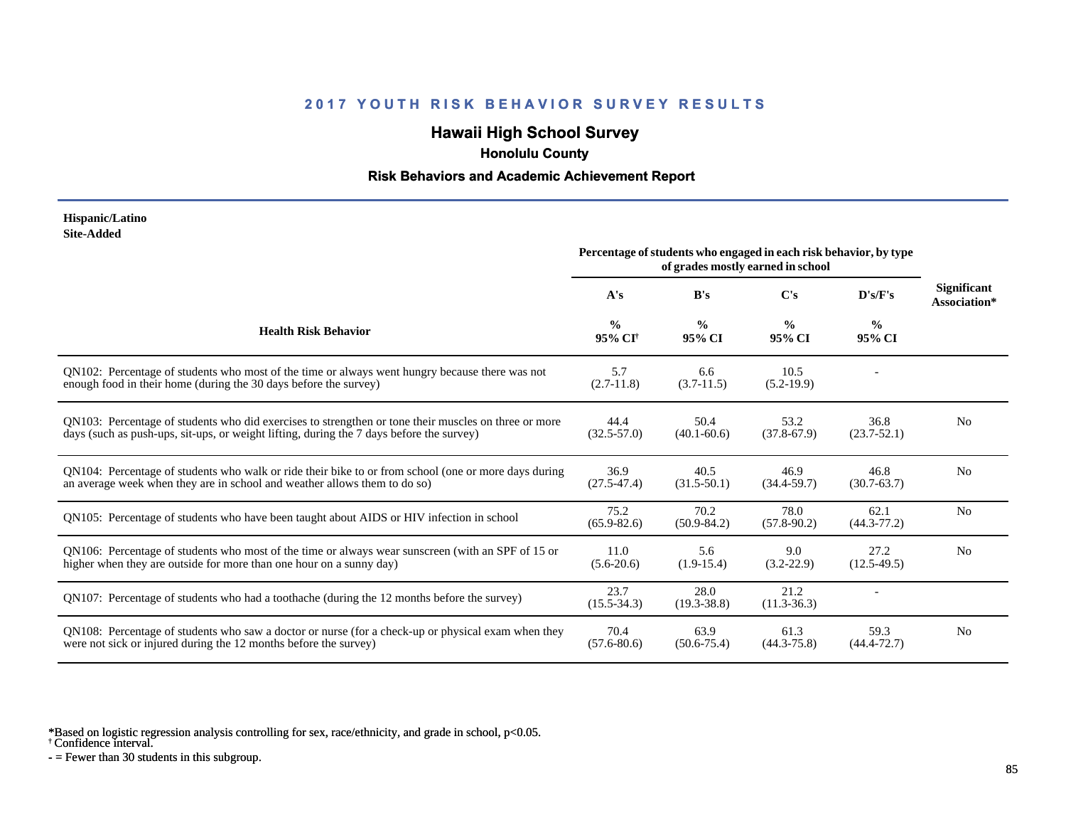# **Hawaii High School Survey**

 **Honolulu County**

#### **Risk Behaviors and Academic Achievement Report**

#### **Hispanic/Latino Site-Added**

|                                                                                                                                                                                                  | Percentage of students who engaged in each risk behavior, by type<br>of grades mostly earned in school |                         |                         |                         |                                    |
|--------------------------------------------------------------------------------------------------------------------------------------------------------------------------------------------------|--------------------------------------------------------------------------------------------------------|-------------------------|-------------------------|-------------------------|------------------------------------|
|                                                                                                                                                                                                  | A's                                                                                                    | B's                     | $\bf C's$               | $\bf{D's/F's}$          | <b>Significant</b><br>Association* |
| <b>Health Risk Behavior</b>                                                                                                                                                                      | $\frac{0}{0}$<br>95% CI <sup>+</sup>                                                                   | $\frac{0}{0}$<br>95% CI | $\frac{6}{9}$<br>95% CI | $\frac{0}{0}$<br>95% CI |                                    |
| QN102: Percentage of students who most of the time or always went hungry because there was not<br>enough food in their home (during the 30 days before the survey)                               | 5.7<br>$(2.7-11.8)$                                                                                    | 6.6<br>$(3.7-11.5)$     | 10.5<br>$(5.2-19.9)$    |                         |                                    |
| QN103: Percentage of students who did exercises to strengthen or tone their muscles on three or more<br>days (such as push-ups, sit-ups, or weight lifting, during the 7 days before the survey) | 44.4<br>$(32.5 - 57.0)$                                                                                | 50.4<br>$(40.1 - 60.6)$ | 53.2<br>$(37.8 - 67.9)$ | 36.8<br>$(23.7 - 52.1)$ | N <sub>0</sub>                     |
| QN104: Percentage of students who walk or ride their bike to or from school (one or more days during<br>an average week when they are in school and weather allows them to do so)                | 36.9<br>$(27.5 - 47.4)$                                                                                | 40.5<br>$(31.5-50.1)$   | 46.9<br>$(34.4 - 59.7)$ | 46.8<br>$(30.7 - 63.7)$ | N <sub>0</sub>                     |
| QN105: Percentage of students who have been taught about AIDS or HIV infection in school                                                                                                         | 75.2<br>$(65.9 - 82.6)$                                                                                | 70.2<br>$(50.9 - 84.2)$ | 78.0<br>$(57.8-90.2)$   | 62.1<br>$(44.3 - 77.2)$ | N <sub>0</sub>                     |
| QN106: Percentage of students who most of the time or always wear sunscreen (with an SPF of 15 or<br>higher when they are outside for more than one hour on a sunny day)                         | 11.0<br>$(5.6-20.6)$                                                                                   | 5.6<br>$(1.9-15.4)$     | 9.0<br>$(3.2 - 22.9)$   | 27.2<br>$(12.5-49.5)$   | N <sub>0</sub>                     |
| QN107: Percentage of students who had a toothache (during the 12 months before the survey)                                                                                                       | 23.7<br>$(15.5 - 34.3)$                                                                                | 28.0<br>$(19.3 - 38.8)$ | 21.2<br>$(11.3 - 36.3)$ |                         |                                    |
| QN108: Percentage of students who saw a doctor or nurse (for a check-up or physical exam when they<br>were not sick or injured during the 12 months before the survey)                           | 70.4<br>$(57.6 - 80.6)$                                                                                | 63.9<br>$(50.6 - 75.4)$ | 61.3<br>$(44.3 - 75.8)$ | 59.3<br>$(44.4 - 72.7)$ | N <sub>0</sub>                     |

\*Based on logistic regression analysis controlling for sex, race/ethnicity, and grade in school, p<0.05.

† Confidence interval.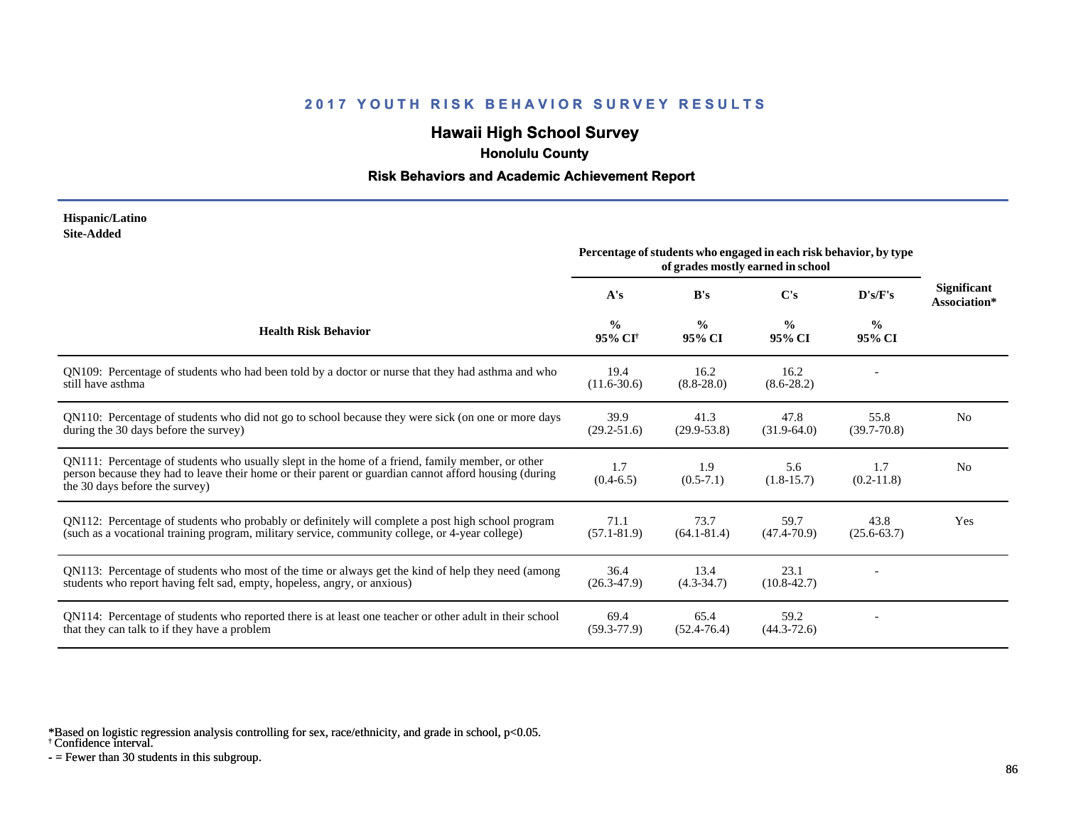# **Hawaii High School Survey**

 **Honolulu County**

#### **Risk Behaviors and Academic Achievement Report**

#### **Hispanic/Latino Site-Added**

|                                                                                                                                                                                                                                             | Percentage of students who engaged in each risk behavior, by type<br>of grades mostly earned in school |                         |                         |                         |                                    |
|---------------------------------------------------------------------------------------------------------------------------------------------------------------------------------------------------------------------------------------------|--------------------------------------------------------------------------------------------------------|-------------------------|-------------------------|-------------------------|------------------------------------|
|                                                                                                                                                                                                                                             | A's                                                                                                    | B's                     | C's                     | D's/F's                 | <b>Significant</b><br>Association* |
| <b>Health Risk Behavior</b>                                                                                                                                                                                                                 | $\frac{0}{0}$<br>95% CI <sup>+</sup>                                                                   | $\frac{0}{0}$<br>95% CI | $\frac{0}{0}$<br>95% CI | $\frac{6}{6}$<br>95% CI |                                    |
| QN109: Percentage of students who had been told by a doctor or nurse that they had asthma and who<br>still have asthma                                                                                                                      | 19.4<br>$(11.6 - 30.6)$                                                                                | 16.2<br>$(8.8 - 28.0)$  | 16.2<br>$(8.6 - 28.2)$  |                         |                                    |
| QN110: Percentage of students who did not go to school because they were sick (on one or more days<br>during the 30 days before the survey)                                                                                                 | 39.9<br>$(29.2 - 51.6)$                                                                                | 41.3<br>$(29.9 - 53.8)$ | 47.8<br>$(31.9-64.0)$   | 55.8<br>$(39.7 - 70.8)$ | N <sub>0</sub>                     |
| QN111: Percentage of students who usually slept in the home of a friend, family member, or other<br>person because they had to leave their home or their parent or guardian cannot afford housing (during<br>the 30 days before the survey) | 1.7<br>$(0.4-6.5)$                                                                                     | 1.9<br>$(0.5-7.1)$      | 5.6<br>$(1.8-15.7)$     | 1.7<br>$(0.2-11.8)$     | N <sub>0</sub>                     |
| QN112: Percentage of students who probably or definitely will complete a post high school program<br>(such as a vocational training program, military service, community college, or 4-year college)                                        | 71.1<br>$(57.1 - 81.9)$                                                                                | 73.7<br>$(64.1 - 81.4)$ | 59.7<br>$(47.4 - 70.9)$ | 43.8<br>$(25.6 - 63.7)$ | Yes                                |
| QN113: Percentage of students who most of the time or always get the kind of help they need (among<br>students who report having felt sad, empty, hopeless, angry, or anxious)                                                              | 36.4<br>$(26.3 - 47.9)$                                                                                | 13.4<br>$(4.3 - 34.7)$  | 23.1<br>$(10.8 - 42.7)$ |                         |                                    |
| QN114: Percentage of students who reported there is at least one teacher or other adult in their school<br>that they can talk to if they have a problem                                                                                     | 69.4<br>$(59.3 - 77.9)$                                                                                | 65.4<br>$(52.4 - 76.4)$ | 59.2<br>$(44.3 - 72.6)$ |                         |                                    |

\*Based on logistic regression analysis controlling for sex, race/ethnicity, and grade in school, p<0.05.

† Confidence interval.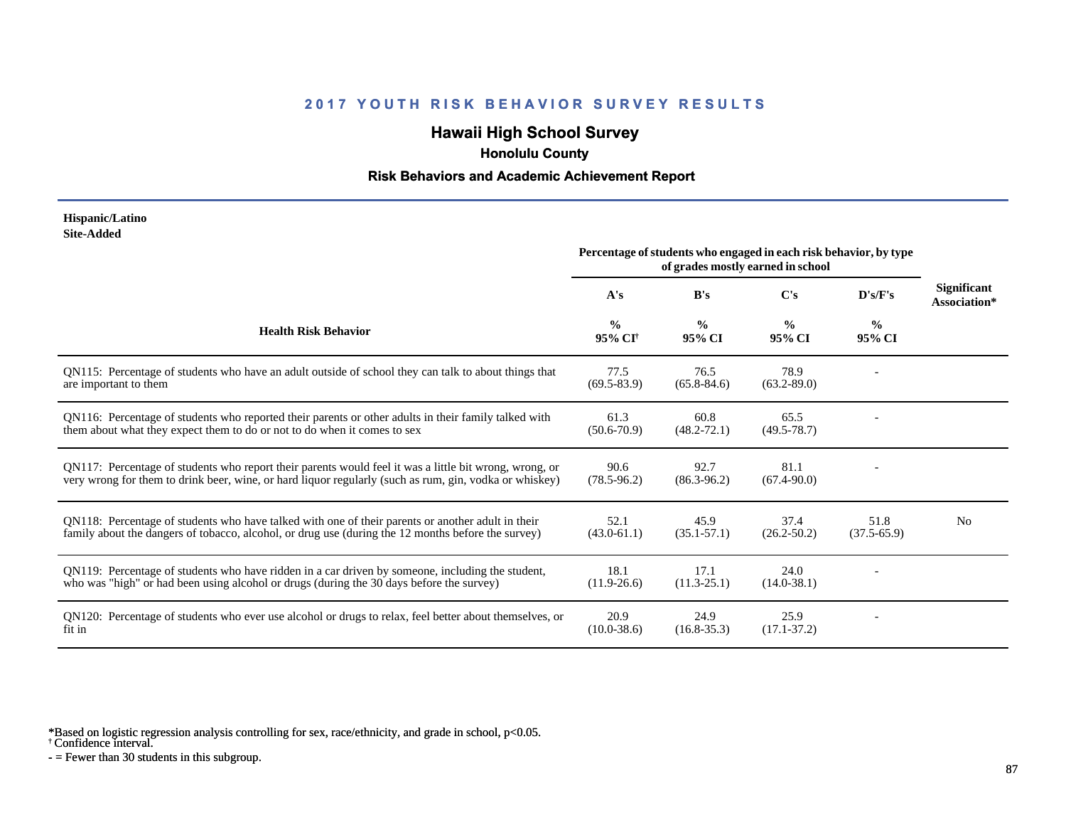# **Hawaii High School Survey**

 **Honolulu County**

#### **Risk Behaviors and Academic Achievement Report**

#### **Hispanic/Latino Site-Added**

|                                                                                                                                                                                                                  | Percentage of students who engaged in each risk behavior, by type<br>of grades mostly earned in school |                         |                         |                         |                                    |
|------------------------------------------------------------------------------------------------------------------------------------------------------------------------------------------------------------------|--------------------------------------------------------------------------------------------------------|-------------------------|-------------------------|-------------------------|------------------------------------|
|                                                                                                                                                                                                                  | A's                                                                                                    | B's                     | C's                     | D's/F's                 | <b>Significant</b><br>Association* |
| <b>Health Risk Behavior</b>                                                                                                                                                                                      | $\frac{0}{0}$<br>95% CI†                                                                               | $\frac{0}{0}$<br>95% CI | $\frac{0}{0}$<br>95% CI | $\frac{0}{0}$<br>95% CI |                                    |
| QN115: Percentage of students who have an adult outside of school they can talk to about things that<br>are important to them                                                                                    | 77.5<br>$(69.5 - 83.9)$                                                                                | 76.5<br>$(65.8 - 84.6)$ | 78.9<br>$(63.2 - 89.0)$ |                         |                                    |
| QN116: Percentage of students who reported their parents or other adults in their family talked with<br>them about what they expect them to do or not to do when it comes to sex                                 | 61.3<br>$(50.6 - 70.9)$                                                                                | 60.8<br>$(48.2 - 72.1)$ | 65.5<br>$(49.5 - 78.7)$ |                         |                                    |
| QN117: Percentage of students who report their parents would feel it was a little bit wrong, wrong, or<br>very wrong for them to drink beer, wine, or hard liquor regularly (such as rum, gin, vodka or whiskey) | 90.6<br>$(78.5 - 96.2)$                                                                                | 92.7<br>$(86.3 - 96.2)$ | 81.1<br>$(67.4 - 90.0)$ |                         |                                    |
| QN118: Percentage of students who have talked with one of their parents or another adult in their<br>family about the dangers of tobacco, alcohol, or drug use (during the 12 months before the survey)          | 52.1<br>$(43.0 - 61.1)$                                                                                | 45.9<br>$(35.1 - 57.1)$ | 37.4<br>$(26.2 - 50.2)$ | 51.8<br>$(37.5-65.9)$   | N <sub>0</sub>                     |
| ON119: Percentage of students who have ridden in a car driven by someone, including the student,<br>who was "high" or had been using alcohol or drugs (during the 30 days before the survey)                     | 18.1<br>$(11.9-26.6)$                                                                                  | 17.1<br>$(11.3 - 25.1)$ | 24.0<br>$(14.0 - 38.1)$ |                         |                                    |
| QN120: Percentage of students who ever use alcohol or drugs to relax, feel better about themselves, or<br>fit in                                                                                                 | 20.9<br>$(10.0 - 38.6)$                                                                                | 24.9<br>$(16.8 - 35.3)$ | 25.9<br>$(17.1 - 37.2)$ |                         |                                    |

\*Based on logistic regression analysis controlling for sex, race/ethnicity, and grade in school, p<0.05.

† Confidence interval.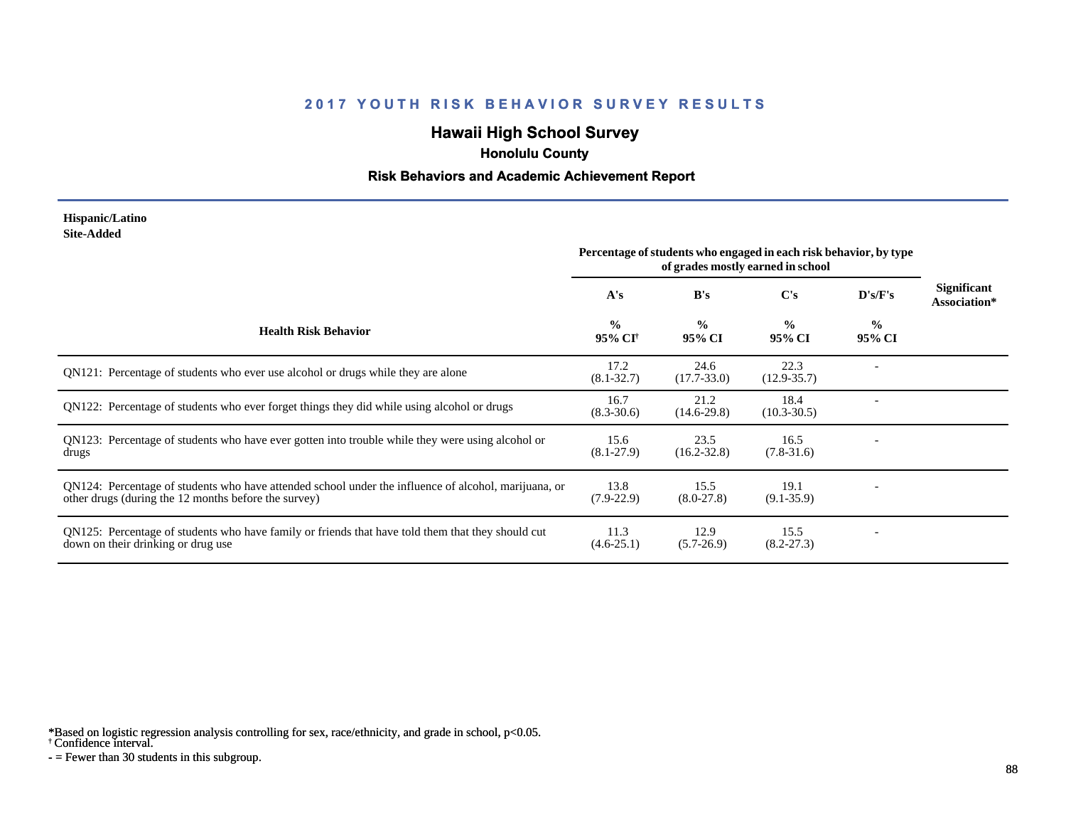# **Hawaii High School Survey**

 **Honolulu County**

#### **Risk Behaviors and Academic Achievement Report**

#### **Hispanic/Latino Site-Added**

|                                                                                                                                                              | Percentage of students who engaged in each risk behavior, by type<br>of grades mostly earned in school |                         |                         |                         |                                    |
|--------------------------------------------------------------------------------------------------------------------------------------------------------------|--------------------------------------------------------------------------------------------------------|-------------------------|-------------------------|-------------------------|------------------------------------|
|                                                                                                                                                              | A's                                                                                                    | B's                     | C's                     | D's/F's                 | <b>Significant</b><br>Association* |
| <b>Health Risk Behavior</b>                                                                                                                                  | $\frac{0}{0}$<br>95% CI <sup>+</sup>                                                                   | $\frac{0}{0}$<br>95% CI | $\frac{0}{0}$<br>95% CI | $\frac{0}{0}$<br>95% CI |                                    |
| QN121: Percentage of students who ever use alcohol or drugs while they are alone                                                                             | 17.2<br>$(8.1 - 32.7)$                                                                                 | 24.6<br>$(17.7 - 33.0)$ | 22.3<br>$(12.9 - 35.7)$ |                         |                                    |
| QN122: Percentage of students who ever forget things they did while using alcohol or drugs                                                                   | 16.7<br>$(8.3 - 30.6)$                                                                                 | 21.2<br>$(14.6-29.8)$   | 18.4<br>$(10.3 - 30.5)$ |                         |                                    |
| QN123: Percentage of students who have ever gotten into trouble while they were using alcohol or<br>drugs                                                    | 15.6<br>$(8.1-27.9)$                                                                                   | 23.5<br>$(16.2 - 32.8)$ | 16.5<br>$(7.8-31.6)$    |                         |                                    |
| QN124: Percentage of students who have attended school under the influence of alcohol, marijuana, or<br>other drugs (during the 12 months before the survey) | 13.8<br>$(7.9-22.9)$                                                                                   | 15.5<br>$(8.0-27.8)$    | 19.1<br>$(9.1 - 35.9)$  |                         |                                    |
| QN125: Percentage of students who have family or friends that have told them that they should cut<br>down on their drinking or drug use                      | 11.3<br>$(4.6-25.1)$                                                                                   | 12.9<br>$(5.7-26.9)$    | 15.5<br>$(8.2 - 27.3)$  |                         |                                    |

\*Based on logistic regression analysis controlling for sex, race/ethnicity, and grade in school, p<0.05.

† Confidence interval.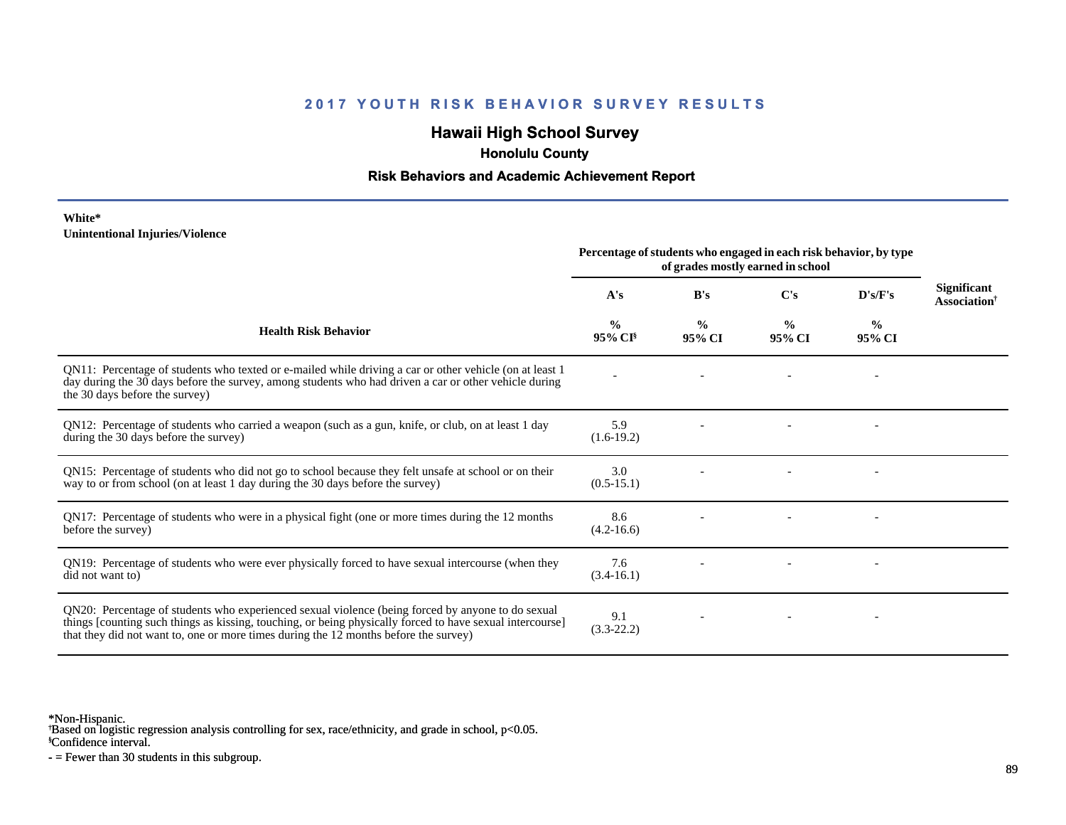# **Hawaii High School Survey**

 **Honolulu County**

#### **Risk Behaviors and Academic Achievement Report**

#### **White\* Unintentional Injuries/Violence**

|                                                                                                                                                                                                                                                                                                        | Percentage of students who engaged in each risk behavior, by type<br>of grades mostly earned in school |                         |                         |                          |                                                       |
|--------------------------------------------------------------------------------------------------------------------------------------------------------------------------------------------------------------------------------------------------------------------------------------------------------|--------------------------------------------------------------------------------------------------------|-------------------------|-------------------------|--------------------------|-------------------------------------------------------|
|                                                                                                                                                                                                                                                                                                        | A's                                                                                                    | B's                     | $\bf C's$               | D's/F's                  | <b>Significant</b><br><b>Association</b> <sup>†</sup> |
| <b>Health Risk Behavior</b>                                                                                                                                                                                                                                                                            | $\frac{0}{0}$<br>95% CI <sup>§</sup>                                                                   | $\frac{0}{0}$<br>95% CI | $\frac{0}{0}$<br>95% CI | $\frac{6}{9}$<br>95% CI  |                                                       |
| QN11: Percentage of students who texted or e-mailed while driving a car or other vehicle (on at least 1<br>day during the 30 days before the survey, among students who had driven a car or other vehicle during<br>the 30 days before the survey)                                                     |                                                                                                        |                         |                         | $\overline{\phantom{a}}$ |                                                       |
| QN12: Percentage of students who carried a weapon (such as a gun, knife, or club, on at least 1 day<br>during the 30 days before the survey)                                                                                                                                                           | 5.9<br>$(1.6-19.2)$                                                                                    |                         |                         |                          |                                                       |
| QN15: Percentage of students who did not go to school because they felt unsafe at school or on their<br>way to or from school (on at least 1 day during the 30 days before the survey)                                                                                                                 | 3.0<br>$(0.5-15.1)$                                                                                    |                         |                         |                          |                                                       |
| QN17: Percentage of students who were in a physical fight (one or more times during the 12 months<br>before the survey)                                                                                                                                                                                | 8.6<br>$(4.2 - 16.6)$                                                                                  |                         |                         |                          |                                                       |
| QN19: Percentage of students who were ever physically forced to have sexual intercourse (when they<br>did not want to)                                                                                                                                                                                 | 7.6<br>$(3.4-16.1)$                                                                                    |                         |                         |                          |                                                       |
| QN20: Percentage of students who experienced sexual violence (being forced by anyone to do sexual<br>things [counting such things as kissing, touching, or being physically forced to have sexual intercourse]<br>that they did not want to, one or more times during the 12 months before the survey) | 9.1<br>$(3.3-22.2)$                                                                                    |                         |                         |                          |                                                       |

\*Non-Hispanic.

† Based on logistic regression analysis controlling for sex, race/ethnicity, and grade in school, p<0.05.

§Confidence interval.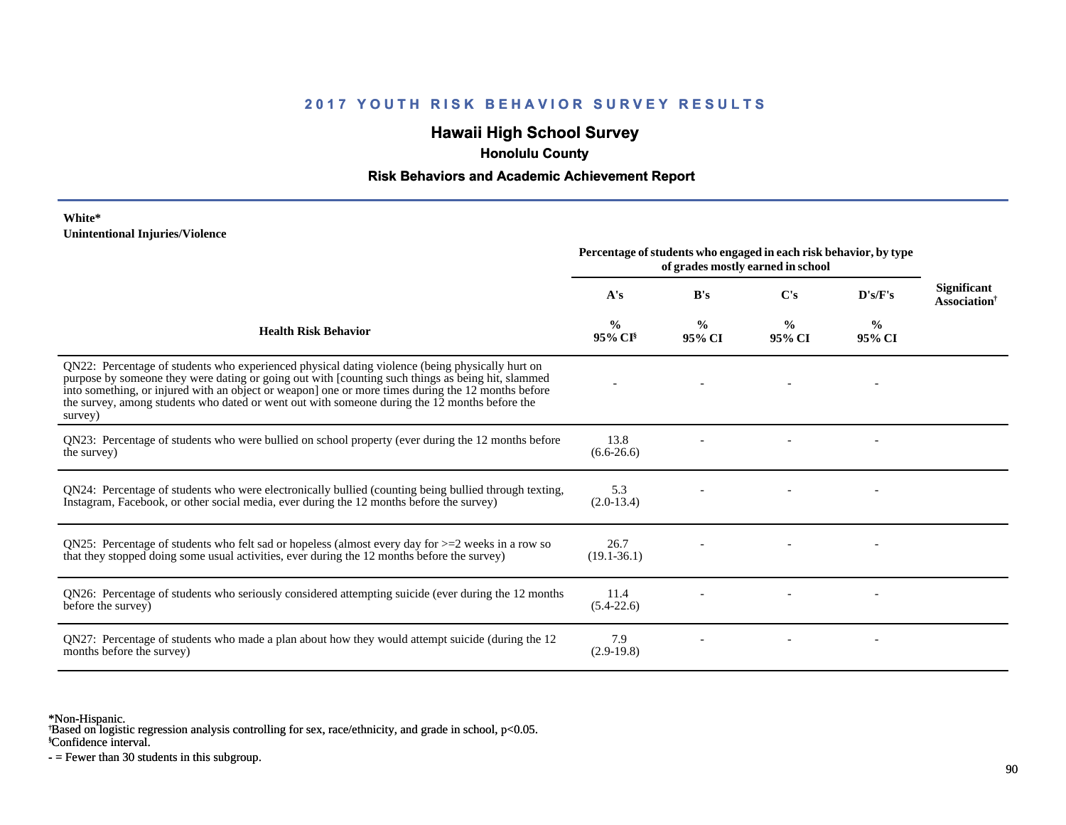# **Hawaii High School Survey**

 **Honolulu County**

#### **Risk Behaviors and Academic Achievement Report**

#### **White\* Unintentional Injuries/Violence**

|                                                                                                                                                                                                                                                                                                                                                                                                                        | Percentage of students who engaged in each risk behavior, by type<br>of grades mostly earned in school |                         |                         |                         |                                                       |
|------------------------------------------------------------------------------------------------------------------------------------------------------------------------------------------------------------------------------------------------------------------------------------------------------------------------------------------------------------------------------------------------------------------------|--------------------------------------------------------------------------------------------------------|-------------------------|-------------------------|-------------------------|-------------------------------------------------------|
|                                                                                                                                                                                                                                                                                                                                                                                                                        | A's                                                                                                    | B's                     | $\bf C's$               | D's/F's                 | <b>Significant</b><br><b>Association</b> <sup>†</sup> |
| <b>Health Risk Behavior</b>                                                                                                                                                                                                                                                                                                                                                                                            | %<br>$95\%$ CI <sup>§</sup>                                                                            | $\frac{0}{0}$<br>95% CI | $\frac{0}{0}$<br>95% CI | $\frac{0}{0}$<br>95% CI |                                                       |
| QN22: Percentage of students who experienced physical dating violence (being physically hurt on<br>purpose by someone they were dating or going out with [counting such things as being hit, slammed<br>into something, or injured with an object or weapon] one or more times during the 12 months before<br>the survey, among students who dated or went out with someone during the 12 months before the<br>survey) |                                                                                                        |                         |                         |                         |                                                       |
| QN23: Percentage of students who were bullied on school property (ever during the 12 months before<br>the survey)                                                                                                                                                                                                                                                                                                      | 13.8<br>$(6.6-26.6)$                                                                                   |                         |                         |                         |                                                       |
| QN24: Percentage of students who were electronically bullied (counting being bullied through texting,<br>Instagram, Facebook, or other social media, ever during the 12 months before the survey)                                                                                                                                                                                                                      | 5.3<br>$(2.0-13.4)$                                                                                    |                         |                         |                         |                                                       |
| QN25: Percentage of students who felt sad or hopeless (almost every day for $>=$ 2 weeks in a row so<br>that they stopped doing some usual activities, ever during the 12 months before the survey)                                                                                                                                                                                                                    | 26.7<br>$(19.1 - 36.1)$                                                                                |                         |                         |                         |                                                       |
| QN26: Percentage of students who seriously considered attempting suicide (ever during the 12 months<br>before the survey)                                                                                                                                                                                                                                                                                              | 11.4<br>$(5.4-22.6)$                                                                                   |                         |                         |                         |                                                       |
| QN27: Percentage of students who made a plan about how they would attempt suicide (during the 12<br>months before the survey)                                                                                                                                                                                                                                                                                          | 7.9<br>$(2.9-19.8)$                                                                                    |                         |                         |                         |                                                       |

\*Non-Hispanic.

† Based on logistic regression analysis controlling for sex, race/ethnicity, and grade in school, p<0.05.

§Confidence interval.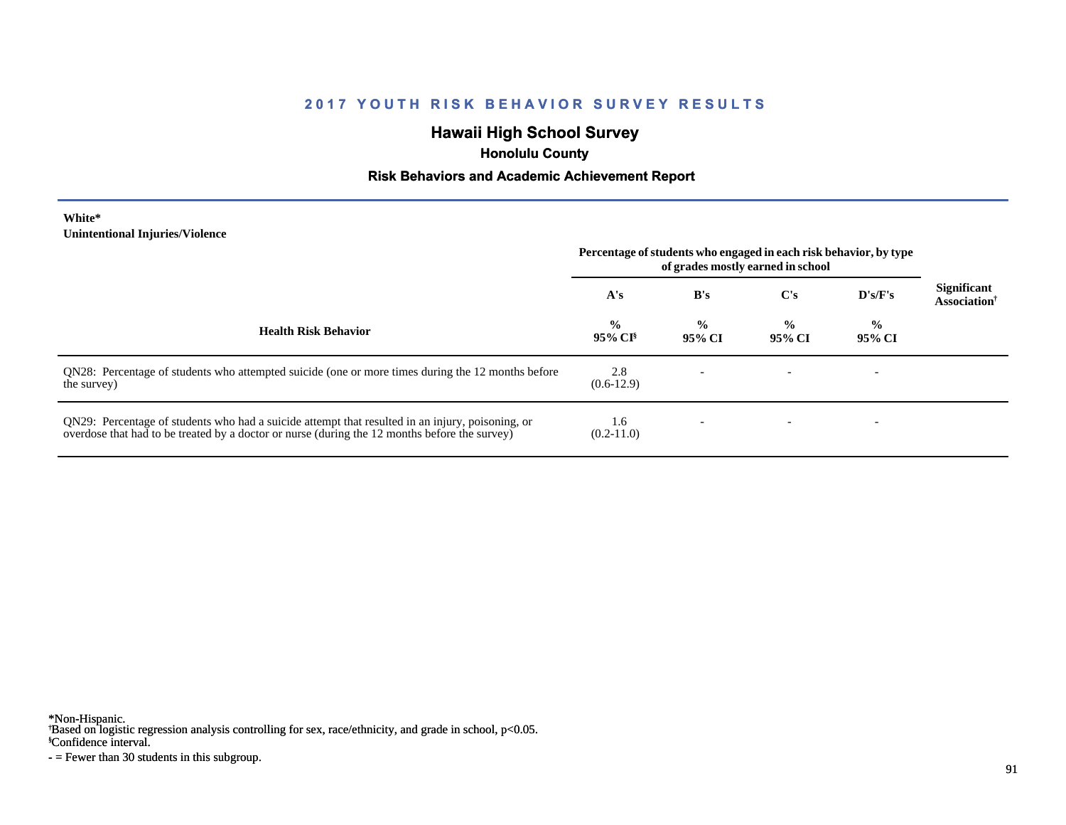# **Hawaii High School Survey**

 **Honolulu County**

#### **Risk Behaviors and Academic Achievement Report**

**White\* Unintentional Injuries/Violence**

|                                                                                                                                                                                                   | Percentage of students who engaged in each risk behavior, by type<br>of grades mostly earned in school |                         |                         |                         |                                                       |
|---------------------------------------------------------------------------------------------------------------------------------------------------------------------------------------------------|--------------------------------------------------------------------------------------------------------|-------------------------|-------------------------|-------------------------|-------------------------------------------------------|
|                                                                                                                                                                                                   | A's                                                                                                    | B's                     | C's                     | D's/F's                 | <b>Significant</b><br><b>Association</b> <sup>†</sup> |
| <b>Health Risk Behavior</b>                                                                                                                                                                       | $\frac{0}{0}$<br>95% CI <sup>§</sup>                                                                   | $\frac{0}{0}$<br>95% CI | $\frac{6}{9}$<br>95% CI | $\frac{0}{0}$<br>95% CI |                                                       |
| QN28: Percentage of students who attempted suicide (one or more times during the 12 months before<br>the survey)                                                                                  | 2.8<br>$(0.6-12.9)$                                                                                    |                         |                         |                         |                                                       |
| QN29: Percentage of students who had a suicide attempt that resulted in an injury, poisoning, or<br>overdose that had to be treated by a doctor or nurse (during the 12 months before the survey) | 1.6<br>$(0.2-11.0)$                                                                                    |                         |                         |                         |                                                       |

\*Non-Hispanic.

† Based on logistic regression analysis controlling for sex, race/ethnicity, and grade in school, p<0.05.

§Confidence interval.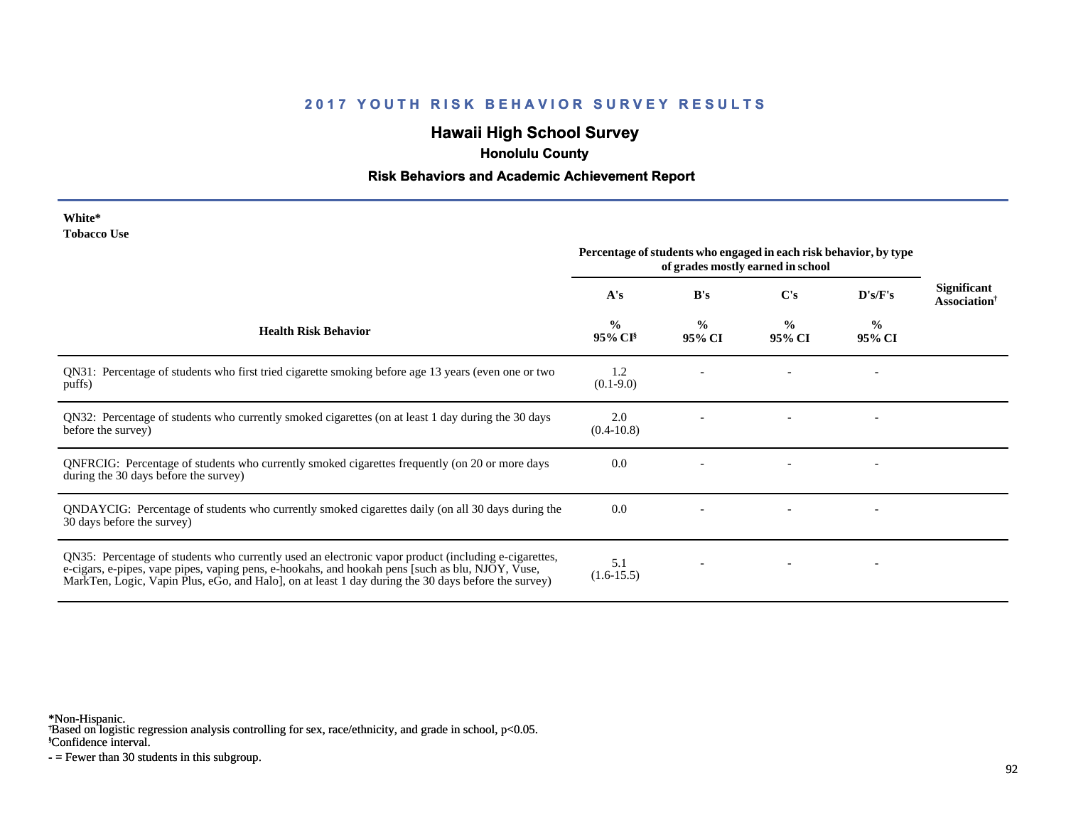# **Hawaii High School Survey**

 **Honolulu County**

#### **Risk Behaviors and Academic Achievement Report**

| White*      |  |
|-------------|--|
| Tobacco Use |  |

|                                                                                                                                                                                                                                                                                                                 | Percentage of students who engaged in each risk behavior, by type<br>of grades mostly earned in school |                         |                         |                          |                                                |
|-----------------------------------------------------------------------------------------------------------------------------------------------------------------------------------------------------------------------------------------------------------------------------------------------------------------|--------------------------------------------------------------------------------------------------------|-------------------------|-------------------------|--------------------------|------------------------------------------------|
|                                                                                                                                                                                                                                                                                                                 | A's                                                                                                    | B's                     | C's                     | D's/F's                  | <b>Significant</b><br>Association <sup>†</sup> |
| <b>Health Risk Behavior</b>                                                                                                                                                                                                                                                                                     | $\frac{0}{0}$<br>$95\%$ CI <sup>§</sup>                                                                | $\frac{0}{0}$<br>95% CI | $\frac{0}{0}$<br>95% CI | $\frac{0}{0}$<br>95% CI  |                                                |
| QN31: Percentage of students who first tried cigarette smoking before age 13 years (even one or two<br>puffs)                                                                                                                                                                                                   | 1.2<br>$(0.1-9.0)$                                                                                     |                         |                         | $\overline{\phantom{a}}$ |                                                |
| QN32: Percentage of students who currently smoked cigarettes (on at least 1 day during the 30 days<br>before the survey)                                                                                                                                                                                        | 2.0<br>$(0.4-10.8)$                                                                                    |                         |                         |                          |                                                |
| QNFRCIG: Percentage of students who currently smoked cigarettes frequently (on 20 or more days<br>during the 30 days before the survey)                                                                                                                                                                         | 0.0                                                                                                    |                         |                         |                          |                                                |
| QNDAYCIG: Percentage of students who currently smoked cigarettes daily (on all 30 days during the<br>30 days before the survey)                                                                                                                                                                                 | 0.0                                                                                                    |                         |                         |                          |                                                |
| QN35: Percentage of students who currently used an electronic vapor product (including e-cigarettes,<br>e-cigars, e-pipes, vape pipes, vaping pens, e-hookahs, and hookah pens [such as blu, NJOY, Vuse,<br>MarkTen, Logic, Vapin Plus, eGo, and Halo], on at least 1 day during the 30 days before the survey) | 5.1<br>$(1.6-15.5)$                                                                                    |                         |                         |                          |                                                |

\*Non-Hispanic.

† Based on logistic regression analysis controlling for sex, race/ethnicity, and grade in school, p<0.05.

§Confidence interval.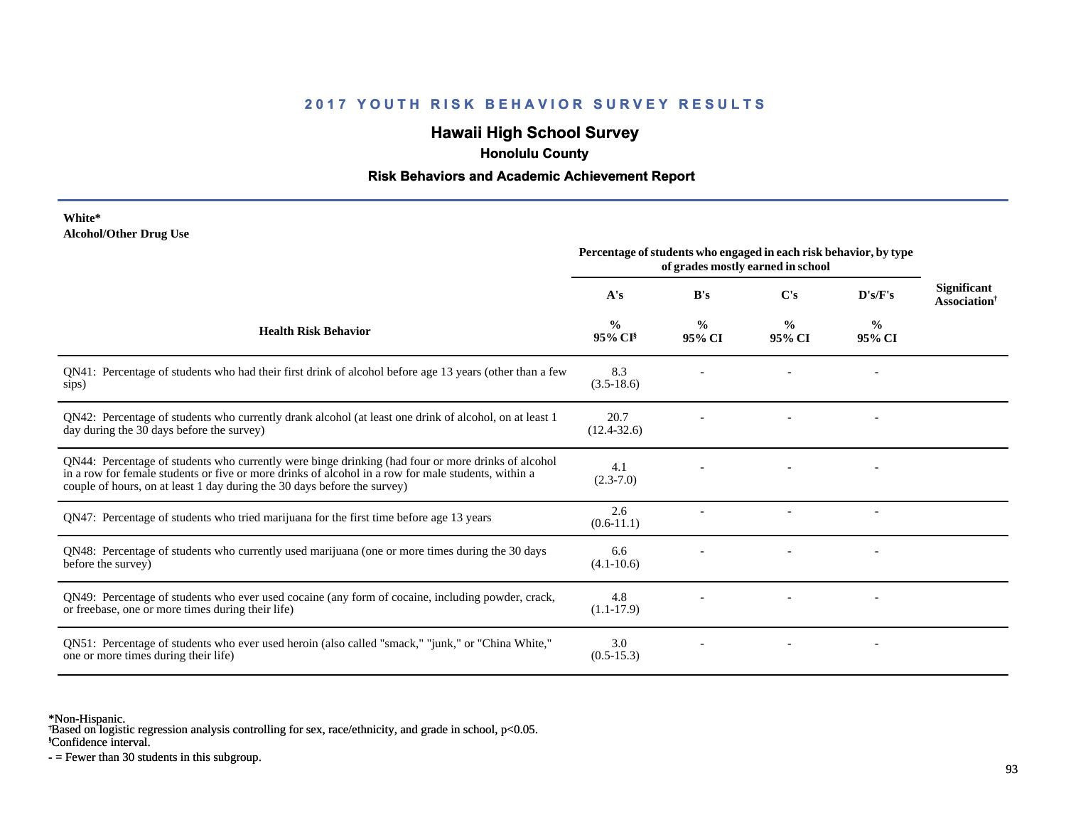# **Hawaii High School Survey**

 **Honolulu County**

#### **Risk Behaviors and Academic Achievement Report**

**White\* Alcohol/Other Drug Use**

|                                                                                                                                                                                                                                                                                       | Percentage of students who engaged in each risk behavior, by type<br>of grades mostly earned in school |                         |                         |                          |                                                |
|---------------------------------------------------------------------------------------------------------------------------------------------------------------------------------------------------------------------------------------------------------------------------------------|--------------------------------------------------------------------------------------------------------|-------------------------|-------------------------|--------------------------|------------------------------------------------|
|                                                                                                                                                                                                                                                                                       | A's                                                                                                    | B's                     | C's                     | D's/F's                  | <b>Significant</b><br>Association <sup>†</sup> |
| <b>Health Risk Behavior</b>                                                                                                                                                                                                                                                           | $\frac{0}{0}$<br>95% CI <sup>§</sup>                                                                   | $\frac{0}{0}$<br>95% CI | $\frac{0}{0}$<br>95% CI | $\frac{6}{9}$<br>95% CI  |                                                |
| QN41: Percentage of students who had their first drink of alcohol before age 13 years (other than a few<br>sips)                                                                                                                                                                      | 8.3<br>$(3.5-18.6)$                                                                                    |                         |                         |                          |                                                |
| QN42: Percentage of students who currently drank alcohol (at least one drink of alcohol, on at least 1<br>day during the 30 days before the survey)                                                                                                                                   | 20.7<br>$(12.4 - 32.6)$                                                                                |                         |                         |                          |                                                |
| QN44: Percentage of students who currently were binge drinking (had four or more drinks of alcohol<br>in a row for female students or five or more drinks of alcohol in a row for male students, within a<br>couple of hours, on at least 1 day during the 30 days before the survey) | 4.1<br>$(2.3 - 7.0)$                                                                                   |                         |                         |                          |                                                |
| QN47: Percentage of students who tried marijuana for the first time before age 13 years                                                                                                                                                                                               | 2.6<br>$(0.6-11.1)$                                                                                    |                         |                         | $\overline{\phantom{a}}$ |                                                |
| QN48: Percentage of students who currently used marijuana (one or more times during the 30 days<br>before the survey)                                                                                                                                                                 | 6.6<br>$(4.1 - 10.6)$                                                                                  |                         |                         |                          |                                                |
| QN49: Percentage of students who ever used cocaine (any form of cocaine, including powder, crack,<br>or freebase, one or more times during their life)                                                                                                                                | 4.8<br>$(1.1-17.9)$                                                                                    |                         |                         |                          |                                                |
| QN51: Percentage of students who ever used heroin (also called "smack," "junk," or "China White,"<br>one or more times during their life)                                                                                                                                             | 3.0<br>$(0.5-15.3)$                                                                                    |                         |                         | $\overline{\phantom{a}}$ |                                                |

\*Non-Hispanic.

† Based on logistic regression analysis controlling for sex, race/ethnicity, and grade in school, p<0.05.

§Confidence interval.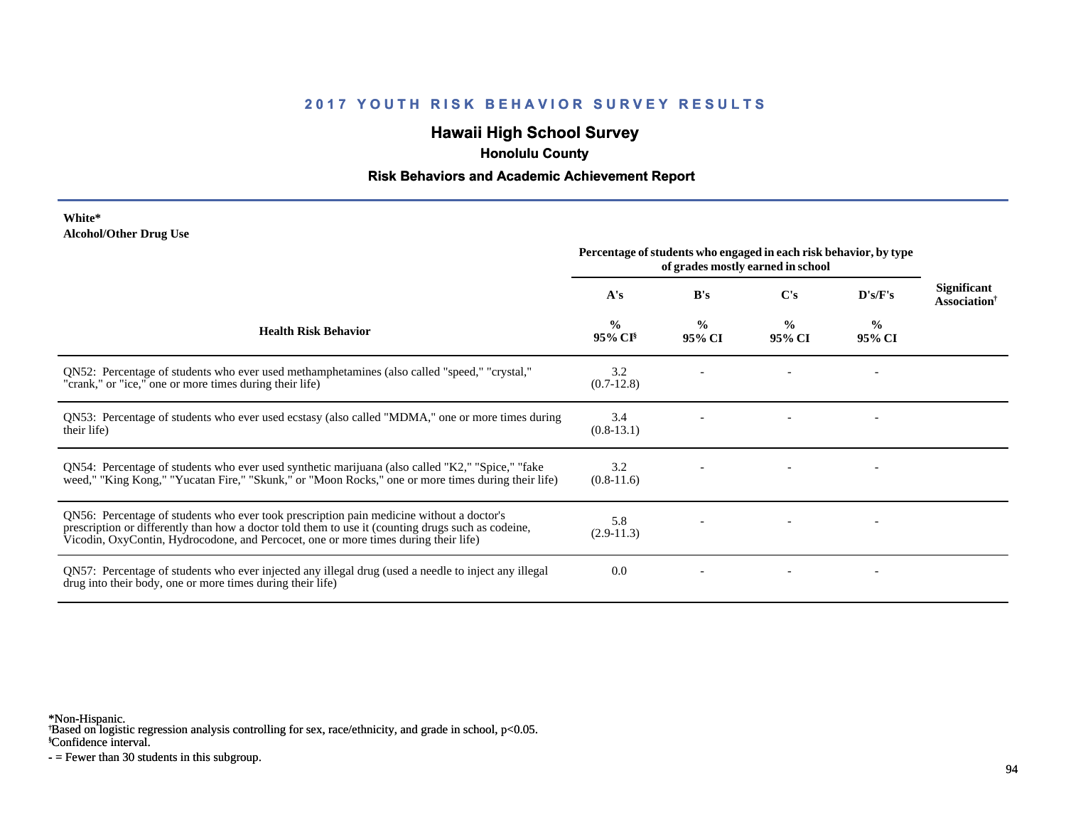# **Hawaii High School Survey**

 **Honolulu County**

#### **Risk Behaviors and Academic Achievement Report**

#### **White\* Alcohol/Other Drug Use**

|                                                                                                                                                                                                                                                                                       | Percentage of students who engaged in each risk behavior, by type<br>of grades mostly earned in school |                         |                         |                         |                                                |
|---------------------------------------------------------------------------------------------------------------------------------------------------------------------------------------------------------------------------------------------------------------------------------------|--------------------------------------------------------------------------------------------------------|-------------------------|-------------------------|-------------------------|------------------------------------------------|
|                                                                                                                                                                                                                                                                                       | A's                                                                                                    | B's                     | C's                     | D's/F's                 | <b>Significant</b><br>Association <sup>†</sup> |
| <b>Health Risk Behavior</b>                                                                                                                                                                                                                                                           | $\frac{0}{0}$<br>95% CI <sup>§</sup>                                                                   | $\frac{6}{6}$<br>95% CI | $\frac{0}{0}$<br>95% CI | $\frac{0}{0}$<br>95% CI |                                                |
| QN52: Percentage of students who ever used methamphetamines (also called "speed," "crystal,"<br>"crank," or "ice," one or more times during their life)                                                                                                                               | 3.2<br>$(0.7-12.8)$                                                                                    |                         |                         |                         |                                                |
| QN53: Percentage of students who ever used ecstasy (also called "MDMA," one or more times during<br>their life)                                                                                                                                                                       | 3.4<br>$(0.8-13.1)$                                                                                    |                         |                         |                         |                                                |
| QN54: Percentage of students who ever used synthetic marijuana (also called "K2," "Spice," "fake<br>weed," "King Kong," "Yucatan Fire," "Skunk," or "Moon Rocks," one or more times during their life)                                                                                | 3.2<br>$(0.8-11.6)$                                                                                    |                         |                         |                         |                                                |
| QN56: Percentage of students who ever took prescription pain medicine without a doctor's<br>prescription or differently than how a doctor told them to use it (counting drugs such as codeine,<br>Vicodin, OxyContin, Hydrocodone, and Percocet, one or more times during their life) | 5.8<br>$(2.9-11.3)$                                                                                    |                         |                         |                         |                                                |
| QN57: Percentage of students who ever injected any illegal drug (used a needle to inject any illegal<br>drug into their body, one or more times during their life)                                                                                                                    | 0.0                                                                                                    |                         |                         |                         |                                                |

\*Non-Hispanic.

† Based on logistic regression analysis controlling for sex, race/ethnicity, and grade in school, p<0.05.

§Confidence interval.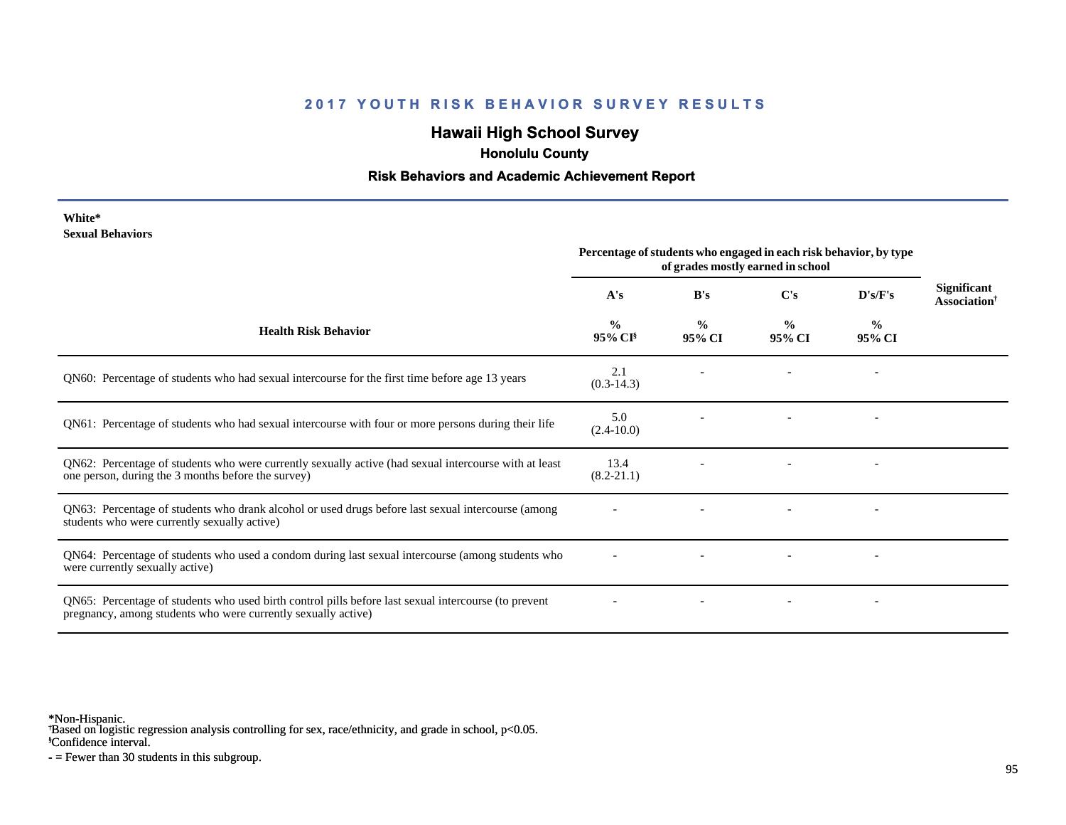# **Hawaii High School Survey**

 **Honolulu County**

#### **Risk Behaviors and Academic Achievement Report**

| White*                  |
|-------------------------|
| <b>Sexual Behaviors</b> |

|                                                                                                                                                                       | Percentage of students who engaged in each risk behavior, by type<br>of grades mostly earned in school |                         |                         |                          |                                                |
|-----------------------------------------------------------------------------------------------------------------------------------------------------------------------|--------------------------------------------------------------------------------------------------------|-------------------------|-------------------------|--------------------------|------------------------------------------------|
|                                                                                                                                                                       | A's                                                                                                    | B's                     | C's                     | D's/F's                  | <b>Significant</b><br>Association <sup>†</sup> |
| <b>Health Risk Behavior</b>                                                                                                                                           | $\frac{6}{9}$<br>95% CI <sup>§</sup>                                                                   | $\frac{0}{0}$<br>95% CI | $\frac{0}{0}$<br>95% CI | $\frac{0}{0}$<br>95% CI  |                                                |
| QN60: Percentage of students who had sexual intercourse for the first time before age 13 years                                                                        | 2.1<br>$(0.3-14.3)$                                                                                    |                         |                         |                          |                                                |
| QN61: Percentage of students who had sexual intercourse with four or more persons during their life                                                                   | 5.0<br>$(2.4 - 10.0)$                                                                                  |                         |                         |                          |                                                |
| QN62: Percentage of students who were currently sexually active (had sexual intercourse with at least<br>one person, during the 3 months before the survey)           | 13.4<br>$(8.2 - 21.1)$                                                                                 |                         |                         |                          |                                                |
| QN63: Percentage of students who drank alcohol or used drugs before last sexual intercourse (among<br>students who were currently sexually active)                    |                                                                                                        |                         |                         | $\overline{\phantom{a}}$ |                                                |
| QN64: Percentage of students who used a condom during last sexual intercourse (among students who<br>were currently sexually active)                                  |                                                                                                        |                         |                         |                          |                                                |
| QN65: Percentage of students who used birth control pills before last sexual intercourse (to prevent<br>pregnancy, among students who were currently sexually active) |                                                                                                        |                         |                         |                          |                                                |

\*Non-Hispanic.

† Based on logistic regression analysis controlling for sex, race/ethnicity, and grade in school, p<0.05.

§Confidence interval.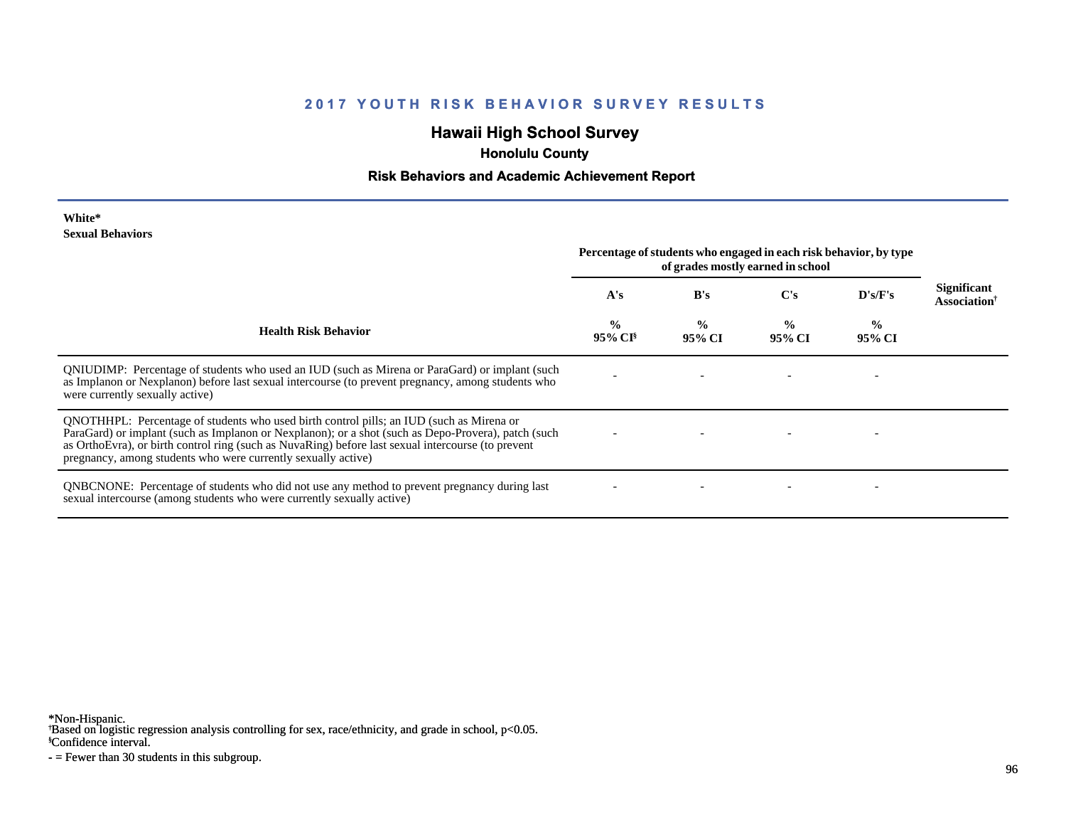# **Hawaii High School Survey**

 **Honolulu County**

#### **Risk Behaviors and Academic Achievement Report**

| White*                  |
|-------------------------|
| <b>Sexual Behaviors</b> |

|                                                                                                                                                                                                                                                                                                                                                                        | Percentage of students who engaged in each risk behavior, by type<br>of grades mostly earned in school |                         |                         |                         |                                                       |
|------------------------------------------------------------------------------------------------------------------------------------------------------------------------------------------------------------------------------------------------------------------------------------------------------------------------------------------------------------------------|--------------------------------------------------------------------------------------------------------|-------------------------|-------------------------|-------------------------|-------------------------------------------------------|
|                                                                                                                                                                                                                                                                                                                                                                        | A's                                                                                                    | B's                     | $\bf C's$               | D's/F's                 | <b>Significant</b><br><b>Association</b> <sup>†</sup> |
| <b>Health Risk Behavior</b>                                                                                                                                                                                                                                                                                                                                            | $\frac{6}{6}$<br>95% CI <sup>§</sup>                                                                   | $\frac{0}{0}$<br>95% CI | $\frac{0}{0}$<br>95% CI | $\frac{1}{2}$<br>95% CI |                                                       |
| ONIUDIMP: Percentage of students who used an IUD (such as Mirena or ParaGard) or implant (such<br>as Implanon or Nexplanon) before last sexual intercourse (to prevent pregnancy, among students who<br>were currently sexually active)                                                                                                                                |                                                                                                        |                         |                         |                         |                                                       |
| QNOTHHPL: Percentage of students who used birth control pills; an IUD (such as Mirena or<br>ParaGard) or implant (such as Implanon or Nexplanon); or a shot (such as Depo-Provera), patch (such<br>as OrthoEvra), or birth control ring (such as NuvaRing) before last sexual intercourse (to prevent<br>pregnancy, among students who were currently sexually active) |                                                                                                        |                         |                         |                         |                                                       |
| <b>QNBCNONE:</b> Percentage of students who did not use any method to prevent pregnancy during last<br>sexual intercourse (among students who were currently sexually active)                                                                                                                                                                                          |                                                                                                        |                         |                         |                         |                                                       |

\*Non-Hispanic.

† Based on logistic regression analysis controlling for sex, race/ethnicity, and grade in school, p<0.05.

§Confidence interval.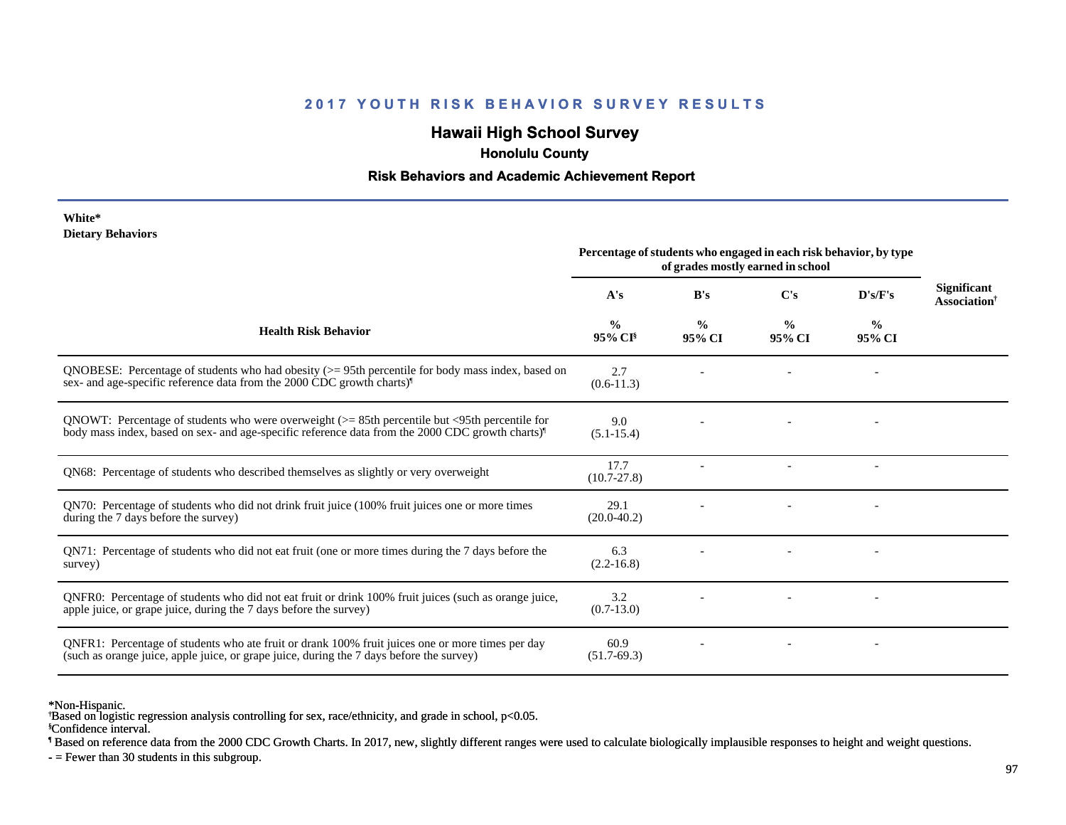# **Hawaii High School Survey**

 **Honolulu County**

#### **Risk Behaviors and Academic Achievement Report**

#### **White\* Dietary Behaviors**

|                                                                                                                                                                                                                   | Percentage of students who engaged in each risk behavior, by type<br>of grades mostly earned in school |                         |                         |                          |                                                       |
|-------------------------------------------------------------------------------------------------------------------------------------------------------------------------------------------------------------------|--------------------------------------------------------------------------------------------------------|-------------------------|-------------------------|--------------------------|-------------------------------------------------------|
|                                                                                                                                                                                                                   | A's                                                                                                    | B's                     | $\bf C's$               | D's/F's                  | <b>Significant</b><br><b>Association</b> <sup>†</sup> |
| <b>Health Risk Behavior</b>                                                                                                                                                                                       | $\frac{0}{0}$<br>95% CI <sup>§</sup>                                                                   | $\frac{6}{6}$<br>95% CI | $\frac{0}{0}$<br>95% CI | $\%$<br>95% CI           |                                                       |
| QNOBESE: Percentage of students who had obesity $(>= 95$ th percentile for body mass index, based on<br>sex- and age-specific reference data from the 2000 CDC growth charts) <sup>1</sup>                        | 2.7<br>$(0.6-11.3)$                                                                                    |                         |                         |                          |                                                       |
| QNOWT: Percentage of students who were overweight $(>= 85$ th percentile but <95th percentile for<br>body mass index, based on sex- and age-specific reference data from the 2000 CDC growth charts) <sup>1</sup> | 9.0<br>$(5.1 - 15.4)$                                                                                  |                         |                         |                          |                                                       |
| QN68: Percentage of students who described themselves as slightly or very overweight                                                                                                                              | 17.7<br>$(10.7 - 27.8)$                                                                                |                         |                         | $\overline{\phantom{a}}$ |                                                       |
| QN70: Percentage of students who did not drink fruit juice (100% fruit juices one or more times<br>during the 7 days before the survey)                                                                           | 29.1<br>$(20.0-40.2)$                                                                                  |                         |                         |                          |                                                       |
| QN71: Percentage of students who did not eat fruit (one or more times during the 7 days before the<br>survey)                                                                                                     | 6.3<br>$(2.2 - 16.8)$                                                                                  |                         |                         |                          |                                                       |
| ONFR0: Percentage of students who did not eat fruit or drink 100% fruit juices (such as orange juice,<br>apple juice, or grape juice, during the 7 days before the survey)                                        | 3.2<br>$(0.7-13.0)$                                                                                    |                         |                         |                          |                                                       |
| QNFR1: Percentage of students who ate fruit or drank 100% fruit juices one or more times per day<br>(such as orange juice, apple juice, or grape juice, during the 7 days before the survey)                      | 60.9<br>$(51.7-69.3)$                                                                                  |                         |                         |                          |                                                       |

\*Non-Hispanic.

§Confidence interval. † Based on logistic regression analysis controlling for sex, race/ethnicity, and grade in school, p<0.05.

¶ Based on reference data from the 2000 CDC Growth Charts. In 2017, new, slightly different ranges were used to calculate biologically implausible responses to height and weight questions.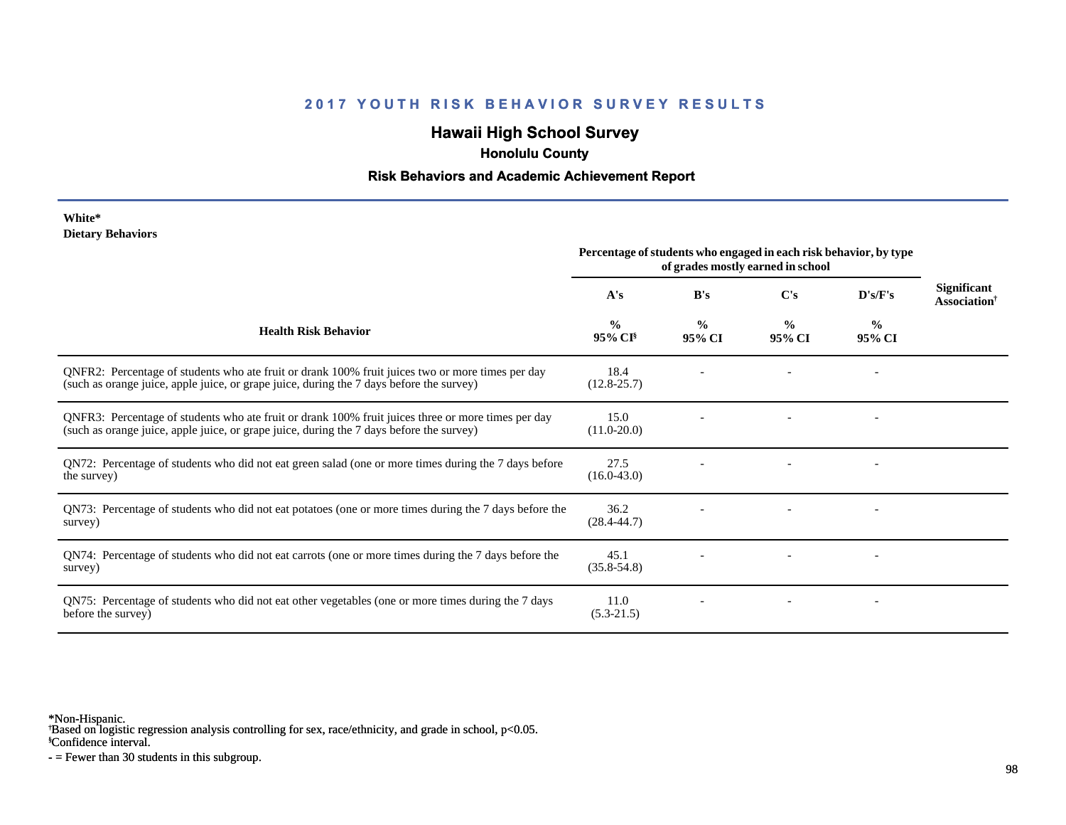# **Hawaii High School Survey**

 **Honolulu County**

#### **Risk Behaviors and Academic Achievement Report**

#### **White\* Dietary Behaviors**

|                                                                                                                                                                                                | Percentage of students who engaged in each risk behavior, by type<br>of grades mostly earned in school |                         |                         |                         |                                                       |
|------------------------------------------------------------------------------------------------------------------------------------------------------------------------------------------------|--------------------------------------------------------------------------------------------------------|-------------------------|-------------------------|-------------------------|-------------------------------------------------------|
|                                                                                                                                                                                                | A's                                                                                                    | B's                     | $\bf C's$               | D's/F's                 | <b>Significant</b><br><b>Association</b> <sup>†</sup> |
| <b>Health Risk Behavior</b>                                                                                                                                                                    | $\frac{0}{0}$<br>$95\%$ CI <sup>§</sup>                                                                | $\frac{0}{0}$<br>95% CI | $\frac{0}{0}$<br>95% CI | $\frac{0}{0}$<br>95% CI |                                                       |
| QNFR2: Percentage of students who ate fruit or drank 100% fruit juices two or more times per day<br>(such as orange juice, apple juice, or grape juice, during the 7 days before the survey)   | 18.4<br>$(12.8 - 25.7)$                                                                                |                         |                         |                         |                                                       |
| QNFR3: Percentage of students who ate fruit or drank 100% fruit juices three or more times per day<br>(such as orange juice, apple juice, or grape juice, during the 7 days before the survey) | 15.0<br>$(11.0 - 20.0)$                                                                                |                         |                         |                         |                                                       |
| QN72: Percentage of students who did not eat green salad (one or more times during the 7 days before<br>the survey)                                                                            | 27.5<br>$(16.0 - 43.0)$                                                                                |                         |                         |                         |                                                       |
| QN73: Percentage of students who did not eat potatoes (one or more times during the 7 days before the<br>survey)                                                                               | 36.2<br>$(28.4 - 44.7)$                                                                                |                         |                         |                         |                                                       |
| QN74: Percentage of students who did not eat carrots (one or more times during the 7 days before the<br>survey)                                                                                | 45.1<br>$(35.8 - 54.8)$                                                                                |                         |                         |                         |                                                       |
| QN75: Percentage of students who did not eat other vegetables (one or more times during the 7 days<br>before the survey)                                                                       | 11.0<br>$(5.3-21.5)$                                                                                   |                         |                         |                         |                                                       |

\*Non-Hispanic.

† Based on logistic regression analysis controlling for sex, race/ethnicity, and grade in school, p<0.05.

§Confidence interval.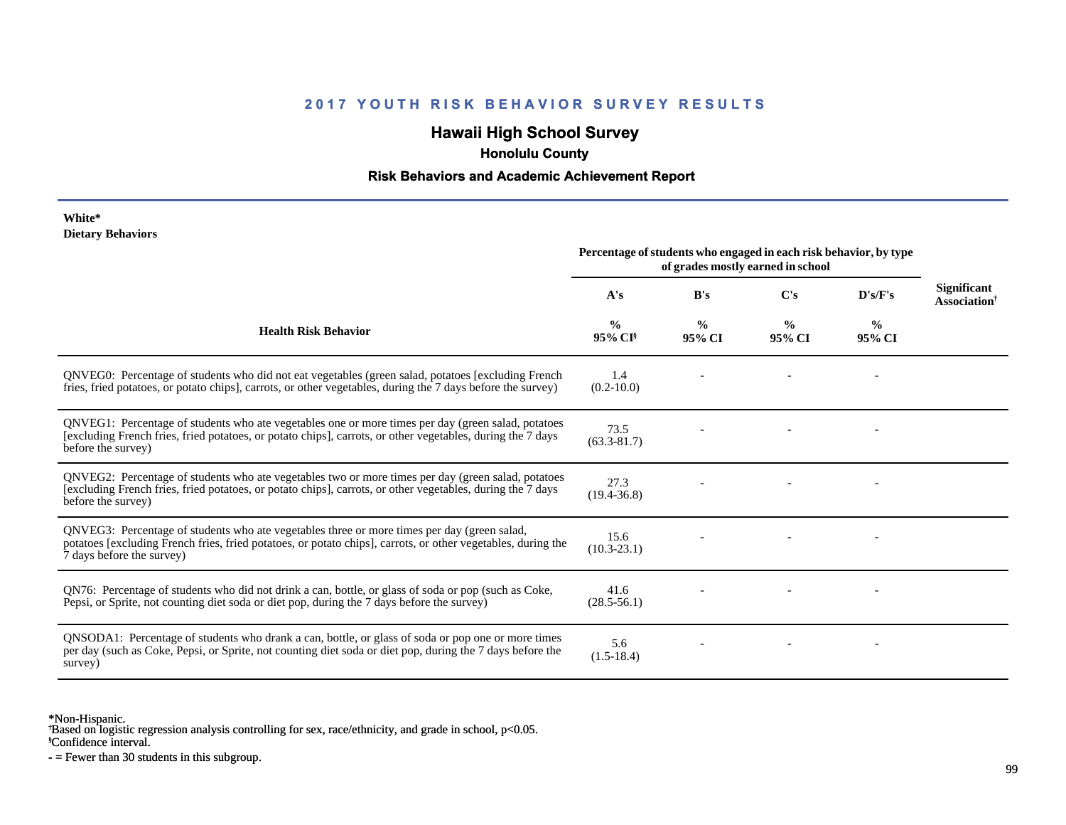# **Hawaii High School Survey**

 **Honolulu County**

#### **Risk Behaviors and Academic Achievement Report**

#### **White\* Dietary Behaviors**

|                                                                                                                                                                                                                                          | Percentage of students who engaged in each risk behavior, by type<br>of grades mostly earned in school |                         |                         |                |                                                       |
|------------------------------------------------------------------------------------------------------------------------------------------------------------------------------------------------------------------------------------------|--------------------------------------------------------------------------------------------------------|-------------------------|-------------------------|----------------|-------------------------------------------------------|
|                                                                                                                                                                                                                                          | A's                                                                                                    | B's                     | $\bf C's$               | D's/F's        | <b>Significant</b><br><b>Association</b> <sup>†</sup> |
| <b>Health Risk Behavior</b>                                                                                                                                                                                                              | $\frac{6}{6}$<br>$95\%$ CI <sup>§</sup>                                                                | $\frac{0}{0}$<br>95% CI | $\frac{0}{0}$<br>95% CI | $\%$<br>95% CI |                                                       |
| ONVEG0: Percentage of students who did not eat vegetables (green salad, potatoes [excluding French<br>fries, fried potatoes, or potato chips], carrots, or other vegetables, during the 7 days before the survey)                        | 1.4<br>$(0.2 - 10.0)$                                                                                  |                         |                         |                |                                                       |
| QNVEG1: Percentage of students who ate vegetables one or more times per day (green salad, potatoes<br>[excluding French fries, fried potatoes, or potato chips], carrots, or other vegetables, during the 7 days<br>before the survey)   | 73.5<br>$(63.3 - 81.7)$                                                                                |                         |                         |                |                                                       |
| QNVEG2: Percentage of students who ate vegetables two or more times per day (green salad, potatoes<br>[excluding French fries, fried potatoes, or potato chips], carrots, or other vegetables, during the 7 days<br>before the survey)   | 27.3<br>$(19.4 - 36.8)$                                                                                |                         |                         |                |                                                       |
| QNVEG3: Percentage of students who ate vegetables three or more times per day (green salad,<br>potatoes [excluding French fries, fried potatoes, or potato chips], carrots, or other vegetables, during the<br>7 days before the survey) | 15.6<br>$(10.3 - 23.1)$                                                                                |                         |                         |                |                                                       |
| QN76: Percentage of students who did not drink a can, bottle, or glass of soda or pop (such as Coke,<br>Pepsi, or Sprite, not counting diet soda or diet pop, during the 7 days before the survey)                                       | 41.6<br>$(28.5 - 56.1)$                                                                                |                         |                         |                |                                                       |
| QNSODA1: Percentage of students who drank a can, bottle, or glass of soda or pop one or more times<br>per day (such as Coke, Pepsi, or Sprite, not counting diet soda or diet pop, during the 7 days before the<br>survey)               | 5.6<br>$(1.5-18.4)$                                                                                    |                         |                         |                |                                                       |

\*Non-Hispanic.

† Based on logistic regression analysis controlling for sex, race/ethnicity, and grade in school, p<0.05.

§Confidence interval.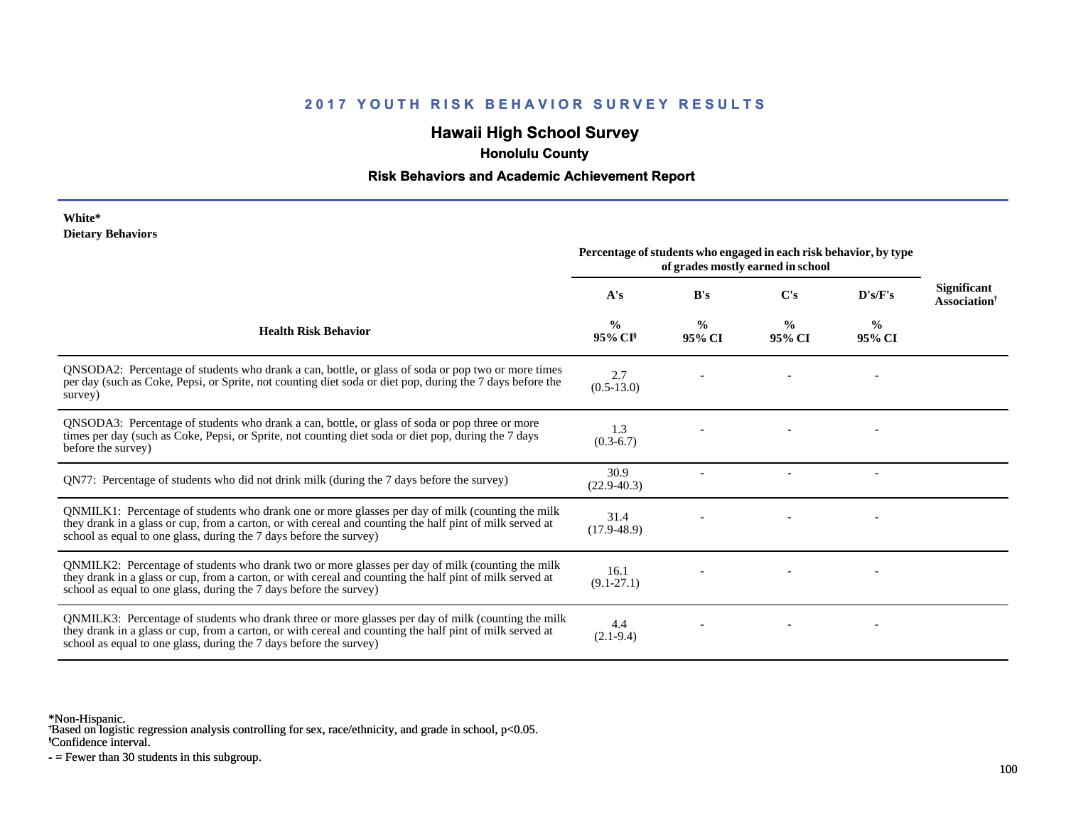# **Hawaii High School Survey**

 **Honolulu County**

#### **Risk Behaviors and Academic Achievement Report**

#### **White\* Dietary Behaviors**

|                                                                                                                                                                                                                                                                                      | Percentage of students who engaged in each risk behavior, by type<br>of grades mostly earned in school |                         |                         |                |                                                       |
|--------------------------------------------------------------------------------------------------------------------------------------------------------------------------------------------------------------------------------------------------------------------------------------|--------------------------------------------------------------------------------------------------------|-------------------------|-------------------------|----------------|-------------------------------------------------------|
|                                                                                                                                                                                                                                                                                      | A's                                                                                                    | B's                     | $\bf C's$               | D's/F's        | <b>Significant</b><br><b>Association</b> <sup>†</sup> |
| <b>Health Risk Behavior</b>                                                                                                                                                                                                                                                          | $\frac{0}{0}$<br>95% CI <sup>§</sup>                                                                   | $\frac{0}{0}$<br>95% CI | $\frac{0}{0}$<br>95% CI | $\%$<br>95% CI |                                                       |
| QNSODA2: Percentage of students who drank a can, bottle, or glass of soda or pop two or more times<br>per day (such as Coke, Pepsi, or Sprite, not counting diet soda or diet pop, during the 7 days before the<br>survey)                                                           | 2.7<br>$(0.5-13.0)$                                                                                    |                         |                         |                |                                                       |
| QNSODA3: Percentage of students who drank a can, bottle, or glass of soda or pop three or more<br>times per day (such as Coke, Pepsi, or Sprite, not counting diet soda or diet pop, during the 7 days<br>before the survey)                                                         | 1.3<br>$(0.3-6.7)$                                                                                     |                         |                         |                |                                                       |
| QN77: Percentage of students who did not drink milk (during the 7 days before the survey)                                                                                                                                                                                            | 30.9<br>$(22.9 - 40.3)$                                                                                |                         |                         |                |                                                       |
| QNMILK1: Percentage of students who drank one or more glasses per day of milk (counting the milk<br>they drank in a glass or cup, from a carton, or with cereal and counting the half pint of milk served at<br>school as equal to one glass, during the 7 days before the survey)   | 31.4<br>$(17.9 - 48.9)$                                                                                |                         |                         |                |                                                       |
| QNMILK2: Percentage of students who drank two or more glasses per day of milk (counting the milk<br>they drank in a glass or cup, from a carton, or with cereal and counting the half pint of milk served at<br>school as equal to one glass, during the 7 days before the survey)   | 16.1<br>$(9.1 - 27.1)$                                                                                 |                         |                         |                |                                                       |
| QNMILK3: Percentage of students who drank three or more glasses per day of milk (counting the milk<br>they drank in a glass or cup, from a carton, or with cereal and counting the half pint of milk served at<br>school as equal to one glass, during the 7 days before the survey) | 4.4<br>$(2.1-9.4)$                                                                                     |                         |                         |                |                                                       |

\*Non-Hispanic.

† Based on logistic regression analysis controlling for sex, race/ethnicity, and grade in school, p<0.05.

§Confidence interval.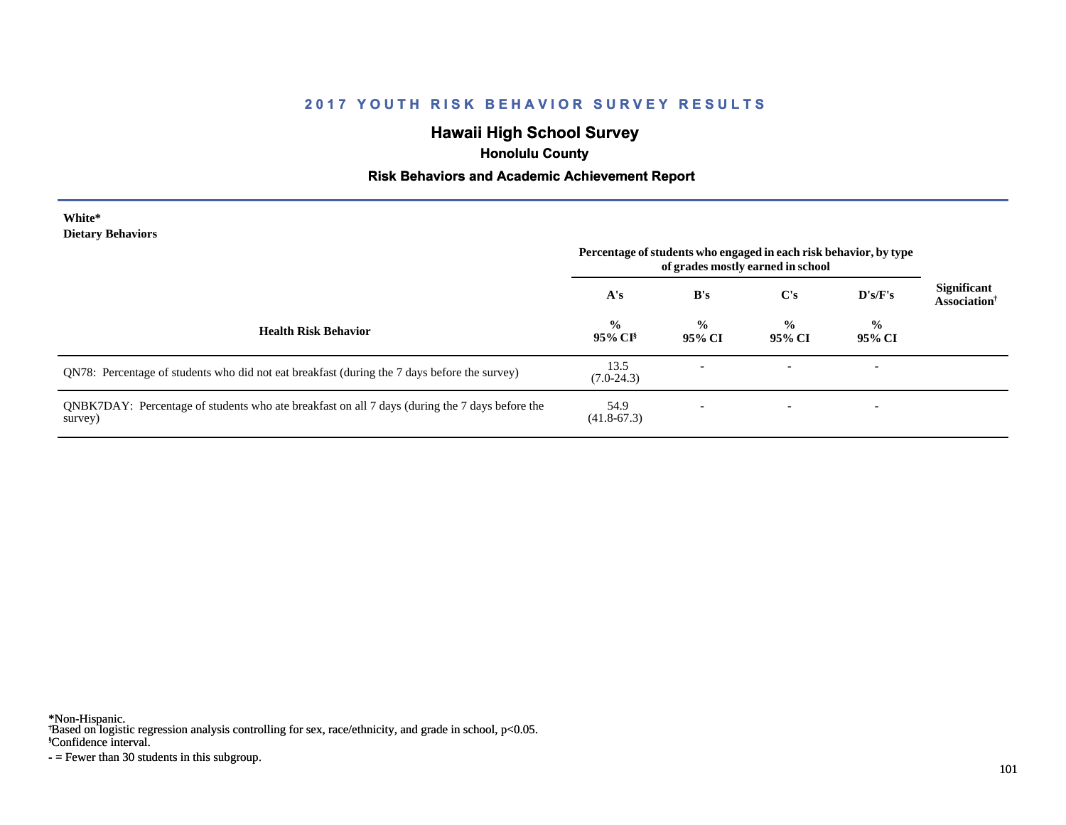# **Hawaii High School Survey**

 **Honolulu County**

#### **Risk Behaviors and Academic Achievement Report**

#### **White\* Dietary Behaviors**

|                                                                                                           | Percentage of students who engaged in each risk behavior, by type<br>of grades mostly earned in school |                         |                          |                          |                                                |
|-----------------------------------------------------------------------------------------------------------|--------------------------------------------------------------------------------------------------------|-------------------------|--------------------------|--------------------------|------------------------------------------------|
|                                                                                                           | A's                                                                                                    | B's                     | $\bf C's$                | D's/F's                  | <b>Significant</b><br>Association <sup>†</sup> |
| <b>Health Risk Behavior</b>                                                                               | $\frac{0}{0}$<br>$95\%$ CI <sup>§</sup>                                                                | $\frac{0}{0}$<br>95% CI | $\frac{0}{0}$<br>95% CI  | $\frac{0}{0}$<br>95% CI  |                                                |
| QN78: Percentage of students who did not eat breakfast (during the 7 days before the survey)              | 13.5<br>$(7.0-24.3)$                                                                                   |                         | $\overline{\phantom{a}}$ | $\overline{\phantom{0}}$ |                                                |
| QNBK7DAY: Percentage of students who ate breakfast on all 7 days (during the 7 days before the<br>survey) | 54.9<br>$(41.8 - 67.3)$                                                                                |                         |                          | $\overline{\phantom{0}}$ |                                                |

\*Non-Hispanic.

† Based on logistic regression analysis controlling for sex, race/ethnicity, and grade in school, p<0.05.

§Confidence interval.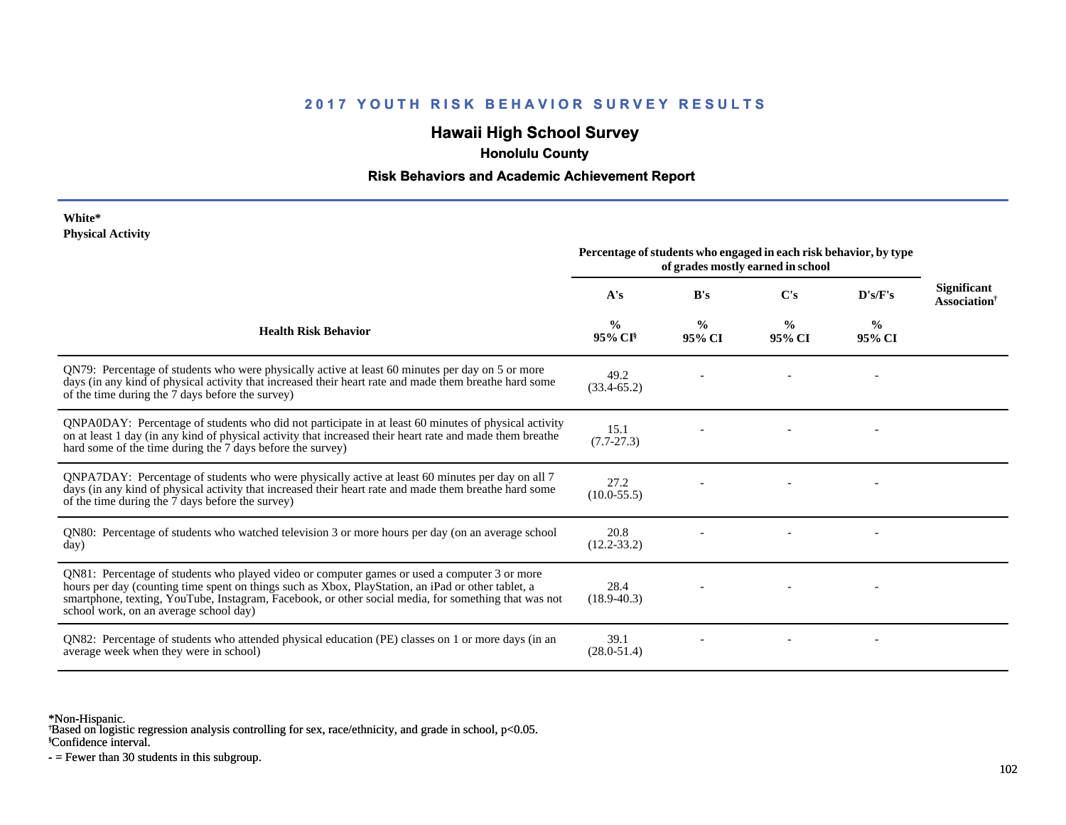# **Hawaii High School Survey**

 **Honolulu County**

#### **Risk Behaviors and Academic Achievement Report**

#### **White\* Physical Activity**

|                                                                                                                                                                                                                                                                                                                                                      | Percentage of students who engaged in each risk behavior, by type<br>of grades mostly earned in school |                         |                         |                         |                                                |
|------------------------------------------------------------------------------------------------------------------------------------------------------------------------------------------------------------------------------------------------------------------------------------------------------------------------------------------------------|--------------------------------------------------------------------------------------------------------|-------------------------|-------------------------|-------------------------|------------------------------------------------|
|                                                                                                                                                                                                                                                                                                                                                      | A's                                                                                                    | B's                     | C's                     | D's/F's                 | <b>Significant</b><br>Association <sup>†</sup> |
| <b>Health Risk Behavior</b>                                                                                                                                                                                                                                                                                                                          | $\frac{0}{0}$<br>95% CI <sup>§</sup>                                                                   | $\frac{0}{0}$<br>95% CI | $\frac{0}{0}$<br>95% CI | $\frac{6}{9}$<br>95% CI |                                                |
| QN79: Percentage of students who were physically active at least 60 minutes per day on 5 or more<br>days (in any kind of physical activity that increased their heart rate and made them breathe hard some<br>of the time during the 7 days before the survey)                                                                                       | 49.2<br>$(33.4 - 65.2)$                                                                                |                         |                         |                         |                                                |
| QNPA0DAY: Percentage of students who did not participate in at least 60 minutes of physical activity<br>on at least 1 day (in any kind of physical activity that increased their heart rate and made them breather<br>hard some of the time during the 7 days before the survey)                                                                     | 15.1<br>$(7.7 - 27.3)$                                                                                 |                         |                         |                         |                                                |
| QNPA7DAY: Percentage of students who were physically active at least 60 minutes per day on all 7<br>days (in any kind of physical activity that increased their heart rate and made them breathe hard some<br>of the time during the 7 days before the survey)                                                                                       | 27.2<br>$(10.0 - 55.5)$                                                                                |                         |                         |                         |                                                |
| QN80: Percentage of students who watched television 3 or more hours per day (on an average school<br>day)                                                                                                                                                                                                                                            | 20.8<br>$(12.2 - 33.2)$                                                                                |                         |                         |                         |                                                |
| QN81: Percentage of students who played video or computer games or used a computer 3 or more<br>hours per day (counting time spent on things such as Xbox, PlayStation, an iPad or other tablet, a<br>smartphone, texting, YouTube, Instagram, Facebook, or other social media, for something that was not<br>school work, on an average school day) | 28.4<br>$(18.9 - 40.3)$                                                                                |                         |                         |                         |                                                |
| QN82: Percentage of students who attended physical education (PE) classes on 1 or more days (in an<br>average week when they were in school)                                                                                                                                                                                                         | 39.1<br>$(28.0 - 51.4)$                                                                                |                         |                         |                         |                                                |

\*Non-Hispanic.

† Based on logistic regression analysis controlling for sex, race/ethnicity, and grade in school, p<0.05.

§Confidence interval.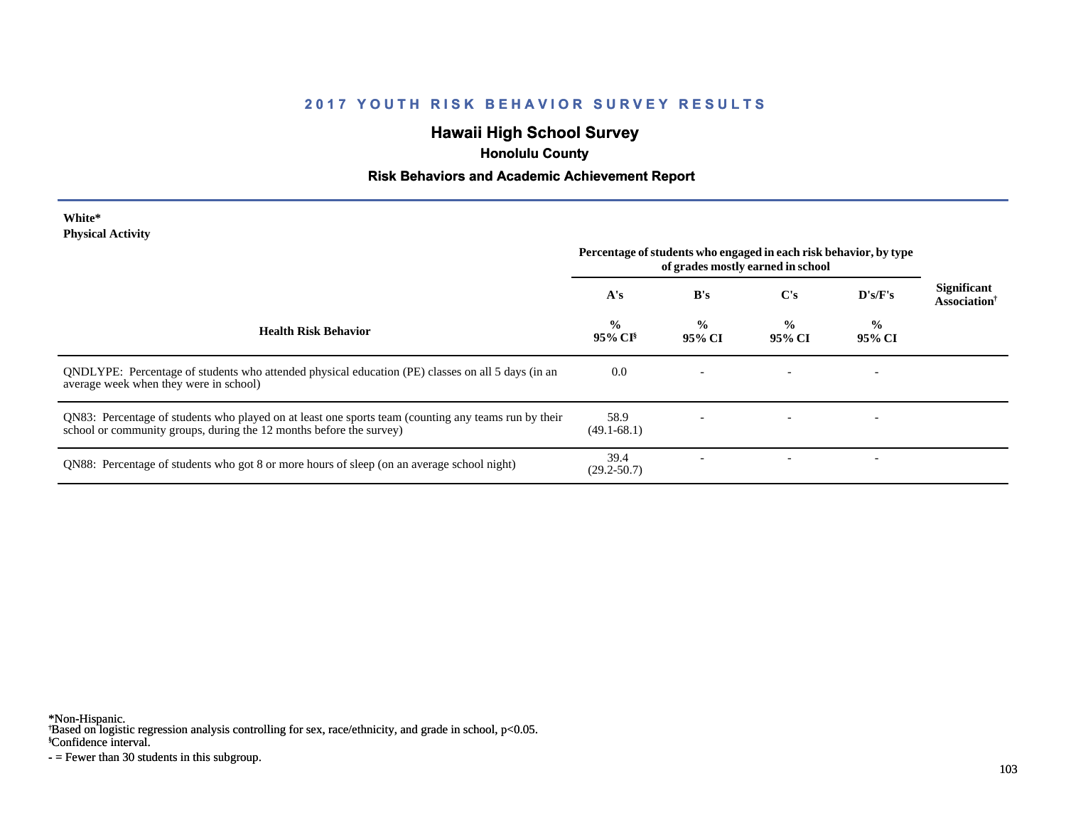# **Hawaii High School Survey**

 **Honolulu County**

# **Risk Behaviors and Academic Achievement Report**

| White*                   |  |
|--------------------------|--|
| <b>Physical Activity</b> |  |

|                                                                                                                                                                             | Percentage of students who engaged in each risk behavior, by type<br>of grades mostly earned in school |                         |                         |                          |                                         |
|-----------------------------------------------------------------------------------------------------------------------------------------------------------------------------|--------------------------------------------------------------------------------------------------------|-------------------------|-------------------------|--------------------------|-----------------------------------------|
|                                                                                                                                                                             | A's                                                                                                    | B's                     | $\bf C's$               | D's/F's                  | Significant<br>Association <sup>†</sup> |
| <b>Health Risk Behavior</b>                                                                                                                                                 | $\frac{0}{0}$<br>$95\%$ CI <sup>§</sup>                                                                | $\frac{0}{0}$<br>95% CI | $\frac{0}{0}$<br>95% CI | $\frac{0}{0}$<br>95% CI  |                                         |
| QNDLYPE: Percentage of students who attended physical education (PE) classes on all 5 days (in an<br>average week when they were in school)                                 | 0.0                                                                                                    |                         |                         | $\overline{\phantom{0}}$ |                                         |
| QN83: Percentage of students who played on at least one sports team (counting any teams run by their<br>school or community groups, during the 12 months before the survey) | 58.9<br>$(49.1 - 68.1)$                                                                                |                         |                         |                          |                                         |
| QN88: Percentage of students who got 8 or more hours of sleep (on an average school night)                                                                                  | 39.4<br>$(29.2 - 50.7)$                                                                                |                         |                         |                          |                                         |

\*Non-Hispanic.

† Based on logistic regression analysis controlling for sex, race/ethnicity, and grade in school, p<0.05.

§Confidence interval.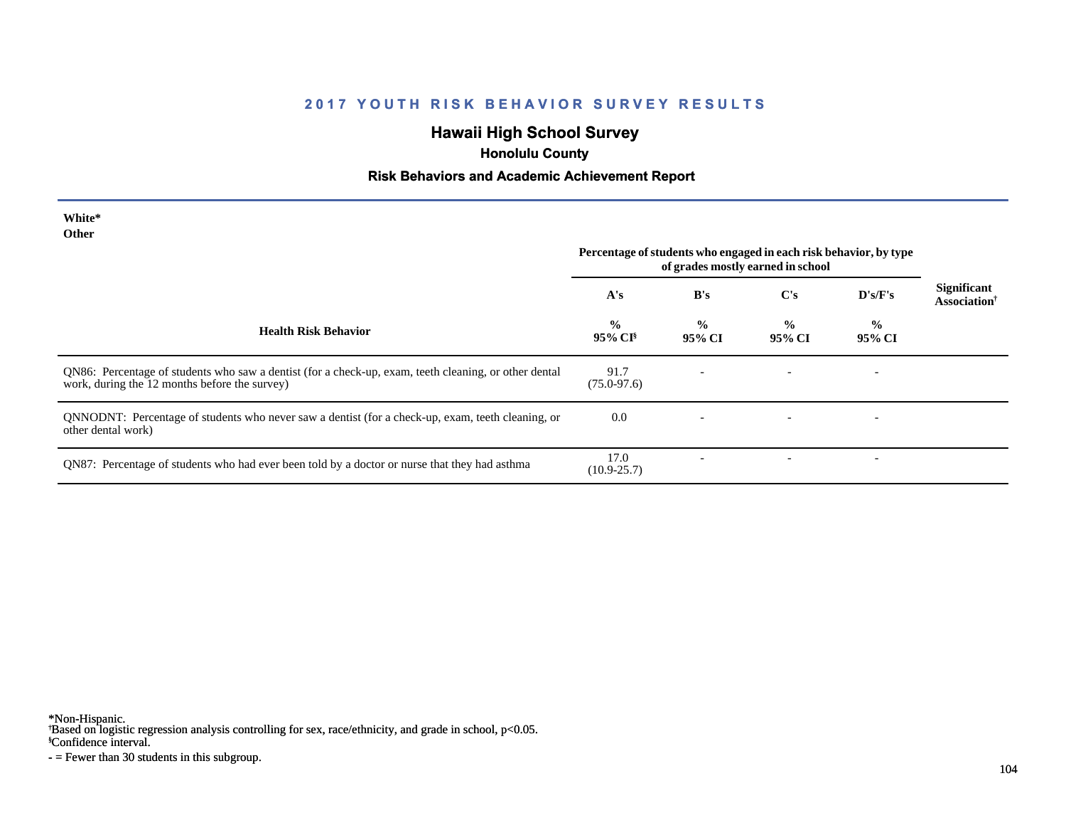# **Hawaii High School Survey**

 **Honolulu County**

#### **Risk Behaviors and Academic Achievement Report**

| White*<br><b>Other</b>                                                                                                                                 | Percentage of students who engaged in each risk behavior, by type<br>of grades mostly earned in school |                         |                         |                          |                                                |
|--------------------------------------------------------------------------------------------------------------------------------------------------------|--------------------------------------------------------------------------------------------------------|-------------------------|-------------------------|--------------------------|------------------------------------------------|
|                                                                                                                                                        | A's                                                                                                    | B's                     | C's                     | $\bf{D's/F's}$           | Significant<br><b>Association</b> <sup>†</sup> |
| <b>Health Risk Behavior</b>                                                                                                                            | $\frac{0}{0}$<br>95% CI <sup>§</sup>                                                                   | $\frac{6}{9}$<br>95% CI | $\frac{0}{0}$<br>95% CI | $\frac{0}{0}$<br>95% CI  |                                                |
| QN86: Percentage of students who saw a dentist (for a check-up, exam, teeth cleaning, or other dental<br>work, during the 12 months before the survey) | 91.7<br>$(75.0 - 97.6)$                                                                                |                         |                         | $\overline{\phantom{a}}$ |                                                |
| QNNODNT: Percentage of students who never saw a dentist (for a check-up, exam, teeth cleaning, or<br>other dental work)                                | 0.0                                                                                                    |                         |                         |                          |                                                |
| QN87: Percentage of students who had ever been told by a doctor or nurse that they had asthma                                                          | 17.0<br>$(10.9 - 25.7)$                                                                                |                         |                         | $\overline{\phantom{a}}$ |                                                |

\*Non-Hispanic.

† Based on logistic regression analysis controlling for sex, race/ethnicity, and grade in school, p<0.05.

§Confidence interval.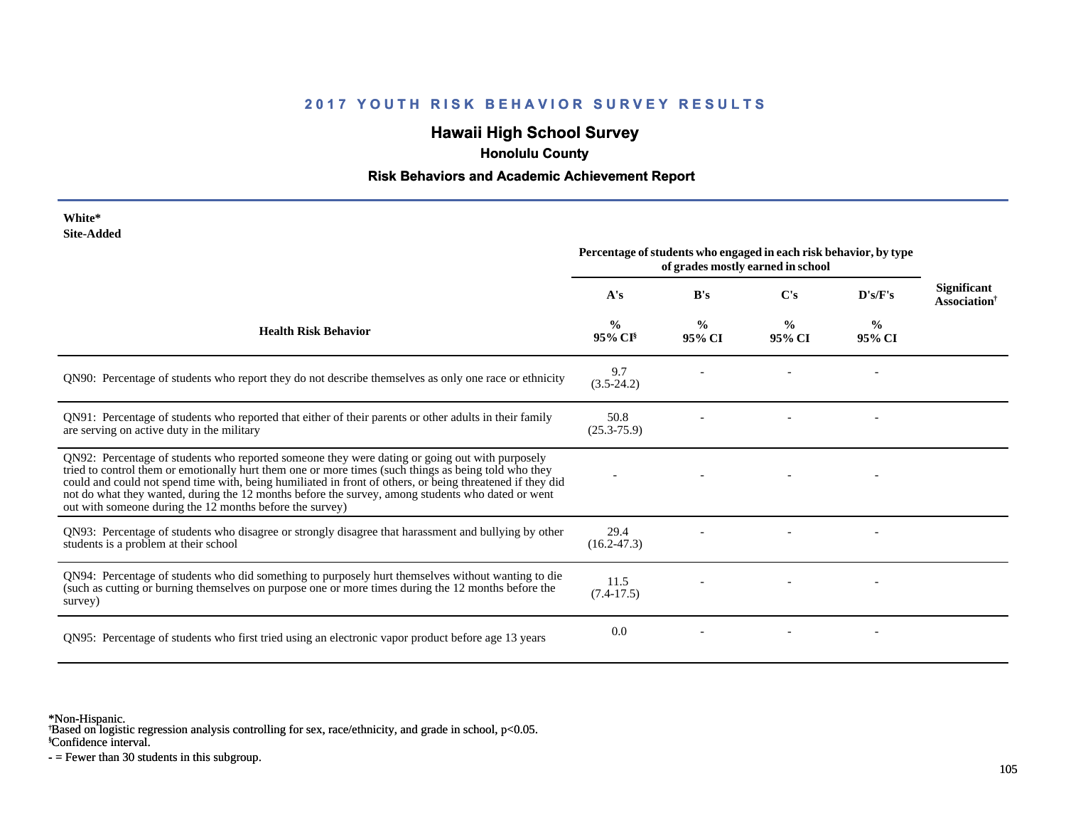# **Hawaii High School Survey**

 **Honolulu County**

#### **Risk Behaviors and Academic Achievement Report**

| <i>v</i> ulte<br><b>Site-Added</b>                                                                                                                                                                                                                                                                                                                                                                                                                                                   | Percentage of students who engaged in each risk behavior, by type<br>of grades mostly earned in school |                         |                         |                |                                                       |
|--------------------------------------------------------------------------------------------------------------------------------------------------------------------------------------------------------------------------------------------------------------------------------------------------------------------------------------------------------------------------------------------------------------------------------------------------------------------------------------|--------------------------------------------------------------------------------------------------------|-------------------------|-------------------------|----------------|-------------------------------------------------------|
|                                                                                                                                                                                                                                                                                                                                                                                                                                                                                      | A's                                                                                                    | B's                     | $\bf C's$               | D's/F's        | <b>Significant</b><br><b>Association</b> <sup>†</sup> |
| <b>Health Risk Behavior</b>                                                                                                                                                                                                                                                                                                                                                                                                                                                          | $\frac{0}{0}$<br>95% CI                                                                                | $\frac{0}{0}$<br>95% CI | $\frac{0}{0}$<br>95% CI | $\%$<br>95% CI |                                                       |
| QN90: Percentage of students who report they do not describe themselves as only one race or ethnicity                                                                                                                                                                                                                                                                                                                                                                                | 9.7<br>$(3.5-24.2)$                                                                                    |                         |                         |                |                                                       |
| QN91: Percentage of students who reported that either of their parents or other adults in their family<br>are serving on active duty in the military                                                                                                                                                                                                                                                                                                                                 | 50.8<br>$(25.3 - 75.9)$                                                                                |                         |                         |                |                                                       |
| QN92: Percentage of students who reported someone they were dating or going out with purposely<br>tried to control them or emotionally hurt them one or more times (such things as being told who they<br>could and could not spend time with, being humiliated in front of others, or being threatened if they did<br>not do what they wanted, during the 12 months before the survey, among students who dated or went<br>out with someone during the 12 months before the survey) |                                                                                                        |                         |                         |                |                                                       |
| QN93: Percentage of students who disagree or strongly disagree that harassment and bullying by other<br>students is a problem at their school                                                                                                                                                                                                                                                                                                                                        | 29.4<br>$(16.2 - 47.3)$                                                                                |                         |                         |                |                                                       |
| QN94: Percentage of students who did something to purposely hurt themselves without wanting to die<br>(such as cutting or burning themselves on purpose one or more times during the 12 months before the<br>survey)                                                                                                                                                                                                                                                                 | 11.5<br>$(7.4-17.5)$                                                                                   |                         |                         |                |                                                       |
| QN95: Percentage of students who first tried using an electronic vapor product before age 13 years                                                                                                                                                                                                                                                                                                                                                                                   | 0.0                                                                                                    |                         |                         |                |                                                       |

\*Non-Hispanic.

**White\***

† Based on logistic regression analysis controlling for sex, race/ethnicity, and grade in school, p<0.05.

§Confidence interval.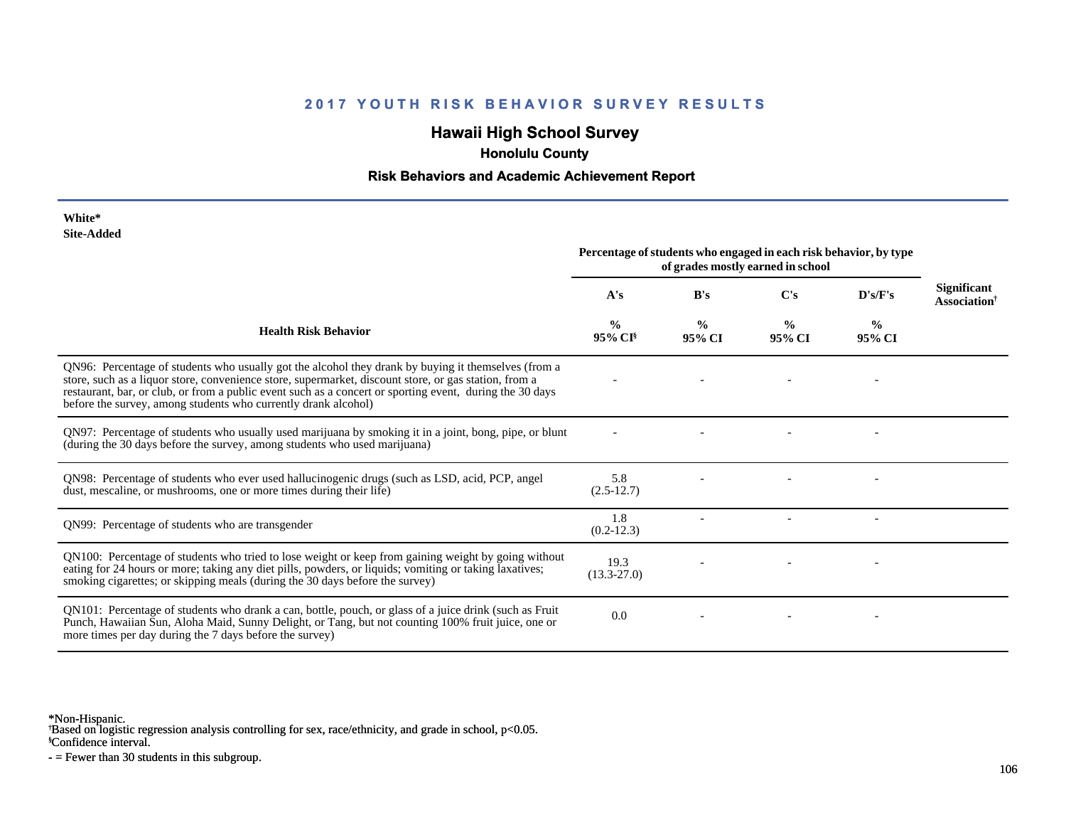# **Hawaii High School Survey**

 **Honolulu County**

#### **Risk Behaviors and Academic Achievement Report**

| White*     |
|------------|
| Site-Added |

| one Auucu                                                                                                                                                                                                                                                                                                                                                                                  | Percentage of students who engaged in each risk behavior, by type<br>of grades mostly earned in school |                         |                         |                         |                                         |
|--------------------------------------------------------------------------------------------------------------------------------------------------------------------------------------------------------------------------------------------------------------------------------------------------------------------------------------------------------------------------------------------|--------------------------------------------------------------------------------------------------------|-------------------------|-------------------------|-------------------------|-----------------------------------------|
|                                                                                                                                                                                                                                                                                                                                                                                            | A's                                                                                                    | B's                     | C's                     | D's/F's                 | Significant<br>Association <sup>†</sup> |
| <b>Health Risk Behavior</b>                                                                                                                                                                                                                                                                                                                                                                | $\frac{0}{0}$<br>95% CI <sup>§</sup>                                                                   | $\frac{0}{0}$<br>95% CI | $\frac{0}{0}$<br>95% CI | $\frac{6}{9}$<br>95% CI |                                         |
| QN96: Percentage of students who usually got the alcohol they drank by buying it themselves (from a<br>store, such as a liquor store, convenience store, supermarket, discount store, or gas station, from a<br>restaurant, bar, or club, or from a public event such as a concert or sporting event, during the 30 days<br>before the survey, among students who currently drank alcohol) |                                                                                                        |                         |                         |                         |                                         |
| QN97: Percentage of students who usually used marijuana by smoking it in a joint, bong, pipe, or blunt<br>(during the 30 days before the survey, among students who used marijuana)                                                                                                                                                                                                        |                                                                                                        |                         |                         |                         |                                         |
| QN98: Percentage of students who ever used hallucinogenic drugs (such as LSD, acid, PCP, angel<br>dust, mescaline, or mushrooms, one or more times during their life)                                                                                                                                                                                                                      | 5.8<br>$(2.5-12.7)$                                                                                    |                         |                         |                         |                                         |
| ON99: Percentage of students who are transgender                                                                                                                                                                                                                                                                                                                                           | 1.8<br>$(0.2-12.3)$                                                                                    |                         |                         |                         |                                         |
| QN100: Percentage of students who tried to lose weight or keep from gaining weight by going without<br>eating for 24 hours or more; taking any diet pills, powders, or liquids; vomiting or taking laxatives;<br>smoking cigarettes; or skipping meals (during the 30 days before the survey)                                                                                              | 19.3<br>$(13.3 - 27.0)$                                                                                |                         |                         |                         |                                         |
| QN101: Percentage of students who drank a can, bottle, pouch, or glass of a juice drink (such as Fruit<br>Punch, Hawaiian Sun, Aloha Maid, Sunny Delight, or Tang, but not counting 100% fruit juice, one or<br>more times per day during the 7 days before the survey)                                                                                                                    | 0.0                                                                                                    |                         |                         |                         |                                         |

\*Non-Hispanic.

† Based on logistic regression analysis controlling for sex, race/ethnicity, and grade in school, p<0.05.

§Confidence interval.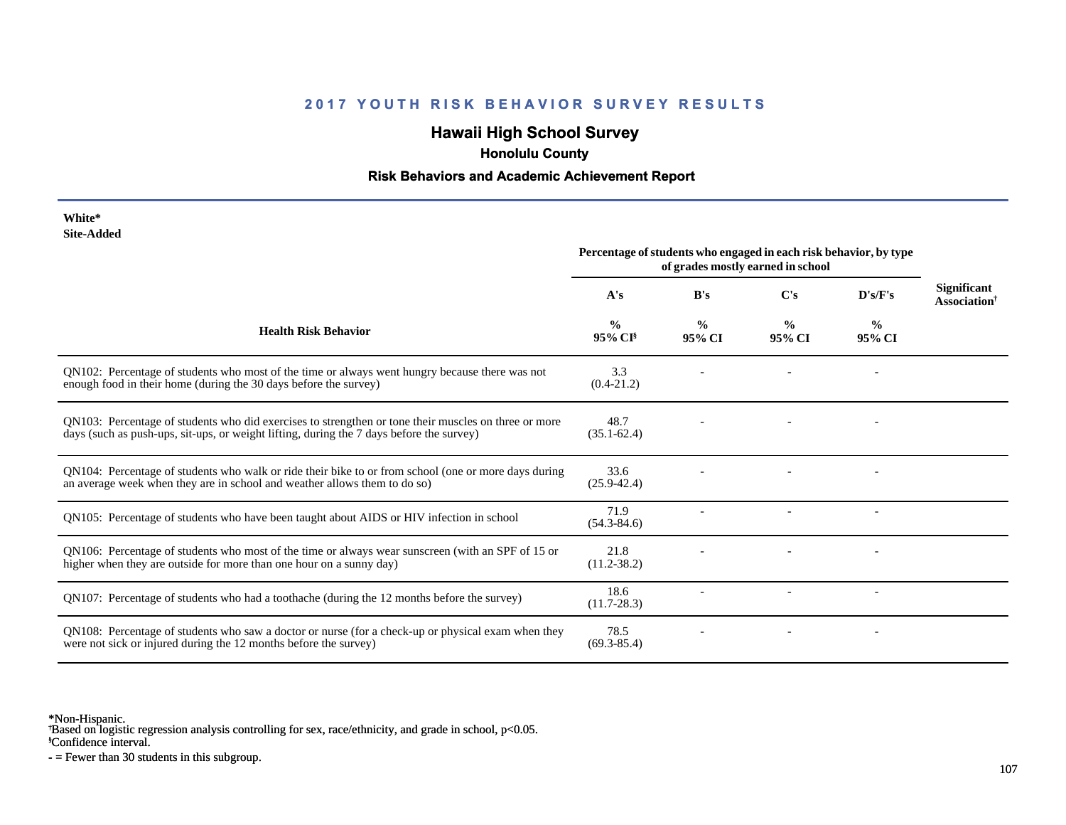# **Hawaii High School Survey**

 **Honolulu County**

# **Risk Behaviors and Academic Achievement Report**

| White*     |
|------------|
| Site-Added |

| www.suuru                                                                                                                                                                                        | Percentage of students who engaged in each risk behavior, by type<br>of grades mostly earned in school |                         |                         |                         |                                                |
|--------------------------------------------------------------------------------------------------------------------------------------------------------------------------------------------------|--------------------------------------------------------------------------------------------------------|-------------------------|-------------------------|-------------------------|------------------------------------------------|
|                                                                                                                                                                                                  | A's                                                                                                    | B's                     | C's                     | D's/F's                 | <b>Significant</b><br>Association <sup>†</sup> |
| <b>Health Risk Behavior</b>                                                                                                                                                                      | $\frac{0}{0}$<br>95% CI                                                                                | $\frac{0}{0}$<br>95% CI | $\frac{0}{0}$<br>95% CI | $\frac{0}{0}$<br>95% CI |                                                |
| QN102: Percentage of students who most of the time or always went hungry because there was not<br>enough food in their home (during the 30 days before the survey)                               | 3.3<br>$(0.4 - 21.2)$                                                                                  |                         |                         |                         |                                                |
| QN103: Percentage of students who did exercises to strengthen or tone their muscles on three or more<br>days (such as push-ups, sit-ups, or weight lifting, during the 7 days before the survey) | 48.7<br>$(35.1 - 62.4)$                                                                                |                         |                         |                         |                                                |
| QN104: Percentage of students who walk or ride their bike to or from school (one or more days during<br>an average week when they are in school and weather allows them to do so)                | 33.6<br>$(25.9 - 42.4)$                                                                                |                         |                         |                         |                                                |
| QN105: Percentage of students who have been taught about AIDS or HIV infection in school                                                                                                         | 71.9<br>$(54.3 - 84.6)$                                                                                |                         |                         |                         |                                                |
| QN106: Percentage of students who most of the time or always wear sunscreen (with an SPF of 15 or<br>higher when they are outside for more than one hour on a sunny day)                         | 21.8<br>$(11.2 - 38.2)$                                                                                |                         |                         |                         |                                                |
| QN107: Percentage of students who had a toothache (during the 12 months before the survey)                                                                                                       | 18.6<br>$(11.7 - 28.3)$                                                                                |                         |                         |                         |                                                |
| QN108: Percentage of students who saw a doctor or nurse (for a check-up or physical exam when they<br>were not sick or injured during the 12 months before the survey)                           | 78.5<br>$(69.3 - 85.4)$                                                                                |                         |                         |                         |                                                |

\*Non-Hispanic.

† Based on logistic regression analysis controlling for sex, race/ethnicity, and grade in school, p<0.05.

§Confidence interval.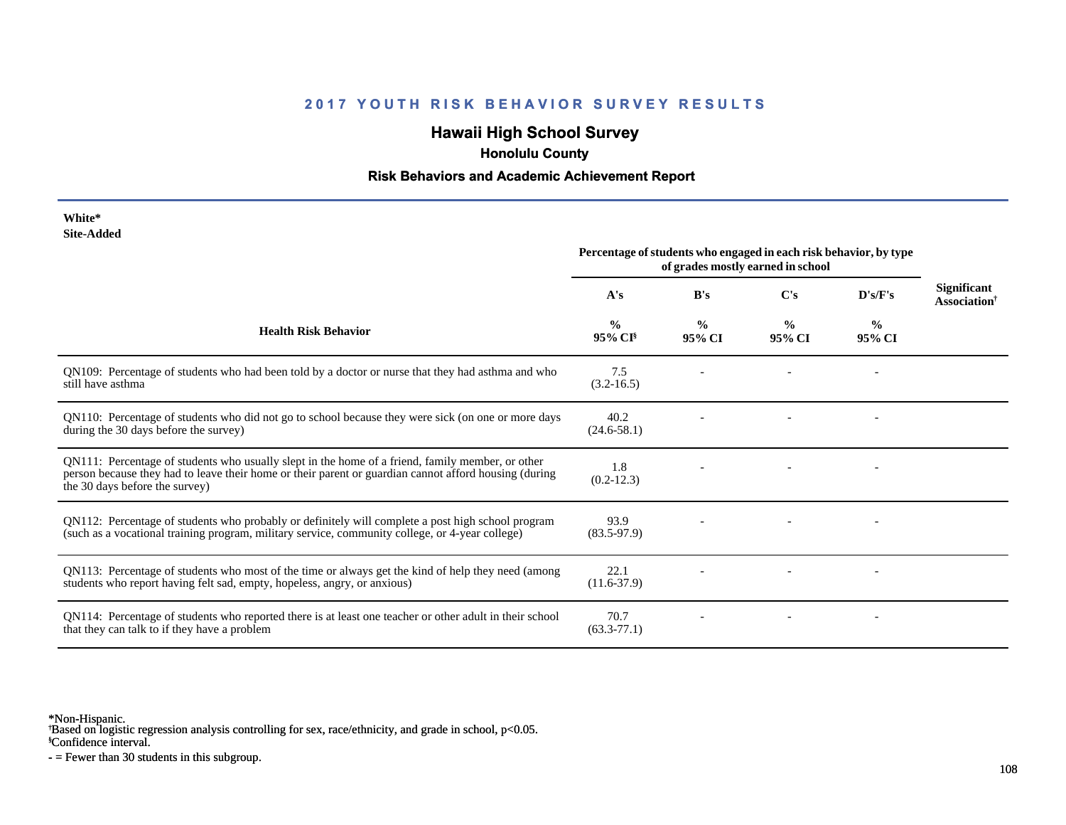# **Hawaii High School Survey**

 **Honolulu County**

#### **Risk Behaviors and Academic Achievement Report**

| White*     |
|------------|
| Site-Added |

| Site-Added                                                                                                                                                                                                                                  | Percentage of students who engaged in each risk behavior, by type<br>of grades mostly earned in school |                         |                |                         |                                                |
|---------------------------------------------------------------------------------------------------------------------------------------------------------------------------------------------------------------------------------------------|--------------------------------------------------------------------------------------------------------|-------------------------|----------------|-------------------------|------------------------------------------------|
|                                                                                                                                                                                                                                             | A's                                                                                                    | B's                     | $\bf C's$      | D's/F's                 | Significant<br><b>Association</b> <sup>†</sup> |
| <b>Health Risk Behavior</b>                                                                                                                                                                                                                 | $\frac{0}{0}$<br>$95\%$ CI <sup>§</sup>                                                                | $\frac{0}{0}$<br>95% CI | $\%$<br>95% CI | $\frac{0}{0}$<br>95% CI |                                                |
| QN109: Percentage of students who had been told by a doctor or nurse that they had asthma and who<br>still have asthma                                                                                                                      | 7.5<br>$(3.2 - 16.5)$                                                                                  |                         |                |                         |                                                |
| QN110: Percentage of students who did not go to school because they were sick (on one or more days<br>during the 30 days before the survey)                                                                                                 | 40.2<br>$(24.6 - 58.1)$                                                                                |                         |                |                         |                                                |
| QN111: Percentage of students who usually slept in the home of a friend, family member, or other<br>person because they had to leave their home or their parent or guardian cannot afford housing (during<br>the 30 days before the survey) | 1.8<br>$(0.2 - 12.3)$                                                                                  |                         |                |                         |                                                |
| QN112: Percentage of students who probably or definitely will complete a post high school program<br>(such as a vocational training program, military service, community college, or 4-year college)                                        | 93.9<br>$(83.5-97.9)$                                                                                  |                         |                |                         |                                                |
| QN113: Percentage of students who most of the time or always get the kind of help they need (among<br>students who report having felt sad, empty, hopeless, angry, or anxious)                                                              | 22.1<br>$(11.6-37.9)$                                                                                  |                         |                |                         |                                                |
| QN114: Percentage of students who reported there is at least one teacher or other adult in their school<br>that they can talk to if they have a problem                                                                                     | 70.7<br>$(63.3 - 77.1)$                                                                                |                         |                |                         |                                                |

\*Non-Hispanic.

† Based on logistic regression analysis controlling for sex, race/ethnicity, and grade in school, p<0.05.

§Confidence interval.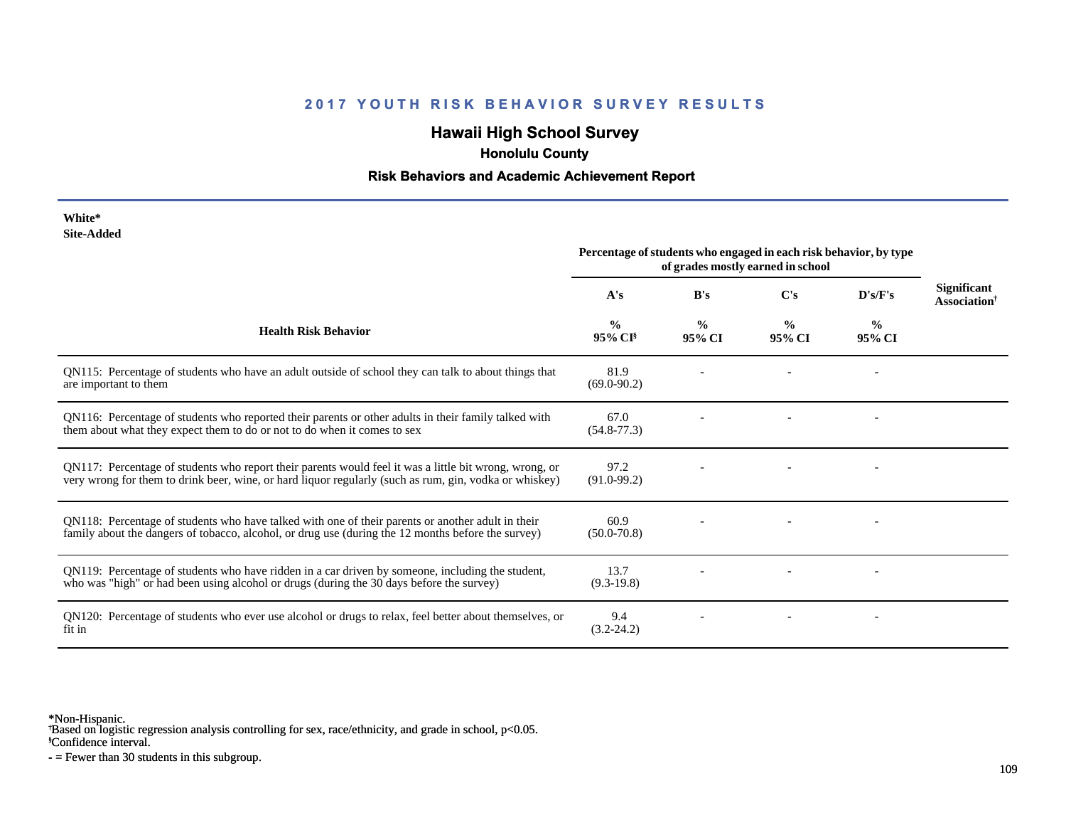# **2017 YOUTH RISK BEHAVIOR SURVEY RESULTS**

## **Hawaii High School Survey**

 **Honolulu County**

## **Risk Behaviors and Academic Achievement Report**

| White*     |
|------------|
| Site-Added |

|                                                                                                                                                                                                                  | Percentage of students who engaged in each risk behavior, by type<br>of grades mostly earned in school |                         |                         |                |                                                |
|------------------------------------------------------------------------------------------------------------------------------------------------------------------------------------------------------------------|--------------------------------------------------------------------------------------------------------|-------------------------|-------------------------|----------------|------------------------------------------------|
|                                                                                                                                                                                                                  | A's                                                                                                    | B's                     | C's                     | D's/F's        | <b>Significant</b><br>Association <sup>†</sup> |
| <b>Health Risk Behavior</b>                                                                                                                                                                                      | $\frac{0}{0}$<br>95% CI <sup>§</sup>                                                                   | $\frac{0}{0}$<br>95% CI | $\frac{0}{0}$<br>95% CI | $\%$<br>95% CI |                                                |
| QN115: Percentage of students who have an adult outside of school they can talk to about things that<br>are important to them                                                                                    | 81.9<br>$(69.0 - 90.2)$                                                                                |                         |                         |                |                                                |
| QN116: Percentage of students who reported their parents or other adults in their family talked with<br>them about what they expect them to do or not to do when it comes to sex                                 | 67.0<br>$(54.8 - 77.3)$                                                                                |                         |                         |                |                                                |
| QN117: Percentage of students who report their parents would feel it was a little bit wrong, wrong, or<br>very wrong for them to drink beer, wine, or hard liquor regularly (such as rum, gin, vodka or whiskey) | 97.2<br>$(91.0 - 99.2)$                                                                                |                         |                         |                |                                                |
| QN118: Percentage of students who have talked with one of their parents or another adult in their<br>family about the dangers of tobacco, alcohol, or drug use (during the 12 months before the survey)          | 60.9<br>$(50.0 - 70.8)$                                                                                |                         |                         |                |                                                |
| QN119: Percentage of students who have ridden in a car driven by someone, including the student,<br>who was "high" or had been using alcohol or drugs (during the 30 days before the survey)                     | 13.7<br>$(9.3-19.8)$                                                                                   |                         |                         |                |                                                |
| QN120: Percentage of students who ever use alcohol or drugs to relax, feel better about themselves, or<br>fit in                                                                                                 | 9.4<br>$(3.2 - 24.2)$                                                                                  |                         |                         |                |                                                |

\*Non-Hispanic.

† Based on logistic regression analysis controlling for sex, race/ethnicity, and grade in school, p<0.05.

§Confidence interval.

- = Fewer than 30 students in this subgroup.